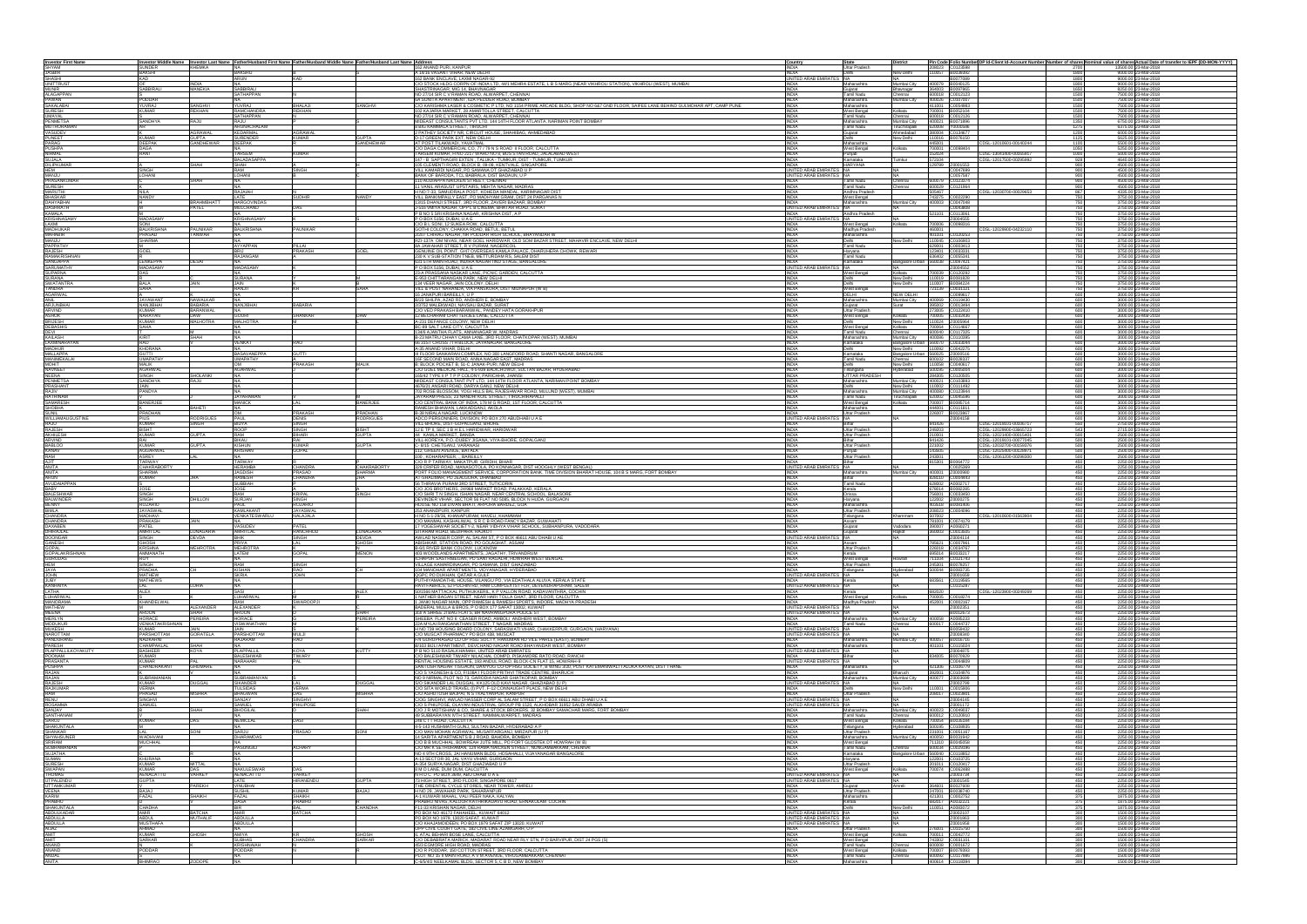| <b>Investor First Name</b><br>SHYAM                  | SUNDER                                                | :НЕМКА                             |                                                   | <u>Investor Middle Name Muvestor Last Name Father/Husband First Name Father/Husband Middle Name Father/Husband Last Name Address I</u> |                              | 162 ANAND PURI, KANPUR                                                                                                                                                                                                                               | Country<br>INDIA                                                           | <b>State</b><br><b>Uttar Pradesh</b>         | <b>District</b>                                                                           | 208023 C0123598<br>110057 B0039392                    |                                                                         |                      | Pin Code Folio Number DP Id-Client Id-Account Number Number of shares Nominal value of shares Actual Date of transfer to IEPF (DD-MON-YYYY)<br>13500.00 23-Mar-201 |
|------------------------------------------------------|-------------------------------------------------------|------------------------------------|---------------------------------------------------|----------------------------------------------------------------------------------------------------------------------------------------|------------------------------|------------------------------------------------------------------------------------------------------------------------------------------------------------------------------------------------------------------------------------------------------|----------------------------------------------------------------------------|----------------------------------------------|-------------------------------------------------------------------------------------------|-------------------------------------------------------|-------------------------------------------------------------------------|----------------------|--------------------------------------------------------------------------------------------------------------------------------------------------------------------|
| <b>IASBIR</b><br>SHASHI<br><b>UNITTRUST</b>          | <b>BAKSHI</b>                                         | NDIA                               | ARUN                                              |                                                                                                                                        |                              | 14/16 VASANT VIHAR, NEW DELH<br>62 BANK ENCLAVE, LAXMI NAGAR-92<br><u>C/O STOCK HLDG CORPN OF INDIA LTD, 44/1 MEHRA ESTATE, L B S MARG (NEAR VIKHROLI STATION), VIKHROLI (WEST), MUMBAI</u>                                                          | <b>INDIA</b><br>UNITED ARAB EMIRA<br><b>INDIA</b>                          | Maharashtra                                  | <b>Vew Delh</b><br>Mumbai City                                                            | B0077089<br>400079 B0040125                           |                                                                         | 1800<br>1800         | 9000.00 23-Mar-2018<br>9000.00 23-Mar-2018<br>9000.00 23-Mar-2018                                                                                                  |
| <b>MUNIR</b><br>ALAGAPPAN                            | SABBIRALI                                             | <b>ANEKIA</b>                      | SABBIRAL<br>SATHAPPAN                             |                                                                                                                                        |                              | SHASTRINAGAR. MIG 14. BHAVNAGAR<br>NO 27/14 SIR C V RAMAN ROAD, ALWARPET, CHENNA                                                                                                                                                                     | <b>INDIA</b><br><b>INDIA</b>                                               | Gujarat<br>Tamil Nadu                        | 3havnagar<br>hennai                                                                       | 364003 B0097865<br>600018 C0012123<br>400026 C0107007 |                                                                         | 1650<br>1500         | 8250.00 23-Mar-2018<br>7500.00 23-Mar-201                                                                                                                          |
| PAWAN<br>SAKALABAI<br><b>SURESH</b>                  | PODDAR<br>YUVRAJ<br><b>KUMAR</b>                      | SANGHVI<br>REKHAN                  | YUVRAJ<br>RAMCHANDRA                              | BHALAJI<br><b>REKHAN</b>                                                                                                               | SANGHVI                      | 3A SUNITA APARTMENT, 62A PEDDER ROAD, BOMBAY<br><u>C/O KARISHMA LASER &amp; COSMETIC P LTD, NO 1154 PRIME ARCADE BLDG, SHOP NO 6&amp;7 GND FLOOR, SAIFEE LANE BEHIND GULMOHAR APT, CAMP PUNE</u><br>02 KAJARIA MARKET, 28 AMARTOLLA STREET, CALCUTTA | <b>INDIA</b><br><b>INDIA</b><br><b>INDIA</b>                               | Maharashtra<br>Maharashtra<br>West Bengal    | Mumbai City<br>Kolkata                                                                    | 411001 C0054983<br>700001 B0052104                    |                                                                         | 1500<br>1500<br>1500 | 7500.00 23-Mar-2018<br>7500.00 23-Mar-2018<br>7500.00 23-Mar-2018                                                                                                  |
| <b>JMAYA</b><br>PENMETSA                             | SANDHYA                                               | UlA:                               | SATHAPPAN<br>RAJU                                 |                                                                                                                                        |                              | NO 27/14 SIR C V RAMAN ROAD, ALWARPET, CHENNAI<br>MIDEAST CONSULTANTS PVT LTD, 144 14TH FLOOR ATLANTA, NARIMAN POINT BOMBAY                                                                                                                          | <b>INDIA</b><br><b>INDIA</b>                                               | Tamil Nadu<br>Maharashtra                    | hennai<br>lumbai City                                                                     | 600018 C0012126<br>400021 B0071896                    |                                                                         | 1500<br>1350         | 7500.00 23-Mar-2018<br>6750.00 23-Mar-2018                                                                                                                         |
| <b>MUTHURAMAN</b><br>VASUDEV<br><b>UNEET</b>         | UMAR                                                  | <b>\GRAWA</b>                      | ARUNACHALAM<br><b>KEDARMA</b><br>URENDER          | AGRAWAI<br><b>KUMAR</b>                                                                                                                |                              | 8 BIG KAMMALA STREET, TIRUCHI<br>PATHEY SOCIETY NR, CIRCUIT HOUSE, SHAHIBAG, AHMEDABAD<br>17 GREEN PARK EXT, NEW DELHI                                                                                                                               | <b>INDIA</b><br><b>INDIA</b><br><b>INDIA</b>                               | Tamil Nadu<br>Gujarat                        | liruchirapalli<br>hmedabad<br><b>Vew Delhi</b>                                            | 620008 Y0000586<br>380004 C0134677<br>110016 B0076150 |                                                                         | 1275<br>1200         | 6375.00 23-Mar-2018<br>6000.00 23-Mar-2018<br>5625.00 23-Mar-2018                                                                                                  |
| PARAG<br><b>PUSHPA</b>                               | <b>DEEPAK</b><br>DAGA                                 | <b>GANDHEWAR</b>                   | <b>DEEPAK</b>                                     |                                                                                                                                        | <b>GANDHEWAR</b>             | AT POST TILAKWADI, YAVATMAL<br>C/O DAGA COMMERCIAL CO, 77 / 79 N S ROAD II FLOOR, CALCUTTA                                                                                                                                                           | <b>INDIA</b><br><b>INDIA</b>                                               | Maharashtra<br>West Bengal                   | olkata                                                                                    | 445001<br>700001 C0098404                             | CDSL-12010601-00140244                                                  | 1100<br>1050         | 5500.00 23-Mar-2018<br>5250.00 23-Mar-2018                                                                                                                         |
| <b>NIRMAL</b><br>SUJALA                              | RANI                                                  |                                    | <b>ARSEM</b><br><b>BALADASAPPA</b>                | KUMAR                                                                                                                                  |                              | TARSEM KUMAR, H NO 2217 WARD NO 8, BUS STAN ROAD, JALALABAD WEST<br>147 - B SAPTHAGIRI EXTEN , TALUKA - TUMKUR, DIST - TUMKUR, TUMKUR                                                                                                                | INDIA<br><b>INDIA</b>                                                      | Punjab<br>Kamataka                           | 572104<br>umkur                                                                           | 152024                                                | DSL-13041400-00165917<br>DSL-12017500-00295992                          | 1000                 | 5000.00 23-Mar-2018<br>4640.00 23-Mar-2018                                                                                                                         |
| <b>DILIPKUMAR</b><br>HEM<br>MANJU                    | SINGH<br><b>OHANI</b>                                 |                                    | SHAH<br><b>RAM</b><br>LOHANI                      | SINGH                                                                                                                                  |                              | 105 CLEMENTI ROAD, BLOCK B, 09-08, KENTVALE, SINGAPORE<br>VILL KAMARDI NAGAR, PO SAMANA DT GHAZIABAD U P<br>BANK OF BARODA, TCL BABRALA, DIST BADAUN, U P                                                                                            | INDIA.<br>UNITED ARAB EMIRAT<br>UNITED ARAB EMIRATES NA                    | <b>HARYANA</b>                               |                                                                                           | 129789 Z0001553<br>C0047699<br>C0057587               |                                                                         | 900                  | 4500.00 23-Mar-2018<br>4500.00 23-Mar-2018<br>4500.00 23-Mar-2018                                                                                                  |
| PRASANKUMAR<br><b>SURESH</b>                         |                                                       |                                    |                                                   |                                                                                                                                        |                              | 110 AUDIAPPA NAICKEN STREET, CHENNAI<br>11 VANIL ARASUST UPSTAIRS, MEHTA NAGAR, MADRAS                                                                                                                                                               | INDIA<br><b>INDIA</b>                                                      | Tamil Nadu<br>Tamil Nadu                     | Chennai<br>hennai                                                                         | 600079 C0123374<br>600029 C0121964                    |                                                                         | 900                  | 4500.00 23-Mar-2018<br>4500.00 23-Mar-2018                                                                                                                         |
| MARUTHI<br><b>BHASKAR</b><br>DAHYABHAI               | NILA<br><b>NANDY</b>                                  | <b>RAHMBHAT</b>                    | RAJAIAH<br>LATE<br><b>HARGOVINDAS</b>             | SUDHIR                                                                                                                                 | NANDY                        | H NO:7-33, SAMUDRALA POST, KOHEDA MANDAL, KARIMNAGAR DIST<br>VILL BANKIMPALLY EAST, PO MADHYAM GRAM, DIST 24 PARGANAS N<br>13/15 DHANJI STREET, 3RD FLOOR, ZAVERI BAZAAR, BOMBAY                                                                     | <b>INDIA</b><br><b>INDIA</b><br><b>INDIA</b>                               | Andhra Pradesh<br>West Bengal<br>Maharashtra | 505467<br>lumbai City                                                                     | 743275 C0022290<br>400003 C0047048                    | DSL-12030700-00029653                                                   | 867<br>750           | 4335.00 23-Mar-2018<br>3750.00 23-Mar-2018<br>3750.00 23-Mar-2018                                                                                                  |
| <b>DASHRATH</b><br>KAMALA                            |                                                       |                                    | <b>MULCHAND</b>                                   | DAS                                                                                                                                    |                              | -516 VMIYA NAGAR, OPP L B CINEMA, BHATAR ROAD, SURAT<br>B NO 5 SRI KRISHNA NAGAR, KRISHNA DIST, A P                                                                                                                                                  | UNITED ARAB EMIRATES                                                       | Andhra Pradesh                               |                                                                                           | C0043808<br>521101 C0113061                           |                                                                         |                      | 3750.00 23-Mar-201<br>3750.00 23-Mar-2018                                                                                                                          |
| <b>IKRISHNASAM</b><br>AXMI<br><b>MADHUKAR</b>        | MADASAMY<br><b>BALKRISHNA</b>                         | <b>NUNIKAR</b>                     | <b>KRISHNASAM</b><br><b>BALKRISHNA</b>            | <b>PAUNIKAR</b>                                                                                                                        |                              | PO BOX 5156, DUBAI, U.A.E.<br>CO BL SONI, 12 SUKEA ROW, CALCUTTA<br>GOTHI COLONY, CHAKKA ROAD, BETUL, BETUL                                                                                                                                          | UNITED ARAB EMIRATES NA<br><b>INDIA</b><br><b>INDIA</b>                    | West Bengal<br>Madhya Pradesh                | olkata<br>460001                                                                          | Z0004555<br>700006 C0098316                           | L-12029900-04232110                                                     |                      | 3750.00 23-Mar-2018<br>3750.00 23-Mar-2018<br>3750.00 23-Mar-2018                                                                                                  |
| MAHABIR<br>MANJU                                     | PRASAD<br><b>SHARMA</b>                               | <b>TANWAR</b>                      |                                                   |                                                                                                                                        |                              | 2/207 CHIRAG NAGAR, NR PODDAR HIGH SCHOOL, BHAYANDAR W<br>RZI-137A OM NIVAS, NEAR GOEL HARIDWAR, OLD SOM BAZAR STREET, MAHAVIR ENCLAVE, NEW DELHI                                                                                                    | <b>INDIA</b><br><b>INDIA</b>                                               | Maharashtra                                  | vew Delhi                                                                                 | 401101 C0120253<br>110045 C0106903                    |                                                                         | 750                  | 3750.00 23-Mar-2018<br>3750.00 23-Mar-2018                                                                                                                         |
| PAPPATHY<br>RAJESH<br><b>RAMAKRISHNAN</b>            | GOEL                                                  |                                    | AYYAPPAN                                          | <b>PRAKASH</b>                                                                                                                         |                              | 3A JAWAHAR STREET, R V PURAM, NAGERCO<br>GENUINE OIL POINT, G/47 OVERSEAS KAMLA PALACE, DHARUHERA CHOWK, REWAR<br>230 K V SUB-STATION TNEB, METTURDAM RS, SALEM DIST                                                                                 | <b>INDIA</b><br><b>INDIA</b><br><b>INDIA</b>                               | amil Nadu<br>Haryana                         |                                                                                           | 629001 C0003413<br>123401 C0033331                    |                                                                         |                      | 3750.00 23-Mar-2018<br>3750.00 23-Mar-2018                                                                                                                         |
| SANGAPPA<br>SARUMATHY                                | <b>ENKEPPA</b><br>MADASAMY                            | <b>JESAI</b>                       | RAJANGAM<br>MADASAMY                              |                                                                                                                                        |                              | 31 5TH MAIN ROAD, INDIRA NAGAR IIND STAGE, BANGALORE<br>O BOX 5156, DUBAI, U A E                                                                                                                                                                     | <b>INDIA</b><br>UNITED ARAB EMIRAT                                         | Tamil Nadu<br>Kamataka                       | Bangalore Urban 560038 C0097421                                                           | 636402 C0055341                                       |                                                                         |                      | 3750.00 23-Mar-2018<br>3750.00 23-Mar-2018<br>3750.00 23-Mar-2018                                                                                                  |
| <b>SUPARNA</b><br>SURANA                             | DAS                                                   |                                    | <b>SURANA</b>                                     |                                                                                                                                        |                              | 23-A PRASSANA NASKAR LANE, PICNIC GARDEN, CALCUTTA<br>E-953 CHITTARANGAN PARK, NEW DELHI                                                                                                                                                             | INDIA<br><b>INDIA</b>                                                      | West Bengal                                  | Kolkata<br>New Delhi                                                                      | 700039 C0120292<br>110019 B0081828                    |                                                                         |                      | 3750.00 23-Mar-2018<br>3750.00 23-Mar-2018                                                                                                                         |
| <b>SWATANTRA</b><br><b>TANDRA</b><br>AGARWAL         | <b>BALA</b><br>SAHA                                   | JAIN                               | <b>JAIN</b><br>RANJIT                             |                                                                                                                                        | SAHA                         | 134 VEER NAGAR, JAIN COLONY, DELHI<br>VILL & POST NARANDA, VIA PANSKURA, DIST MIDNAPUR (W B)<br>16 JANKPURI BAREILLY, U P                                                                                                                            | <b>INDIA</b><br><b>INDIA</b><br><b>INDIA</b>                               | Delhi<br>West Bengal<br>DELHI                | <b>New Delhi</b><br><b>VEW DELHI</b>                                                      | 110007 B0084224<br>721139 C0031121<br>C0099617        |                                                                         | 750<br>600           | 3750.00 23-Mar-2018<br>3750.00 23-Mar-2018<br>3000.00 23-Mar-2018                                                                                                  |
| ARJUNBHAI                                            | <b>JAYAWAN</b><br>NANJIBHA                            | <b>VAWALKAR</b><br><b>BABARIA</b>  | NANJIBHA                                          | <b>BABARIA</b>                                                                                                                         |                              | /23 SHILPA, AZAD RD, ANDHERI E, BOMBAY<br>3752 MALEKWADI, NAVSALI BAZAR, SURAT                                                                                                                                                                       | <b>INDIA</b><br><b>INDIA</b>                                               | Maharashtra<br>Gujarat                       | Mumbai City<br>Surat                                                                      | 400069 C0119430<br>395002 C0013494                    |                                                                         | 600                  | 3000.00 23-Mar-2018<br>3000.00 23-Mar-2018                                                                                                                         |
| ARVIND<br><b>ASHOK</b><br><b>BRIJESH</b>             | <b>KUMAR</b><br>NARAYAN<br><b>KUMAR</b>               | <b>BARANWAL</b><br><b>MALHOTRA</b> | <b>SOURI</b><br><b>MALHOTRA</b>                   | SHANKAR                                                                                                                                |                              | O VED PRAKASH BARANWAL, PANDEY HATA GORAKHPUR<br>2 BECHARAM CHATTERJEE LANE, CALCUTTA<br>A-231 DEFANCE COLONY, NEW DELHI                                                                                                                             | <b>INDIA</b><br>INDIA<br><b>INDIA</b>                                      | <b>Uttar Pradesh</b><br>West Bengal<br>Delhi | Kolkata<br>New Delhi                                                                      | 273005 C0122410<br>700005 C0032436<br>110024 Z0005964 |                                                                         | 600<br>600           | 3000.00 23-Mar-2018<br>3000.00 23-Mar-2018<br>3000.00 23-Mar-2018                                                                                                  |
| DEBASHIS                                             | SAHA                                                  |                                    |                                                   |                                                                                                                                        |                              | BC-89 SALT LAKE CITY, CALCUTTA                                                                                                                                                                                                                       | <b>INDIA</b><br><b>INDIA</b>                                               | West Bengal<br>Tamil Nadu                    | Kolkata                                                                                   | 700064 C0114667                                       |                                                                         | 600<br>600           | 3000.00 23-Mar-2018<br>3000.00 23-Mar-2018                                                                                                                         |
| KAII ASH<br>AXMINARAYAN<br><b>MADHUR</b>             | KIRIT                                                 |                                    | VENKAT                                            |                                                                                                                                        |                              | 66 31ST CROSS 7TH BLOCK, JAYANAGAR, BANGALORE                                                                                                                                                                                                        | <b>INDIA</b><br><b>INDIA</b>                                               | Maharashtra<br>Kamataka                      | Chennai 600040 C0117325<br>Mumbai City 400086 C0110395<br>Bangalore Urban 560070 C0033044 |                                                       |                                                                         | 600                  | 3000.00 23-Mar-2018<br>3000.00 23-Mar-2018                                                                                                                         |
| <b>MALLAPPA</b><br><b>MANIMEKALAI</b>                | <b>KHORANA</b><br><b>UMAPATHY</b>                     |                                    | BASAVANEPPA<br><b>UMAPATHY</b>                    | GUTTI                                                                                                                                  |                              | -35 ANAND VIHAR, DELH<br>III FLOOR SANKARAN COMPLEX, NO 300 LANGFORD ROAD, SHANTI NAGAR, BANGALORE<br>16F SECOND MAIN ROAD, ANNA NAGAR EAST, MADRAS                                                                                                  | <b>INDIA</b><br><b>INDIA</b><br><b>INDIA</b>                               | Delhi<br>Kamataka<br>Tamil Nadu              |                                                                                           | 600102 B0028337                                       |                                                                         | 600<br>600           | 3000.00 23-Mar-2018<br>3000.00 23-Mar-2018<br>3000.00 23-Mar-2018                                                                                                  |
| <b>MOHIT</b><br><b>NAVNEET</b>                       | <b>MALIK</b><br><b>AGARWA</b>                         |                                    | OМ<br>AGARWAL                                     | PRAKASH                                                                                                                                | <b>MALIK</b>                 | B: BLOCK POCKET B, 51-C JANAK-PURI, NEW DELHI<br>C/O GOEL MEDICAL HALL, 4-5-939 BADICHOWDI, SULTAN BAZAR, HYDERABAD.<br>165/42 TYPE II P T P P COLONY, PARICHHA, JHANSI                                                                              | <b>INDIA</b><br><b>INDIA</b>                                               | Delhi<br>elangana<br><b>TTAR PRADES</b>      | New Delhi<br>Hyderabad                                                                    | 110058 C0040617<br>500195 C0005004<br>284305 C0120505 |                                                                         | 600<br>600           | 3000.00 23-Mar-2018<br>3000.00 23-Mar-2018                                                                                                                         |
| <b>NFFNA</b><br>PENMETS/<br>PRASHANT                 | SINGH<br>SANDHYA                                      | <b>HOLANKI</b>                     |                                                   |                                                                                                                                        |                              | MIDEAST CONSULTANT PVT LTD, 144 14TH FLOOR ATLANTA, NARIMAN POINT BOMBAY<br>4676/21 ANSARI ROAD, DARYA GANJ, NEW DELHI                                                                                                                               | <b>INDIA</b><br><b>INDIA</b><br><b>INDIA</b>                               | Maharashtra<br>Jelhi                         | lumbai City                                                                               | 400021 C0103893                                       |                                                                         | 600                  | 3000.00 23-Mar-2018<br>3000.00 23-Mar-2018<br>3000.00 23-Mar-2018                                                                                                  |
| <b>RAJIV</b><br><b>RATHINAM</b>                      | PANDYA                                                |                                    | <b>JAYARAMAN</b>                                  |                                                                                                                                        |                              | 02 ROSE BLOSSOM, YOGI HILLS BAL RAJESHWAR ROAD, MULUND (WEST), MUMBAI<br>JAYARAM PRESS, 23 NANDHI KOIL STREET, TIRUCHIRAPALLI                                                                                                                        | <b>INDIA</b><br><b>INDIA</b>                                               | Maharashtra<br>Tamil Nadu                    | iruchirapalli 620002 C0045596                                                             |                                                       |                                                                         | 600                  | 3000.00 23-Mar-2018<br>3000.00 23-Mar-2018                                                                                                                         |
| SAMARESH<br><b>SHOBHA</b><br><b>SUNIL</b>            | BANERJEE<br>PRADHAN                                   | <b>IAHET</b>                       | <b>MANICK</b><br><b>OM</b>                        | PRAKASH                                                                                                                                | BANERJEE<br>PRADHAN          | C/O CENTRAL BANK OF INDIA, 178 M G ROAD, 1ST FLOOR, CALCUTT.<br><u>RAMESH BHAWAN, LAKKADGANJ, AKOLA</u><br>B-38 NIRALA NAGAR, LUCKNOW                                                                                                                | <b>INDIA</b><br><b>INDIA</b><br><b>INDIA</b>                               | West Bengal<br>Maharashtra<br>Uttar Pradesh  | olkata                                                                                    | 700007 B0085714<br>444001 C0111811<br>226007 B0023867 |                                                                         | 600<br>600           | 3000.00 23-Mar-2018<br>3000.00 23-Mar-2018<br>3000.00 23-Mar-2018                                                                                                  |
| WILLIAMAUGUSTINE<br>RAJU                             | <b>PIUS</b><br><b>KUMAR</b>                           | RODRIGUES<br>SINGH                 | PAUL<br><b>BIDYA</b>                              | DENIS<br>SINGH                                                                                                                         | <b>RODRIGUES</b>             | ADCO PERSONNERL DIVISION, PO BOX 270 ABUDHABI U A E<br>/ILL-BHORE, DIST-GOPALGANJ, BHORE                                                                                                                                                             | UNITED ARAB EMIRAT<br>INDIA                                                |                                              | 841426                                                                                    | Z0004158                                              | DSL-12019101-00106717                                                   | 600                  | 3000.00 23-Mar-2018<br>2750.00 23-Mar-2018<br>2715.00 23-Mar-2018                                                                                                  |
| <b>RAJESH</b><br>AKHILESH<br>ARVIND                  | <b>BISHT</b><br><b>KUMAR</b>                          | <b>GUPTA</b>                       | <b>ROOP</b><br>RAM<br><b>BIKAU</b>                | <b>SINGH</b><br><b>BIHARI</b>                                                                                                          | <b>BISHT</b><br><b>GUPTA</b> | 12 E TP II, SEC 1 B H E L HARIDWAR, HARIDWAR<br>44 KAMLA MARKET, BANDA                                                                                                                                                                               | <b>INDIA</b><br><b>INDIA</b><br><b>INDIA</b>                               | <b>Uttar Pradesh</b><br>Uttar Pradesh        | 249203<br>210001<br>841426                                                                |                                                       | DSL-12029900-03665723<br>DSL-12021400-00015401<br>DSL-12019101-00077045 | 500                  | 2500.00 23-Mar-2018<br>2500.00 23-Mar-2018                                                                                                                         |
| <b>BABLOO</b><br>KANAV                               | <b>KUMAR</b><br>AGGARWAI                              | <b>GUPTA</b>                       | <b>KISHUN</b><br><b>KRISHAN</b>                   | <b>KUMAR</b><br>GOPAL                                                                                                                  | GUPTA                        | /ILL-KOREYA, P.O.-DUBEY JIGANA, VIYA-BHORE, GOPALGANJ<br>C-8/15 CHETGANJ, VARANASI<br>112, GREEN AVENUE, BATALA                                                                                                                                      | <b>INDIA</b><br><b>INDIA</b>                                               | Uttar Pradesh<br>Punjab                      | 221002<br>143505                                                                          |                                                       | CDSL-12032700-00159376<br>CDSL-12025400-00128971                        | 500                  | 2500.00 23-Mar-2018<br>2500.00 23-Mar-2018                                                                                                                         |
| RAM                                                  | ASREY<br>TARWAY                                       |                                    | <b>TARWA</b>                                      |                                                                                                                                        |                              | 100, KOHARAPEER, ., BAREILLY<br>OR P TARWAY, MAKATPUR GIRIDIH, BIHAR                                                                                                                                                                                 | <b>INDIA</b><br><b>INDIA</b>                                               | Uttar Pradesh<br>sınar                       | 243001                                                                                    | 815301 B0064772                                       | DSL-12061200-00298300                                                   | 500                  | 2500.00 23-Mar-2018<br>2250.00 23-Mar-2018                                                                                                                         |
| ANITA<br>ANITA                                       | CHAKRABORT<br><b>SHARMA</b><br><b>KUMAR</b>           |                                    | <b>HERAMBA</b><br><b>JAGDISH</b><br><b>RAMESH</b> | <b>CHANDRA</b><br>PRASAD<br>CHANDRA                                                                                                    | CHAKRABORTY<br>SHARMA        | 329 CRIPER ROAD, MANASOTOLA, PO KONNAGAR, DIST HOOGHLY (WEST BENGAL)<br>PORT FOLIO MANAGEMENT SERVICE, CORPORATION BANK, TIME DIVISION BHARAT HOUSE, 104 B S MARG, FORT BOMBAY<br>T-SHALIMAR, PO JEALGORA, DHANBAD                                   | UNITED ARAB EMIRATES<br><b>INDIA</b><br><b>INDIA</b>                       | Maharashtra                                  | Mumbai City                                                                               | C0025369<br>400001 Z0000980<br>828110 C0004443        |                                                                         | 450                  | 2250.00 23-Mar-2018<br>2250.00 23-Mar-2018<br>2250.00 23-Mar-201                                                                                                   |
| AVUDAIAPPAN<br>BABY                                  | <b>JOSE</b>                                           |                                    | SUBBIAH<br><b>JOSE</b>                            |                                                                                                                                        |                              | 6 THIRAVIA PURAM 3RD STREET, TUTICORIN<br>C/O JOS BROTHERS, 24/968 MARKET ROAD, PALAKKAD, KERALA                                                                                                                                                     | <b>INDIA</b><br><b>INDIA</b>                                               | Tamil Nadu<br>Kerala                         |                                                                                           | 628002 A0002717<br>678014 B0082285                    |                                                                         | 450                  | 2250.00 23-Mar-2018<br>2250.00 23-Mar-2018                                                                                                                         |
| <b>BALESHWAR</b><br><b>BALWINDER</b><br><b>BENNY</b> | <b>SINGH</b><br><b>SINGH</b><br><b>ROZARIO</b>        | <b>DHILLON</b>                     | RAM<br>SURJAN<br>PAUL                             | <b>KRIPAL</b><br><b>SINGH</b><br><b>ROZARIO</b>                                                                                        | SINGH                        | C/O SHRI T N SINGH, ISHAN NAGAR, NEAR CENTRAL SCHOOL, BALASORE<br>JEVINDER VIHAR, SECTOR 56 FLAT NO 5085, BLOCK N HUDA, GURGAON<br>HOUSE NO 158 DIVAN BHATI, ARPORA BARDEZ, GOA                                                                      | <b>INDIA</b><br>INDIA<br><b>INDIA</b>                                      | Orissa<br>Haryana<br>Maharashtra             |                                                                                           | 756001 C0033450<br>122002 Z0000275<br>403518 B0081406 |                                                                         | 450<br>450           | 2250.00 23-Mar-2018<br>2250.00 23-Mar-2018<br>2250.00 23-Mar-2018                                                                                                  |
| <b>BIMI A</b><br>CHANDRA                             | <b>JAYASWAI</b><br><b>MADHAV</b>                      |                                    | <b>KAMI AKAN</b><br><b><i>VENKATESWARI</i></b>    | <b>JAYASWAI</b><br>NALAJALA                                                                                                            |                              | 253 ANANDPURI, KANPUR<br>I NO 5-1-29/36, KHANAPURAM, HAVELI, KHAMMAM                                                                                                                                                                                 | <b>INDIA</b><br><b>INDIA</b>                                               | Uttar Pradesh<br>elangana                    | 507002<br>nammam                                                                          | 208023 C0004096                                       | DSL-12010600-01563904                                                   | 450                  | 2250.00 23-Mar-2018<br>2250.00 23-Mar-2018                                                                                                                         |
| CHANDRA<br><b>DAXABEN</b><br>DHIRAJLAI               | PRAKASH<br><b>AMRITLAI</b>                            | JAIN<br><b>UNAGARIA</b>            | <b>VASUDE\</b><br>AMRITLAI                        | PATEL<br>RANCHHOD                                                                                                                      | <b>UNAGARIA</b>              | /O MANMAL KASHALIWAL, S R C B ROAD FANCY BAZAR, GUWAHATI<br>7 YOGESHWAR SOCIETY-2, NEAR VIDHYA VIHAR SCHOOL, SUBHANPURA, VADODARA<br>ITARAM ROAD, BEDIPARA, RAJKOT                                                                                   | <b>INDIA</b><br>INDIA<br><b>INDIA</b>                                      | Assam<br>Gujarat<br>Gujarat                  | /adodara                                                                                  | 781001 C0074179<br>390007 A0060271<br>360003 C0013505 |                                                                         |                      | 2250.00 23-Mar-2018<br>2250.00 23-Mar-201<br>2250.00 23-Mar-2018                                                                                                   |
| <b>DOONGAR</b><br><b>GANESH</b>                      | <b>SINGH</b><br><b>GHOSH</b>                          | <b>DEVDA</b>                       | BHIK<br>PRIYA                                     | <b>SINGH</b><br>LAL                                                                                                                    | DEVDA<br>GHOSH               | AWLAD NASSER CORP, AL SALAM ST, P O BOX 46611 ABU DHABI U AE<br>ABISHKAR, STATION ROAD, PO GOLAGHAT, ASSAM                                                                                                                                           | UNITED ARAB EMIRATES NA<br>INDIA                                           | Assam                                        |                                                                                           | Z0004114<br>785621 C0007961                           |                                                                         | 450<br>450           | 2250.00 23-Mar-201<br>2250.00 23-Mar-2018                                                                                                                          |
| ומפר<br><b>GOPALAKRISHNAN</b>                        | AMMANATH                                              |                                    | LATEM                                             | GOPAL                                                                                                                                  | <b>MENON</b>                 | 6/1 RIVER RANK COLONY I HCKNO<br>33 WOODLANDS APARTMENTS, JAGATHY, TRIVANDRUM                                                                                                                                                                        | INDIA                                                                      | Kerala                                       |                                                                                           | 695014 B0033217                                       |                                                                         |                      | 2250.00 23-Mar-2018                                                                                                                                                |
| <b>GURUDAS</b><br><b>HEM</b><br>JAYA.                | <b>SINGH</b><br>PRADHA                                |                                    | RAM<br><b>KISHAN</b>                              | <b>SINGH</b>                                                                                                                           |                              | ICHAPUR SASTRIBEGAN, PO SANTRAGALHI, HOWRAH WEST BENGAL<br>VILLAGE KAMARDINAGAR, PO SAMANA, DIST GHAZIABAD<br>04 MANOHAR APARTMENTS, VIDYANAGAR, HYDERABAD                                                                                           | <b>INDIA</b><br><b>INDIA</b><br><b>INDIA</b>                               | West Bengal<br>Uttar Pradesh<br>elangana     | Howrah<br><b>Hyderabad</b>                                                                | 711104 C0121743<br>245301 B0078257<br>500044 B0083735 |                                                                         |                      | 2250.00 23-Mar-2018<br>2250.00 23-Mar-2018<br>2250.00 23-Mar-2018                                                                                                  |
| JOHN<br><b>JUBY</b>                                  | <b>MATHEW</b><br><b>MATHEWS</b>                       |                                    | <b>SKRIA</b>                                      | <b>JOHN</b>                                                                                                                            |                              | QGPC PO DUKHAN, QATAR A GULF<br>PUTHIYAMADATHIL HOUSE, VILANGU PO, VIA EDATHALA ALUVA, KERALA STATE                                                                                                                                                  | UNITED ARAB EMIRAT<br><b>INDIA</b>                                         | Kerala                                       |                                                                                           | Z0001659<br>683561 C0119565                           |                                                                         | 450<br>450           | 2250.00 23-Mar-2018<br>2250.00 23-Mar-2018                                                                                                                         |
| KANHAIYA<br>ATHA<br><b>UHARIWA</b>                   | <u>LAL</u><br>ALEX                                    | OHIA                               | <b>LUHARIWAL</b>                                  |                                                                                                                                        | ALEX                         | RAVI FABRICS, 52 POCHIN RD, RAM COMPLEX IST FLR, DEVENDRAPURAM, SALEM<br>0/1566 MATTACKAL PUTHUKKERIL, K P VALLON ROAD, KADAVANTHRA, COCHIN<br>I NATHER BAGAN STREET, NEAR HARI TOLLA GHAT, 3RD FLOOR, CALCUTTA                                      | UNITED ARAB EMIRATES NA<br><b>INDIA</b><br><b>INDIA</b>                    | Kerala<br>West Bengal                        | 82020<br>Kolkata                                                                          | C0115287<br>700005 C0018274                           | SL-12023900-00249269                                                    | 450                  | 2250.00 23-Mar-2018<br>2250.00 23-Mar-2018<br>2250.00 23-Mar-2018                                                                                                  |
| <b>MANORAMA</b><br>MATHEW                            | KHANDELWA                                             | LEXANDER                           | ALEXANDER                                         | WAROOPJ                                                                                                                                |                              | JANKI NAGAR MAIN, OPP RAMESH & RAMESH SPORTS, INDORE, MADHYA PRADESH<br>BADERAL MULLA & BROS, P O BOX 177 SAFAT 13002, KUWAIT                                                                                                                        | UNITED ARAB EMIRATE                                                        | Madhya Pradesh                               |                                                                                           | 452001 C0002167<br>Z0002351                           |                                                                         |                      | 2250.00 23-Mar-2018<br>2250.00 23-Mar-2018                                                                                                                         |
| <b>MEENA</b><br><b>MERLYN</b><br><b>MODUKUR</b>      | <b>AROON</b><br><b>HORACE</b><br><b>VENKATAKRISHN</b> | <b>EREIRA</b>                      | <b>AROON</b><br><b>HORACE</b><br>VISWANATHAN      |                                                                                                                                        | <b>EREIRA</b>                | 3/3/ A SHREE JI BAG FLATS, BH NAVRANGPURA POLICE ST<br>SHEEBA FLAT NO 6 CEASER ROAD, AMBOLI ANDHERI WEST, BOMBAY<br>22A MYLAI RANGANATHAN STREET, T NAGAR, MADRAS                                                                                    | UNITED ARAB EMIRATES NA<br><b>INDIA</b><br><b>INDIA</b>                    | Maharashtra<br>Tamil Nadu                    | Mumbai City<br>Chennai                                                                    | B0012673<br>400058 A0085233<br>600017 C0044737        |                                                                         | 450<br>450           | 2250.00 23-Mar-2018<br>2250.00 23-Mar-2018<br>2250.00 23-Mar-2018                                                                                                  |
| <b>MUKESH</b><br><b>NAROTTAM</b>                     | <b>KUMAR</b><br>PARSHOTTAM                            | IAIN<br><b>GORATELA</b>            | <b>JAIN</b><br>PARSHOTTAM                         | <b>MULJI</b>                                                                                                                           |                              | H NO 739 HOUSING BOARD COLONY, SARASWATI VIHAR, CHAKKERPUR, GURGAON, (HARYANA)<br>/O MUSCAT PHARMACY PO BOX 438, MUSCAT                                                                                                                              | UNITED ARAB EMIRATES NA<br>UNITED ARAB EMIRATES                            |                                              |                                                                                           | B0059432<br>Z0008340                                  |                                                                         | 450<br>450           | 2250.00 23-Mar-2018<br>2250.00 23-Mar-2018                                                                                                                         |
| PANDURANG<br>PARESH<br>PLAPPALLILKOYAKUTY            | <b>NADKARNI</b><br><b>HAMPAKIA</b><br><b>BASHEER</b>  | <b>COYA</b>                        | RAJARAM<br>PLAPPALLIL                             | RAO<br>KOYA                                                                                                                            | KUTTY                        | .<br>F/4 GURUPRASAD CO OP HSG SOCTY, HANUMAN RD VILE PARLE (EAST), BOMBAY<br>B/103 BIJLI APARTMENT, DEVCHAND NAGAR ROAD BHAYANDAR WEST, BOMBAY<br>P B NO 5110 RASALKHAIMAH, UNITED ARAB EMIRATES                                                     | INDIA<br>UNITED ARAB EMIRATES NA                                           | Maharashtra<br>Maharashtra                   | 400057<br>Mumbai City                                                                     | B0016716<br>C0115024<br>Z0004875                      |                                                                         | 450                  | 2250.00 23-Mar-2018<br>2250.00 23-Mar-2018<br>2250.00 23-Mar-2018                                                                                                  |
| <b>POONAM</b><br>PRASANTA                            | KUMARI<br>KUMAR                                       |                                    | <b>BALESHWAR</b><br><b>NARAHARI</b>               | TIWARY                                                                                                                                 |                              | /O BALESHWAR TIWARY NILACHAL COMPD, PISKAMORE RATO ROAD, RANCHI<br>RENTAL HOUSING ESTATE, 193 ANDUL ROAD, BLOCK-CN FLAT 15, HOWRAH-9                                                                                                                 | UNITED ARAB EMIRATES NA                                                    | Bihar                                        |                                                                                           | 834005 B0070929<br>C0044809                           |                                                                         | 450                  | 2250.00 23-Mar-2018<br>2250.00 23-Mar-2018                                                                                                                         |
| <b>PUSHPA</b><br>RAJAN<br>RAJAN                      | CHANDRAKANT<br><b>UBRAMANIAN</b>                      | <b>GHUMARE</b>                     | <b>NA</b><br>UBRAMANYAI                           |                                                                                                                                        |                              | SANTOSH NAGAR TISGAON, DAIVYOG CO-OP HSG SOCIETY, B WING 3/20, POST KATEMANIWALI TALUKA KAYAN, DIST THANE<br>C/O S YAGNESH & CO, F/108A I FLOOR PRITHVI TRADE CENTRE, BHARUCH<br>O 9 NIRMAL PLOT NO 73, GARODIA NAGAR GHATKOPAR, BOMBAY              | <b>INDIA</b><br><b>INDIA</b>                                               | Maharashtra<br>Gujarat<br>Maharashtra        | 3haruch<br>Mumbai City                                                                    | 421306 C0106779<br>392001 C0104976<br>400077 Z0003699 |                                                                         | 450<br>450           | 2250.00 23-Mar-2018<br>2250.00 23-Mar-2018<br>2250.00 23-Mar-2018                                                                                                  |
| <b>RAJESH</b><br><b>RAJKUMAF</b>                     | KUMAR<br><b>VERMA</b>                                 | UGGAL                              | <b>SIKANDER</b><br>TULSIDAS                       | VERMA                                                                                                                                  | <b>JUGGAL</b>                | O SIKANDER LAL DUGGAL, KK125 OLD KAVI NAGAR, GHAZIABAD (U P<br>O SITA WORLD TRAVEL (I) PVT, F-12 CONNAUGHT PLACE, NEW DELHI                                                                                                                          | UNITED ARAB EMIRATES<br><b>INDIA</b>                                       |                                              | <b>New Delhi</b>                                                                          | Z0002799<br>110001 C0015906                           |                                                                         | 450                  | 2250.00 23-Mar-2018<br>2250.00 23-Mar-2018                                                                                                                         |
| <b>RENU</b><br><b>ROSAMMA</b>                        | PRASAD<br><b>SINGHVI</b><br>SAMUEL                    | <b>IISHRA</b>                      | <b>BHAGWAN</b><br>SANJAY<br>SAMUEL                | <b>SINGHV</b><br>PHILIPOSE                                                                                                             | <b>MISHRA</b>                | ) ASHUTOSH BAJPAI, N S I KALYANPUR, KANPUR<br>OG SINGHVI, AWLAD NASSER CORP AL SALAM STREET, P O BOX 46611 ABU DHABI U A E<br>/O S PHILPOSE, OLAYAN INDUSTRIAL GROUP PB 1520, ALKHOBAR 31952 SAUDI ARABIA                                            | UNITED ARAB EMIRATES NA<br>UNITED ARAB EMIRATES NA                         | Uttar Pradesh                                |                                                                                           | 208017 C0023901<br>Z0004145<br>Z0001172               |                                                                         | 450<br>450           | 2250.00 23-Mar-2018<br>2250.00 23-Mar-2018<br>2250.00 23-Mar-2018                                                                                                  |
| SANJAY<br>SANTHANAM                                  |                                                       |                                    | <b>BHOGILAL</b>                                   |                                                                                                                                        | SHAH                         | C/O J R MOTISHAW & CO, SHARE & STOCK BROKERS, 32 BOMBAY SAMACHAR MARG, FORT BOMBAY<br>49 SUBBARAYAN IVTH STREET, NAMMALWARPET, MADRAS                                                                                                                | <b>INDIA</b><br><b>INDIA</b>                                               | Maharashtra<br>Tamil Nadu                    | vlumbai City<br>Chennai                                                                   | 400023 C0049037<br>600012 C0120910                    |                                                                         | 450<br>450           | 2250.00 23-Mar-2018<br>2250.00 23-Mar-2018                                                                                                                         |
| SARO.<br>SHAKUNTALA                                  | KUMAR                                                 |                                    | <b>NEMICLAL</b>                                   | DASI                                                                                                                                   |                              | 248 C I T ROAD, CALCUTTA<br>4-5-143 HUSHMATH GUNJ, SULTAN BAZAR, HYDERABAD A P                                                                                                                                                                       | <b>INDIA</b><br><b>INDIA</b>                                               | West Bengal<br>elangana                      | Kolkata<br><b>Hyderabad</b>                                                               | 700054 B0035184                                       |                                                                         | 450                  | 2250.00 23-Mar-2018<br>2250.00 23-Mar-2018                                                                                                                         |
| SHANKAR<br><b>SHYAHSUNER</b><br>SRIRAM               | <b>WADHVANI</b><br><b>MUCHHAL</b>                     | iONI                               | SARJU<br>DHARAMDAS                                | PRASAD                                                                                                                                 | SONI                         | /O MAN MOHAN AGRAWAL, MUSAFFARGANJ, MIRZAPUR (U P)<br>14 SARITA APARTMENTS B J ROAD, BAHDRA, BOMBAY<br>C/O B B MUCHHAL, BOWREAH JUTE MILL, PO FORT GLOSTEK DT HOWRAH (W B)                                                                           | <b>INDIA</b><br><b>INDIA</b><br><b>INDIA</b>                               | Uttar Pradesh<br>Maharashtra<br>West Bengal  | lumbai City                                                                               | 400050 B0031942<br>711310 B0045058<br>600034 C0029196 |                                                                         | 450<br>450           | 2250.00 23-Mar-2018<br>2250.00 23-Mar-2018<br>2250.00 23-Mar-2018                                                                                                  |
| <b>SUBRAMANIAN</b><br><b>SUJATHA</b><br>SUMAN        | <b>KHURANA</b>                                        |                                    | PASUNGILI                                         | <b>ACHARY</b>                                                                                                                          |                              | O MR K SETHURAMAN, 124 RAMA NAICKEN STREET, NUNGAMBAKKAM, CHENNAI<br>NO 4 9TH CROSS, JAI HANUMAN BLDG, HOSAHALLI, VIJAYANAGAR BANGALORE                                                                                                              | <b>INDIA</b><br><b>INDIA</b><br><b>INDIA</b>                               | Tamil Nadu<br>Kamataka                       | hennai<br>3angalore Urban 560040 C0118852                                                 |                                                       |                                                                         | 450<br>450           | 2250.00 23-Mar-2018<br>2250.00 23-Mar-2018                                                                                                                         |
| <b>SURESH</b><br><b>WAPAN</b>                        | <b>KUMAR</b><br><b>KUMAR</b>                          |                                    | NAKULESWAR                                        |                                                                                                                                        |                              | A-13 SECTOR-30, JAL VAYU VIHAR, GURGAON<br>A-354 SURYA NAGAR, DIST GHAZIABAD U P<br><b>B M O LANE, DUM DUM, CALCUTTA</b>                                                                                                                             | <b>INDIA</b>                                                               | Haryana<br>Uttar Pradesh<br>West Bengal      | Kolkata                                                                                   | 122001 C0103725<br>201011 C0120417<br>700074 C0062488 |                                                                         |                      | 2250.00 23-Mar-2018<br>2250.00 23-Mar-2018<br>2250.00 23-Mar-2018                                                                                                  |
| <b>THOMAS</b><br><b>ITPAL FNDL</b>                   | AENACATTL<br><b>GUPTA</b>                             | VARKEY                             | <b>AENACATTU</b><br>LATE                          | <b>VARKEY</b><br>HIRANENDL                                                                                                             | <b>SUPTA</b>                 | N H D C PO BOX 3649, ABU DHABI U A E<br>73 HIGH STREET, 3RD FLOOR, SINGAPORE 0617<br>THE ORIENTAL CYCLE STORES, NEAR TOWER, AMREI                                                                                                                    | UNITED ARAB EMIRATES NA<br>UNITED ARAB EMIRATES NA                         |                                              |                                                                                           | Z0003734<br>Z0001545                                  |                                                                         | 450<br>450           | 2250.00 23-Mar-2018<br>2250.00 23-Mar-2018                                                                                                                         |
| <b>JTTAMKUMAR</b><br>VEENA<br>KARIM                  | BAJAJ<br>FAZAL                                        | <b>AREKH</b><br>SHAIKH             | VINUBHAI<br><b>SUSHIL</b><br>FAZAL                | KUMAR<br><b>SHAIKH</b>                                                                                                                 | BAJAJ                        | H NO 29, JAWAHAR PARK, SAHARANPUR<br><u>A-1 KUWARI MAHAL, VALI PEER NAKA, KALYAN</u>                                                                                                                                                                 | <b>INDIA</b><br><b>INDIA</b><br><b>INDIA</b>                               | Gujarat<br>Uttar Pradesh<br>Maharashtra      |                                                                                           | B0027608<br>247001 B0038740<br>421301 C0002752        |                                                                         | 450<br>375           | 2250.00 23-Mar-2018<br>2250.00 23-Mar-2018<br>1875.00 23-Mar-2018                                                                                                  |
| PRABHU<br>SHAKUNTALA                                 | CHADHA                                                |                                    | DASA                                              | PRABHU                                                                                                                                 | <b>HANDHA</b>                | PRABHU NIVAS, KALOOR KATHRIKADAVU ROAD, ERNAKULAM COCHIN<br>11-33 KRISHAN NAGAR, DELHI                                                                                                                                                               | INDIA                                                                      | Kerala<br>Delhi                              | Vew Delhi                                                                                 | 682017 A0032221<br>110051 A0083072                    |                                                                         |                      | 1875.00 23-Mar-2018<br>1875.00 23-Mar-2018                                                                                                                         |
| ABDULKADAR<br>ABDULLA<br>ABDULLA                     | AMIR<br><b>ABDUL</b><br><b>MUSTHAFA</b>               | BATCHA<br><b>JUTHALIE</b>          | AMIR<br><b>ABDULLA</b><br>ABDULLA                 | <b>BATCHA</b>                                                                                                                          |                              | O BOX NO 46172 FAHAHEEL, KUWAIT 64012<br>O BOX NO 1979, 13020 SAFAT, KUWAIT<br>O KHAJAMOIDEEN, PO BOX 1979 SAFAT ZIP 13020, KUWAIT                                                                                                                   | UNITED ARAB EMIRATES NA<br>UNITED ARAB EMIRATES NA<br>UNITED ARAB EMIRATES |                                              |                                                                                           | Z0002107<br>Z0001863<br>Z0001958                      |                                                                         | 300                  | 1500.00 23-Mar-2018<br>1500.00 23-Mar-2018<br>1500.00 23-Mar-2018                                                                                                  |
| AIJAZ<br>AMIT                                        | AHMAD<br><b>KUMAR</b>                                 | <b>GHOSH</b>                       | AMIYA                                             |                                                                                                                                        | <b>GHOSH</b>                 | OPP CIVIL COURT GATE, 182 CIVIL LINE AZAMGARH, U P<br>L ATAL BEHARI BOSE LANE, CALCUTTA                                                                                                                                                              | <b>INDIA</b><br><b>INDIA</b>                                               | Uttar Pradesh<br>West Bengal                 | Kolkata                                                                                   | 276001 C0115750<br>700011 C0042772                    |                                                                         |                      | 1500.00 23-Mar-2018<br>1500.00 23-Mar-2018                                                                                                                         |
| AMIT<br>ANAND<br>ANAND                               | <b>SARKAR</b><br>PODDAR                               |                                    | <b>SUBHAS</b><br><b>KRISHNAIAH</b><br>PODDAR      | CHANDRA                                                                                                                                | <b>SARKAR</b>                | C/O DEBABRATA MARICK, MADARAT ROAD NEAR RLY STN, P O BARVIPUR, DIST 24 PGS (S)<br>45/3 EGMORE HIGH ROAD, MADRAS<br>C/O R PODDAR, 150 COTTON STREET, 3RD FLOOR, CALCUTTA                                                                              | <b>INDIA</b><br>INDIA<br><b>INDIA</b>                                      | West Bengal<br>Tamil Nadu<br>West Bengal     | Chennai<br>Kolkata                                                                        | 743302 C0031101<br>600008 C0001672<br>700007 B0079393 |                                                                         | 300<br>300<br>300    | 1500.00 23-Mar-2018<br>1500.00 23-Mar-2018<br>1500.00 23-Mar-2018                                                                                                  |
| ANDAL                                                | <b>BHIMRAO</b>                                        | ZODOPE                             |                                                   |                                                                                                                                        |                              | PLOT NO 15 II MAIN ROAD, A V M AVENUE, VIRUGAMBAKKAM, CHENNAI<br>C-6/5/4/2 NEELKAMAL BLDG, SECTOR 5, C B D, NEW BOMBAY                                                                                                                               | INDIA<br><b>INDIA</b>                                                      | Tamil Nadu<br>Maharashtra                    | Chennai                                                                                   | 600092 C0117986<br>400614 C0118394                    |                                                                         |                      | 1500.00 23-Mar-2018<br>1500.00 23-Mar-2018                                                                                                                         |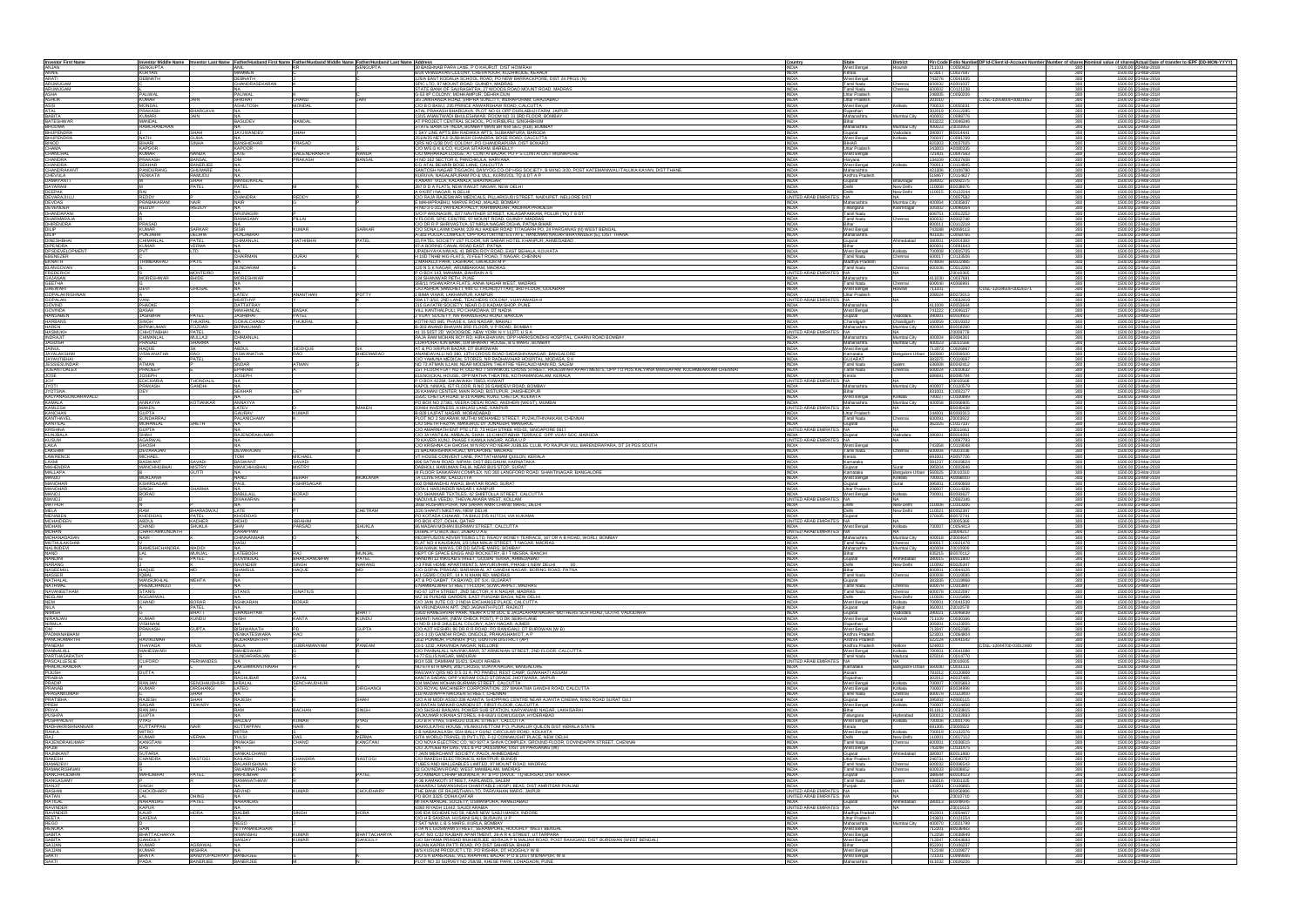| <b>Investor First Name</b><br>ANJAN                       | <b>SENGUPTA</b>                                  |                                  |                                                   |                              | Investor Middle Name Investor Last Name Father/Husband First Name Father/Husband Middle Name Father/Husband Last Name Address<br>SENGUPTA | 30 BAISHNAB PARA LANE, P O KHURUT, DIST HOWRAH                                                                                                                                                                              | Country<br>INDIA                                   | <b>State</b><br>West Bengal                        | <b>District</b><br>Howrah                                      |        | 711101 C0050422                                                          |                         | Pin Code Folio Number DP Id-Client Id-Account Number Number of shares Nominal value of shares Actual Date of transfer to IEPF (DD-MON-YYYY)<br>1500.00 23-Mar-2018 |
|-----------------------------------------------------------|--------------------------------------------------|----------------------------------|---------------------------------------------------|------------------------------|-------------------------------------------------------------------------------------------------------------------------------------------|-----------------------------------------------------------------------------------------------------------------------------------------------------------------------------------------------------------------------------|----------------------------------------------------|----------------------------------------------------|----------------------------------------------------------------|--------|--------------------------------------------------------------------------|-------------------------|--------------------------------------------------------------------------------------------------------------------------------------------------------------------|
| ANNIE<br>ARATI<br>ARUMUGAM                                | KURYAN<br>DEBNATH                                |                                  | <b>MAMMEN</b><br><b>DEBNATH</b><br>CHANDRASEKARAN |                              |                                                                                                                                           | B/24 VRINDAVAN COLONY, CHEVAYOOR, KOZHIKODE, KERALA<br>125/A EAST KODALIA SCHOOL ROAD, PO NEW BARRACKPORE, DIST 24 PRGS (N)<br>SPIC LTD, 97 MOUNT ROAD GUINDY, MADRAS                                                       | <b>INDIA</b><br>INDIA<br>INDIA                     | Kerala<br>West Bengal<br>Tamil Nadu                | hennai                                                         |        | 673017 C0027597<br>743276 C0041935<br>600032 A0001037                    |                         | 1500.00 23-Mar-2018<br>1500.00 23-Mar-2018<br>1500.00 23-Mar-2018                                                                                                  |
| <b>ARUMUGAM</b><br>ASHA                                   | PALIWA                                           |                                  | <b>PALIWA</b>                                     |                              |                                                                                                                                           | STATE BANK OF SAURASHTRA, 27 WOODS ROAD MOUNT ROAD, MADRAS<br>G-53 IIP COLONY, MOHKAMPUR, DEHRA DUN                                                                                                                         | INDIA<br><b>INDIA</b>                              | Tamil Nadu<br>Uttar Pradesh                        | hennai                                                         |        | 600002 C0121238<br>248005 C0050206                                       |                         | 1500.00 23-Mar-2018<br>1500.00 23-Mar-2018                                                                                                                         |
| ASHOK<br><b>ASIS</b>                                      | KUMAR<br><b>MONDAL</b>                           |                                  | <b>SHKIRAT</b><br><b>ASHUTOSH</b>                 | <b>HAND</b><br><b>MONDAL</b> |                                                                                                                                           | 3/5 JAIKRANDA ROAD, SHIPRA SUNCITY, INDRAPURAM, GHAZIABAD<br>C/O B D BASU, 235 PRINCE ANWARSHAW ROAD, CALCUTTA                                                                                                              | <b>INDIA</b><br><b>INDIA</b>                       | Uttar Pradesh<br>West Bengal                       | .olkata                                                        | 201010 | SL-12059000-00001652<br>700033 C0055031                                  | 300                     | 1500.00 23-Mar-2018<br>1500.00 23-Mar-2018                                                                                                                         |
| ATAL<br><b>BABITA</b>                                     | <b>PRAKASH</b><br>KUMARI                         | <b>BHARGAVA</b>                  |                                                   |                              |                                                                                                                                           | ATAL PRAKASH BHARGAVA, PLOT NO 61 OPP DURLABHJI FARM, JAIPUR<br>13/15 ANANTWADI BHULESHWAR, ROOM NO 31 3RD FLOOR, BOMBAY                                                                                                    | <b>INDIA</b><br>INDIA                              | Rajasthan<br>Maharashtra                           | fumbai City                                                    |        | 302019 C0112285<br>400002 C0098776<br>833222 C0046346                    | 300                     | 1500.00 23-Mar-2018<br>1500.00 23-Mar-2018<br>1500.00 23-Mar-2018                                                                                                  |
| BABITA<br>BATESHWAR<br>BHOOMA                             | MANDAL<br>RAMCHANDRA                             | <b>HAF</b>                       | <b>BASUDEV</b><br>JAYJIVANDE'                     | MANDAL<br>ιНΑΗ               |                                                                                                                                           | <b>IT PROJECT CENTRAL SCHOOL, PO KIRIBURU, SINGHBHUM</b><br>STATE BANK OF INDIA, BOMBAY MAIN BR NRI SEC (418), BOMBAY<br>1 SKY LINE APTS B/H RADHIKA APTS, SUBHANPURA, BARODA                                               | INDIA<br><b>INDIA</b><br>INDIA                     | Maharashtra                                        | Mumbai City<br>/adodara                                        |        | 400023 Z0010953                                                          |                         | 1500.00 23-Mar-2018<br>1500.00 23-Mar-2018<br>1500.00 23-Mar-2018                                                                                                  |
| BHUPENDRA<br>BHUPENDRA<br>BINOD                           | <b>NATH</b><br><b>BIHARI</b>                     | <b>GUHA</b><br>SINHA             | <b>BANSHIDHAR</b>                                 | <b>PRASAD</b>                |                                                                                                                                           | 251/A/25 NETAJI SUBHASH CHANDRA, BOSE ROAD, CALCUTTA<br>QRS NO G/38 DVC COLONY, PO CHANDRAPURA, DIST BOKARO                                                                                                                 | <b>INDIA</b><br><b>INDIA</b>                       | Gujarat<br>West Bengal                             | Kolkata                                                        |        | 390007 B0014441<br>700047 C0091769<br>825303 C0037025                    | 300                     | 1500.00 23-Mar-2018                                                                                                                                                |
| CHAMA<br>CHANCHAL                                         | <b>KAPOOR</b><br>KUMAR                           | NANDA                            | <b>KAPOOR</b><br>LATE                             | SAILENDRANATH                | NANDA                                                                                                                                     | C/O M/S G K & CO, KUCHA SITARAM, BAREILLY<br>C/O MAHARAJA LODGE, AT CONTAI BAZAR, PO P S CONTAI DIST MIDNAPORE                                                                                                              | INDIA<br><b>INDIA</b>                              | Uttar Pradesh<br>West Bengal                       |                                                                |        | 243003 A0080335                                                          | 300<br>300              | 1500.00 23-Mar-2018                                                                                                                                                |
| CHANDRA<br>CHANDRA                                        | PRAKASH<br><b>SEKHAR</b>                         | <b>BANSA</b><br>BANERJEE         |                                                   | <b>PRAKASH</b>               | ANSAL                                                                                                                                     | H NO 162 SECTOR 6, PANCHKULA, HARYANA<br>6-G ATAL BEHARI BOSE LANE, CALCUTTA                                                                                                                                                | INDIA<br>INDIA                                     | Haryana<br>West Bengal                             | .olkata                                                        |        | 721401 C0047563<br>134109 C0027608<br>700011 C0114945<br>421306 C0106780 |                         | 1500.00 23-Mar-2018<br>1500.00 23-Mar-2018<br>1500.00 23-Mar-2018<br>1500.00 23-Mar-2018                                                                           |
| CHANDRAKAN<br>CHEVULA                                     | PANDURANG<br>VFNKATA                             | GHUMARE<br>RAMUDU                |                                                   |                              |                                                                                                                                           | O TOTAL SENDARI TOSLADA I SUNDARI SOCIETY, B WING 3/20, POST KATEMANIWALI TALUKA KAYAN, DIST THANE KUNDARI ANG THANE KUNDARI TOSLADA I DIST THANE                                                                           | <b>INDIA</b><br><b>INDIA</b>                       | Maharashtra<br>Andhra Pradesh                      |                                                                |        | 518467 C0114627                                                          |                         | 1500.00 23-Mar-2018                                                                                                                                                |
| DAMAYANTI<br>DAYARAM<br>DEEPAK                            | RAI                                              | SHAH                             | MANSUKHLAL<br>PATEL                               |                              |                                                                                                                                           | 4 ANANT VILLA, KALANALA, BHAVNAGAR<br>397 D D A FLATS, NEW RANJIT NAGAR, NEW DELHI<br>A 9 KIRTI NAGAR, N DELHI                                                                                                              | <b>INDIA</b><br><b>INDIA</b><br><b>INDIA</b>       | Gujarat                                            | Ihavnagar<br>√ew Delhi<br>New Delhi                            |        | 364002 B0092275<br>110008 B0038876<br>110015 C0122244                    | 300                     | 1500.00 23-Mar-2018<br>1500.00 23-Mar-2018                                                                                                                         |
| DEVARAJULU<br><b>DEVDAS</b>                               | <b>REDDY</b><br>PRABAKARAM                       | NAIF                             | CHANDRA<br>NAIR                                   | REDDY                        |                                                                                                                                           | C/O RAJA RAJESWARI MEDICALS, PILLARIGUDI STREET, NAIDUPET, NELLORE DIST<br>MAHAPRABHU, MARVE ROAD, MALAD, BOMBAY                                                                                                            | UNITED ARAB EMIRATES NA<br><b>INDIA</b>            | Maharashtra                                        | Mumbai City                                                    |        | C0057582<br>400064 C0035837                                              | 300                     | 1500.00 23-Mar-2018<br>1500.00 23-Mar-2018<br>1500.00 23-Mar-2018                                                                                                  |
| <b>DEVENDER</b><br>DHANDAPANI                             | <b>REDDY</b>                                     |                                  | <b>ARUNAGIR</b>                                   |                              |                                                                                                                                           | H NO 3-1-312 VAVILALA PALLY, KARIMNAGAR, ANDHRA PRADESH<br>S/O P ARUNAGIRI, 22/7 NAVITHER STREET, KALASAPAKKAM, POLUR (TK) T S D                                                                                            | INDIA<br><b>INDIA</b>                              | elangana<br>Tamil Nadu                             | arimnagar                                                      |        | 505002 C0098164<br>606751 C0012252                                       | 300                     | 1500.00 23-Mar-2018<br>1500.00 23-Mar-2018                                                                                                                         |
| DHARMARAJA<br>DHIRENDRA                                   | <b>PRASAD</b>                                    |                                  | RAMASAMY                                          | PILLAI                       |                                                                                                                                           | / FLOOR, SPIC CENTRE, 97 MOUNT ROAD, GUINDY, MADRAS<br>O DR R P SHRIVASTVA, 67 NIRLA NAGAR DIGHA, PATNA BIHAF                                                                                                               | <b>INDIA</b><br><b>INDIA</b>                       | <b>Tamil Nadu</b><br>Bihar                         | hennai                                                         |        | 600032 A0002748<br>800011 C0112218                                       |                         | 1500.00 23-Mar-2018<br>1500.00 23-Mar-2018<br>1500.00 23-Mar-2018                                                                                                  |
| DILIP<br><b>DILIP</b>                                     | KUMAR<br>PUNJABHI                                | <b>SARKAR</b><br>DEDHIA          | SISIR<br>PUNJABHAI                                | <b>KUMAR</b>                 | SARKAR                                                                                                                                    | C/O SONA LAXMI DHAM, 229 ALI HAIDER ROAD TITAGARH PO, 24 PARGANAS (N) WEST BENGAL<br>A-303 POOJA COMPLEX, OPP KASTURI IND ESTATE, HANUMAN NAGAR BHAYANDER (E), DIST THANA                                                   | <b>INDIA</b><br><b>INDIA</b>                       | West Bengal<br>Maharashtra                         |                                                                |        | 743188 A0069113<br>401105 C0058765                                       | 300<br>300              | 1500.00 23-Mar-2018                                                                                                                                                |
| <b>DINESHBHAI</b><br><b>DIPENDRA</b><br>DPSDEVELOPMENT    | HIMANLAI<br>KUMAR                                | PATEL<br>/ERMA                   | <u>CHIMANLAL</u>                                  | ATHIBHAI                     |                                                                                                                                           | 15 PATEL SOCIETY 1ST FLOOR, NR SABAR HOTEL KHANPUR, AHMEDABAD<br>97-A BORING CANAL ROAD EAST, PATNA<br>UPADHYAYA NIWAS, 41 BIREN ROY ROAD, EAST BEHALA, KOLKATA                                                             | INDIA<br><b>INDIA</b><br><b>INDIA</b>              | Gujarat<br>Bihar<br>West Bengal                    | medabad<br>Kolkata                                             |        | 380001 A0014383<br>800001 C0091843<br>700008 C0005705                    | 300<br>300              | 1500.00 23-Mar-2018<br>1500.00 23-Mar-2018<br>1500.00 23-Mar-2018                                                                                                  |
| <b>EBENEZER</b><br>EKNATH                                 | RIMBAKRAO                                        | PATIL                            | CHAIRMAN                                          | <b>DURAI</b>                 |                                                                                                                                           | H 10D TNHB HIG FLATS, 70 FEET ROAD, T NAGAR, CHENNAI<br>2 MAHADJI PARK, LASHKAR, GWALIOR M P                                                                                                                                | <b>INDIA</b><br><b>INDIA</b>                       | <b>Tamil Nadu</b><br>Madhya Pradesh                | hennai                                                         |        | 600017 C0133506<br>474009 B0022985                                       |                         | 1500.00 23-Mar-2018<br>1500.00 23-Mar-2018                                                                                                                         |
| ELANGOVAN<br><b>FREDERICK</b>                             |                                                  | MONTEIRO                         | SUNDARAM                                          |                              |                                                                                                                                           | 120 N S K NAGAR, ARUMBAKKAM, MADRAS<br>PO BOX 143, MANAMA, BAHRAIN A G                                                                                                                                                      | INDIA<br>UNITED ARAB EMIRA                         | Tamil Nadu                                         | Chennai                                                        |        | 600106 C0012260<br>Z0010365                                              | 300                     | 1500.00 23-Mar-2018<br>1500.00 23-Mar-2018                                                                                                                         |
| GAJANAN<br>GEETHA                                         | <b>MORESHWAR</b>                                 | <b>BHIDE</b>                     | <b>MORESHWAR</b>                                  |                              |                                                                                                                                           | 134 SHANIWAR PETH, PUNE<br>359/11 IYSHWARYA FLATS, ANNA NAGAR WEST, MADRAS                                                                                                                                                  | <b>INDIA</b><br><b>INDIA</b>                       | Maharashtra<br>Tamil Nadu                          | Chennai                                                        |        | 411030 C0037681<br>600040 A0066991                                       | 300<br>300              | 1500.00 23-Mar-2018<br>1500.00 23-Mar-2018                                                                                                                         |
| <b>GHEWARI</b><br><b>GOPALAKRISHNAM</b><br><b>SOPALAN</b> | DEVI                                             | GHOSAL                           | <b>MLIRTHYP</b>                                   | ANANTHAN                     | OTTY                                                                                                                                      | C/O ASHOK SANCHETI, 44/1 G.T.ROAD(UTTAR), 3RD FLOOR, GOLABARI<br>1 BIMA VIHAR, LAKHANPUR, KANPUR<br>59A 17-3/10, 2ND LANE, TEACHERS COLONY, VIJAYAWADA-8                                                                    | <b>INDIA</b><br>UNITED ARAB EMIRATE                | West Bengal<br><b>Jttar Pradesh</b>                | Howrah                                                         | 711101 | DSL-12034500-00026371<br>208024 B0073013<br>C0032419                     |                         | 1500.00 23-Mar-2018                                                                                                                                                |
| GOVIND<br><b>AUVINDA</b>                                  | PHADKE<br><b>BASAK</b>                           |                                  | DATTATRAY<br>MAKHANLA                             | BASAK                        |                                                                                                                                           | 215 GAYATRI SOCIETY, NEAR D D KADAM SHOP, PUNE<br>VILL KANTHALPULI, PO CHAKDAHA, DT NADIA                                                                                                                                   | <b>INDIA</b><br>INDIA                              | Maharashtra<br>West Bengal                         |                                                                |        | 411009 A0053644<br>741222 C0046137                                       | 300                     | 1500.00 23-Mar-2018<br>1500.00 23-Mar-2018<br>1500.00 23-Mar-2018<br>1500.00 23-Mar-2018                                                                           |
| <b>HANSABEN</b><br><b>HARBANS</b>                         | <b>JASHBHAI</b><br>SINGH                         | <b>THUKRAI</b>                   | JASHBHAI<br><b>GOKALCHAND</b>                     | PATEL<br>THUKRAL             |                                                                                                                                           | 2 VIJAY SOCIETY, NR KHANDERAO ROAD, BARODA<br>KOTHI NO 845, PHASE 4, SAS NAGAR, MAHALI                                                                                                                                      | INDIA<br><b>INDIA</b>                              | Gujarat<br>Chandigarh                              | /adodara<br>Chandigarh                                         |        | 390001 B0014922<br>160059 C0019102                                       | 300                     | 1500.00 23-Mar-2018<br>1500.00 23-Mar-2018                                                                                                                         |
| HAREN<br><b>HASMUKH</b>                                   | <b>BIPINKUMAR</b><br><b>СННОТАВНА</b>            | <b>COZDAR</b>                    | <b>BIPINKUMAR</b>                                 |                              |                                                                                                                                           | B-303 ANAND BHAVAN 3RD FLOOR, V P ROAD, BOMBAY<br>11 15 50ST 2D WOODSIDE, NEW YORK N Y 11377, U S A                                                                                                                         | <b>INDIA</b><br>UNITED ARAB EMIRA'                 | Maharashtra                                        | Mumbai City                                                    |        | 400004 B0018280<br>Z0009778                                              | 300                     | 1500.00 23-Mar-2018<br>1500.00 23-Mar-2018<br>1500.00 23-Mar-2018                                                                                                  |
| <b>INDRAJIT</b><br><b>JAGDISH</b>                         | HIMANLAL<br>PRASAD                               | MULLAJI<br>SHARMA                | CHIMANLAL                                         |                              |                                                                                                                                           | RAJA RAM MOHAN ROY RD, HIRA BHAVAN, OPP HARKISONDHS HOSPITAL, CHARNI ROAD BOMBAY                                                                                                                                            | INDIA<br><b>INDIA</b>                              | Maharashtra<br>Maharashtra                         | vlumbai City<br>Mumbai City 400023 Z0011566<br>713373 C0026967 |        | 400004 B0084361                                                          | 300                     | 1500.00 23-Mar-2018<br>1500.00 23-Mar-2018                                                                                                                         |
| IAINUI<br><b>JAYALAKSHMI</b><br><b>JAYANTIBHAI</b>        | HAQUE<br><b>VISWANATHA</b>                       |                                  | ABDUI<br>VISWANATHA                               | IDDIQUE                      | HEEMARAO                                                                                                                                  | CORPORATION BANK, 104 BHARAT HOUSE, B S MARG, BOMBAY<br>AT & PO SRIPUR BAZAR, DT BURDWAN<br>ANANDAVALLI NO 390, 13TH CROSS ROAD SADASHIVANAGAR, BANGALORE<br>C/O YAMUNA MEDICAL STORES, NR RADHAVIHAR HOSPITAL, MODASA, S K | <b>INDIA</b><br>INDIA<br>INDIA                     | West Bengal<br>Kamataka<br><b>UJARAT</b>           | Bangalore Urban 560080 A0069500                                |        | 383375 C0119067                                                          |                         | 1500.00 23-Mar-2018                                                                                                                                                |
| JESSIESUNDAR<br><b>JOEANTOALEX</b>                        | <b>ATMAN</b><br>PRADEEP                          |                                  | <b>SNDAR</b><br><b>EPHRAM</b>                     | ATMAN                        |                                                                                                                                           | NO 73 ATMAN ILLAM, NEAR MODERN THEATRE YERCAUD MAIN RD, SALEM<br>1ST FLOOR FLAT NO H, OLD NO 7 SIVANKOIL CROSS STREET, RAJESWARI APARTMENTS, OPP TO PDS KALYANA MANDAPAM, KODAMBAKKAM CHENNAI                               | INDIA<br><b>INDIA</b>                              | Tamil Nadu<br>Tamil Nadu                           | Chennai                                                        |        | 636008 B0042412<br>600024 C0010632                                       | 300<br>300              | 1500.00 23-Mar-2018<br>1500.00 23-Mar-2018                                                                                                                         |
|                                                           | <b>JOSEPH</b><br><b>EDICHARIA</b>                | <b>THONDALIL</b>                 | <b>JOSEPH</b><br>INA.                             |                              |                                                                                                                                           | LENGICKAL HOUSE, OPP MATHA THEATRE, KOTHAMANGALAM, KERALA<br>P O BOX 42284, SHUWAIKH 70653, KUWAIT                                                                                                                          | UNITED ARAB EMIRATES NA                            | Kerala                                             |                                                                |        | 686691 B0095784<br>Z0010568                                              | 300                     | 1500.00 23-Mar-2018<br>1500.00 23-Mar-2018<br>1500.00 23-Mar-2018                                                                                                  |
| <b>JYOTSNA</b>                                            | PRAKASH<br><b>DEY</b>                            | <b>SANDHI</b>                    | <b>SEKHAR</b>                                     |                              |                                                                                                                                           | KAPOL NIWAS, IST FLOOR, R NO 35 GAMDEVI ROAD, BOMBAY<br>26 KAMANI CENTER, MAIN ROAD, BISTUPUR, JAMSHEDPUR                                                                                                                   | INDIA<br>INDIA                                     | Maharashtra                                        | Mumbai City                                                    |        | 400007 C0120579<br>831001 C0002177                                       |                         | 1500.00 23-Mar-2018<br>1500.00 23-Mar-2018                                                                                                                         |
| KALYANASUNDARAVALLI<br>KAMALA                             | ANNAYYA                                          | <b>TIANKAR</b>                   | <b>ANNAYYA</b>                                    |                              |                                                                                                                                           | 15/2C CHETLA ROAD, B-10 KAMAL KUNJ, CHETLA, KOLKATA<br>PO BOX NO 27361, VEERA DESAI ROAD, ANDHERI (WEST), MUMBAI                                                                                                            | <b>INDIA</b><br>INDIA                              | West Bengal<br>Maharashtra                         | Kolkata<br>Mumbai City                                         |        | 700027 C0100899<br>400058 B0066905                                       |                         | 1500.00 23-Mar-2018<br>1500.00 23-Mar-2018                                                                                                                         |
| <b>KAMLESH</b><br>KANCHAN<br>KANTHAVEL                    | <b>MAKEN</b><br><b>GUPTA</b><br>SUNDARRAJ        |                                  | LATEV<br><b>GAURAV</b><br><b>PALANICHAM</b>       | KUMAR                        | MAKEN                                                                                                                                     | 10/464 INVERNESS, KHALASI LANE, KANPUR<br>B-828 LAJPAT NAGAR, MORADABAD<br>PLOT NO 2 SWARAM, MUTHU MOHAMED STREET, PUZHUTHIVAKKAM, CHENNAI                                                                                  | UNITED ARAB EMIRATES NA<br><b>INDIA</b><br>INDIA   | Uttar Pradesh                                      |                                                                |        | B0040438<br>244001 B0093313                                              | 300<br>300              | 1500.00 23-Mar-2018<br>1500.00 23-Mar-2018                                                                                                                         |
| KANTILAL<br>KRISHNA                                       | MOHANLAL<br>GUPTA                                |                                  |                                                   |                              |                                                                                                                                           | CO SHETH FAZIYA, MANGROL DT JUNAGDH, MANGROL<br>O AMARNATH ENT PTE LTD, 73 HIGH STREE #03-01, SINGAPORE 0617                                                                                                                | <b>INDIA</b><br>UNITED ARAB EMIRATES               | l'amil Nadu<br>iujarat                             | hennai:                                                        |        | 600091 Z0003922<br>362225 C0117137<br>Z0011661                           | 300<br>300              | 1500.00 23-Mar-2018<br>1500.00 23-Mar-2018<br>1500.00 23-Mar-2018                                                                                                  |
| KUNJBALA<br>KUSUM                                         | <b>AGARWAL</b>                                   |                                  | RAJENDRAKUMAR                                     |                              |                                                                                                                                           | C/O JAYANTILAL AMBALAL SHAH, 10 CHHOTABHA TERRACE OPP VIJAY SOC, BARODA<br>79 KAVERI KUNJ, PHASE II KAMLA NAGAR, AGRA U P                                                                                                   | UNITED ARAB EMIRATES                               | 3ujarat                                            | /adodara                                                       |        | 390001 B0014081                                                          |                         | 1500.00 23-Mar-2018<br>1500.00 23-Mar-2018                                                                                                                         |
| LAILA<br>LAKSHMI                                          | GHOSH<br>DEVARAJAN                               |                                  | DEVARAJAN                                         |                              |                                                                                                                                           | C/O KRISHNA CH GHOSH, M N ROY RD NEAR JUBILEE CLUB, PO RAJPUR VILL BARENDRAPARA, DT 24 PGS SOUTH<br>21 BALAKRISHNA ROAD, MYLAPORE, MADRAS                                                                                   | <b>INDIA</b><br><b>INDIA</b>                       | West Bengal<br>Tamil Nadu                          | Chennai                                                        |        | 743358 C0119048<br>600004 Y0001036                                       | 300<br>300              | 1500.00 23-Mar-2018<br>1500.00 23-Mar-2018                                                                                                                         |
| LAWRENCE<br><b>AXMI</b>                                   | MICHAEL<br><b>BASWANT</b>                        | <b>AVAD</b>                      | <b>BASWANT</b>                                    | MICHAEI<br>SAVADI            |                                                                                                                                           | VT HOUSE CONVENT LANE, PATTATHANAM QUILON, KERALA<br>896 SATWAI ROAD, NIPANI, DIST BELGAUM, KARNATAKA                                                                                                                       | <b>INDIA</b><br>INDIA                              | Kerala<br>Kamataka                                 |                                                                |        | 691001 A0057726<br>591237 C0029624                                       | 300                     | 1500.00 23-Mar-2018<br>1500.00 23-Mar-2018<br>1500.00 23-Mar-2018                                                                                                  |
| MAHENDRA<br>MALLAPA                                       | MANCHHUBH/<br>MUKLANIA                           | <b>MISTRY</b>                    | MANCHHUBHA<br><b>NAND</b>                         | <b>MISTRY</b>                | <b>MUKLANIA</b>                                                                                                                           | DABHOLI, HANUMAN FALIA, NEAR BUS STOP, SURAT<br>III FLOOR SANKARAN COMPLEX, NO 300 LANGFORD ROAD, SHANTINAGAR, BANGALORE<br>7A CLIVE ROW, CALCUTTA                                                                          | <b>INDIA</b><br>INDIA<br><b>INDIA</b>              | Gujarat<br>Kamataka                                | Surat<br>Bangalore Urban 560025 Z0010310                       |        | 395004 C0002646<br>700001 A0068010                                       |                         | 1500.00 23-Mar-2018                                                                                                                                                |
| UL/AM<br><b>MANOHAR</b><br>MANOHAR                        | <b>KSHIRSAGAR</b><br>SINGH                       | <b>HARMA</b>                     | PAUL                                              | BEHAR<br><b>KSHIRSAGAR</b>   |                                                                                                                                           | 502 DINBANDHU AWAS, BHATAR ROAD, SURAT<br>197A-1 HARJINDER NAGAR I, KANPUR                                                                                                                                                  | <b>INDIA</b><br>INDIA                              | West Bengal<br>Gujarat<br>Uttar Pradesh            | Kolkata<br>Surat                                               |        | 395001 C0050858<br>208007 C0114336                                       | 300                     | 1500.00 23-Mar-2018<br>1500.00 23-Mar-2018<br>1500.00 23-Mar-2018                                                                                                  |
| <b>MANOJ</b><br><b>LOVAM</b>                              | <b>BORAD</b>                                     |                                  | <b>BABULALL</b><br><b>DIVAKARAN</b>               | <b>BORAD</b>                 |                                                                                                                                           | C/O SHANKAR TEXTILES, 42 SHIBTOLLA STREET, CALCUTTA<br>NADUVILE VEEDU, THEVALAKARA WEST, KOLLAM                                                                                                                             | <b>INDIA</b><br>UNITED ARAB EMIRATES               | <b>West Bengal</b>                                 | Kolkata                                                        |        | 700001 B0093627<br>C0062146                                              | 300<br>300              | 1500.00 23-Mar-2018<br>1500.00 23-Mar-2018                                                                                                                         |
| <b>MATHUR</b><br>MELA                                     |                                                  | IHARADWAJ                        |                                                   |                              | <b>HETRAM</b>                                                                                                                             | 3938 ROSHAN PURA, NAI SARAK AMIR CHAND MARG, DELH<br>2/26 SHANTI NIKETAN, NEW DELHI                                                                                                                                         | INDIA<br><b>INDIA</b>                              |                                                    | <b>Vew Delhi</b><br>New Delhi                                  |        | 110006 C0103306<br>110021 B0052397<br>370105 B0072741                    | 300                     | 1500.00 23-Mar-2018<br>1500.00 23-Mar-2018<br>1500.00 23-Mar-2018                                                                                                  |
| MENABEN<br><b>MOHAIDEEN</b>                               | <b>KHODIDAS</b><br><b>ABDUL</b>                  | <b>KADHER</b>                    | <b>KHODIDAS</b><br><b>MOHD</b>                    | <b>IBRAHIM</b>               |                                                                                                                                           | PO KOTADA CHAKAR, TA BHUJ DIS KUTCH, VIA KUKAMA<br>PO BOX 4727, DOHA, QATAR                                                                                                                                                 | INDIA<br>UNITED ARAB EMIRATES NA                   | Gujarat                                            |                                                                |        | Z0005369                                                                 | 300                     | 1500.00 23-Mar-2018                                                                                                                                                |
| MOHAN<br>MOHAN<br>MOHANADASAN                             | CHARTAMKUNDATH<br><b>NAIR</b>                    | HUKLA                            | <b>KARAPPAN</b><br>CHINNANNAIR                    | PARSAD                       | <b>HUKLA</b>                                                                                                                              | <b>86 MADAN MOHAN BURMAN STREET, CALCUTTA</b><br>DUBAL P O BOX 3627, DUBAI U A E<br>REDIFFUSION ADVERTISING LTD, READY MONEY TERRACE, 167 DR A B ROAD, WORLI, BOMBAY                                                        | UNITED ARAB EMIRATES<br><b>INDIA</b>               | Vest Bengal<br>Maharashtra                         | Kolkata                                                        | 00007  | C0054413<br>Z0004217<br>400018 Z0004647                                  | 300                     | 1500.00 23-Mar-2018<br>1500.00 23-Mar-2018<br>1500.00 23-Mar-2018                                                                                                  |
| MUTHULAKSHMI<br>NALINIDEVI                                | RAMESHCHANDRA                                    | <b>MADIDI</b>                    | VASU                                              |                              |                                                                                                                                           | FLAT NO 4 KAUSIKAN, 2/3 UNA MALAI STREET, T NAGAR, MADRAS<br>5/44 NANIK NIWAS, DR DD SATHE MARG, BOMBAY                                                                                                                     | INDIA<br><b>INDIA</b>                              | Tamil Nadu<br><b>Maharashtra</b>                   | Mumbai City<br>Chennai<br>Mumbai City                          |        | 600017 C0021478<br>400004 Z0010909                                       | 300<br>300 <sup>1</sup> | 1500.00 23-Mar-2018<br>1500.00 23-Mar-2018                                                                                                                         |
| NAND<br>NANDINI<br>NARANG                                 |                                                  | MUNJAI<br>PATFI                  | LATEBODH<br><b>GOVINDLA</b>                       | <b>BHAICHANDBHA</b>          | MUNJAL<br>PATFI                                                                                                                           | DEPT OF SPACE ENGG AND ROCKETRY, B IT MESRA, RANCHI<br>NANDINI 12 INKILAB STREET, GULBAI TEKRA, AHMEDABAD                                                                                                                   | INDIA<br><b>INDIA</b>                              | Gujarat                                            | Ahmedabad                                                      |        | 835215 B0070112<br>380015 B0011800                                       |                         | 1500.00 23-Mar-2018<br>1500.00 23-Mar-2018                                                                                                                         |
| NASEEMUL                                                  | <b>HAQUE</b>                                     |                                  | RAVINDER<br>SHAMSUL                               | SINGH<br>HAQUE               | NARANG                                                                                                                                    | -3 FINE HOME APARTMENTS, MAYURVIHAR, PHASE-1 NEW DELHI<br>C/O GOPAL PRASAD, BARANWAL AT GANDHI NAGAR, BORING ROAD, PATNA                                                                                                    | INDIA<br><b>INDIA</b>                              |                                                    | Vew Delhi                                                      |        | 110092 B0025347<br>800001 C0044125                                       |                         | 1500.00 23-Mar-2018<br>1500.00 23-Mar-2018<br>1500.00 23-Mar-2018                                                                                                  |
| NASSER<br>NATHALAL<br>NATHMAL                             | <b>IQBAL</b><br>MANSUKHLAL<br><b>PREMCHANDJI</b> | <b>JEHTA</b>                     |                                                   |                              |                                                                                                                                           | 4-1 GEMS COURT, 14 K N KHAN RD, MADRAS<br>AT & PO GABAT, TA BAYAD, DT S K, GUJARAT                                                                                                                                          | <b>INDIA</b><br>INDIA<br>INDIA                     | <u>Tamil Nadu</u><br>Gujarat<br><b>Tamil Nadu</b>  | `hennai                                                        |        | 600006 C0119595<br>383335 C0119968                                       | 300<br>300              | 1500.00 23-Mar-2018                                                                                                                                                |
| NAVANEETHAM                                               | <b>STANIS</b><br>AGGARWAI                        |                                  | <b>STANIS</b>                                     | <b>IGNATIUS</b>              |                                                                                                                                           | 6 NAMMALWAR STREET I FLOOR, SOWCARPET, MADRAS<br>NO 67 12TH STREET, 2ND SECTOR, K K NAGAR, MADRAS<br>WZ 16 PUNJAB GARDEN, EAST PUNJABI BAGH, NEW DELH                                                                       | <b>INDIA</b><br><b>INDIA</b>                       | Tamil Nadu                                         | Chennai<br>Chennai<br>New Delhi                                |        | 600079 C0103947<br>600078 C0022097                                       | 300<br>300              | 1500.00 23-Mar-2018<br>1500.00 23-Mar-2018<br>1500.00 23-Mar-2018                                                                                                  |
| <b>NEM</b>                                                | CHAND                                            | <b>IORAR</b>                     | ASHKARAN                                          | <b>IORAR</b>                 |                                                                                                                                           | C/O JAIN JUTE CO, 2 INDIA EXCHANGE PLACE, CALCUTTA<br>8A VRUNDAVAN APT, 2ND JAGNATH PLOT, RAJKOT                                                                                                                            | <b>INDIA</b><br><b>INDIA</b>                       | West Bengal<br>Gujarat                             | Kolkata<br>Rajkot                                              |        | 110026 C0115486<br>700001 C0041539<br>360001 Z0010578                    |                         | 1500.00 23-Mar-2018<br>1500.00 23-Mar-2018                                                                                                                         |
| <b>NIMISH</b><br>NIRANJAN                                 | KUMAR                                            | BHA <sub>1</sub><br><b>KUNDU</b> | GHANSHYAM<br><b>NISHI</b>                         | KANTA                        | BHATT<br>KUNDU                                                                                                                            | 19/20 RAMESHVAR PARK, NEAR A U M SOC & JAIJALARAM NAGAR, MOTHERS SCH ROAD, GOTRI, VADODARA SHANTI NAGAR, (NEW CHECK POST), P O DK SEIKH LANE                                                                                | INDIA<br><b>INDIA</b>                              | Gujarat<br>West Bengal                             | Vadodara<br>łowrah                                             |        | 390021 C0046839<br>711109 C0030166                                       |                         | 1500.00 23-Mar-2018<br>1500.00 23-Mar-2018                                                                                                                         |
| <b>NIRMLA</b><br>OM                                       | <b>VISHNANI</b><br>PRAKASH                       | <b>JUPTA</b>                     | <b>NA</b><br><b>BISHWANATH</b>                    |                              | <b>UPTA</b>                                                                                                                               | H NO B-19-B JHULELAL COLONY, AJAY NAGAR, AJMER<br>C/O AJIT KESHRI, 86 DR R R ROAD, PO RANIGANJ, DT BURDWAN (W B)                                                                                                            | <b>INDIA</b><br><b>INDIA</b>                       | Rajasthan<br>West Bengal                           |                                                                |        | 305001 C0123005<br>713347 C0052385                                       | 300<br>300              | 1500.00 23-Mar-2018<br>1500.00 23-Mar-2018                                                                                                                         |
| PADMANABHAM<br><b>PANCHUMARTHI</b><br>PANEAM              | RAVIKUMAR<br><b><i>FHAYAGA</i></b>               |                                  | <b>VENKATESWARA</b><br>RUDRAMURTHY<br>BALA        | RAO                          | ANEAM                                                                                                                                     | 23-1-1 (3) GANDHI ROAD, ONGOLE, PRAKASHAM DT, A P<br>OLD PONNUR, PONNUR (PO), GUNTUR DISTRICT (AP)<br>23-1-1232, ARAVINDA NAGAR, NELLORE                                                                                    | <b>INDIA</b><br>INDIA<br><b>INDIA</b>              | Andhra Pradesh<br>Andhra Pradesh<br>Andhra Pradesh | vellore                                                        | 524003 | 523001 C0064804<br>522124 C0041542<br>OSL-12044700-03312460              | 300                     | 1500.00 23-Mar-2018<br>1500.00 23-Mar-2018<br>1500.00 23-Mar-2018<br>1500.00 23-Mar-2018<br>1500.00 23-Mar-2018                                                    |
| PANNALALI<br>PARTHASARATHY                                | <b>MAHESWARI</b>                                 |                                  | <b>MAHESWARI</b><br><b>UNDARARAJAN</b>            |                              |                                                                                                                                           | C/O PANNALALL NAVINKUMAR, 37 ARMENIAN STREET, 2ND FLOOR, CALCUTTA<br><b>1-77 ELLIS NAGAR, MADURAI</b>                                                                                                                       | <b>INDIA</b><br>NDIA                               | West Bengal<br><b>Tamil Nadu</b>                   | Kolkata<br>Madurai                                             |        | 700001 C0041088                                                          |                         |                                                                                                                                                                    |
| PASCALLESLIE                                              | CLIFORD                                          | ERNANDES                         | LAKSHMIKANTHAIAH                                  |                              |                                                                                                                                           | BOX 538, DAMMAM 31421, SAUDI ARABIA<br>NO 674 6TH MAIN, 2ND CROSS, VIJAYA NAGAR, BANGALORE                                                                                                                                  | UNITED ARAB EMIR<br><b>INDIA</b>                   | Kamataka                                           | Bangalore Urban 560040 C0031131                                |        | 625016 C0014770                                                          | 300                     | 1500.00 23-Mar-2018<br>1500.00 23-Mar-2018                                                                                                                         |
| PHALACHANDRA<br>PIJUSH<br>PRABHA                          | <b>NITTA</b>                                     |                                  | RAGHUBAR                                          |                              |                                                                                                                                           | RAILWAY QRS NO D S 31 A, PO PANDU, REST CAMP, GUWAHATI ASSAM<br>KANTA SADAN, OPP VIKRAM COLD STORAGE JHOTWARA, JAIPUR                                                                                                       | <b>INDIA</b><br>INDIA                              | Assam<br>Rajasthan                                 |                                                                |        | 781012 C0120969<br>302012 A0037485                                       | 300                     | 1500.00 23-Mar-2018<br>1500.00 23-Mar-2018<br>1500.00 23-Mar-2018                                                                                                  |
| PRADIP<br>PRANAB                                          | RANJAN<br><b>KUMAR</b>                           | SENCHAUDHUR<br><b>IRGHANGI</b>   | <b>HIRALA</b><br>LATEO                            | <b>ENCHAUDHURI</b>           | <b>IRGHANGI</b>                                                                                                                           | 104 MADAN MOHAN BURMAN STREET, CALCUTTA<br>C/O ROYAL MACHINERY CORPORATION, 227 MAHATMA GANDHI ROAD, CALCUTTA                                                                                                               | <b>INDIA</b><br>INDIA                              | West Bengal<br>West Bengal                         | Kolkata<br>Kolkata                                             |        | 700007 C0005863<br>700007 B0034998<br>600079 C0123410                    |                         | 1500.00 23-Mar-2018<br>1500.00 23-Mar-2018                                                                                                                         |
| PRASANKUMAR<br>PRATIBHA<br>PREM                           | <b>RAJESH</b>                                    | ιНΑΗ<br>ιНΑΗ<br>EWARY            | <b>RAJESH</b>                                     |                              | HAH                                                                                                                                       | 110 AUDIAPPA NAICKEN STREET, CHENNAI<br>C/O A M MODI ASSO 336 AJANTA, SHOPPING CENTRE NEAR AJANTA CINEMA, RING ROAD SURAT GUJ<br>58 RATAN SARKAR GARDEN ST, FIRST FLOOR, CALCUTTA                                           | <b>INDIA</b><br>INDIA                              | <b>Tamil Nadu</b><br>Gujarat<br>West Bengal        | Chennai<br>iurat                                               |        | 395002 A0060115                                                          | 300                     | 1500.00 23-Mar-2018                                                                                                                                                |
| PRIYA<br><b>PUSHPA</b>                                    | SAGAR<br>RANJAN<br><b>GUPTA</b>                  |                                  | <b>NA</b><br><b>RAM</b><br><b>NA</b>              | <b>BACHAN</b>                | SINGH                                                                                                                                     | C/O SHISHU RANJAN, POWER SUB STATION, KARYANAND NAGAR, LAKHISARAI<br>RAJKUMAR KIRANA STORES, 4-8-663/1 GOWLIGUDA, HYDERABAD                                                                                                 | INDIA<br><b>INDIA</b><br>INDIA                     | Bihar<br>Telangana                                 | Kolkata<br><b>Hyderabad</b>                                    |        | 700007 C0114458<br>811311 C0033915<br>500012 C0102893                    | 300<br>300              | 1500.00 23-Mar-2018<br>1500.00 23-Mar-2018<br>1500.00 23-Mar-2018                                                                                                  |
| PUSHPADEVI<br>RADHAKRISHNANNAI                            | <b>VYAS</b><br><b>KUTTAPPAN</b>                  |                                  | <b>BALDEV</b><br><b>KUTTAPPAN</b>                 | KUMAR<br>VAIR                | <b>YAS</b>                                                                                                                                | C/O B R VYAS, 5 BROJO DULAL STREET, CALCUTTA<br>MAKKULATHU HOUSE, VILAKKUVETTOM P O, PUNALUR QUILON DIST KERALA STATE                                                                                                       | INDIA<br><b>INDIA</b>                              | West Bengal<br>Kerala                              | olkata.                                                        |        | 700006 C0001706                                                          |                         | 1500.00 23-Mar-2018<br>1500.00 23-Mar-2018<br>1500.00 23-Mar-2018                                                                                                  |
|                                                           | <b>MITRO</b><br>KUMAR                            |                                  | <b>MITRA</b><br><b>TULSI</b>                      |                              | <b>ERMA</b>                                                                                                                               | 2 B NABAKAILASH, 55/4 BALLY GUNJ, CIRCULAR ROAD, KOLKATA<br>SITA WORLD TRAVEL (I) PVT LTD, F-12 CONNAUGHT PLACE, NEW DELH                                                                                                   | INDIA<br><b>INDIA</b>                              | West Bengal                                        | Kolkata<br>Vew Delhi                                           |        | 691305 Z0000822<br>700019 C0132376<br>110001 C0017112                    |                         |                                                                                                                                                                    |
| RAJENDRAKUMAR<br>RAJIB                                    | KANGTANI                                         |                                  | PRAKASH                                           | <b>HAND</b>                  | CANGTANI                                                                                                                                  | /O NOVA ELECTRIC CO, NO 92/7 A SHIVA COMPLEX, GROUND FLOOR, GOVINDAPPA STREET, CHENNAI<br>C/O JOYDEB KR DAS, VILL & PO JALESWAR, DIST 24 PARGANAS (W)                                                                       | INDIA<br><b>INDIA</b>                              | Tamil Nadu<br>West Bengal                          | Chennai                                                        |        | 600001 C0039515<br>743249 C0131475                                       | 300                     | 1500.00 23-Mar-2018<br>1500.00 23-Mar-2018<br>1500.00 23-Mar-2018                                                                                                  |
| RAJNIKANT<br>RAKESH<br><b>RAMADEVI</b>                    | <b>SUTARIA</b><br>CHANDRA                        | RASTOGI                          | SANKALCHAND<br>KAILASH<br><b>BALAKRISHNAN</b>     | <b>HANDRA</b>                | RASTOGI                                                                                                                                   | 7 JAIN MERCHANT SOCIETY, PALDI, AHMEDABAD<br>C/O RAKESH ELECTRONICS, KIRATPUR, BIJNOR                                                                                                                                       | <b>INDIA</b><br><b>INDIA</b>                       | Gujarat<br>Uttar Pradesh                           | hmedabad                                                       |        | 380007 B0011880<br>246731 C0040757                                       | 300<br>300              | 1500.00 23-Mar-2018<br>1500.00 23-Mar-2018                                                                                                                         |
| <b>RAMAKRISHNAM</b><br>RANCHHODBHAI                       | MAHIJIBHAI                                       |                                  | <b>SWAMINATHAN</b><br>MAHIJIBHAI                  |                              | PATEL                                                                                                                                     | UBES AND MALLEABLES LIMITED, 97 MOUNT ROAD, MADRAS<br>2 GOVINDAN ROAD, WEST MAMBALAM, MADRAS<br>CO AMBADI CHHAP BIDIWALA, AT & PO DAVOL TO BORSAD, DIST KAIRA                                                               | <b>INDIA</b><br>INDIA<br>INDIA                     | Tamil Nadu<br><b>Tamil Nadu</b><br>Gujarat         | Chennai<br>Chennai                                             |        | 600032 B0086543<br>600033 B0008652<br>388544 B0014023                    | 300                     | 1500.00 23-Mar-2018<br>1500.00 23-Mar-2018<br>1500.00 23-Mar-2018                                                                                                  |
| RANGASAMY<br>RANJIT                                       | SINGH                                            |                                  | <b>RAMANATHAN</b>                                 |                              |                                                                                                                                           | -36 KAMAKOTI STREET, FAIRLANDS, SALEM<br>MAHARAJ SAWANSINGH CHARITABLE HOSPI, BEAS, DIST AMRITSAR PUNJAB                                                                                                                    | NDIA<br>INDIA                                      | <b>Tamil Nadu</b><br>Punjab                        |                                                                |        | 636016 Y0001325<br>143201 C0106865                                       | 300                     | 1500.00 23-Mar-2018<br>1500.00 23-Mar-2018                                                                                                                         |
| RASHMI<br>RATAN                                           | <b>CHOUDHARY</b><br>LAI                          |                                  | ARVIND<br>INA.                                    | <b>KUMAR</b>                 | <b>HOUDHARY</b>                                                                                                                           | THE BANK OF RAJASTHAN LTD, PARIVAHAN MARG, JAIPUR<br>PO BOX 3325, DOHA QATAR                                                                                                                                                | UNITED ARAB EMIRATES NA<br>UNITED ARAB EMIRATES NA |                                                    |                                                                |        | B0056986<br>Z0010710                                                     | 300<br>300              | 1500.00 23-Mar-2018<br>1500.00 23-Mar-2018                                                                                                                         |
| RATILAL<br><b>RAVINDER</b>                                | <b>NARANDAS</b><br>KAPUR                         | <b>PATE</b>                      | NARANDAS                                          |                              |                                                                                                                                           | MITRA MANDAL SOCIETY, USMANPURA, AHMEDABAD<br>6393 RIYADH 11442, SAUDI ARABIA                                                                                                                                               | INDIA<br>JNITED ARAB EMIRATES NA                   | Gujarat                                            | Ahmedabad                                                      |        | 380013 B0049045<br>Z0011613                                              | 300                     | 1500.00 23-Mar-2018<br>1500.00 23-Mar-2018                                                                                                                         |
| RAVINDER                                                  | KAUR<br>SAXENA                                   | HOR A                            | DALBIR                                            | SINGH                        | HORA                                                                                                                                      | 195 IDA SCHEME NO 59, NEAR NEW SABJI MANDI, INDORE<br>C/O H B SAXENA, HUSAINI GALI, BUDAUN, U P                                                                                                                             | INDIA<br>INDIA                                     | Madhya Pradesł<br>Uttar Pradesh                    |                                                                |        | 452001 C0054457<br>243601 C0121554<br>400070 C0021799                    |                         | 1500.00 23-Mar-2018<br>1500.00 23-Mar-2018                                                                                                                         |
| REGO<br><b>RENUKA</b><br>SABITA                           | <b>BHATTACHARYA</b>                              |                                  | <b>REGO</b><br>NITYANANDASAIN<br>HIMANSHU         | UMAR)                        | HATTACHARYA                                                                                                                               | 7 SAT NAM, L B S MARG, KURLA, BOMBAY<br>17/A N L GOSWAMI STREET, SERAMPORE, HOOGHLY WEST BENGAL<br>FLAT NO C/32 RAJBARI APARTMENT, 26-A R K STREET, UTTARPARA                                                               | <b>INDIA</b><br><b>INDIA</b><br>INDIA              | Maharashtra<br>West Bengal                         | umbai City                                                     |        | 712201 B0036483<br>712258 C0038949                                       | 300<br>300              | 1500.00 23-Mar-2018<br>1500.00 23-Mar-2018<br>1500.00 23-Mar-2018                                                                                                  |
| <b>SABITA</b><br>SAJJAN                                   | GANGULY<br>KUMAR                                 | <b>AGRAWAI</b>                   | SANJAY                                            | <b>KUMAR</b>                 | ANGULY                                                                                                                                    | C/O SHYAMA PRASAD MUKHERJEE, 83 RAJA P N MALIAH ROAD, POST RANIGANJ, DIST BURDWAN (WEST BENGAL)<br>SAJAN KAPRA PATTI ROAD, PO DIST SAHARSA, BIHAR                                                                           | <b>INDIA</b><br><b>INDIA</b>                       | West Bengal<br>West Bengal<br>Bihar                |                                                                |        | 713347 C0043693<br>852201 C0106237                                       | 300<br>300              | 1500.00 23-Mar-2018<br>1500.00 23-Mar-2018                                                                                                                         |
| SAJJAN                                                    | KUMAR<br><b>BRATA</b>                            | MISHRA<br>BANDYOPADHYAY BANERJEE |                                                   |                              |                                                                                                                                           | M/S KUSUM PRODUCT LTD, PO RISHRA, DT HOOGHLY W B<br>C/O S K BANERJEE, VILL KHAPRAIL BAZAR, P O & DIST MIDNAPUR, W B                                                                                                         | <b>INDIA</b><br>INDIA                              | West Bengal<br>West Bengal                         |                                                                |        | 712248 C0109077<br>721101 C0069565                                       | 300                     | 1500.00 23-Mar-2018<br>1500.00 23-Mar-2018                                                                                                                         |
| <b>SAKTI</b>                                              | PADA                                             | BANERJEE                         | BANERJEE                                          |                              |                                                                                                                                           | PLOT NO 33 SURVEY NO 258/2B, KHESE PARK, LOHAGAON, PUNE                                                                                                                                                                     | <b>INDIA</b>                                       | Maharashtra                                        |                                                                |        | 411032 C0026226                                                          |                         | 1500.00 23-Mar-2018                                                                                                                                                |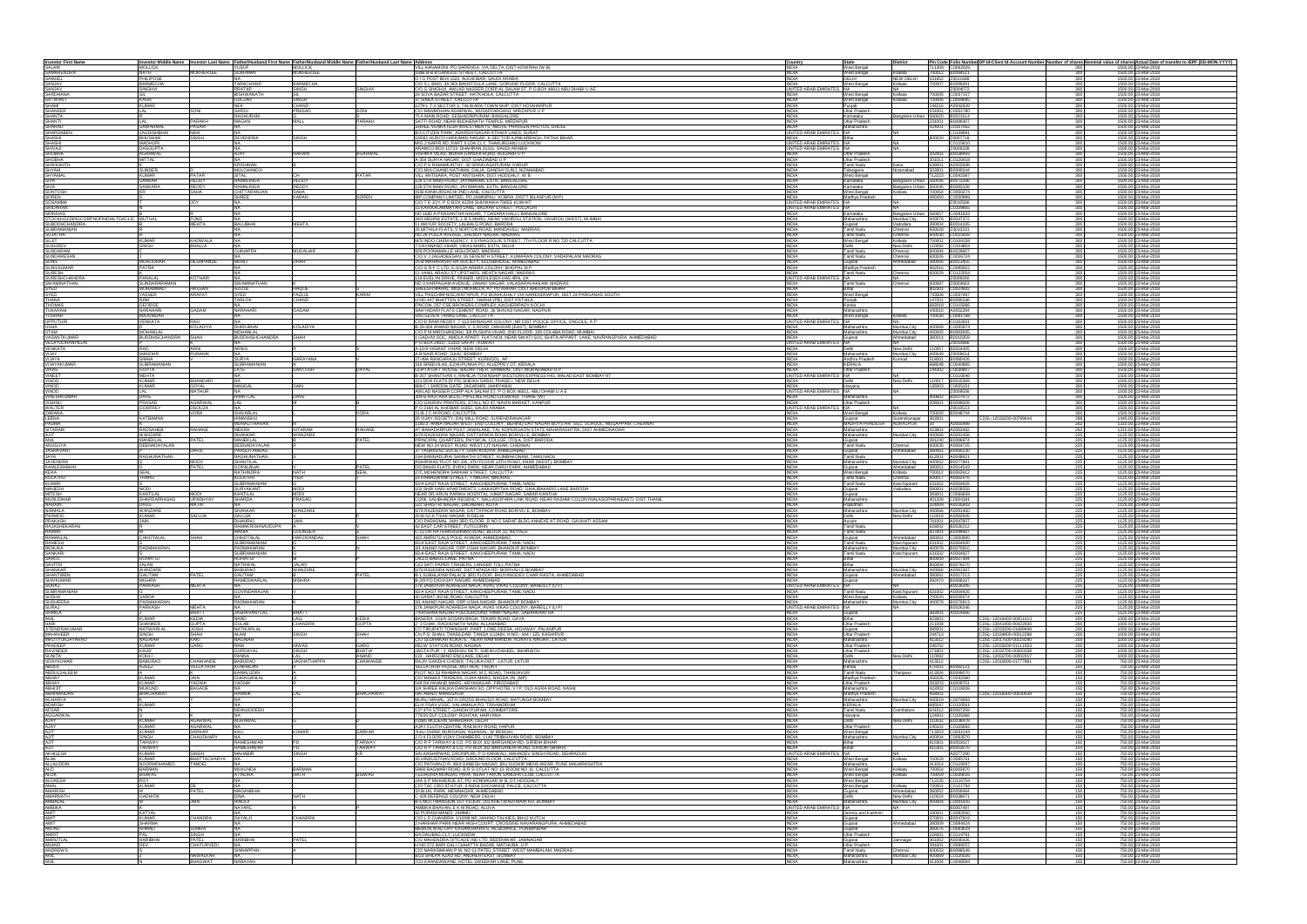| <b>Investor First Name</b><br>SALAM                                          | <b>MOLLICK</b>                                |                                                |                                                     | <b>MOLLICK</b>           | Investor Middle Name Investor Last Name Father/Husband First Name Father/Husband Middle Name Father/Husband Last Name Address | VILL KANAMONI, PO SARENGA, VIA DELTA, DIST HOWRAH (W.B<br>169B B B B GANGULI STREET, CALCUTTA                                                                                                                                                                                                                                                             | Country<br>INDIA                                   | <b>State</b><br>West Bengal                   | District                                                              | 711309 C0062029<br>700012 B0094511                    |                                                                        |            | 1500.00 23-Mar-201                                                | Pin Code Folio Number DP Id-Client Id-Account Number Number of shares Nominal value of shares Actual Date of transfer to IEPF (DD-MON-YYYY) |
|------------------------------------------------------------------------------|-----------------------------------------------|------------------------------------------------|-----------------------------------------------------|--------------------------|-------------------------------------------------------------------------------------------------------------------------------|-----------------------------------------------------------------------------------------------------------------------------------------------------------------------------------------------------------------------------------------------------------------------------------------------------------------------------------------------------------|----------------------------------------------------|-----------------------------------------------|-----------------------------------------------------------------------|-------------------------------------------------------|------------------------------------------------------------------------|------------|-------------------------------------------------------------------|---------------------------------------------------------------------------------------------------------------------------------------------|
| SAMARENDRA<br>SAMUEL<br>SANJAY                                               | <b>NATH</b><br>PHILIPOSE<br><b>BARMECHA</b>   | <b>JKHERJEE</b>                                | <b>SUKHMAI</b><br><b>FARACHAND</b>                  | MUKHERJEE<br>ARMECHA     |                                                                                                                               | G POST BOX 1520, ALKHOBAR, SAUDI ARABI/                                                                                                                                                                                                                                                                                                                   | INDIA<br><b>INDIA</b><br>INDIA                     | West Bengal<br>DELHI                          | NEW DELHI<br>Kolkata                                                  | 031952 Z0011688<br>700007 B0099391                    |                                                                        |            | 1500.00 23-Mar-201<br>1500.00 23-Mar-2018<br>1500.00 23-Mar-2018  |                                                                                                                                             |
| SAN.IAY<br><b>SARDHANA</b>                                                   | <b>SINGHVI</b>                                |                                                | PRATAP<br><b>BISHWANAT</b>                          | SINGH                    | SINGHVI                                                                                                                       | O S L BAID, 3A ADI BANSTOLLA LANE, GORUND FLOOR, CALCUTTA<br>O G SINGHVI, AWLAD NASSER CORP AL SALAM ST, P O BOX 46611 ABU DHABI U AE<br>1 SOVA BAZAR STREET, HATKHOLA, CALCUTTA<br>INDIA                                                                                                                                                                 | UNITED ARAB EMIRA                                  | West Bengal<br>Vest Bengal                    | Kolkata                                                               | Z0004072<br>700005 C0037157<br>700006 C0008695        |                                                                        |            | 1500.00 23-Mar-2018<br>1500.00 23-Mar-201                         |                                                                                                                                             |
| SATWANT<br>SHAMI<br>SHANKER                                                  | KAUR<br><b>KUMAR</b><br>LAL                   | SONI                                           | GULZAR<br><b>NEK</b><br><b>SARJU</b>                | SINGH<br>CHAND<br>PRASAD | SONI                                                                                                                          | 7 SIMLA STREET, CALCUTTA<br>1279-L T-2 SECTOR 3, TALWARA TOWN SHIP, DIST HOSHIARPUR<br><b>INDIA</b><br>C/O MANMOHAN AGARWAL, MUSAFFARGANJ, MIRZAPUR U P                                                                                                                                                                                                   | <b>INDIA</b><br><b>INDIA</b>                       | West Bengal<br>Punjab<br>Uttar Pradesh        | Kolkata                                                               | 144216 A0042839<br>231001 C0051780                    |                                                                        | 300<br>300 | 1500.00 23-Mar-2018<br>1500.00 23-Mar-2018<br>1500.00 23-Mar-2018 |                                                                                                                                             |
| SHANTA<br>SHANT                                                              |                                               | PARAKH                                         | <b>RAGHURAM</b><br>MAGAN                            |                          | PARAKH                                                                                                                        | 5 II MAIN ROAD, SESHADRIPURAM, BANGALORE<br>ATTI ROAD, NEAR BUDHENATH TEMPLE, MIRZAPUR                                                                                                                                                                                                                                                                    | INDIA<br>INDIA                                     | Kamataka<br>Uttar Pradesh                     | angalore Urban 560020 B0021514                                        | 231001 B0099307                                       |                                                                        |            | 1500.00 23-Mar-2018<br>1500.00 23-Mar-2018                        |                                                                                                                                             |
| SHARAD<br>SHARDABEN<br>SHASHI                                                | SAWARMA<br><b>JAGDISHBHAI</b><br>BHUSHAN      | PASARI<br><b>NAIK</b><br>SINGH                 | <b>JEVENDRA</b>                                     | INGH                     |                                                                                                                               | SHREE VENKATESH INVESTMENTS, ABOVE PRAVEEN PHOTOS, DHULE<br>3/3 CITIZEN PARK, ADARSH NAGAR ATHWA LINES, SURAT<br>6/561 HUDCO HANUMAN NAGAR, K-SECTOR KANKARBAGH, PATNA BIHAR                                                                                                                                                                              | <b>INDIA</b><br>UNITED ARAB EMIRATES               | Maharashtra                                   |                                                                       | 424001 C0107062<br>C0108991<br>800020 Z0007718        |                                                                        |            | 1500.00 23-Mar-2018<br>1500.00 23-Mar-201<br>1500.00 23-Mar-2018  |                                                                                                                                             |
| SHASHI<br>SHIVAJI                                                            | <b>MADHURI</b><br>DASGUPT/                    |                                                |                                                     |                          |                                                                                                                               | MIG 2 NAPIR RD, PART II LDA CLY, THAKURGANJ LUCKNOW<br>ARAMCO BOX 10723, DHAHRAN 31311, SAUDI ARABIA                                                                                                                                                                                                                                                      | UNITED ARAB EMIRATES NA<br>UNITED ARAB EMIRATES NA |                                               |                                                                       | C0115610                                              | Z0009338                                                               | 300<br>300 | 1500.00 23-Mar-2018<br>1500.00 23-Mar-2018                        |                                                                                                                                             |
| SHOBHA<br>SHOBHA                                                             | AGARWAL<br>MITTAL                             |                                                | AJAY                                                | NARAIN                   | AGARWAL                                                                                                                       | ISHWA VILAS, INDIRA GANDHI ROAD, ALIGARH U P<br>-354 SURYA NAGAR, DIST GHAZIABAD U P                                                                                                                                                                                                                                                                      | INDIA<br>INDIA                                     | Uttar Pradesh<br>Uttar Pradesh                |                                                                       | 202001 B0039693<br>201011 C0120418                    |                                                                        |            | 1500.00 23-Mar-2018<br>1500.00 23-Mar-2018                        |                                                                                                                                             |
| SHRIKANTH<br>SHYAM<br>SHYAMAL                                                | <b>SUNDER</b>                                 | PATAF                                          | <b>KRISHNAN</b><br>MULCHANDJI                       |                          | PATAR                                                                                                                         | /O P K RAMAMURTHY, 40 SRINIVASAPURAM, KARUR<br>C/O MULCHAND NATHMAL DALIA, GANDHI GUNJ, NIZAMABAD<br>VILL ANTISARA, POST ANTISARA, DIST HOOGHLY, W B                                                                                                                                                                                                      | <b>INDIA</b><br><b>INDIA</b><br><b>INDIA</b>       | Tamil Nadu<br>lelangana<br>West Bengal        | Karur<br>lizamabad                                                    | 639001 A0002838<br>503001 B0090044<br>712223 C0042387 |                                                                        | 300        | 1500.00 23-Mar-2018<br>1500.00 23-Mar-201<br>1500.00 23-Mar-2018  |                                                                                                                                             |
| SIVA                                                                         | SANKAR<br>SANKARA                             | REDDY<br>REDDY                                 | RAMALINGA<br>RAMALINGA                              | REDDY<br>REDDY           |                                                                                                                               | 128 5TH MAIN ROAD, JAYAMAHAL EXTN, BANGALORE<br>128 STH MAIN ROAD, JAYAMAHAL EXTN, BANGALORE                                                                                                                                                                                                                                                              | <b>INDIA</b><br>INDIA                              | Kamataka<br>Kamataka                          | langalore Urban 560046 B0071286<br>angalore Urban 560046 B0083108     |                                                       |                                                                        | 300        | 1500.00 23-Mar-2018<br>1500.00 23-Mar-2018                        |                                                                                                                                             |
| SONTOSH<br>SOREN<br>SOSAMMA                                                  |                                               | SAHA<br><b>JOY</b>                             | CHITTARANJAN<br>SHREE                               | SAHA<br>KARAN            | SOREN                                                                                                                         | 41/B KANKURGACHI 2ND LANE, CALCUTTA<br><b>INDIA</b><br>IBP COMPANY LIMITED, PO JAMNIPALI `KOBRA, DISTT BILASPUR (M P)<br>C/O T E JOY, P O BOX 42284 SHUWAIKH 70653, KUWAIT                                                                                                                                                                                | INDIA<br>UNITED ARAB EMIRATES NA                   | West Bengal<br>Madhya Prades                  | Kolkata                                                               | 700054 C0050274<br>495450 C0030999                    | Z0010566                                                               | 300<br>300 | 1500.00 23-Mar-2018<br>1500.00 23-Mar-2018<br>1500.00 23-Mar-2018 |                                                                                                                                             |
| SRIDARAN<br>SRINIVAS                                                         |                                               |                                                |                                                     |                          |                                                                                                                               | 5 KARIKALAMMAYARI LANE, BAZAAR STREET, POLLACH<br>NO 1685 A PRASANTHA NAGAR, T DASARA HALLI, BANGALORI                                                                                                                                                                                                                                                    | UNITED ARAB EMIRATES<br>INDIA                      | Kamataka                                      | Bangalore Urban 560057 C0091833                                       |                                                       | C0109955                                                               |            | 1500.00 23-Mar-201<br>1500.00 23-Mar-2018                         |                                                                                                                                             |
| STOCKHOLDINGCORPNOFINDIALTDACLIC MUTUA<br><b>SUBODHCHANDR</b><br>SUBRAMANIAN |                                               | FUND<br>MEHTA                                  | <b>BALUBHAI</b>                                     | MEHTA                    |                                                                                                                               | 44/1 MEHRA ESTATE, L B S MARG, NEAR VIKHROLI STATION, VIKHROLI (WEST), MUMBAI<br><b>INDIA</b><br>11 MAYUR SOCIETY, LALBALG ROAD, BARODA<br>25 MITHILA FLATS, 5 NORTON ROAD, MANDAVELI MADRAS                                                                                                                                                              | INDIA<br>INDIA                                     | Maharashtra<br>Gujarat<br>Tamil Nadu          | Mumbai City 400079 B0047372<br>/adodara<br>hennai                     | 390004 B0014335<br>600028 Z0010231                    |                                                                        | 300        | 1500.00 23-Mar-2018<br>1500.00 23-Mar-2018<br>1500.00 23-Mar-2018 |                                                                                                                                             |
| <b>AHTALUS</b><br>SUJIT                                                      | <b>KUMAR</b>                                  | <b>KHOWALA</b>                                 |                                                     |                          |                                                                                                                               | NO 28 PULLA AVENUE, SHENOY NAGAR, MADRAS<br><b>INDIA</b><br>M/S INDO CHEM AGENCY, 4 SYNAGOGUE STREET, 7TH FLOOR R NO 720 CALCUTTA                                                                                                                                                                                                                         | <b>INDIA</b>                                       | Tamil Nadu<br>West Bengal                     | Chennai<br>Kolkata                                                    | 600030 C0015928<br>700001 C0109158                    |                                                                        | 300<br>300 | 1500.00 23-Mar-2018<br>1500.00 23-Mar-2018                        |                                                                                                                                             |
| SUKHDEV<br><b>SUNDARAM</b>                                                   | SINGH                                         | <b>SHALLA</b>                                  | <b>CHINAPPA</b>                                     | MUDALIAR                 |                                                                                                                               | DAYANAND VIHAR, VIKAS MARG EXTN, DELHI<br>29 POONAMALLE HIGH ROAD, MADRAS                                                                                                                                                                                                                                                                                 | <b>INDIA</b><br><b>INDIA</b>                       | Tamil Nadu                                    | <b>Vew Delhi</b><br>Chennai                                           | 110092 C0104804<br>600084 B0029607                    |                                                                        |            | 1500.00 23-Mar-201<br>1500.00 23-Mar-2018                         |                                                                                                                                             |
| SUNDARESAN<br>SUNILKUMAR                                                     | <b>MURLIDHAR</b><br>PATRA                     | <b>JESHPANDE</b>                               | <b>MURL</b>                                         | <b>HAR</b>               |                                                                                                                               | C/O V J JAGADEESAN, 16 SEVENTH STREET, KUMARAN COLONY, VADAPALANI MADRAS.<br>25-B MAHARASHTRA SOCIETY, ELLISBRIDGE, AHMEDABAD<br>/O G N F C LTD, E-5/13A ARERA COLONY, BHOPAL M P                                                                                                                                                                         | <b>INDIA</b><br><b>INDIA</b><br>INDIA              | Tamil Nadu<br>Gujarat<br>Madhya Pradesh       | Chennai<br>hmedabad                                                   | 600026 C0026724<br>380006 B0013455<br>462016 C0095922 |                                                                        | 300        | 1500.00 23-Mar-2018<br>1500.00 23-Mar-2018<br>1500.00 23-Mar-2018 |                                                                                                                                             |
| <b>SURESH</b><br><u>SURESHCHANDRA</u>                                        | PANALAL                                       | KOTHARI                                        |                                                     |                          |                                                                                                                               | 1 VANIL ARASU ST UPSTAIRS, MEHTA NAGAR, MADRAS<br>119 EVELYN DRIVE, PINNER, MIDDLESEX HA5 4RN, UK                                                                                                                                                                                                                                                         | <b>INDIA</b><br><b>UNITED ARAB EMIRAT</b>          | <b>Tamil Nadu</b>                             | Chennai                                                               | 600029 C0122054<br>Z0009260                           |                                                                        | 300        | 1500.00 23-Mar-2018<br>1500.00 23-Mar-2018                        |                                                                                                                                             |
| <b>SWAMINATHAN</b>                                                           | SUNDARARAMAN<br>MOHAMMAD<br>YASSER            | ARAFAT                                         | <b>SWAMINATHAN</b><br>SYED                          | HAQUE<br>FAZLUL          | <b>KARIM</b>                                                                                                                  | NO 3 KARPAGAM AVENUE, JANAKI NAGAR, VALASARAVAKKAM, MADRAS<br><b>INDIA</b><br>SHEESH MAHAL, MILKI MOHALLA, AT PO ARRAH, DIST BHOJPUR BIHAF                                                                                                                                                                                                                | <b>INDIA</b><br><b>INDIA</b>                       | <b>Tamil Nadu</b><br>West Bengal              | Chennai                                                               | 600087 Z0003663<br>802301 C0024932<br>743508 C0037497 |                                                                        | 300        | 1500.00 23-Mar-2018<br>1500.00 23-Mar-2018<br>1500.00 23-Mar-2018 |                                                                                                                                             |
| HANA<br>THOMAS                                                               | <b>GEORGE</b>                                 |                                                | ARI OI                                              | :HAND                    |                                                                                                                               | VILL PASCHIM NISCHINTAPUR, PO BONHUGHLY VIA NARENDRAPUR, DIST 24 PARGANAS SOUTH H NO 447 BHATTEN STREET, NABHA (PB), DIST PATIALA<br>FINCON, 207 CSE BROKERS COMPLEX, KACHERIPADY KOCH                                                                                                                                                                    | <b>INDIA</b><br>INDIA                              | Punjab<br>Kerala                              |                                                                       | 147201 B0090246<br>682018 C0115066                    |                                                                        |            | 1500.00 23-Mar-2018<br>1500.00 23-Mar-2018                        |                                                                                                                                             |
| <b>UKARAM</b><br><b>USHAR</b>                                                | <b>NARAHAF</b><br>MAJUMDAR                    | GADAM<br>R <sub>AO</sub>                       | NARAHARI                                            | GADAM                    |                                                                                                                               | SAHYADARI FLATS CEMENT ROAD, 36 SHIVAJI NAGAR, NAGPUR<br><b>8/3 SEVEN TANKS LANE, CALCUTTA</b>                                                                                                                                                                                                                                                            | INDIA<br>INDIA                                     | Maharashtra<br>West Bengal                    | Kolkata                                                               | 440010 A0052284<br>700030 C0091768                    |                                                                        |            | 1500.00 23-Mar-201<br>1500.00 23-Mar-2018                         |                                                                                                                                             |
| <b>UPPUTURI</b>                                                              | VENKATA<br>MOHANLAL                           | <b>KOLADIYA</b>                                | <b>DHIRUBHAI</b><br>MOHANLAL                        | KOLADIYA                 |                                                                                                                               | C/O D RAMI REDDY, 7-113 SRINAGAR COLONY, NR DIST POLICE OFFICE, ONGOLE, A P<br>3-28-304 ANAND NAGAR, C S ROAD, DAHISAR (EAST), BOMBAY<br>2 AO MHANN NO MHANN NA BHUAIREAN NA NA BHUAIREAN NA BHUAIREAN NA BHUAIREAN NA BHUAIREAN NA BHUAIREAN NA BHUAIR<br>I GADHVI SOC. AMOLA APART. FLAT NO4, NEAR SWATI SOC ISHITA APPART. LANE, NAVRANGPURA AHMEDABAD | UNITED ARAB EMIRATES NA<br><b>INDIA</b><br>INDIA   | Maharashtra<br>Maharashtra                    | Mumbai City                                                           | C0102931<br>400068 C0055974                           |                                                                        | 300<br>300 | 1500.00 23-Mar-2018<br>1500.00 23-Mar-2018<br>1500.00 23-Mar-2018 |                                                                                                                                             |
| VASANTKUMAR<br>VELAYUDHANPILLA                                               | <b>BUDDHISCHANDR</b>                          |                                                | <b>JUDDHISHCHANDRA</b>                              | <b>SHAH</b>              |                                                                                                                               | O BOX 24027, 13101 SAFAT, KUWAIT                                                                                                                                                                                                                                                                                                                          | <b>INDIA</b><br>UNITED ARAB EMIRATES               | iujarat                                       |                                                                       | Z0010966                                              |                                                                        |            | 1500.00 23-Mar-2018<br>1500.00 23-Mar-2018                        |                                                                                                                                             |
| VENKATA<br>/I.IAY<br>/I.IAYA                                                 | <b>MANOHR</b><br>SIMHA                        | PURANIK                                        | ARNIS<br>SURYA                                      | NARAYANA                 |                                                                                                                               | A-10-9 VASANT VIHAR, NEW DELHI<br><b>B NAIR ROAD, JUHU, BOMBAY</b><br>27-49A RANGARAJU STREET, KURNOOL, AP                                                                                                                                                                                                                                                | INDIA<br><b>INDIA</b><br><b>INDIA</b>              | Maharashtra<br>Andhra Pradesh                 | <b>Vew Delhi</b><br>Mumbai City<br>urnool                             | 110057 B0024405<br>400049 Z0009614<br>518001 B0080426 |                                                                        | 300        | 1500.00 23-Mar-201<br>1500.00 23-Mar-2018<br>1500.00 23-Mar-2018  |                                                                                                                                             |
| VIJAYAKUMAR<br>VIKAS                                                         | SUBRAMANIAN<br><b>GUPTA</b>                   |                                                | SUBRAMANIAN<br>LATE                                 | SANTOSH                  | DAYAL                                                                                                                         | 316 SREEVILAS, EZHUPUNNA PO, ALLEPPEY DT, KERALA<br>GUPTA GIFT HOUSE, BAZAR THER, SAMBHAL, DIST MORADABAD U P<br>B-207 SHANTIVAN II, RAHEJA TOWNSHIP WESTERN EXPRESS HIG, MALAD EAST BOMBAY-97                                                                                                                                                            | <b>INDIA</b><br>INDIA                              | <b>KERALA</b><br>Uttar Pradesh                |                                                                       | 688548 C0040865<br>244302 C0038907                    |                                                                        | 300        | 1500.00 23-Mar-2018<br>1500.00 23-Mar-2018                        |                                                                                                                                             |
| /INFF1<br>VINOD<br>/INOD                                                     | MFHTA<br>KUMAR<br>KUMAR                       | HANDARI                                        | MANGAL                                              | SAIN                     |                                                                                                                               | 221 DDA FLATS (R PS) SHEIKH SARAI, PHASE-I, NEW DELHI<br>69-C I JARODA GATE, JAGADHRI, (HARYANA)                                                                                                                                                                                                                                                          | JNITED ARAB EMIRATE                                | Haryana                                       | <b>Vew Delhi</b>                                                      | C0110046<br>110017 B0025369                           |                                                                        |            | 1500.00 23-Mar-2018<br>1500.00 23-Mar-2018<br>1500.00 23-Mar-201  |                                                                                                                                             |
| <b>UNOD</b><br>VIRESHKUMAI                                                   | DAVE                                          | SOYAL<br>MATHUR                                | <b>HIMATI A</b>                                     | DAVE                     |                                                                                                                               | AWLAD NASSER CORP ALA SALAM ST, P O BOX 46611, ABU DHABI U A E<br>304-B RAJTARA BLDG, PIPELINE ROAD LUISWADI, THANE (W)                                                                                                                                                                                                                                   | JNITED ARAB EMIRATES NA<br><b>INDIA</b>            | Maharashtra                                   |                                                                       | 135003 C0005151<br>400602 B0027672                    |                                                                        | 300        | 1500.00 23-Mar-2018<br>1500.00 23-Mar-2018                        |                                                                                                                                             |
| /ISHNU<br>WALTER<br>ZARANA                                                   | PRASAD<br><b>GODFREY</b>                      | <b>AGARWAI</b><br><b>DSOUZA</b><br><b>VORA</b> |                                                     |                          | <b>VORA</b>                                                                                                                   | C/O GAURAV PRINTERS, STALL NO 47, NAVIN MARKET, KANPUF<br><u>P O 2194 AL KHOBAR 31952, SAUDI ARABIA</u><br><b>INDIA</b>                                                                                                                                                                                                                                   | INDIA<br>UNITED ARAB EMIRATES NA                   | Uttar Pradesh                                 | Kolkata                                                               | 208001 B0098009<br>Z0010513                           |                                                                        | 300<br>300 | 1500.00 23-Mar-2018<br>1500.00 23-Mar-2018                        |                                                                                                                                             |
| <b>EENA</b><br>PADMA                                                         | KATBAMNA                                      |                                                | <b>ISHVARLAL</b><br>HIMANSHU<br><b>MURALITHARAN</b> |                          |                                                                                                                               | 21-B J C M ROAD, CALCUTTA<br>16 VIJAY SOCIETY, DAL MILL ROAD, SURENDRANAGAR<br>1181/3 ANNA NAGAR WEST END COLONY , BEHIND DAV NAGAR BOYS HR. SEC. SCHOOL, MUGAPPAIR, CHENNAI<br>AT BAHADARPUR POST JAWALAKE, TAL KOPERGAON STATE MAHARASHTRA, DIST AHMEDNAGAR                                                                                             | INDIA<br>INDIA                                     | West Bengal<br><b>MADHYA PRADE</b>            | surendranagar 363001<br>LIRAJPUR<br>50                                | 700020 B0048744<br>50 A0065999<br>423601 A0063482     | DSL-12033200-00789644                                                  |            | 1500.00 23-Mar-2018<br>1440.00 23-Mar-2018<br>1310.00 23-Mar-201  |                                                                                                                                             |
| <b>SITARAM</b>                                                               | RAOSAHEE<br>WANZARF                           | RAHAN                                          | MEERA<br>SHANKAR<br>MANEKLAI                        | <b>ITARAM</b><br>WANZARE | RAHANE                                                                                                                        | 5/79 RAJENDRA NAGAR, DATTAPADA ROAD BORIVLI E, BOMBAY<br><b>INDIA</b>                                                                                                                                                                                                                                                                                     | <b>INDIA</b>                                       | Maharashtra<br>Maharashtra                    | fumbai City 400066 A0091458                                           |                                                       |                                                                        |            | 1310.00 23-Mar-201<br>1125.00 23-Mar-2018                         |                                                                                                                                             |
| ANUSUYA<br><b>JASHAVANT</b>                                                  | MANEKLAL<br>DEENADAYALAN                      | DARJI                                          | DEENADAYALAN<br>PARSOTAMDAS                         |                          | PATEL                                                                                                                         | PRINCIPAL QUARTERS, PHYSICAL COLLGE, ITOLA, DIST BARODA<br>NEW NO 24 WEST ROAD, WEST CIT NAGAR, CHENNAI<br><u>37 YASHKUNJ SOCIETY, GHATKODIYA, AHMEDABAD</u>                                                                                                                                                                                              | <b>INDIA</b><br>INDIA<br>INDIA                     | Gujarat<br>Tamil Nadu<br>Gujarat              | Chennai<br>hmedabad                                                   | 391240 B0086974<br>600035 A0064725<br>380061 B0095130 |                                                                        |            | 1125.00 23-Mar-2018<br>1125.00 23-Mar-2018<br>1125.00 23-Mar-2018 |                                                                                                                                             |
| JAYA<br><b>JAYENDRA</b>                                                      | RAGHUNATHAN                                   | MODY                                           | <b>RAGHUNATHAN</b><br>SHANTILAL                     |                          |                                                                                                                               | 19A BANNADURAI SANNATHI STREET, KUMBAKONAM, TAMILNADU<br>ASHIRWAD PLOT NO 335, 4TH FLOOR 12TH ROAD, KHAR (WEST), BOMBAY                                                                                                                                                                                                                                   | INDIA<br>INDIA                                     | Tamil Nadu<br>Maharashtra                     | vlumbai City                                                          | 612001 A0048821<br>400052 B0077981                    |                                                                        |            | 1125.00 23-Mar-2018<br>1125.00 23-Mar-2018                        |                                                                                                                                             |
| <b>KAMLESHBHAI</b><br>KFKA<br>KULATHU                                        | <b><i>FHANU</i></b>                           |                                                | <b>GOPALBHAI</b><br><b>RATHINDRA</b><br>KULATHU     | <b>NATH</b><br>/ER       | PATEL<br>SEAL                                                                                                                 | 2 BANSI FLATS JIVRAJ PARK, NEAR DARJI PARK, AHMEDABAD<br>7C MOHENDRA SARKAR STREET, CALCUTTA<br><b>INDIA</b><br>4 RAMASWAMI STREET, T NAGAR, MADRAS                                                                                                                                                                                                       | INDIA<br>INDIA                                     | Gujarat<br>West Bengal<br><b>Tamil Nadu</b>   | hmedabad 380051 A0014543<br>Kolkata<br>hennai                         | 700012 B0062612<br>600017 A0062476                    |                                                                        |            | 1125.00 23-Mar-2018<br>1125.00 23-Mar-2018<br>1125.00 23-Mar-201  |                                                                                                                                             |
| <b>CLIMAR</b><br>MAHESH                                                      | <b>IMODI</b>                                  |                                                | UBRAMANIA<br><b>SURYAKAN</b>                        | <b>MODI</b>              |                                                                                                                               | 93-A EAST RAJA STREET, KANCHEEPURAM, TAMIL NADU<br>102 SHRI HARI APARTMENTS, LAKKADPITHA ROAD, GAHUBAKARIS LANE BARODA<br><b>INDIA</b>                                                                                                                                                                                                                    | <b>INDIA</b>                                       | lamil Nadu<br>Gujarat                         | Kanchipuram 631502 A0064928<br>Vadodara                               | 390001 A0028558                                       |                                                                        |            | 1125.00 23-Mar-2018<br>1125.00 23-Mar-2018                        |                                                                                                                                             |
| MITESH<br>MURLIDHAR<br>NARAIN                                                | KANTILA<br>SHARDAPRASAI                       | <b>MODI</b><br>UPADHYAY<br>MATAI               | KANTILAL<br>SHARDA                                  | <b>MODI</b><br>PRASAD    |                                                                                                                               | <u>VEAR DR ARUN PARIKH HOSPITAL, HIMAT NAGAR, SABAR KANTHA</u><br><u>%206_SALIBHADRA REGENCY, NALLASOPARA LINK ROAD, NEAR RASHMI COLONYNALASOPARA(EAST), DIST.THANE</u><br>2 SHASTRI NAGAR, DADABARI, KOTA                                                                                                                                                | <b>INDIA</b><br>INDIA<br><b>INDIA</b>              | Gujarat<br>Maharashtra<br>Raiasthan           |                                                                       | 383001 C0066658<br>401209 C0004181<br>324009 A0035843 |                                                                        |            | 1125.00 23-Mar-2018<br>1125.00 23-Mar-2018<br>1125.00 23-Mar-2018 |                                                                                                                                             |
| NIRMAI A<br>PARMOD                                                           | WANZARI<br>KUMAR                              |                                                | SHANKAR                                             | WANZARE                  |                                                                                                                               | 79 RAJENDRA NAGAR, DATTAPADA ROAD BORIVLI E, BOMBAY<br>0-B-52-A TILAK NAGAR, N DELHI                                                                                                                                                                                                                                                                      | INDIA<br>INDIA                                     | Maharashtra                                   | Mumbai City 400066 A0091460<br>New Delhi 110018 A0082845<br>Vew Delhi |                                                       |                                                                        |            | 1125.00 23-Mar-2018<br>1125.00 23-Mar-201                         |                                                                                                                                             |
| PRAKASH<br>RAJASHEKARAN<br>RAMAN                                             | <b>JAIN</b>                                   |                                                | DHANRA.<br>RAMAKRISHNAUDUPA<br><b>AANIA</b>         | JAIN<br>OUNDER           |                                                                                                                               | O PARASMAL JAIN 3RD FLOOR, R NO 5 SARAF BLDG ANNEXE AT ROAD, GAUHATI ASSAM<br><b>INDIA</b><br>42 EAST CAR STREET, TUTICORIN                                                                                                                                                                                                                               | INDIA<br><b>INDIA</b>                              | Assam<br><b>Tamil Nadı</b>                    |                                                                       | 781001 A0047607<br>628002 B0030212                    |                                                                        |            | 1125.00 23-Mar-2018<br>1125.00 23-Mar-2018<br>1125.00 23-Mar-2018 |                                                                                                                                             |
| RAMANLAL<br>RAMESH                                                           | CHHOTALAL                                     | SHAH                                           | CHHOTALAL<br><b>SUBRAMANIAN</b>                     | <b>HARJIVANDAS</b>       | SHAH                                                                                                                          | -22 DR RATHAKRISHNAN ROAD, BLOCK 11, NEYVELI<br>422 AMRUTLALS POLE, KHADIA, AHMEDABAD<br>93-A EAST RAJA STREET, KANCHEEPURAM, TAMIL NADU                                                                                                                                                                                                                  | <b>INDIA</b><br><b>INDIA</b>                       | <b>Tamil Nadu</b><br>Gujarat<br>Tamil Nadu    | Ahmedabad 380001 C0000900<br>Kanchipuram 631502 A0064930              | 607801 B0099687                                       |                                                                        | 225<br>225 | 1125.00 23-Mar-2018<br>1125.00 23-Mar-2018                        |                                                                                                                                             |
| RENHKA<br>SANKARI                                                            |                                               |                                                | ADMAKARAN<br>SUBRAMANIAN                            |                          |                                                                                                                               | 3-A EAST RAJA STREET, KANCHEEPURAM, TAMIL NADU<br>INDIA                                                                                                                                                                                                                                                                                                   |                                                    | <b>Tamil Nadu</b>                             | mhai City -<br>Kanchipuram                                            | 631502 A0064927                                       |                                                                        |            | 1125.00 23-Mar-2018                                               |                                                                                                                                             |
| SAROJ<br>SAVITRI<br>SHANKAR                                                  | <b>ROHATG</b><br>JALAN<br>WANZARI             |                                                | <b>ROHATGI</b><br><b>NATHWAL</b><br>BABURAC         | VANZARE                  |                                                                                                                               | ALLU BABUS LANE, PATNA<br>O SATI PAPER TRADERS, LANGER TOLI, PATNA<br>79 RAJENRA NAGAR, DATTAPADA RD, BORIVALI E BOMBAY                                                                                                                                                                                                                                   | INDIA<br><b>INDIA</b><br>INDIA                     | Bihar<br>Bihar<br>Aaharashtra                 | Mumbai City                                                           | 800009 B0027394<br>800004 B0076570<br>400066 A0091397 |                                                                        |            | 1125.00 23-Mar-2018<br>1125.00 23-Mar-2018                        | 1125.00 23-Mar-2018                                                                                                                         |
| SHANTIBEN<br><b>SHIVKUMAR</b>                                                | GAUTAM<br><b>MISHRA</b>                       |                                                | GAUTAM<br>RAMESWARLAL                               | <b>MISHRA</b>            | <b>PATFI</b>                                                                                                                  | 3-1 SUBHLAXMI PALACE 3RD FLOOR, BHUYANGDEV CHAR RASTA, AHMEDABAD<br>B-2/9 PO DIGVIJAY NAGAR, AHMEDABAD                                                                                                                                                                                                                                                    | <b>INDIA</b><br><b>INDIA</b>                       | Gujarat<br>Gujarat                            | hmedabad                                                              | 380061 A0017213<br>382470 B0068167                    |                                                                        |            | 1125.00 23-Mar-2018<br>1125.00 23-Mar-2018                        |                                                                                                                                             |
| SORAJ<br>SUBRAMANIAM<br><b>SUDHA</b>                                         | PARKASH<br>SARDA                              | <b>MEHTA</b>                                   | <b>OVINDARAJAN</b>                                  |                          |                                                                                                                               | 78 JANKPURI ADARESH NAGA, AVAS VIKAS COLONY, BAREILLY (U P)<br>33-A EAST RAJA STREET, KANCHEEPURAM, TAMIL NADU<br><b>INDIA</b><br>40 SARAT BOSE ROAD, CALCUTTA<br><b>INDIA</b>                                                                                                                                                                            | UNITED ARAB EMIRATES                               | amil Nadu<br>West Bengal                      | 631502<br>Kanchipuram<br>Kolkata                                      | B0026345<br>A0064926<br>700020 B0035974               |                                                                        |            | 1125.00 23-Mar-2018<br>1125.00 23-Mar-2018<br>1125.00 23-Mar-2018 |                                                                                                                                             |
| <b>SUDHEERA</b><br>SURAJ.                                                    | PADMAKARAN<br>PARKASH                         | MFHTA                                          | PADMAKARAN                                          |                          |                                                                                                                               | /1 ANAND NAGAR, OPP USHA NAGAR, BHANDUP BOMBAY<br>78 JANKPURI ADARESH NAGA, AVAS VIKAS COLONY, BAREILLY (U P)                                                                                                                                                                                                                                             | UNITED ARAB EMIRAT                                 | Maharashtra                                   | Mumbai City                                                           | 400078 B0070813<br>B0026346                           |                                                                        |            |                                                                   | 1125.00 23-Mar-2018<br>1125.00 23-Mar-2018                                                                                                  |
| <b>IRMILA</b><br>ANIL<br><b>HARI</b>                                         | <b>KUMAR</b><br><b>SHANKER</b>                | BHATT<br><b>KEDIA</b><br><b>GUPTA</b>          | <b>JASHAVANTLA</b><br>NAND<br>GULAB.                | BHATT<br>ALL<br>CHANDRA  | KEDIA<br><b>GUPTA</b>                                                                                                         | KRISHNA NAGAR POLOGROUND, HIMATNAGAR, SABARKANTHA<br><b>INDIA</b><br>3ASERA 101/A GOSAIN BAGH, TEKARI ROAD, GAYA<br><u>2 1 CHAK, RAGHUNATH NAINI, ALLAHABAD</u><br><b>INDIA</b>                                                                                                                                                                           | INDIA                                              | Gujarat<br>Bihar<br>Uttar Pradesh             | 823001<br>211008                                                      | 383001 A0014686                                       | SL-12016403-00001013<br>CDSL-13041400-00422930                         | 200        | 1125.00 23-Mar-2018<br>1000.00 23-Mar-2018                        | 1000.00 23-Mar-2018                                                                                                                         |
| <b>JITENDRAKUMAR</b><br>MAHAVEER                                             | NATWARLAL<br><b>SINGH</b>                     | <b>JOSHI</b><br>SHAF                           | <b>NATWARLAL</b><br>ALAM                            | <b>SINGH</b>             | SHAH                                                                                                                          | 77 TIRUPATI TOWNSHIP, PART 1 ONE DEESA, HIGHWAY, PALANPUR<br>D P.S. SHAH, THASILDAR TANDA UJJAIN, H.NO.- 444 / 125, KASHIPUR                                                                                                                                                                                                                              | INDIA<br><b>NDIA</b>                               | Gujarat<br>Uttar Pradesh                      | 385001<br>244713                                                      |                                                       | CDSL-12033200-01489949<br>DSL-12034800-00012288                        | 200        | 1000.00 23-Mar-2018                                               | 1000.00 23-Mar-2018                                                                                                                         |
| MRUTYUNJAYARAC<br>PRADEEP<br>RAVINDER                                        | <b>NAGAIAH</b><br>KUMAR<br>KAUR               | KAKI<br><b>ARC</b>                             | NAGAIAH<br>GURDAYAL                                 | <b>NIWAS</b><br>SINGH    | GARG<br><b>BHATIA</b>                                                                                                         | O SUDHAKAR KOKATE, NEAR RAM MANDIR, KOKATE NAGAR., LATUR<br>ELW STATION ROAD, NAGINA<br>JAGTA PUR - 2, MADHAV RETI, SHEIKH DAHEEL, BAHRAICH                                                                                                                                                                                                               | <b>INDIA</b><br>INDIA<br>INDIA                     | Maharashtra<br>Uttar Pradesh<br>Uttar Pradesh | 413512<br>246762<br>271801                                            |                                                       | DSL-12017500-00119290<br>SL-12033200-01111053<br>DSL-12032700-00300338 |            | 1000.00 23-Mar-2018<br>1000.00 23-Mar-2018<br>1000.00 23-Mar-2018 |                                                                                                                                             |
| <b>UDAYKUMAR</b>                                                             | KOHLI<br><b>BABURAC</b>                       | <b>HAWANDE</b>                                 | <b>ANNA</b><br><b>BABURAO</b>                       | <b>JAGNATHAPPA</b>       | ANAND<br><b>CHAW ANDE</b>                                                                                                     | 33, HARGOBIND ENCLAVE, DELHI<br>RAJIV GANDHI CHOWK, TALUKA-DIST : LATUR, LATUR                                                                                                                                                                                                                                                                            | INDIA<br><b>INDIA</b>                              | Maharashtra                                   | 110092<br>vew Delhi<br>413512                                         |                                                       | DSL-12050700-00002017<br>DSL-12010600-01777881                         |            |                                                                   | 1000.00 23-Mar-2018<br>760.00 23-Mar-2018                                                                                                   |
| ABDUL<br>ABDULSALEEM<br>ABHAY                                                | AZEEZ<br><b>KUMAF</b>                         | VELLATHUR                                      | KUNHALAN<br>KAMALUDIN                               |                          |                                                                                                                               | VELLATHUR HOUSE, MUTHUR, TIRUR-I<br>PLOT NO 53 RAHMAN NAGAR, M C ROAD, THANJAVUR<br>/O MAMAJI TRADERS, OJHA MARG, NAGDA JN, (MP)                                                                                                                                                                                                                          | <b>INDIA</b><br><b>INDIA</b><br>INDIA              | Kerala<br>Tamil Nadu<br>Madhya Pradesh        | hanjavur                                                              | 676101 B0082121<br>613004 B0099070                    |                                                                        | 150        |                                                                   | 750.00 23-Mar-2018<br>750.00 23-Mar-2018                                                                                                    |
| ABHAY<br>ABHIJIT                                                             | KUMAR<br><b>MUKUND</b>                        | JAIN<br>YAGNIK<br><b>BAGADE</b>                | <b>CHHAGANLAL</b><br><b>YAGNIK</b>                  |                          |                                                                                                                               | 549 DAYANAND MARG, ARYANAGAR, FIROZABAD<br>1/A SHREE KALIKA DARSHAN SO, OPP HOTEL V I P, OLD AGRA ROAD, NASIK                                                                                                                                                                                                                                             | <b>INDIA</b><br>INDIA                              | Uttar Pradesh<br>Maharashtra                  |                                                                       | 422002 C0118206                                       |                                                                        |            |                                                                   | 750.00 23-Mar-2018<br>750.00 23-Mar-2018<br>750.00 23-Mar-2018                                                                              |
| ABHINANDAN<br>ACHARYA<br>ADARSH                                              | BHACHAWA <sup>®</sup><br><b>KUMAR</b>         |                                                | RAMNIK                                              |                          | <b>HACHAWAT</b>                                                                                                               | VAI ABADI, MANDSAUR<br>MURLI MAHAL, 10TH CROSS BHAUDJI ROAD, MATUNGA BOMBAY<br><b>INDIA</b><br>ELIX PSAV VSSC, VALIAMALA PO, TRIVANDRUM                                                                                                                                                                                                                   | INDIA<br>INDIA                                     | Madhya Pradesh<br>Maharashtra<br>KERALA       | iumbai City                                                           | 458001<br>400019 C0076993<br>695547 C0120561          | DSL-12018300-00030639                                                  |            |                                                                   | 750.00 23-Mar-2018<br>750.00 23-Mar-2018                                                                                                    |
| AFSAR<br>AGGARWAL                                                            |                                               |                                                | <b>MOINUDDEEN</b>                                   |                          |                                                                                                                               | 137 4TH STREET, GANDHI PURAM, COIMBATORE<br>775/20 DLF COLONY, ROHTAK, HARYANA                                                                                                                                                                                                                                                                            | <b>INDIA</b><br><b>INDIA</b>                       | Tamil Nadu<br>Haryana                         | cimbatore                                                             | 641012 B0067269<br>124001 C0105366                    |                                                                        |            |                                                                   | 750.00 23-Mar-2018<br>750.00 23-Mar-2018<br>750.00 23-Mar-2018                                                                              |
| A.IAY<br>AJAY                                                                | KUMAR<br><b>KUMAR</b>                         | <b>AGARWAI</b><br><b>AGARWAL</b>               | <b>AGRAWAL</b>                                      |                          |                                                                                                                               | 2085 MODERN SHAHDARA, DELHI<br>AJAY CLOTH CENTRE, RAILWAY ROAD, HAPL                                                                                                                                                                                                                                                                                      | INDIA<br><b>INDIA</b>                              | <b>Uttar Prades</b>                           | lew Delhi                                                             | 110032 B0038478<br>245101 C0105692<br>713303 C0031244 |                                                                        |            |                                                                   | 750.00 23-Mar-2018<br>750.00 23-Mar-2018                                                                                                    |
|                                                                              | <b>KUMAR</b><br><b>SINGH</b><br>TARWAY        | SARKAR<br>CHAUDHARY                            | KALI<br><b>NA</b><br><b>RAMESHWAF</b>               | UMAR                     | SARKAR<br><b>TARWAY</b>                                                                                                       | KALI DHAM, MURGASAL ASANSAL, W BENGAL<br>O II FLOOR VIJAY CHAMBERS, 1140 TRIBHUVAN ROAD, BOMBAY<br>% OR P TARWAY & CO, PO BOX 102 BARGANDA RD, GIRIDIH BIHAR                                                                                                                                                                                              | INDIA<br><b>INDIA</b><br><b>INDIA</b>              | West Bengal<br>Maharashtra                    | fumbai City 400004 C0093570                                           | 815301 B0053027                                       |                                                                        |            |                                                                   | 750.00 23-Mar-2018<br>750.00 23-Mar-2018<br>750.00 23-Mar-2018                                                                              |
| AKHILESH                                                                     | TARWAY<br><b>KUMAR</b>                        | <b>SINGH</b>                                   | RAMESHWAR<br>MAHABIR                                | SINGH                    | <b>TARWAY</b>                                                                                                                 | OR P TARWAY & CO, PO BOX 102 BARGANDA ROAD, GIRIDIH (BIHAR)<br>SAI AASHIRWAD, DRONPURI, P O KANWALI, MAHADEV SINGH ROAD, DEHRADUN.                                                                                                                                                                                                                        | <b>INDIA</b><br>UNITED ARAB EMIRATES NA            |                                               |                                                                       | 815301 B0053076<br>A0077290                           |                                                                        |            |                                                                   | 750.00 23-Mar-2018<br>750.00 23-Mar-2018                                                                                                    |
| AI AK<br>ALLAUDDIN                                                           | KUMAR<br>NOORMOHAMEI<br><b>BARMAN</b>         | <b>BHATTACHARYA</b><br>TANDEL                  | MUKUNDA                                             | ARMAN                    |                                                                                                                               | 35 HINDUSTHAN ROAD. GROUND FLOOR. CALCUTTA<br><b>INDIA</b><br>O PATHAN D R, 48/4 GANESH NAGAR, B/H SUDHIR MENS WEAR, PUNE MAHARASHTRA<br><b>INDIA</b><br>9/60 BAGMARI ROAD, B R S-3 FLAT NO 13, ROOM NO 11, CALCUT                                                                                                                                        | INDIA                                              | West Bengal<br>Maharashtra<br>West Bengal     | Kolkata<br>Kolkata                                                    | 700029 C0095761<br>411014 C0119297<br>700054 B0083970 |                                                                        | 150        |                                                                   | 750.00 23-Mar-2018<br>750.00 23-Mar-2018<br>750.00 23-Mar-2018                                                                              |
| <b>ALOKESH</b>                                                               | <b>BISWAS</b>                                 |                                                | ATINDRA                                             | <b>NATH</b>              | <b>BISWAS</b>                                                                                                                 | <b>FEGHORIA MONDAL PARA, NEAR TARUN SANGHA CLUB, CALCUTTA</b><br>24A S P MUKHERJE ST, PO KONNAGAR W B, DT HOOGHLY                                                                                                                                                                                                                                         | <b>INDIA</b><br>INDIA                              | West Bengal<br>West Bengal                    | Kolkata                                                               | 700059 C0039016<br>712235 C0116754<br>700001 C0121794 |                                                                        |            |                                                                   | 750.00 23-Mar-2018<br>750.00 23-Mar-2018                                                                                                    |
| AMARISH<br>AMARNATH                                                          | KUMAR                                         | PATE                                           | MAGANBH/                                            |                          |                                                                                                                               | TAC CRO 6TH FLR, 4 INDIA EXCHANGE PALCE, CALCUTTA<br>33 BIJAL PARK, MEMNAGAR, AHMEDABAD                                                                                                                                                                                                                                                                   | <b>INDIA</b><br><b>INDIA</b><br>INDIA              | West Bengal<br>Gujarat                        | .olkata<br>Ahmedabad                                                  | 380052 B0059484                                       |                                                                        |            |                                                                   | 750.00 23-Mar-2018<br>750.00 23-Mar-2018                                                                                                    |
| AMBALAL<br>AMBIKA                                                            | <b>GADHIOK</b>                                |                                                | <b>DINA</b><br><b>HINDIJI</b><br>NAYARO             | NATH                     |                                                                                                                               | C 429 DEFENCE COLONY, NEW DELHI<br>B-1 MOTI MANSION 1ST FLOOR, 201 KHETWADI MAIN RD, BOMBAY<br>MBIKA BHAVAN, E K M ROAD, ALUVA                                                                                                                                                                                                                            | <b>INDIA</b><br>UNITED ARAB EMIRAT                 | Delhi<br>Maharashtra                          | New Delhi<br>Mumbai City                                              | 110024 B0038671<br>400004 C0001410<br>B0067497        |                                                                        |            |                                                                   | 750.00 23-Mar-2018<br>750.00 23-Mar-2018<br>750.00 23-Mar-2018                                                                              |
| AMIT<br>AMIT                                                                 | <b>KATYA</b><br><b>KUMAR</b><br><b>SHARMA</b> | <b>CHANDRA</b>                                 | DAYALJI                                             | <b>HANDRA</b>            |                                                                                                                               | 92 PURANI MANDI, JAMMU<br>O L D CHANDRA, 1/10/88 NR JAIHIND TALKIES, BHUJ KUTCH<br><b>INDIA</b><br>HARIHAR PARK NEAR HIGH COURT, CROSSING NAVARANGPURA, AHMEDABAD                                                                                                                                                                                         | INDIA                                              | Jammu and Kashmir<br>Gujarat                  |                                                                       | 180001 C0082050<br>370001 B0047919<br>380009 C0084424 |                                                                        |            | 750.00 23-Mar-2018                                                | 750.00 23-Mar-2018                                                                                                                          |
| AMJAD<br><b>AMRIT</b>                                                        | AHMAD                                         | <b>SUMRA</b><br>SINGH                          |                                                     |                          |                                                                                                                               | MEMON WAD OPP KASAMSHARIFS, RESIDANCE, PORBANDAR<br>6/4 DALIBAG CLY, LUCKNOW                                                                                                                                                                                                                                                                              | <b>INDIA</b><br>INDIA<br><b>INDIA</b>              | Gujarat<br>Gujarat<br>Uttar Pradesh           | medabad                                                               | 360575 C0083619<br>226001 C0114791                    |                                                                        |            |                                                                   | 750.00 23-Mar-2018<br>750.00 23-Mar-2018<br>750.00 23-Mar-2018                                                                              |
| AMRUTLAL<br>ANAND                                                            | <b>HARIBHAI</b><br>DEV                        | PATEL<br>CHATURVEDI                            | <b>HARIBHAI</b>                                     | PATEL                    |                                                                                                                               | C/O MAHENDRA OITCAUE IND LTD, BEDDHWAR, JAMNAGAR<br>HNO 572 BARI GALI CHHATTA BAZAR, MATHURA, U P                                                                                                                                                                                                                                                         | INDIA<br>INDIA                                     | Gujarat<br>Uttar Pradesh                      | amnagar                                                               | 361002 A0045426<br>281001 C0099257                    |                                                                        |            | 750.00 23-Mar-2018                                                | 750.00 23-Mar-2018                                                                                                                          |
| <b>ANDREWS</b><br>ANIL<br>ANIL                                               |                                               | <b>NAWALKAR</b><br><b>HAGWAT</b>               | SINNAPPAN                                           |                          |                                                                                                                               | /O NARASIMHAN P M, NO 11 PATEL STREET, WEST MAMBALAM, MADRAS<br><b>INDIA</b><br>3/23 SHILPA AZAD RD, ANDHERI EAST, BOMBAY<br>I ERANDAWANE, HOTEL SWEEKAR LANE, PUNE                                                                                                                                                                                       | INDIA                                              | Tamil Nadu<br>Maharashtra<br>laharashtra      | Chennai<br>Mumbai City 400069 C0120026<br>411004 C0046594             | 600033 B0088549                                       |                                                                        |            | 750.00 23-Mar-2018<br>750.00 23-Mar-2018                          | 750.00 23-Mar-201                                                                                                                           |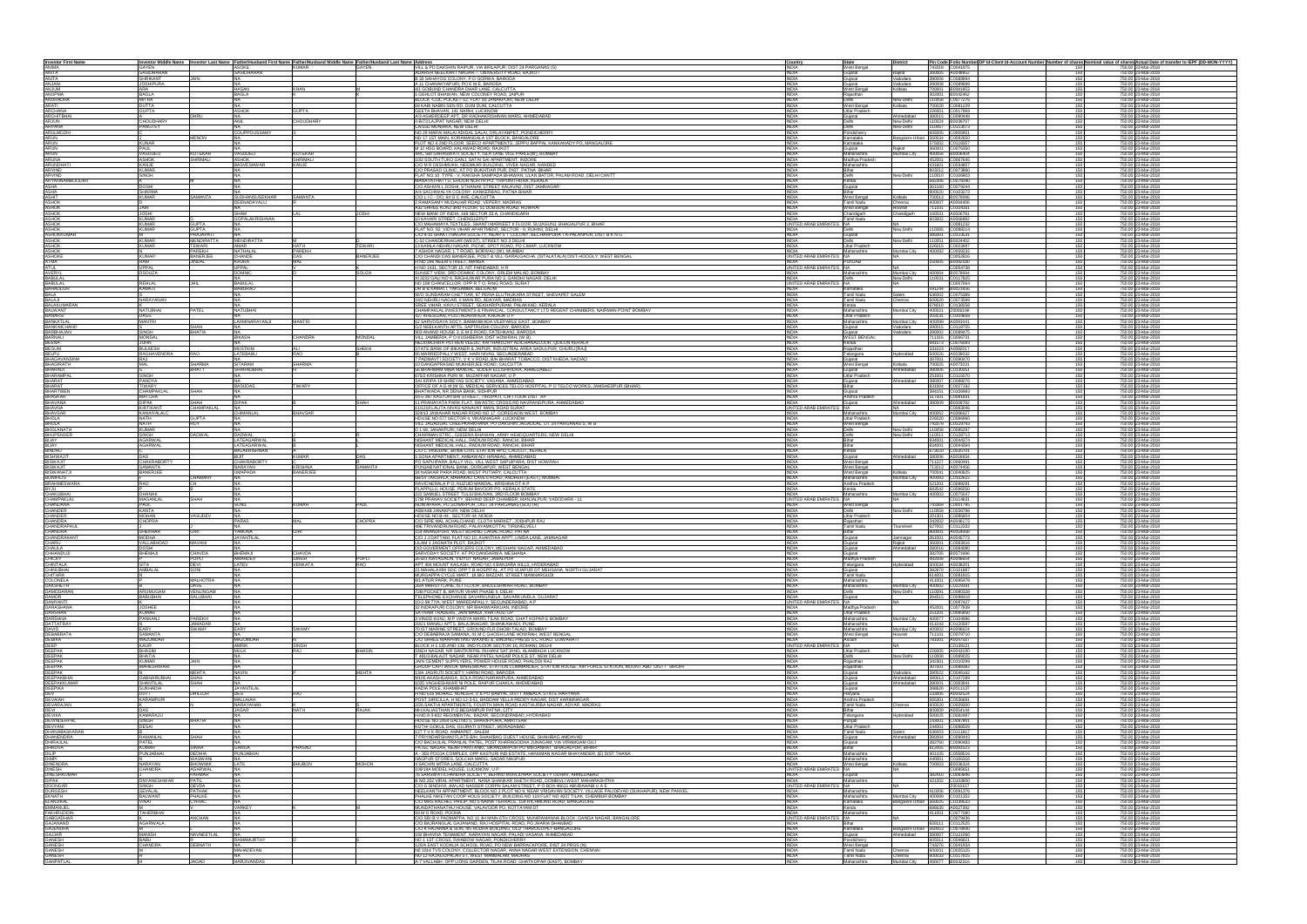| <b>Investor First Name</b>             |                                    |                                    |                                     | Investor Middle Name Investor Last Name Father/Husband First Name Father/Husband Middle Name Father/Husband Last Name Address |                 |                                                                                                                                                                                                       | Country                                      | <b>State</b>                        | <b>District</b>                                                                |                                                       | Pin Code Folio Number DP Id-Client Id-Account Number Number of shares Nominal value of shares Actual Date of transfer to IEPF (DD-MON-YYYY) |                                                                |  |
|----------------------------------------|------------------------------------|------------------------------------|-------------------------------------|-------------------------------------------------------------------------------------------------------------------------------|-----------------|-------------------------------------------------------------------------------------------------------------------------------------------------------------------------------------------------------|----------------------------------------------|-------------------------------------|--------------------------------------------------------------------------------|-------------------------------------------------------|---------------------------------------------------------------------------------------------------------------------------------------------|----------------------------------------------------------------|--|
| ANIMA<br>ANITA                         | GAYEN<br>SASIDHARAN                |                                    | ASOKF<br>SASIDHARAN                 | KUMAR                                                                                                                         | 3AYEN           | VILL & PO DAKSHIN RAIPUR, VIA BIRLAPUR, DIST 24 PARGANAS (S. ADARSH NEELKANT NAGAR-7, UNIVERSITY ROAD, RAJKOT                                                                                         | <b>INDIA</b><br><b>INDIA</b>                 | West Bengal<br>Gujarat              | Rajkot                                                                         | 743318 C0041975<br>360005 A0048952                    |                                                                                                                                             | 750.00 23-Mar-2018<br>750.00 23-Mar-2018                       |  |
| ANITA<br>ANJANI                        | <b>SHRIKAN</b><br><b>JOSHIPURA</b> |                                    |                                     |                                                                                                                               |                 | B 33 SAHAYOG COLONY, P O GORWA, BARODA<br>A 11 CHANAKYAPURI, PO E M E, BARODA                                                                                                                         | <b>INDIA</b><br><b>INDIA</b>                 | Gujarat<br>Gujarat                  | Vadodara<br>Vadodara                                                           | 390006 C0089894<br>390008 C0089689                    |                                                                                                                                             | 750.00 23-Mar-2018<br>750.00 23-Mar-2018                       |  |
| ANJUM                                  |                                    |                                    | HASAN<br>BAGLA                      | KHAN                                                                                                                          |                 | /1 GOBUND CHANDRA DHAR LANE, CALCUTTA<br>GEHLOT BHAWAN, NEW COLONEY ROAD, JAIPUR                                                                                                                      | <b>INDIA</b><br><b>INDIA</b>                 | West Bengal                         | Kolkata                                                                        | 700001 B0081853<br>302001 B0042462                    |                                                                                                                                             | 750.00 23-Mar-2018                                             |  |
| ANUPMA<br>ANURADHA                     | BAGLA<br><b>MITRA</b>              |                                    |                                     |                                                                                                                               |                 | BLOCK -C/2C POCKET-12, FLAT 83 JANAKPURI, NEW DELHI                                                                                                                                                   | <b>INDIA</b>                                 | Rajasthan<br>Delhi                  | <b>Vew Delhi</b>                                                               | 110058 C0077276                                       | 150                                                                                                                                         | 750.00 23-Mar-2018<br>750.00 23-Mar-2018                       |  |
| ARATI<br>ARCHANA                       | <b>DUTTA</b><br>GUPTA              |                                    | ASHOK                               | <b>GUPTA</b>                                                                                                                  |                 | 69 KABI NABIN SEN RD, DUM DUM, CALCUTTA<br>GEETA BHAVAN, 141 NARHI, LUCKNOW                                                                                                                           | <b>INDIA</b><br><b>INDIA</b>                 | West Bengal<br>Uttar Pradesh        | Kolkata                                                                        | 700028 C0081229<br>226001 C0017969<br>380015 C0090448 | 150<br>150                                                                                                                                  | 750.00 23-Mar-2018<br>750.00 23-Mar-2018                       |  |
| ARCHITBHAI<br>ARJUN                    | CHOUDHARY                          | DHRU                               |                                     | CHOUDHARY                                                                                                                     |                 | A/3 ASHERDEEP APT, DR RADHAKRISHNAN MARG, AHMEDABAD<br>II-B/73 LAJPAT NAGAR, NEW DELHI                                                                                                                | <b>INDIA</b><br><b>INDIA</b>                 | Gujarat<br>Delhi                    | Ahmedabad<br>New Delhi                                                         |                                                       |                                                                                                                                             | 750.00 23-Mar-2018<br>750.00 23-Mar-2018                       |  |
| ARPANA<br>ARULMOZHI                    | PANGTEY                            |                                    | <b>COUPPOUSSAMY</b>                 |                                                                                                                               |                 | CA/15D MUNIRKA, NEW DELHI<br>NO 29 MARAI MALAI ADIGAL SALAI, ORLAYANPET, PONDICHERRY                                                                                                                  | <b>INDIA</b><br><b>INDIA</b>                 | Delhi<br>Pondicherry                | New Delhi                                                                      | 110024 B0039707<br>110067 C0113073<br>605005 C0005801 |                                                                                                                                             | 750.00 23-Mar-2018<br>750.00 23-Mar-2018                       |  |
| ARUN                                   |                                    | <b>MENON</b>                       |                                     |                                                                                                                               |                 | NO 17 1ST MAIN, KORAMANGALA 1ST BLOCK, BANGALORE                                                                                                                                                      | <b>INDIA</b>                                 | Kamataka                            | langalore Urban 560034 C0092650                                                |                                                       |                                                                                                                                             | 750.00 23-Mar-2018                                             |  |
| ARUN<br>ARUN                           | <b>KUNAR</b><br>PAUL               |                                    |                                     |                                                                                                                               |                 | PLOT NO 6 2ND FLOOR, SEECO APARTMENTS, JEPPU BAPPAL KANKANADY PO, MANGALORE<br>M 12 HSG BOARD, KALAWAD ROAD, RAJKOT                                                                                   | <b>INDIA</b><br><b>INDIA</b>                 | Kamataka<br>Gujarat                 | Rajkot                                                                         | 575002 C0118357<br>360001 C0076350                    | 150                                                                                                                                         | 750.00 23-Mar-2018<br>750.00 23-Mar-2018                       |  |
| ARUN<br>ARUNA                          | VASUDEO<br><b>ASHOK</b>            | KOTEKAR                            | VASUDEO                             | <b>KOTEKAR</b><br><b>HRIMAL</b>                                                                                               |                 | 44\C SBI SARASWATI SOCIETY, ISLA LANE VILE PARLE(W), BOMBAY<br>10/2 SOUTH TUKO GANJ, SATAI SAI APARTMENT, INDORE                                                                                      | <b>INDIA</b><br><b>INDIA</b>                 | Maharashtra<br>Madhya Pradesh       | Mumbai City                                                                    | 400056 B0006404<br>452001 C0067645                    | 150                                                                                                                                         | 750.00 23-Mar-2018<br>750.00 23-Mar-2018                       |  |
| <b>ARUNDHATI</b><br>ARVIND             | KANJE<br><b>KUMAR</b>              |                                    | <b>BASVESHWAR</b>                   | KANJE                                                                                                                         |                 | O M R DESHMUKH, NEEMKAR BUILDING, VIVEK NAGAR, NANDED<br>O PRASAD CLINIC, AT PO BUKHTIAR PUR, DIST PATNA BIHAR                                                                                        | <b>INDIA</b><br><b>INDIA</b>                 | Maharashtra<br>Bihar                |                                                                                | 431601 C0034807<br>803212 C0073860                    | 150                                                                                                                                         | 750.00 23-Mar-2018<br>750.00 23-Mar-2018                       |  |
| ARVIND                                 | SINGH                              |                                    |                                     |                                                                                                                               |                 | FLAT NO.10 TYPE - V, RAKSHA SAMPADA BHAWAN, ULAN BATOR, PALAM ROAD, DELHI CANTT<br>MANAYATHATTU, EROOR NORTH PO, TRIPUNITHURA, KERALA                                                                 | <b>INDIA</b><br><b>INDIA</b>                 | Delhi                               | <b>New Delhi</b>                                                               | 110010 C0106803                                       |                                                                                                                                             | 750.00 23-Mar-2018                                             |  |
| ARYANNAMBOODIRI<br>ASHA                | <b>DOSHI</b>                       |                                    |                                     |                                                                                                                               |                 | C/O ASHVIN L DOSHI, STHANAK STREET KALAVAD, DIST JAMNAGAR                                                                                                                                             | <b>INDIA</b>                                 | Kerala<br>Gujarat                   |                                                                                | 682306 C0078340<br>361160 C0079244                    | 150                                                                                                                                         | 750.00 23-Mar-2018<br>750.00 23-Mar-2018                       |  |
| ASHA<br><b>ASHIT</b>                   | SHARMA<br><b>KUMAR</b>             | AMANTA                             | <b>IUDHANSUSEKHAR</b>               | SAMANTA                                                                                                                       |                 | A/4 SACHIWALYA COLONY, KANKERBAG, PATNA BIHAR<br>C/O L I C - DO, 64 G C AVE, CALCUTTA                                                                                                                 | <b>INDIA</b><br><b>INDIA</b>                 | Bihar<br>West Bengal                | Kolkata                                                                        | 800020 C0103273<br>700013 B0079086                    | 150                                                                                                                                         | 750.00 23-Mar-2018                                             |  |
| ASHOK<br><b>ASHOK</b>                  | <b>JAIN</b>                        |                                    | DEENADAYALU                         |                                                                                                                               |                 | RAMASAMY MUDALIAR ROAD, VEPERY, MADRAS<br>A32 SHREE KUNJ 3RD FLOOR, 51 DOBSON ROAD, HOWRAI                                                                                                            | <b>INDIA</b><br><b>INDIA</b>                 | Tamil Nadu<br>West Bengal           | Chennai<br>lowrah                                                              | 600007 A0064406<br>711101 C0104161                    | 150                                                                                                                                         | 750.00 23-Mar-2018<br>750.00 23-Mar-2018<br>750.00 23-Mar-2018 |  |
| ASHOK<br>ASHOK                         | <b>JOSHI</b><br>KUMAR              |                                    | <b>SOPALAKRISHNAN</b>               |                                                                                                                               | IOSHI           | NEW BANK OF INDIA, 168 SECTOR 33 A, CHANDIGARH<br>0 KAVARI STREET, CHENGLEPU                                                                                                                          | <b>INDIA</b><br><b>INDIA</b>                 | Chandigarh<br>Tamil Nadu            | Chandigarh                                                                     | 160031 A0026781                                       |                                                                                                                                             | 750.00 23-Mar-2018<br>750.00 23-Mar-2018                       |  |
| <b>ASHOK</b>                           | <b>KUMAR</b><br><b>KUMAR</b>       | GUPTA                              |                                     |                                                                                                                               |                 | ./O MAHAMAYA TEXTILES, SHANTI MARKEET II FLOOR, SUJAGUNJ, BHAGALPUR 2, BIHAR<br>'LAT NO. 82 VIDYA VIHAR APARTMENT, SECTOR - 9, ROHINI, DELHI                                                          | UNITED ARAB EMIRATES NA                      |                                     |                                                                                | 603002 A0066892<br>C0081232<br>110085 C0088214        | 150                                                                                                                                         | 750.00 23-Mar-2018                                             |  |
| ASHOK<br>ASHOKKUMAR                    |                                    | <b>GUPTA</b><br>PRAJAPATI          |                                     |                                                                                                                               |                 | C/O 9-10 SHAKTI NAGAR SOCIETY, NEAR S T COLONY, BECHARPURA TA-PALANPUR, DIST B K N G                                                                                                                  | <b>INDIA</b><br><b>INDIA</b>                 | Delhi<br>Gujarat                    | New Delhi                                                                      | 385001 C0123531                                       | 150                                                                                                                                         | 750.00 23-Mar-2018<br>750.00 23-Mar-2018                       |  |
| <b>ASHOK</b><br><b>ASHOK</b>           | <b>KUMAR</b><br>KUMAR              | <b>MENDIRATTA</b><br><b>TFWARI</b> | <b>MENDIRATTA</b><br>AMAR           | <b>NATH</b>                                                                                                                   | <b>TFWARI</b>   | C-52 CHANDERNAGAR (WEST), STREET NO 3 DELHI<br>13 KAMLA NEHRU NAGAR, PICNIC SPOT ROAD, PO CIMAP, LUCKNOW                                                                                              | <b>INDIA</b><br><b>INDIA</b>                 | Delhi<br>Uttar Pradesh              | lew Delhi                                                                      | 110051 B0024402<br>226015 C0023497                    | 150<br>150                                                                                                                                  | 750.00 23-Mar-2018<br>750.00 23-Mar-2018                       |  |
| SHOK<br>ASHOKE                         | KUMAR                              | PARFKH<br>BANERJEE                 | NATHALAL<br>CHANDE                  | PAREKH                                                                                                                        | <b>BANERJEE</b> | ASHOK NAGAR, L T ROAD, BORIVALI (W), MUMBAI<br>O CHANDI DAS BANERJEE, POST & VILL-GARALGACHA, (SITALATALA) DIST-HOOGLY, WEST BENGAI                                                                   | <b>INDIA</b><br>UNITED ARAB EMIRATE          | Maharashtra                         | fumbai City                                                                    | 400092 C0059232<br>C0052816                           |                                                                                                                                             | 750.00 23-Mar-2018<br>750.00 23-Mar-2018                       |  |
| ATMA                                   | RAM                                | <b>JINDAL</b>                      | KAURA                               |                                                                                                                               |                 | H NO 296 NEEM STREET, MANSA<br>H NO 1431, SECTOR 15, NIT FARIDABAD, H R                                                                                                                               | <b>INDIA</b>                                 | PUNJAB                              |                                                                                | 150505 B0092180<br>C0054738                           | 150                                                                                                                                         | 750.00 23-Mar-2018                                             |  |
| AVERYL                                 | UPPAL<br>DSOUZA                    |                                    | <b>JPPAL</b><br><b>DOMNIC</b>       |                                                                                                                               | SOUZA           | SUNSET VIEW, 3RD DOMNIC COLONY, ORLEM MALAD, BOMBAY                                                                                                                                                   | UNITED ARAB EMIRATES NA                      | Maharashtra                         | Mumbai City                                                                    | 400064 B0078694                                       |                                                                                                                                             | 750.00 23-Mar-2018<br>750.00 23-Mar-2018                       |  |
| <b>BABULAL</b><br><b>BABULAL</b>       | REHLAL                             |                                    | BABULAL                             |                                                                                                                               |                 | XI 3222 GALI NO 4, RAGHUWAR PURA NO 2, GANDHI NAGAR, DELHI<br>NO 108 CHANCELLOR, OPP R T O, RING ROAD, SURAT                                                                                          | <b>INDIA</b><br>UNITED ARAB EMIRATES NA      | Delhi                               | New Delhi                                                                      | 110031 C0117825<br>C0007064                           | 150<br>150                                                                                                                                  | 750.00 23-Mar-2018<br>750.00 23-Mar-2018                       |  |
| <b>BAHADDUR</b><br>BALA                | KAMATI                             |                                    | <b>BABURAO</b>                      |                                                                                                                               |                 | DR B B KAMATI, YAKSAMBA, BELGAUM<br>W/O SUNDARAM CHETTIAR, 87 PERIA ELUTHUKARA STREET, SHEVAPET SALEM                                                                                                 | <b>INDIA</b>                                 | Kamataka<br>Tamil Nadu              | Salem                                                                          | 591244 B0021656<br>636002 C0075389                    |                                                                                                                                             | 750.00 23-Mar-2018<br>750.00 23-Mar-2018                       |  |
| BALAJI<br><b>BALAKUMARAM</b>           | NARAYANAN                          |                                    |                                     |                                                                                                                               |                 | 18/2 NEHRU NAGAR, II MAIN RD, ADAYAR, MADRAS<br>SREE VIHAR, KAVU STREET, SEKHARIPURAM, PALAKKAD, KERALA                                                                                               | <b>INDIA</b><br><b>INDIA</b>                 | Tamil Nadu<br>Kerala                | hennai:                                                                        | 600020 C0073589<br>678010 C0138258                    |                                                                                                                                             | 750.00 23-Mar-2018<br>750.00 23-Mar-2018                       |  |
| <b>BALWANT</b>                         | NATUBHAI<br>DASS                   |                                    | NATUBHAI                            |                                                                                                                               |                 | <u>CHAMPAKLAL INVESTMENTS &amp; FINANCIAL, CONSULTANCY LTD REGENT CHAMBERS, NAIRMAN POINT BOMBAY</u>                                                                                                  | <b>INDIA</b>                                 | Maharashtra                         | fumbai City                                                                    | 400021 Z0006198                                       |                                                                                                                                             | 750.00 23-Mar-2018                                             |  |
| <b>BANARSI</b><br>BANKATLAL            | <b>MANTRI</b>                      |                                    | LAXMINARAYANJI                      | <b>MANTRI</b>                                                                                                                 |                 | 427 KHESGIAN, POOTADARWAZA, KHURJA U P<br>62 SARVODAYA SOCY, BAMANWADA VILEPARLE EAST, BOMBAY                                                                                                         | <b>INDIA</b><br><b>INDIA</b>                 | Uttar Pradesh<br>Maharashtra        | Mumbai City                                                                    | 203131 C0104658<br>400099 A0091041                    | 150                                                                                                                                         | 750.00 23-Mar-2018<br>750.00 23-Mar-2018                       |  |
| <b>BANKIMCHAND</b><br><b>BARBHAJAN</b> | SINGH                              | BHATIA                             |                                     |                                                                                                                               |                 | G/2 NEELKANTH APTS, SAPTRUSHI COLONY, BARODA<br>903 ANAND HOUSE 3, E M E ROAD, FATEHKANJ, BARODA                                                                                                      | <b>INDIA</b><br><b>INDIA</b>                 | Gujarat<br>Gujarat                  | /adodara<br>adodara                                                            | 390015 C0118755<br>390002 C0089475                    | 150                                                                                                                                         | 750.00 23-Mar-2018<br>750.00 23-Mar-2018                       |  |
| <b>JARNALI</b><br><b>BEENA</b>         | MONDAL<br><b>JOHN</b>              |                                    | <b>BIKASH</b>                       | CHANDRA                                                                                                                       | MONDAL          | VILL JAMBERIA, P O KUSHBERIA, DIST HOWRAH, (W B)<br>VEDUMCHIRA PUTHEN VEEDU, KAITHAKUZHY ADICHANALLOOR, QUILON KERALA                                                                                 | <b>INDIA</b><br><b>INDIA</b>                 | <b>WEST BENGA</b><br>Kerala         |                                                                                | 711316 C0066731<br>691573 C0076093                    | 150                                                                                                                                         | 750.00 23-Mar-2018<br>750.00 23-Mar-2018                       |  |
| <b>BEGUM</b><br><b>BELPU</b>           | <b>BULKESH</b><br>RAGHAVENDRA      | RAO                                | <b>MUSTKIM</b><br>LATEBABU          | RAO                                                                                                                           | SHEKH           | STATE BANK OF BIKANER & JAIPUR, INDUSTRIAL AREA SADULPUR, CHURU [RAJ]<br>95 MARREDPALLY WEST, HARI NIVAS, SECUNDERABAD                                                                                | <b>INDIA</b><br><b>INDIA</b>                 | Rajasthan                           | Hyderabad                                                                      | 331023 A0082017<br>500026 A0039032                    |                                                                                                                                             | 750.00 23-Mar-2018<br>750.00 23-Mar-2018                       |  |
| BHAGAVANSINH                           | RAJ                                |                                    |                                     |                                                                                                                               |                 | PADMAVTI SOCIETY, V K V ROAD, B/H BHARAT TOBACCO, DIST KHEDA, NADIAD                                                                                                                                  | <b>INDIA</b>                                 | Telangana<br>Gujarat                |                                                                                | 387001 C0090470                                       |                                                                                                                                             | 750.00 23-Mar-2018                                             |  |
| <b>BHAGIRATH</b><br><b>BHARADI</b>     | MAL                                | <b>SHARMA</b><br><b>BHATT</b>      | SITARAM<br>SHARADBHAI               | <b>SHARMA</b>                                                                                                                 |                 | 10 GANGAPRASAD MUKHERJEE ROAD, CALCUTTA<br>56 BRAHMAM MIBA MANDAL, SODEH ELLISHRIDRA, AHMEDABED                                                                                                       | <b>INDIA</b><br><b>INDIA</b>                 | West Bengal<br>Gujarat              | Kolkata<br>Ahmedabad                                                           | 700025 A0073231<br>380006 C0130351                    | 150<br>150                                                                                                                                  | 750.00 23-Mar-2018<br>750.00 23-Mar-2018                       |  |
| <b>BHARAMPA</b><br><b>BHARAT</b>       | <b>SINGH</b><br>PANDYA             |                                    |                                     |                                                                                                                               |                 | 675/2 KRISHNA PURI W, MUZAFFAR NAGAR, U P<br>SAI KRIPA 19 SHREYAS SOCIETY, VASANA, AHMEDABAD                                                                                                          | <b>INDIA</b><br><b>INDIA</b>                 | Uttar Pradesh<br>Gujarat            | hmedabad                                                                       | 251001 C0115570<br>380007 C0088076                    |                                                                                                                                             | 750.00 23-Mar-2018<br>750.00 23-Mar-2018                       |  |
| <b>BHARAT</b><br><b>BHARTIBEN</b>      | <b>TIWARY</b><br>CHAMPAKLAL        |                                    | BASUDAS                             | <b>TIWARY</b>                                                                                                                 |                 | OFFICE OF A G M (M S), MEDICAL SERVICES TELCO HOSPITAL, P O TELCO WORKS, JAMSHEDPUR (BIHAR)<br>BHATWADA, NR DENA BANK, SIDHPUR                                                                        | <b>INDIA</b><br><b>INDIA</b>                 | Bihar                               |                                                                                | 831004 C0027192                                       |                                                                                                                                             | 750.00 23-Mar-2018                                             |  |
| <b>BHASKAR</b>                         | <b>MATCHA</b>                      | SHAH                               |                                     |                                                                                                                               |                 | 16-5-397 KASTURI BAI STREET, TIRUPATI, CHITTOOR DIST AP                                                                                                                                               | <b>INDIA</b>                                 | Gujarat<br>Andhra Prades!           |                                                                                | 384151 C0106983<br>517501 C0081831                    |                                                                                                                                             | 750.00 23-Mar-2018<br>750.00 23-Mar-2018                       |  |
| BHAVANA<br>BHAVNA                      | <b>DIPAK</b><br><b>KIRTIKANT</b>   | SHAH<br>CHAMPAKLAL                 | <b>DIPAK</b>                        |                                                                                                                               |                 | 11 PRANAYATA PARK FLAT, SWASTIC CROSS RD NAVRANGPURA, AHMEDABAD<br>11/1219 LALITA NIVAS NANAVAT MAIN, ROAD SURAT                                                                                      | <b>INDIA</b><br>UNITED ARAB EMIRATES NA      | Gujarat                             | Ahmedabad                                                                      | 380009 B0009782<br>C0083046                           | 150<br>150                                                                                                                                  | 750.00 23-Mar-2018<br>750.00 23-Mar-2018                       |  |
| <b>BHAVSAR</b><br>BHOLA                | KANAIYALALC<br><b>NATH</b>         | iUPTA                              | CHIMANLAI                           | <b>BHAVSAR</b>                                                                                                                |                 | 324/13 JAWAHAR NAGAR ROAD NO 17, GOREGAON WEST, BOMBAY<br>HOUSE NO 577 SECTOR 4, VIKASNAGAR, LUCKNOW                                                                                                  | <b>IINDIA</b><br><b>INDIA</b>                | Maharashtra<br><b>Uttar Pradesh</b> | Mumbai City                                                                    | 400062 A0086627<br>226020 C0086960                    | 150                                                                                                                                         | 750.00 23-Mar-2018<br>750.00 23-Mar-2018                       |  |
| BHOLA<br>BHOLANATH                     | <b>NATH</b><br><b>KUMAR</b>        |                                    |                                     |                                                                                                                               |                 | VILL JAGADDAL CHEEPKARKHANA, PO DAKSHIN JAGADDAL, DT 24 PARGANAS S, W B<br>168, JANAKPURI, NEW DELHI                                                                                                  | <b>INDIA</b><br><b>INDIA</b>                 | West Bengal                         | New Delhi                                                                      | 743379 C0119743                                       |                                                                                                                                             | 750.00 23-Mar-2018<br>750.00 23-Mar-2018                       |  |
| <b>BHUPENDER</b>                       | SINGH<br><b>AGARWA</b>             | <b>DADWAL</b>                      | <b>DADWAL</b>                       |                                                                                                                               |                 | HAIRMAN ETRC, 526SENA BHAWAN, ARMY HEADQUARTERS, NEW DELHI                                                                                                                                            | <b>INDIA</b>                                 | Delhi<br>Delhi                      | <b>Vew Delhi</b>                                                               | 110058 C0095297<br>110011 C0128713                    |                                                                                                                                             | 750.00 23-Mar-2018                                             |  |
| BIJAY<br>YALIE                         | AGARWAL                            |                                    | <b>I ATFAGARWAI</b><br>LATEAGARWAL  |                                                                                                                               |                 | NISHANT MEDICAL HALL, RADIUM ROAD, RANCHI, BIHAR<br>NISHANT MEDICAL HALL, RADIUM ROAD, RANCHI, BIHAR                                                                                                  | <b>INDIA</b><br><b>INDIA</b>                 | Bihar<br>Bihar                      |                                                                                | 834001 C0044374<br>834001 C0044394                    | 150                                                                                                                                         | 750.00 23-Mar-2018<br>750.00 23-Mar-2018                       |  |
| <b>BINDHU</b><br><b>BISHWAJIT</b>      | DAS                                |                                    | BALAKRISHNAN<br>BIJIT               | KUMAR                                                                                                                         |                 | <u>C/O C VINODINI, 34/496 CIVIL STATION HPO, CALICUT, KERALA</u><br>5 SONA APARTMENT, AMBAWADI HIRABAG, AHMEDABAD                                                                                     | <b>INDIA</b><br><b>INDIA</b>                 | Kerala<br>Gujarat                   | Ahmedabad                                                                      | 673020 C0035701<br>380006 A0018934                    | 150<br>150                                                                                                                                  | 750.00 23-Mar-2018<br>750.00 23-Mar-2018                       |  |
| <b>BISWAJIT</b><br><b>BISWAJIT</b>     | CHAKRABORTY<br><b>SAMANTA</b>      |                                    | <b>CHAKRABORT</b><br><b>JARAYAN</b> | <b>RISHN</b>                                                                                                                  | <b>AMANTA</b>   | PO SAPUIPARA, BALLY VILL, VILL WEST SAPUIPARA, DIST HOWRAH<br>PUNJAB NATIONAL BANK, DURGAPUR, WEST BENGAL                                                                                             | <b>INDIA</b><br><b>INDIA</b>                 | West Bengal<br>West Bengal          |                                                                                | 711227 C0060491                                       | 150                                                                                                                                         | 750.00 23-Mar-2018                                             |  |
| <b>BISWANATJI</b><br><b>BONIFILIS</b>  | BANERJEE                           | CHAMANY                            | <b>UMAPADA</b>                      | BANERJEE                                                                                                                      |                 | 34 NASKAR PARA ROAD, WEST PUTIARY, CALCUTTA                                                                                                                                                           | <b>INDIA</b><br><b>INDIA</b>                 | West Bengal                         | Kolkata                                                                        | 713213 A0074456<br>700041 C0040825                    |                                                                                                                                             | 750.00 23-Mar-2018<br>750.00 23-Mar-2018                       |  |
| <b>BRAHMESWARA</b>                     | RAO                                |                                    |                                     |                                                                                                                               |                 | 6B/14 TAKSHILA, MAHAKALI CAVES ROAD, ANDHERI (EAST), MUMBAI<br>RAVICHERALA P O, NUZUID MANDAL, KRISHNA DT A P                                                                                         | <b>INDIA</b>                                 | Maharashtra<br>Andhra Pradesh       | Aumbai City 400093 C0102622                                                    | 521201 C0098291                                       | 150                                                                                                                                         | 750.00 23-Mar-2018<br>750.00 23-Mar-2018                       |  |
| <b>BYJU</b><br>CHAKUBHAI               | DHANAK                             |                                    |                                     |                                                                                                                               |                 | PLAPPILLIL HOUSE, PERUM BAVOOR PO, KERALA STAT<br>222 SAMUEL STREET TULSI BHUVAN, 3RD FLOOR BOMBAY                                                                                                    | <b>INDIA</b><br><b>INDIA</b>                 | Kerala<br>Maharashtra               | Mumbai City                                                                    | 683542 C0096050<br>400003 C0075547                    | 150                                                                                                                                         | 750.00 23-Mar-2018<br>750.00 23-Mar-2018                       |  |
| CHAMPAKLAL<br><b>HANDANA</b>           | MAGANLAL<br>PAUL                   | SHAH                               | SUNIL                               | <b>KUMAR</b>                                                                                                                  | AUL             | 17/B PRANAV SOCIETY, BEHIND DEEP CHAMBER, MANJALPUR, VADODARA - 11<br>NOWAPARA, PO SONARPUR, DIST 24 PARGANAS (SOUTH)                                                                                 | UNITED ARAB EMIRATES NA<br><b>INDIA</b>      | West Bengal                         |                                                                                | C0114631<br>743369 C0001795                           | 150                                                                                                                                         | 750.00 23-Mar-2018<br>750.00 23-Mar-2018                       |  |
| CHANDER<br>CHANDER                     | KANTA                              | VASUDEV                            |                                     |                                                                                                                               |                 | A5B/44B JANAKPURI, NEW DELHI<br>HOUSE NO.B-44, SECTOR 44, NOIDA                                                                                                                                       | <b>INDIA</b><br><b>INDIA</b>                 | Delhi                               | ew Delhi                                                                       | 110058 C0036798<br>201301 C0086904                    | 150                                                                                                                                         | 750.00 23-Mar-2018                                             |  |
| <b>HANDRA</b>                          | <b>MOHAN</b><br>CHOPRA             |                                    | PARAS                               |                                                                                                                               | <b>CHOPRA</b>   | C/O SIRE MAL ACHALCHAND, CLOTH MARKET, JODHPUR RAJ                                                                                                                                                    | INDIA                                        | Uttar Pradesh<br>Rajasthan          |                                                                                | 342002 A0046173                                       |                                                                                                                                             | 750.00 23-Mar-2018<br>750.00 23-Mar-2018                       |  |
| CHANDRAPAUL<br>CHANDRA                 | <b>SHEKHAR</b>                     |                                    | YAMUNA                              | GIRI                                                                                                                          |                 | 49E TRIVANDRUM ROAD, PALAYAMKOTTAI, TIRUNELVELI<br>154 ANANDPURI, WEST BORING CANAL ROAD, PATNA                                                                                                       | <b>INDIA</b><br><b>INDIA</b>                 | Tamil Nadu<br>Bihar                 | irunelveli                                                                     | 627002 C0112332<br>800001 A0054068                    | 150                                                                                                                                         | 750.00 23-Mar-2018<br>750.00 23-Mar-2018                       |  |
| <b>CHANDRAKANT</b><br>:HARU            | MODHA<br>VALLABHDAD                | MAVANI                             | <b>JAYANTILAL</b>                   |                                                                                                                               |                 | C/O J J DATTANI, FLAT NO 10, AVANTIKA APPT, LIMDA LANE, JAMNAGAR<br>LILAM 1 JAGNATH PLOT, RAJKOT                                                                                                      | <b>INDIA</b><br><b>INDIA</b>                 | Gujarat<br>Gujarat                  | Jamnagar<br>Rajkot                                                             | 361001 A0045773<br>360001 C0083416<br>380016 C0084080 | 150<br>150                                                                                                                                  | 750.00 23-Mar-2018<br>750.00 23-Mar-2018                       |  |
| :HAI II A<br><b>LUQUAHIC</b>           | <b>BHEMAJI</b>                     | HAVD/                              | BHEMAJ                              | CHAVDA                                                                                                                        |                 | 0/3 GOVERMENT OFFICERS COLONY, MEGHANI NAGAR, AHMEDAB<br>SARVODAY SOCIETY, AT PO DANGARWA, MESHANA                                                                                                    | <b>INDIA</b>                                 | uiarat<br>Gujarat                   | hmedahad                                                                       | 382705 B0071696                                       |                                                                                                                                             | 750.00 23-Mar-2018                                             |  |
| <b>HICKY</b><br>CHINTALA               | <b>SITA</b>                        |                                    | AMARDEV<br>LATEV                    | SINGH<br>VENKATA                                                                                                              |                 | 35-B/1 NAYAGAON, VIDYUT NAGAR, JABALPUR<br>APT 404 MOUNT KAILASH, ROAD NO 4 BANJARA HILLS, HYDERABAD                                                                                                  | <b>INDIA</b><br><b>INDIA</b>                 | Madhya Pradesh<br>Telangana         | <del>l</del> yderabad                                                          | 482008 A0046654<br>500034 A0038201                    |                                                                                                                                             | 750.00 23-Mar-2018<br>750.00 23-Mar-2018                       |  |
| CHINUBHAI                              | AMBALA                             | SONI                               |                                     |                                                                                                                               |                 | 1 MAHALAXMI SOC OPP T B HOSPITAL, AT PO VIJAPUR DT MEHSANA, NORTH GUJARAT                                                                                                                             | <b>INDIA</b>                                 | Gujarat                             |                                                                                | 382870 C0101887<br>614001 C0081815                    |                                                                                                                                             | 750.00 23-Mar-2018                                             |  |
| <b>CHITHRA</b><br>COLONELA             |                                    | <b>MALHOTRA</b>                    |                                     |                                                                                                                               |                 | MURGAPPA CYCLE MART, 18 BIG BAZZAR, STREET MANNARGUDI<br>8/1 ATUR PARK, PUNE                                                                                                                          | <b>INDIA</b><br><b>INDIA</b>                 | Tamil Nadu<br>Maharashtra           |                                                                                | 411001 C0095478                                       | 150                                                                                                                                         | 750.00 23-Mar-2018<br>750.00 23-Mar-2018                       |  |
| <b>DAKSHETH</b><br>DAMODARAN           | <b>ARUMUGAM</b>                    | DAVE<br>VENLINGAM                  |                                     |                                                                                                                               |                 | 26/A MARUTI LANE, IST FLOOR, BHULESHWAR ROAD, BOMBAY<br>72B POCKET B, MAYUR VIHAR PHASE II, DELHI                                                                                                     | <b>INDIA</b><br><b>INDIA</b>                 | Maharashtra<br>Delhi                | Mumbai Citv<br>New Delhi                                                       | 400002 C0119191                                       | 150                                                                                                                                         | 750.00 23-Mar-2018<br>750.00 23-Mar-2018                       |  |
| <b>AMOR</b><br><b>TTANYANTI</b>        | <b>BABUBHAI</b>                    | SALUBHAI                           |                                     |                                                                                                                               |                 | ELEPHONE EXCHANGE SAVARKUNDLA, SAVARKUNDLA, GUJARAT<br>10-2-98 77/A, WEST MAREDAPALLY, SECUNDERABAD, A P                                                                                              | <b>INDIA</b><br>UNITED ARAB EMIRA<br>S INA   | Gujarat                             |                                                                                | 110091 C0080328<br>364515 C0098418<br>C0097427        |                                                                                                                                             | 750.00 23-Mar-2018<br>750.00 23-Mar-2018                       |  |
| <b>JARASHANA</b><br><b>DARSHAN</b>     | <b>JOSHEE</b><br>KUMAR             |                                    |                                     |                                                                                                                               |                 | 32 INDRAPURI COLONY, NR BHANWARKUAN, INDORE<br>SATNAM TRADERS, JAIN MANDI, KHATAULI UP                                                                                                                | INDIA<br>INDIA                               | Madhya Pradesh                      |                                                                                | 452001 C0077838<br>251201 C0095850                    |                                                                                                                                             | 750.00 23-Mar-2018                                             |  |
| <b>DARSHNA</b>                         | PANKANJ                            | PAREKH                             |                                     |                                                                                                                               |                 | 3 VINOD KUNJ, M P VAIDYA MARG TILAK ROAD, GHAT KOPAR E BOMBAY                                                                                                                                         | <b>INDIA</b>                                 | Uttar Pradesh<br>Maharashtra        | mbai City                                                                      | 400077 C0104486                                       | 150                                                                                                                                         | 750.00 23-Mar-2018<br>750.00 23-Mar-2018                       |  |
| DATTATRAY<br><b>DAVID</b>              | <b>FARY</b>                        | <b>JAMADAR</b><br>SWAMY            | FARY                                | <b>SWAMY</b>                                                                                                                  |                 | 20/21 MANALI APTS, BALAJINAGAR, DHANKAWADI, PUNE<br>70 IST MARINE STREET, GROUND FLR DHOBI TALAO, BOMBAY<br>C/O DEBABRAJA SAMANA, 41 M C GHOSH LANE HOWRAH, WEST BENGAL                               | <b>INDIA</b><br><b>INDIA</b>                 | Maharashtra<br>Maharashtra          | fumbai City                                                                    | 411043 C0120587<br>400002 A0096624                    | 150<br>150                                                                                                                                  | 750.00 23-Mar-2018<br>750.00 23-Mar-2018                       |  |
| EBABRATA<br>EBIKA                      | SAMANT/<br>MAZUMDAR                |                                    | <b>MAZUMDAR</b>                     |                                                                                                                               |                 | CO SHREE MAAPRINTING WAXING & BINDING PRESS S C ROAD, GUWAHATI                                                                                                                                        | <b>INDIA</b><br><b>INDIA</b>                 | West Bengal<br>Assam                |                                                                                | 11101 C0079710<br>781001 A0047537                     |                                                                                                                                             | 750.00 23-Mar-2018<br>750.00 23-Mar-2018                       |  |
| <b>FFP</b><br>DEEPAK                   | KAUR<br><b>BHASIM</b>              |                                    | AMRIK<br>ми к                       | SINGH                                                                                                                         | BHASIN          | BLOCK H 1 135 AND 136, 2ND FLOOR SECTOR 16, ROHANI, DELHI<br>SNEH NAGAR. NR SANTKRIPAL RUHANI SATJANG. ALAMBAGH LUCKNOW                                                                               | UNITED ARAB EMIRAT<br>IS INA<br>INDIA        | Uttar Pradesh                       |                                                                                | C0139121<br>226005 A0043190                           |                                                                                                                                             | 750.00 23-Mar-2018<br>750.00 23-Mar-2018                       |  |
| EEPAK<br>DEEPAK                        | <b>BHATIA</b><br><b>KUMAR</b>      |                                    |                                     |                                                                                                                               |                 | T 481/3 BALAJIT NAGAR, NEAR PATEL NAGAR POLICE ST, NEW DELHI<br>JAIN CEMENT SUPPLYERS, POWER HOUSE ROAD, PHALODI RAJ                                                                                  | <b>INDIA</b><br><b>INDIA</b>                 | Delhi<br>Rajasthan                  | lew Delhi                                                                      | 110008 C0089025<br>342301 C0110299                    | 150                                                                                                                                         | 750.00 23-Mar-2018<br>750.00 23-Mar-2018                       |  |
| DEEPAK                                 | MAHESHWARI                         |                                    |                                     |                                                                                                                               |                 | GROUP CAPTIAN DK MAHESWARI, STATION COMMANDER, STATION HOUSE, AIR FORCE STATION, MOUNT ABU DISTT SIROHI                                                                                               | <b>INDIA</b>                                 | Rajasthan                           |                                                                                | 307501 C0088382                                       | 150                                                                                                                                         | 750.00 23-Mar-2018                                             |  |
| <b>EEPAK</b><br><b>EEPAKBHA</b>        | GABHARUBHAI                        | <b>MEHTA</b><br>SHAH               | NAVIN                               |                                                                                                                               | <b>MEHTA</b>    | 13/A JAGRUTI SOCIETY, HARNI ROAD, BARODA<br>9/105 AKASHGANGA, SOLA ROAD NARANPURA, AHMEDABAD                                                                                                          | <b>INDIA</b><br><b>INDIA</b>                 | Gujarat<br>Gujarat                  | adodara<br>Ahmedabad                                                           | 390022 C0046162<br>380013 C0107289                    |                                                                                                                                             | 750.00 23-Mar-2018<br>750.00 23-Mar-2018                       |  |
| <b>EEPAKKUMAF</b><br><b>EEPIKA</b>     | SHANTILAL<br>SUKHADIA              | HAH.                               | <b>IAYANTILAL</b>                   |                                                                                                                               |                 | 1025 VAGHESHWAR NI POLE, RAIPUR CHAKLA, AHEMDABAD<br>KADIA POI F. KHAMBHAT                                                                                                                            | <b>INDIA</b><br><b>INDIA</b>                 | Gujarat<br>Gujarat                  | Ahmedabad                                                                      | 380001 C0083941<br>388620 A0011137                    |                                                                                                                                             | 750.00 23-Mar-2018<br>750.00 23-Mar-2018                       |  |
| <b>EVAIAH</b>                          | KARAMPURI                          |                                    | <b>MALLAIAH</b>                     |                                                                                                                               |                 | H NO 616 MOHALL NUNGER, V & PO BABYAL DISTT AMBALA, STATE HARYANA<br>POST SIRICILLA, H NO 12-3-51, BADDAM YELLA REDDY NAGAR, DIST KARIMNAGAR                                                          | <b>INDIA</b><br><b>INDIA</b>                 | Haryana<br>Andhra Pradesh           |                                                                                | 133005 A0042524<br>505301 C0036691                    | 150                                                                                                                                         | 750.00 23-Mar-2018<br>750.00 23-Mar-2018                       |  |
| DEVARAJAN                              |                                    |                                    | NARAYANAN                           | <b>NATH</b>                                                                                                                   |                 | 2/26 SAKTHI APARTMENTS, FOURTH MAIN ROAD KASTHURBA NAGAR, ADYAR, MADRAS                                                                                                                               | <b>INDIA</b>                                 | Tamil Nadu                          | :hennai                                                                        | 600020 C0009300                                       |                                                                                                                                             | 750.00 23-Mar-2018                                             |  |
| DEVI<br><b>DEVIKA</b>                  | DAS<br>KAMARAJU                    |                                    | <b>JAGAR</b>                        |                                                                                                                               | RAJAK           | MH.KALIASTHAN P.O.BEGAMPUR PATNA, CITY<br>H.NO.9-3-602 REGIMENTAL BAZAR, SECONDRABAD, HYDRABAD                                                                                                        | <b>INDIA</b><br><b>INDIA</b>                 | Bihar<br>Telangana                  | <b>Hyderabad</b>                                                               | 800009 A0054144<br>500025 C0082487                    | 150                                                                                                                                         | 750.00 23-Mar-2018<br>750.00 23-Mar-2018                       |  |
| EVINDERPAL<br>DEVYANI                  | SINGH<br>DESAI                     | 3HATI.                             |                                     |                                                                                                                               |                 | HOUSE NO 2454 GALI NO 5, SHARIFPURA, AMRITSAR<br>KOTHI GOKUL DAS, GUJRATI STREET, MORADABAD                                                                                                           | <b>INDIA</b><br><b>INDIA</b>                 | Punjab<br><b>Uttar Pradesh</b>      |                                                                                | 143001 C0087801<br>244001 C0088559                    |                                                                                                                                             | 750.00 23-Mar-2018<br>750.00 23-Mar-2018                       |  |
| DHANABASKARAN<br>DHANENDRA             | RAMANLAL                           | SHAH                               |                                     |                                                                                                                               |                 | 127 T V K ROAD, AMMAPET, SALEM<br>PRIYADARSHANI FLATS B/H, SHAHIBAG GUEST HOUSE, SHAHIBAG AMDAVAD                                                                                                     | <b>INDIA</b><br><b>INDIA</b>                 | Tamil Nadu                          | hmedabad                                                                       | 636003 C0111817<br>380004 C0090443                    | 150                                                                                                                                         | 750.00 23-Mar-2018<br>750.00 23-Mar-2018                       |  |
| DHIRAJLAL<br><b>DHRUVA</b>             | PATEL<br><b>KUMAR</b>              | SINHA                              | GANGA                               |                                                                                                                               |                 | C/O BACHULAL PRANLAL PATEL, POST KHARAGODHA JUNAGAM, VIA VIRAMGAM GUJ<br>PATEL NAGAR, NEAR PANITANKI, SIKANDARPUR PO MIRJANHAT, BHAGALPUR, BIHAR                                                      | <b>INDIA</b><br><b>INDIA</b>                 | Gujarat<br>Gujarat                  |                                                                                | 382760 C0090483<br>812005 B0091523                    | 150                                                                                                                                         | 750.00 23-Mar-2018                                             |  |
| <b>DILIP</b>                           | PUNJABHAI                          | <b>DEDHIA</b>                      | PUNJABHAI                           | PRASAD                                                                                                                        |                 | A - 303 POOJA COMPLEX, OPP KASTURI IND ESTATE, HANUMAN NAGAR BHAYANDER, (E) DIST THANA                                                                                                                | <b>INDIA</b>                                 | Bihar<br>Maharashtra                |                                                                                | 401105 C0058516                                       |                                                                                                                                             | 750.00 23-Mar-2018<br>750.00 23-Mar-2018                       |  |
| <b>DIMPI</b><br><b>DINENDRA</b>        | NARAYAN                            | WASWANI<br>BHOWMIK                 |                                     | BHUBON                                                                                                                        | <b>MOHON</b>    | NAGPUR STORES, GOLCHA MARG, SADAR NAGPUR<br>4 SACHIN MITRA LANE, CALCUTTA                                                                                                                             | <b>INDIA</b><br><b>INDIA</b>                 | Maharashtra<br>West Bengal          | Kolkata                                                                        | 440001 C0106316<br>700003 B0036324                    | 150                                                                                                                                         | 750.00 23-Mar-2018<br>750.00 23-Mar-2018                       |  |
| <b>DINESH</b><br>DINESHKUMAR           | CHANDRA                            | <b>AGARWAL</b><br><b>PARMAR</b>    |                                     |                                                                                                                               |                 | 109/19A MODEL HOUSE, LUCKNOW, U P<br>6 SARSWATICHANDRA SOCIETY, BEHIND MURLIDHAR SOCIETY ODHAV, AHMEDABAD                                                                                             | UNITED ARAB EMIRATE<br>S INA<br><b>INDIA</b> | Gujarat                             |                                                                                | C0095651<br>382410 C0083846                           |                                                                                                                                             | 750.00 23-Mar-2018<br>750.00 23-Mar-2018                       |  |
| DIPAK<br><b>DOONGAR</b>                | <b>DNYANESHWA</b><br><b>SINGH</b>  | PATIL<br>DEVDA                     |                                     |                                                                                                                               |                 | B NO 202 VIRAL APARTMENT, NANA SHANKAR SHETH ROAD, DOMBIVLI WEST MAHARASHTRA<br>C/O G SINGHVI, AWLAD NASSER CORPN SALAM STREET, P O BOX 46611 ABUDAHABI U A E                                         | <b>INDIA</b><br>UNITED ARAB EMIRA            | Maharashtra<br><b>INA</b>           |                                                                                | 421202 C0103800<br>70010157                           | 150                                                                                                                                         | 750.00 23-Mar-2018<br>750.00 23-Mar-2018                       |  |
| <b>URGESH</b>                          | SEVALAL                            | PATHAK                             |                                     |                                                                                                                               |                 | NEELKANTH APPARTMENT, BLOCK NO 2 PLOT NO 9, NEAR VRIDAVAN SOCIETY, VILLAGE PALIDEVAD (SUKHAPUR), NEW PANVEI                                                                                           |                                              | Maharashtra                         |                                                                                | 410206 C0091376                                       |                                                                                                                                             | 750.00 23-Mar-2018                                             |  |
| EKNATH<br>ELANJIKAL                    | <b>BALWANT</b><br>VINAI            | PHALKE<br>CYRIAC                   |                                     |                                                                                                                               |                 | PHALKE NIKETAN COOP HOUS SOCIETY, BUILDING NO 119 FLAT NO 4037 TILAK, CHEMBUR BOMBAY<br>C/O MRS RACHEL PHILIP, NO 5 NAINA TERRACE, 159 RICHMOND ROAD, BANGALORE                                       | <b>INDIA</b><br><b>INDIA</b>                 | Maharashtra<br>Kamataka             | Mumbai City 400089 C0101352<br>Bangalore Urban 560025 C0139533                 |                                                       | 150<br>150                                                                                                                                  | 750.00 23-Mar-2018<br>750.00 23-Mar-2018                       |  |
| MMANUEL<br><b>FAKHRUDDIN</b>           | AHERBHAI                           |                                    | VARKEY                              |                                                                                                                               |                 | MUNDATHANATHU HOUSE, VALAVOOR PO, KOTTAYAM DT<br>3 M G ROAD, POONA                                                                                                                                    | <b>INDIA</b>                                 | Kerala<br>Maharashtra               |                                                                                | 686635 A0027382<br>411001 C0077080                    |                                                                                                                                             | 750.00 23-Mar-2018<br>750.00 23-Mar-2018                       |  |
| GABGADHAR<br><b>GAJANAND</b>           | AGARWALA                           | <b>ANCHAN</b>                      |                                     |                                                                                                                               |                 | C/O SRI B V PADMAPPA, NO 11 4H MAIN 6TH CROSS, MUNIRAMANNA BLOCK, GANGA NAGAR, BANGALORE                                                                                                              | UNITED ARAB EMIRAT<br>S INA<br><b>INDIA</b>  | Bihar                               |                                                                                |                                                       | 150<br>150                                                                                                                                  | 750.00 23-Mar-2018<br>750.00 23-Mar-2018                       |  |
| <b>GAJENDRA</b><br>GAJJAR              | MANISH                             | NAVNEETLAL                         |                                     |                                                                                                                               |                 | .<br>/O BAJRANGLAL GAJANAND, RAJ HOSPITAL ROAD, PO JHARIA DHANBAD<br>/O K RAJANNA & SON, 4/5 RUDRA BUILDING, OLD THARUGUPET-BANGALORE<br>192 BHAVNA TENAMENT, NARAYAN NAGAR, PALADI VASANA, AHMEDABAD | <b>INDIA</b><br><b>INDIA</b>                 | Kamataka<br>Gujarat                 | 828111 C0112525<br>Bangalore Urban 560053 C0078930<br>hmedabad 380007 C0121060 |                                                       |                                                                                                                                             | 750.00 23-Mar-2018<br>750.00 23-Mar-2018                       |  |
| <b>GANESH</b>                          | BABU                               |                                    | <u>RAMAMURTHY</u>                   |                                                                                                                               |                 | NO 1 1ST CROSS, RAINBOW NAGAR, PONDICHERRY                                                                                                                                                            | <b>INDIA</b>                                 | Pondicherry                         |                                                                                | 605011 C0046821                                       | 150                                                                                                                                         | 750.00 23-Mar-2018                                             |  |
| GANESH<br>GANESH                       | CHANDRA                            | DEBNATH                            | MAHADEVAN                           |                                                                                                                               |                 | 125/A EAST KODALIA SCHOOL ROAD, PO NEW BARRACKPORE, DIST 24 PRGS (N)<br>N0 1014 TVS COLONY, COLLECTOR NAGAR, ANNA NAGAR WEST EXTENSION, CHENNAI                                                       | <b>INDIA</b><br><b>INDIA</b>                 | West Bengal<br>Tamil Nadu           | hennai:                                                                        | 743276 C0041934<br>600101 C0025125                    |                                                                                                                                             | 750.00 23-Mar-2018<br>750.00 23-Mar-2018                       |  |
| GANESH                                 |                                    | JAGAD                              | <b>HARJIVANDAS</b>                  |                                                                                                                               |                 | NO 12 RAJAGOPALAN ST, WEST MAMBALAM, MADRAS<br>A-7 VALLABH OPP LIONS GARDEN, TILAK ROAD GHATKOPAR (EAST), BOMBAY                                                                                      | <b>INDIA</b><br><b>INDIA</b>                 | Tamil Nadu<br>Maharashtra           | Chennai<br>Mumbai City 400077 B0032316                                         | 600033 C0117815                                       |                                                                                                                                             | 750.00 23-Mar-2018<br>750.00 23-Mar-2018                       |  |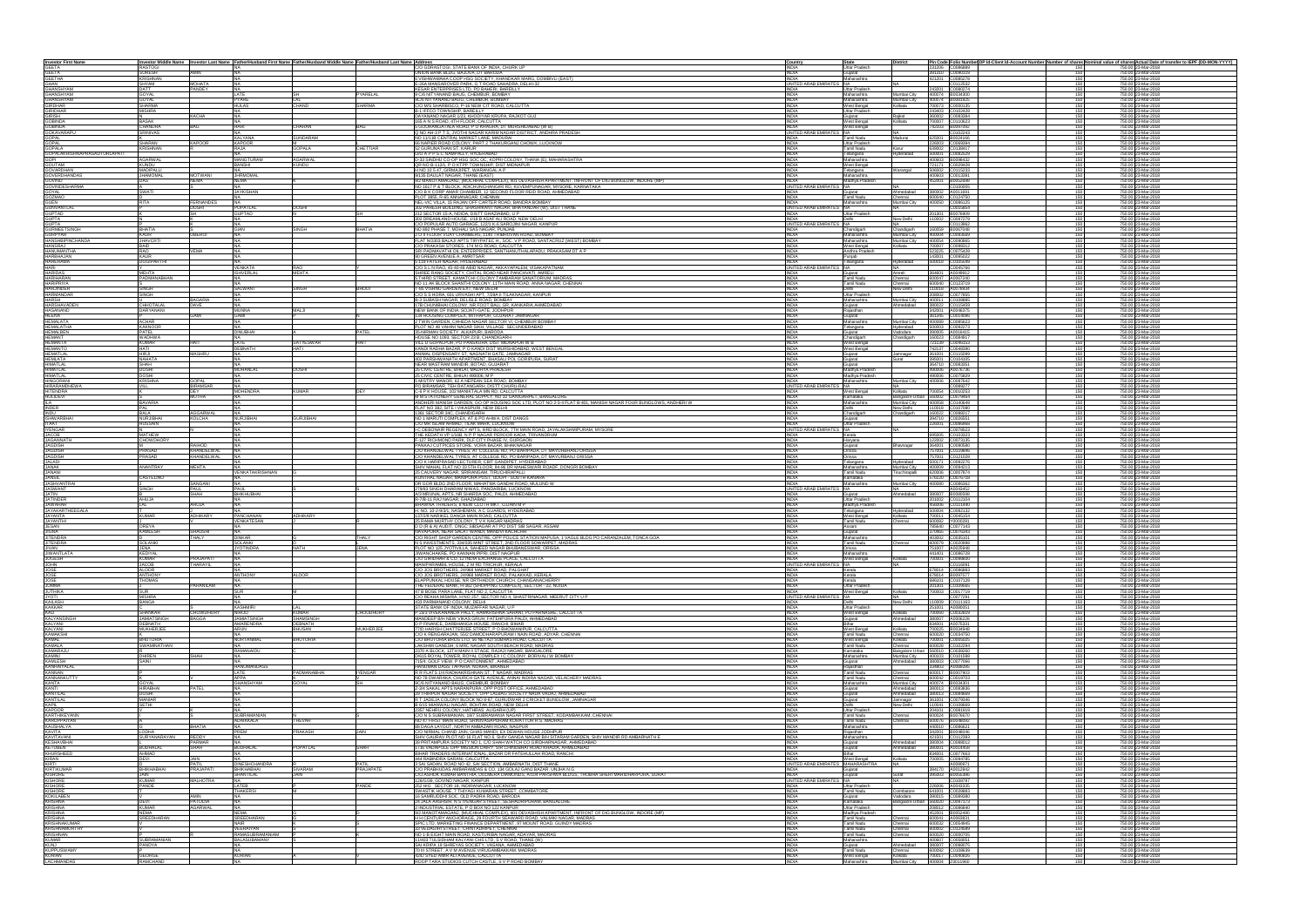| <b>Investor First Name</b>            |                                      |                          |                                    | Investor Middle Name Investor Last Name Father/Husband First Name Father/Husband Middle Name Father/Husband Last Name Address |                     |                                                                                                                                                                                                                             | Country                                 |        | <b>State</b>                         | <b>District</b>                                                       |                                    | Pin Code Folio Number DP Id-Client Id-Account Number Number of shares Nominal value of shares Actual Date of transfer to IEPF (DD-MON-YYYY) |                                                                |  |
|---------------------------------------|--------------------------------------|--------------------------|------------------------------------|-------------------------------------------------------------------------------------------------------------------------------|---------------------|-----------------------------------------------------------------------------------------------------------------------------------------------------------------------------------------------------------------------------|-----------------------------------------|--------|--------------------------------------|-----------------------------------------------------------------------|------------------------------------|---------------------------------------------------------------------------------------------------------------------------------------------|----------------------------------------------------------------|--|
| GEETA<br><b>SFFTA</b>                 | RASTOGI<br><b>SURESH</b>             |                          |                                    |                                                                                                                               |                     | C/O GDRASTOGI, STATE BANK OF INDIA, CHURK UP<br>UNION BANK BLDG, BAJUVA, DT BARODA                                                                                                                                          | <b>INDIA</b><br><b>INDIA</b>            |        | Uttar Pradesh<br>Gujarat             |                                                                       |                                    | 231206 C0086889<br>391310 C0090119                                                                                                          | 750.00 23-Mar-2018<br>750.00 23-Mar-2018                       |  |
| <b>GEETHA</b><br>GHAN                 | <b>KRISHNAN</b><br><b>SHYAM</b>      | MOHATA                   |                                    |                                                                                                                               |                     | VISHWAMAHA COOP HSG SOCIETY, KHANDKAR MARG, DOMBIVLI (EAST)<br>E-26A MANSAROVER PARK, G T ROAD SAHADRA, DELHI-32                                                                                                            | <b>INDIA</b><br>UNITED ARAB EMIRATES NA |        | <b>Maharashtra</b>                   |                                                                       | 421201                             | C0085278<br>C0112532                                                                                                                        | 750.00 23-Mar-2018<br>750.00 23-Mar-2018                       |  |
| <b>GHANSHYAM</b>                      | GOYAL                                | <b>PANDEY</b>            |                                    |                                                                                                                               | PYARELAL            | KESAR ENTERPRISES LTD, PO BAHERI, BAREILLY                                                                                                                                                                                  | <b>INDIA</b><br><b>INDIA</b>            |        | Uttar Pradesh                        |                                                                       | 243201 C0080274                    |                                                                                                                                             | 750.00 23-Mar-2018                                             |  |
| <b>GHANSHYAM</b><br><b>GHANSHYAM</b>  | GOYAL                                |                          | PYARE                              |                                                                                                                               |                     | 9 C/6 NITYANAND BAUG, CHEMBUR, BOMBAY<br>9C/6 NITYANAND BAUG, CHEMBUR, BOMBAY                                                                                                                                               | <b>INDIA</b>                            |        | Maharashtra<br>Maharashtra           | Vlumbai City<br>Mumbai City                                           | 400074 B0034300<br>400074 B0081925 | 150                                                                                                                                         | 750.00 23-Mar-2018<br>750.00 23-Mar-2018                       |  |
| GIRDHAR<br>GIRIDHAR                   | <b>SHARMA</b><br><b>MISHRA</b>       |                          | <b>HULAS</b>                       | CHAND                                                                                                                         | SHARMA              | C/O M/S SHARBISCO, P-16 NEW CIT ROAD, CALCUTTA<br>B-1 IFFCO TOWNSHIP, BAREILLY                                                                                                                                              | <b>INDIA</b><br><b>INDIA</b>            |        | West Bengal<br>Uttar Pradesh         | Kolkata                                                               | 700073 C0000135                    | 150<br>243403 C0102428<br>360002 C0083384<br>150                                                                                            | 750.00 23-Mar-2018                                             |  |
| <b>SIRISH</b><br><b>SOBINDA</b>       | <b>BASAK</b>                         | <b>KACHA</b>             |                                    |                                                                                                                               |                     | DAYANAND NAGAR 1/23, KHODIYAR KRUPA, RAJKOT GUJ<br>165 A N S ROAD, 4TH FLOOR, CALCUTTA                                                                                                                                      | <b>INDIA</b><br><b>INDIA</b>            |        | Gujarat<br>West Bengal               | Rajkot<br>Kolkata                                                     |                                    |                                                                                                                                             | 750.00 23-Mar-2018<br>750.00 23-Mar-2018                       |  |
| <b>GOBINDA</b><br><b>GOKAVARAPI</b>   | <b>CHANDRA</b><br>SRINIVAS           |                          | HAR                                | CHARAN                                                                                                                        |                     | GOURANGATALA ROAD, P O KHAGRA, DT MURSHIDABAD (W B)<br>I NO AH-3 P T S, JYOTHI NAGAR KARIM NAGAR DISTRICT, ANDHRA PRADESH                                                                                                   | <b>INDIA</b><br>UNITED ARAB EMIRATES NA |        | West Bengal                          |                                                                       | 700007 C0110623<br>742103 B0097092 | C0102243                                                                                                                                    | 750.00 23-Mar-2018<br>750.00 23-Mar-2018<br>750.00 23-Mar-2018 |  |
| OPAL                                  |                                      |                          | KALYANA                            | UNDARAM                                                                                                                       |                     | NO 11/11B CENTRAL MARKET LANE, MADURAI                                                                                                                                                                                      | <b>INDIA</b>                            |        | <b>Tamil Nadu</b>                    | Madurai                                                               | 625001 B0024166                    |                                                                                                                                             | 750.00 23-Mar-2018<br>750.00 23-Mar-2018                       |  |
| <b>SOPAL</b><br><b>GOPALA</b>         | SHARAN<br><b>KRISHNAN</b>            | KAPOOR                   | <b>KAPOOR</b><br>RAJA              | <b>GOPALA</b>                                                                                                                 | CHETTIAR            | 66 NAPIER ROAD COLONY, PART 2 THAKURGANJ CHOWK, LUCKNOW<br>52 GURUNATHAN ST, KARUR                                                                                                                                          | <b>INDIA</b><br><b>INDIA</b>            |        | Uttar Pradesh<br>Tamil Nadu          | Karur                                                                 | 226003 C0069394                    | 639002 C0138417<br>150                                                                                                                      | 750.00 23-Mar-2018                                             |  |
| GOPALAKRISHNAPRASADTURLAPATI          |                                      |                          | <b>NA</b><br>MANGTURAM             | <b>AGARWAL</b>                                                                                                                |                     | O/O A P P S C NAMPALLY, HYDERABAD                                                                                                                                                                                           | <b>INDIA</b><br><b>INDIA</b>            |        | Telangana<br>Maharashtra             | Hyderabad                                                             |                                    | 500001 C0082529<br>150                                                                                                                      | 750.00 23-Mar-2018<br>750.00 23-Mar-2018                       |  |
| OUTAM<br><b>SOVARDHAN</b>             | <b>KUNDU</b><br><b>MADIPALL</b>      |                          | BANSHI                             | <b>KUNDU</b>                                                                                                                  |                     | D-33 SINDHU CO-OP HSG SOC OC, KOPRI COLONY, THANA (E), MAHARASHTRA QR NO B-112/1, P O KTPP TOWNSHIP, DIST MIDNAPUR<br>H NO 10 5 47, GIRMAJIPET, WARANGAL A P                                                                | <b>INDIA</b><br><b>INDIA</b>            |        | West Bengal<br>elangana              | Warangal                                                              | 400603 B0098432<br>721171 C0029428 | 506002 C0115233                                                                                                                             | 750.00 23-Mar-2018<br>750.00 23-Mar-2018                       |  |
| OVERDHANDAS<br>OVIND                  | JHAMOMAL                             | <b>IIANTON</b>           | <b>JHRMOMAL</b><br><b>VEMA</b>     |                                                                                                                               |                     | 9/135 DAULAT NAGAR, THANE (EAST)<br>1/2 MANOTAMAGANJ, (MUCHHAL COMPLEX), 401 DEVASHISH APARTMENT, INFRONT OF DIG BUNGLOW, INDORE (MP)                                                                                       | <b>INDIA</b><br><b>INDIA</b>            |        | Maharashtra                          |                                                                       | 400603 C0013391                    |                                                                                                                                             | 750.00 23-Mar-2018<br>750.00 23-Mar-2018                       |  |
| <b>GOVINDESHARM</b>                   |                                      |                          | NA.                                |                                                                                                                               |                     | NO 1617 P & T BLOCK, ADICHUNCHANGIRI RD, KUVEMPUNAGAR, MYSORE, KARNATAKA                                                                                                                                                    | UNITED ARAB EMIRATI                     | S INA. | <i>A</i> adhya Pradesi               |                                                                       | 452001 B0052698                    | C0100005<br>150                                                                                                                             | 750.00 23-Mar-2018                                             |  |
| GOYAL<br><b>GOZMAO</b>                | SWATI                                |                          | <b>JAYKISHAN</b>                   |                                                                                                                               |                     | C/O B K CORP AMAR CHAMBER, 12 SECOND FLOOR REID ROAD, AHMEDABAD<br>PLOT 3855, R-65 ANNANAGAR, CHENNAI                                                                                                                       | <b>INDIA</b><br><b>INDIA</b>            |        | Gujarat<br><b>Tamil Nadu</b>         | Ahmedabad<br>Chennai                                                  | 380002 A0011691<br>600040 C0124750 | 150                                                                                                                                         | 750.00 23-Mar-2018<br>750.00 23-Mar-2018<br>750.00 23-Mar-2018 |  |
| 3UEN -<br><b>GUNVANTLAL</b>           | <b>RITA</b>                          | ERNANDES<br>OSHI         | <b>POPATLAL</b>                    | DOSHI                                                                                                                         |                     | NEL-VIC VILLA, 15 RAJAN OFF CARTER ROAD, BANDRA BOMBAY<br>302 PARESH BUILDING, SHASHIKANT NAGAR, BHAYANDAR (W), DIST THANE                                                                                                  | <b>INDIA</b><br>UNITED ARAB EMIRATI     | FS INA | Maharashtra                          | Mumbai City                                                           | 400050 C0086125                    | C0015854<br>150                                                                                                                             | 750.00 23-Mar-2018                                             |  |
| <b>GUPTAD</b><br><b>UPTA</b>          |                                      |                          | GUPTAD                             |                                                                                                                               |                     | 12 SECTOR 15-A, NOIDA, DISTT GHAZIABAD, U P<br>02 DREAMLAND HOUSE, 1/18 B ASAF ALI ROAD, NEW DELHI                                                                                                                          | <b>INDIA</b><br><b>INDI</b>             |        | Jttar Pradesh<br><b>Delhi</b>        | New Delhi                                                             | 110002 C0097279                    | 01301 B0076909                                                                                                                              | 750.00 23-Mar-2018<br>750.00 23-Mar-2018                       |  |
| <b>HIPTA</b>                          |                                      |                          |                                    |                                                                                                                               |                     | C/O POPULAR AUTO GARAGE, 122/1 K-6 SAROJINI NAGAR, KANPUR                                                                                                                                                                   | UNITED ARAB EMIRATES NA                 |        |                                      |                                                                       |                                    | C0113962                                                                                                                                    | 750.00 23-Mar-2018                                             |  |
| <b>GURMEETSINGH</b><br><b>GURPYAR</b> | <b>BHATIA</b><br><b>KAUR</b>         | <b>OBEROI</b>            | GIAN                               | SINGH                                                                                                                         | BHATIA              | NO 892 PHASE 7, MOHALI SAS NAGAR, PUNJAB<br>2 O II FLOOR VIJAY CHAMBERS, 1140 TRIBHUVAN ROAD, BOMBAY                                                                                                                        | <b>INDIA</b><br><b>INDIA</b>            |        | handigarh:<br>Maharashtra            | Chandigarh<br>Mumbai City                                             | 160059 B0067048<br>400004 C0093569 | 150                                                                                                                                         | 750.00 23-Mar-2018<br>750.00 23-Mar-2018                       |  |
| HANSHBIPINCHANDA<br>HANSRA.I          | <b>JHAVCRTI</b><br><b>BAID</b>       |                          |                                    |                                                                                                                               |                     | FLAT NO303 BALAJI APTS TIRYPATEC H., SOC. V.P ROAD, SANTACRUZ (WEST) BOMBAY<br>C/O PRAKASH STORES, 174 M G ROAD, CALCUTTA                                                                                                   | <b>INDIA</b><br><b>INDIA</b>            |        | Maharashtra<br>West Bengal           | Mumbai City<br>Kolkata                                                | 400054 C0090865<br>700007 C0098312 | 150                                                                                                                                         | 750.00 23-Mar-2018<br>750.00 23-Mar-2018                       |  |
| <b>HANUMANTHA</b><br><b>HARBHAJAN</b> | RAO                                  | /EMA                     |                                    |                                                                                                                               |                     | SRI PADMAVATHI OIL ENTERPRISES, SANTHANUTHALAPADU, PRAKASAM DT A P<br>90 GREEN AVENUE A, AMRITSAR                                                                                                                           | <b>INDIA</b><br><b>INDIA</b>            |        | Andhra Pradesh<br><sup>3</sup> unjab |                                                                       | 523225 C0075428<br>143001 C0095022 |                                                                                                                                             | 750.00 23-Mar-2018<br>750.00 23-Mar-2018                       |  |
| <b>HARERAMA</b><br><b>HARI</b>        | <b>DOGIPARTHI</b>                    |                          | /ENKATA                            |                                                                                                                               |                     | 5 119 FATEH NAGAR, HYDERABAD<br>C/O S L N RAO, 45-40-48 ABID NAGAR, AKKAYAPALEM, VISAKAPATNAM                                                                                                                               | <b>INDIA</b>                            |        | Telangana                            | Hyderabad                                                             |                                    | 500018 C0105549<br>C0045766                                                                                                                 | 750.00 23-Mar-2018                                             |  |
| HARIDAS                               | <b>MEHTA</b>                         |                          | ISHVERLAL                          | <b>MEHTA</b>                                                                                                                  |                     | SHREE RANG SOCIETY, CHITAL ROAD NEAR PANCHVATI, AMRELI                                                                                                                                                                      | UNITED ARAB EMIRATI<br><b>INDIA</b>     |        | Gujarat                              | Amreli                                                                | 364601                             | A0049912                                                                                                                                    | 750.00 23-Mar-2018<br>750.00 23-Mar-2018                       |  |
| <b>HARIHARAN</b><br><b>HARIPRIYA</b>  | PADMANABHAN                          |                          |                                    |                                                                                                                               |                     | 5 THIRD STREET, KAMATCHI COLONY TAMBARAM SANATORIUM, MADRAS<br>NO 11 AK BLOCK SHANTHI COLONY, 11TH MAIN ROAD, ANNA NAGAR, CHENNAI                                                                                           | <b>INDIA</b><br><b>INDIA</b>            |        | Tamil Nadu<br>Tamil Nadu             | Chennai<br>Chennai                                                    |                                    | 600047 A0067240<br>150<br>600040 C0123719<br>150                                                                                            | 750.00 23-Mar-2018<br>750.00 23-Mar-2018                       |  |
| <b>HARJINDER</b><br><b>HARMANDAR</b>  | SINGH<br>SINGH                       |                          | SALWANT                            | <b>SINGH</b>                                                                                                                  | <b>BHOUI</b>        | -85 VISHNU GARDEN EXT, NEW DELHI<br>C/O S S HORA, 601 URVASHI APT, 7/29A II TILAKNAGAR, KANPUR                                                                                                                              | <b>INDIA</b><br><b>INDIA</b>            |        | Jelhi<br>Uttar Pradesh               | <b>New Delhi</b>                                                      | 110018 A0078934<br>208002 C0077855 |                                                                                                                                             | 750.00 23-Mar-2018<br>750.00 23-Mar-2018                       |  |
| <b>HARSH</b><br><b>HARSHAVADE</b>     | <u>CHHOTALAL</u>                     | AGARIA                   |                                    |                                                                                                                               |                     | B-3 SUBASH NAGAR, DELISLE ROAD, BOMBAY<br>7B CHUNIBHAI COLONY, NR FOOT BALL GR, KANKARIA AHMEDABAD                                                                                                                          | <b>INDIA</b><br><b>INDIA</b>            |        | Maharashtra                          | Mumbai City<br>Ahmedabad                                              |                                    | 400011 C0108885                                                                                                                             | 750.00 23-Mar-2018                                             |  |
| HASANAND                              | <b>JARYANAN</b>                      |                          | MUNNA                              | MALJI                                                                                                                         |                     | NEW BANK OF INDIA, SOJATI-GATE, JODHPUR                                                                                                                                                                                     | <b>INDIA</b>                            |        | Gujarat<br>Rajasthan                 |                                                                       | 380022 C0115459<br>342001 A0046375 |                                                                                                                                             | 750.00 23-Mar-2018<br>750.00 23-Mar-2018                       |  |
| <b>HEENA</b><br><b>HEMALATA</b>       | <b>ACHAR</b>                         |                          | GAMI                               |                                                                                                                               |                     | 134 HOUSING COMPLEX, MITHAPUR, GUJARAT JAMNAGAR<br>2 TWIN GARDEN, CHHEDA NAGAR SECTOR VI, CHEMBUR BOMBAY                                                                                                                    | <b>INDIA</b><br><b>INDIA</b>            |        | Gujarat<br>Maharashtra               | Mumbai City                                                           | 361345 C0014086<br>400089 C0085623 | 150                                                                                                                                         | 750.00 23-Mar-2018<br>750.00 23-Mar-2018                       |  |
| <b>HEMALATHA</b><br><b>HEMALBEN</b>   | <b>KAKNOOR</b>                       |                          | <b>DINUBHAI</b>                    |                                                                                                                               |                     | PLOT NO 48 VAHINI NAGAR SIKH, VILLAGE SECUNDERABAD<br>5-NIRMAN SOCIETY, ALKAPURI, BARODA                                                                                                                                    | <b>INDIA</b><br><b>INDIA</b>            |        | Telangana<br>Gujarat                 | Hyderabad<br>Vadodara                                                 | 500003 C0092273<br>390005 A0016415 | 150                                                                                                                                         | 750.00 23-Mar-2018<br>750.00 23-Mar-2018                       |  |
| <b>HEMANT</b><br><b>HFMANTA</b>       | <b>WADHWA</b>                        |                          |                                    |                                                                                                                               |                     | HOUSE NO 1093, SECTOR 23 B, CHANDIGARH<br>VILL D GOPALPUR, PO PANSKURA, DIST MIDNAPUR W B                                                                                                                                   | <b>INDIA</b>                            |        | Chandigarh                           | Chandigarh                                                            | 160023 C0084917                    | 150                                                                                                                                         | 750.00 23-Mar-2018<br>750.00 23-Mar-2018                       |  |
| <b>HEMANTO</b>                        | <b>KUMAR</b><br>HATI                 |                          | DEBNATH                            | SATYESWAR                                                                                                                     |                     | KANDI RADHA BAZAR, P O KANDI DIST MURSHIDABAD, WEST BENGAL                                                                                                                                                                  | <b>INDIA</b><br><b>INDIA</b>            |        | West Bengal<br>West Bengal           |                                                                       | 742137 C0048390                    | 21139 C0046153                                                                                                                              | 750.00 23-Mar-2018                                             |  |
| HEMATLAL<br><b>HEMLATA</b>            | <b>HIRJI</b><br>NAHATA               | <b>MASHRU</b>            |                                    |                                                                                                                               |                     | ANIMAL DISPENSARY ST, NAGNATH GATE, JAMNAGAR<br>102 PARSHWANATH APARTMENT, BHASALI POL GORIPURA, SURAT                                                                                                                      | <b>INDIA</b><br><b>INDIA</b>            |        | Gujarat<br>Gujarat                   | Jamnagar                                                              | 361001 C0115099                    | 395001 C0104105                                                                                                                             | 750.00 23-Mar-2018<br>750.00 23-Mar-2018                       |  |
| <b>HIMATLAL</b><br>HIMATLAL           | <b>SHAH</b><br><b>DOSHI</b>          |                          | <b>NA</b><br>MOHANLAL              | DOSHI                                                                                                                         |                     | NEAR MASTRAM MANDIR, BOTAD, GUJARAT<br>25 CIVIC CENTRE, BHILAI, MADHYA PRADESH                                                                                                                                              | <b>INDIA</b><br><b>INDIA</b>            |        | Gujarat<br>Madhya Pradesh            |                                                                       | 490006 A0076736                    | 364710 C0083351<br>150<br>150                                                                                                               | 750.00 23-Mar-2018<br>750.00 23-Mar-2018                       |  |
| <b>HIMATLAL</b><br><b>HINGORANI</b>   | DOSHI<br><b>KRISHNA</b>              |                          |                                    |                                                                                                                               |                     | 25 CIVIC CENTRE, BHILAI 490006, M P<br>5 MISTRY MANOR, 62 A NEPEAN SEA ROAD, BOMBAY                                                                                                                                         | <b>INDIA</b><br><b>INDIA</b>            |        | Madhya Pradesh<br>Maharashtra        |                                                                       | 400006 C0087642                    | 490006 C0075829                                                                                                                             | 750.00 23-Mar-2018<br>750.00 23-Mar-2018                       |  |
| <b>HIRARAMDHEWA</b>                   | <b>VILL</b>                          | GOPAL<br>BIRAMSAR        |                                    |                                                                                                                               |                     | PO BIRAMSAR, TEH RATANGARH, DISTT CHURU-RAJ                                                                                                                                                                                 | UNITED ARAB EMIRATI                     |        |                                      | Mumbai City                                                           |                                    | C0089277                                                                                                                                    | 750.00 23-Mar-2018                                             |  |
| <b>HITENDRA</b><br>HULIDEVI           |                                      | MUTHA                    | <b>MOHENDRA</b>                    | <b>KUMAR</b>                                                                                                                  |                     | C-6 P K HOUSE, 102 MANIKTALA MN RD, CALCUTTA<br>M M STATIONERY GENERAL SUPPLY, NO 32 GANIGARPET, BANGALORE<br>ANDHERI MANISH GARDEN, GO OP HOUSING SOC LTD, PLOT NO 2-3-4 FLAT B-401, MANISH NAGAR FOUR BUNGLOWS, ANDHERI W | <b>INDIA</b><br><b>INDIA</b>            |        | West Bengal<br>Kamataka              | Kolkata<br>Bangalore Urban 560002 C0079464                            | 700054 C0010253                    |                                                                                                                                             | 750.00 23-Mar-2018<br>750.00 23-Mar-2018                       |  |
| <b>ILA</b><br><b>INDER</b>            | <b>BAVARIA</b>                       |                          |                                    |                                                                                                                               |                     | FLAT NO 382, SITE I VIKASPURI, NEW DELHI                                                                                                                                                                                    | <b>INDIA</b><br><b>INDIA</b>            |        | Maharashtra<br>Delhi                 | Mumbai City<br>New Delhi                                              | 110018 C0107080                    | 400058 C0140649<br>150<br>150                                                                                                               | 750.00 23-Mar-2018<br>750.00 23-Mar-2018                       |  |
| INDU<br><b>ISHWARBHA</b>              | <b>BALA</b><br>NURJIBHAI             | AGGARWAI<br>OLCHA        | IURJIBHAI                          | <b>SURJIBHA</b>                                                                                                               |                     | 1361 SECTOR 34C, CHANDIGARH<br>NO 1 MARUTI COMPLEX, AT & PO AHWA, DIST DANGS                                                                                                                                                | <b>INDIA</b><br><b>INDIA</b>            |        | Chandigarh<br>Gujarat                | Chandigarh                                                            |                                    | 160022 C0088217<br>394710 C0026551<br>150                                                                                                   | 750.00 23-Mar-2018<br>750.00 23-Mar-2018                       |  |
| TAAT                                  | <b>HUSSAIN</b>                       |                          |                                    |                                                                                                                               |                     | /O MR ISLAM AHMAD, TILAK MARK, LUCKNOW                                                                                                                                                                                      | <b>INDIA</b>                            |        | Uttar Pradesh                        |                                                                       | 226001 C0086968                    |                                                                                                                                             | 750.00 23-Mar-2018                                             |  |
| YENGAR<br><b>JACOB</b>                | <b>MATHEW</b>                        |                          |                                    |                                                                                                                               |                     | -C DEBONAIR REGENCY APTS, IIIRD BLOCK, 7TH MAIN ROAD, JAYALAKSHMIPURAM, MYSORE<br>HE KEDATH VP 1/16B, N P P NAGAR PEROOR KADA, TRIVANDRUM                                                                                   | UNITED ARAB EMIRA'<br><b>INDIA</b>      |        | S NA<br>Kerala                       |                                                                       | 695005 C0103323                    | C0078523                                                                                                                                    | 750.00 23-Mar-2018<br>750.00 23-Mar-2018                       |  |
| <b>JAGANNATH</b><br><b>JAGDISH</b>    | <b>CHOWDHORY</b>                     | AIHOD:                   |                                    |                                                                                                                               |                     | F-127 RICHMOND PARK, DLF CITY PHASE IV, GURGAON<br>PANKAJ CUTPICES STORE, VORA BAZAR, BHAKNAGAR                                                                                                                             | <b>INDIA</b><br><b>INDIA</b>            |        | Haryana<br>Gujarat                   | 3havnagar                                                             | 364001 C0090580                    | 150<br>122002 C0073135                                                                                                                      | 750.00 23-Mar-2018<br>750.00 23-Mar-2018                       |  |
| <b>JAGDISH</b><br><b>JAGDISH</b>      | PRASAD<br>PRASAD                     | KHANDELWAL<br>KHANDELWAL |                                    |                                                                                                                               |                     | C/O KHANDELWAL TYRES, AT COLLEGE RD, PO BARIPADA, DT MAYURBHANJ ORISSA<br>C/O KHANDELWAL TYRES, AT COLLEGE RD, PO BARIPADA, DT MAYURBANJ ORISSA                                                                             | <b>INDIA</b><br><b>INDIA</b>            |        | Orissa<br>Orissa                     |                                                                       |                                    | 757001 C0119846<br>150<br>150                                                                                                               | 750.00 23-Mar-2018<br>750.00 23-Mar-2018                       |  |
| <b>JALADI</b>                         |                                      |                          |                                    |                                                                                                                               |                     | OK HARIPRASAD LECTURER, CBIT GANDIPET, HYDERABAD<br>HIV MAHAL FLAT NO 33 5TH FLOOR, 84-86 DR MAHESWARI ROADF, DONGRI BOMBAY                                                                                                 | <b>INDIA</b>                            |        | Telangana                            | lyderabad                                                             |                                    | 757001 C0121028<br>500171 C0092276                                                                                                          | 750.00 23-Mar-2018                                             |  |
| <b>JANAK</b><br>JANANI                | ANANTRAY                             | <b>IEHTA</b>             | /ENKATAKRISHNAN                    |                                                                                                                               |                     | 25 CAUVERY NAGAR, SRIRANGAM, TIRUCHIRAPALLI                                                                                                                                                                                 | <b>INDIA</b><br><b>INDIA</b>            |        | Maharashtra<br>Tamil Nadu            | Vlumbai City<br>iruchirapalli                                         | 400009 C0094213<br>620006 C0007874 |                                                                                                                                             | 750.00 23-Mar-2018<br>750.00 23-Mar-2018                       |  |
| <b>JANSIL</b><br><b>JASHVANTRAI</b>   | CASTELINO                            | ANGANI                   |                                    |                                                                                                                               |                     | KUNTHAL NAGAR, MANIPURA POST, UDUPI - SOUTH KANARA<br>DR GOR BLDG 2ND FLOOR, MAHATMA GANDHI ROAD, MULUND W                                                                                                                  | <b>INDIA</b><br><b>INDIA</b>            |        | Kamataka<br>Maharashtra              | lumbai City                                                           | 400080 C0086362<br>A0043452        | 576120 C0076718<br>150                                                                                                                      | 750.00 23-Mar-2018<br>750.00 23-Mar-2018                       |  |
| <b>JASWANT</b><br><b>JATIN</b>        | SINGH                                | PAUL<br>SHAH             | PAUI<br>BHIKHUBHAI                 |                                                                                                                               |                     | 279/83 SINGH DHARAM NIWAS, PANDARIBA, LUCKNOW<br>A/3 MRUNAL APTS, NR SHARDA SOC, PALDI, AHMEDABAD                                                                                                                           | UNITED ARAB EMIRATES NA<br><b>INDIA</b> |        | Gujarat                              | hmedabad                                                              |                                    | 380007 B0080598<br>150                                                                                                                      | 750.00 23-Mar-2018<br>750.00 23-Mar-2018                       |  |
| <b>JATINDER</b><br><b>JAWAHAR</b>     | AHUJA<br>LAL                         | AHUJA                    |                                    |                                                                                                                               |                     | R-7/B-11 RAJ NAGAR, GHAZIABAD<br>BHAWNA TRADERS, 8 NEW CLOTH MKT, UJJAIN M I                                                                                                                                                | <b>INDIA</b><br><b>INDIA</b>            |        | Uttar Pradesh<br>Madhya Pradesh      |                                                                       |                                    | 201002 C0112104<br>150<br>456006 C0111440                                                                                                   | 750.00 23-Mar-2018                                             |  |
| <b>JAYAKARTHEEGALA</b>                |                                      |                          |                                    |                                                                                                                               |                     | H. NO. 10-2-9/3/1, NASHEMAN, A C GUARDS, HYDERABAD                                                                                                                                                                          | <b>INDIA</b>                            |        | lelangana                            | Hyderabad                                                             | 500004 C0082132                    |                                                                                                                                             | 750.00 23-Mar-2018<br>750.00 23-Mar-2018                       |  |
| JAYANTA<br><b>JAYANTHI</b>            | KUMAR                                | <b>ADHIKARY</b>          | PANCHANAN<br>VENKATESAN            | <b>ADHIKARY</b>                                                                                                               |                     | 137/2/9 NARIKEL DANGA MAIN ROAD, CALCUTTA<br>5 RAMA MURTHY COLONY, TV K NAGAR MADRAS                                                                                                                                        | <b>INDIA</b><br><b>INDIA</b>            |        | West Bengal<br>Tamil Nadu            | Kolkata<br>Chennai                                                    | 600082 Y0000281                    | 150<br>700011 C0045154                                                                                                                      | 750.00 23-Mar-2018<br>750.00 23-Mar-2018                       |  |
| JESAN<br><b>IJIGNA</b>                | KAMLESH                              | <u>SHAUSHI</u>           |                                    |                                                                                                                               |                     | D (R & A) AUDIT, ONGC SIBSAGAR AT PO DIST SIB SAGAR, ASSAM<br>NAVAPURA, NEAR SALAT WANDI, MANDVI KACHCHH                                                                                                                    | <b>INDIA</b><br><b>INDIA</b>            |        | Assam<br>Gujarat                     |                                                                       |                                    | 85640 C0077143<br>370465 C0076343                                                                                                           | 750.00 23-Mar-2018<br>750.00 23-Mar-2018                       |  |
| <b>JITENDRA</b><br><b>JITENDRA</b>    | SOLANKI                              | HALY                     | <b>DINKAR</b><br><b>SOLANK</b>     |                                                                                                                               | <b><i>FHALY</i></b> | C/O RIGHT SHOP GARDEN CENTRE, OPP POLICE STATION MAPUSA, 1 VAGLE BLDG PO CARANZALEM, TONCA GOA<br>N S INVESTMENTS, 334/335 MINT STREET, 2ND FLOOR SOWARPET, MADRAS                                                          | <b>INDIA</b><br><b>INDIA</b>            |        | Maharashtra<br>Tamil Nadu            | Chennai                                                               | 403002 C0035101                    | 150<br>150                                                                                                                                  | 750.00 23-Mar-2018<br>750.00 23-Mar-2018                       |  |
| <b>JIWANTI ATA</b>                    |                                      |                          |                                    |                                                                                                                               |                     | OT NO 125 JYOTIVILLA, SAHEED NAGAR BHUBANESWAR, ORISSA<br>JIWANCHAKRE, PO KANNAN PIPRI, DIST NAGPUR                                                                                                                         | <b>INDIA</b>                            |        |                                      |                                                                       | 600079 C0020998<br>751007 A0025948 |                                                                                                                                             |                                                                |  |
| JOGESH                                | <b>KEDIYA</b><br>KUMAR               | RAJAPATI                 |                                    |                                                                                                                               |                     | C/O GIRIDHAR & CO, 12 INDIA EXCHANGE PLACE, CALCUTTA                                                                                                                                                                        | <b>INDIA</b>                            |        | Maharashtra<br>West Bengal           | Kolkata                                                               |                                    | 441401 C0086728                                                                                                                             | 750.00 23-Mar-2018<br>750.00 23-Mar-2018<br>750.00 23-Mar-2018 |  |
| JOHN<br>JOSE                          | <b>JACOB</b><br>ALOOR<br>ANTHONY     | HARAYIL                  |                                    |                                                                                                                               |                     | MANIPARAMBIL HOUSE, Z M RD TRICHUR, KERALA<br>C/O JOS BROTHERS, 24/968 MARKET ROAD, PALGHAT                                                                                                                                 | UNITED ARAB EMIRATES NA<br><b>INDIA</b> |        | Kerala                               |                                                                       |                                    | C0116091<br>678014 C0096883                                                                                                                 | 750.00 23-Mar-2018                                             |  |
| <b>JOSE</b><br>JOSE                   | <b>THOMAS</b>                        |                          | <b>ANTHONY</b>                     | <b>ALOOR</b>                                                                                                                  |                     | C/O JOS BROTHERS, 24/968 MARKET ROAD, PALAKKAD, KERALA<br>ELAPPUNKAL HOUSE, NR ORTHADOX CHURCH, CHANGANACHERRY                                                                                                              | <b>INDIA</b><br><b>INDIA</b>            |        | Kerala<br>Kerala                     |                                                                       | 678014 B0097577                    | 686101 C0107128<br>150                                                                                                                      | 750.00 23-Mar-2018<br>750.00 23-Mar-2018                       |  |
| <b>JUMMA</b><br><b>ILITHIKA</b>       | <b>SUR</b>                           | PARANILAM                |                                    |                                                                                                                               |                     | THE FEDERAL BANK, H-362 (SHOPPING COMPLEX), SECTOR - 22, NOIDA<br>47 B BOSE PARA LANE, FLAT NO 2, CALCUTTA                                                                                                                  | <b>INDIA</b><br><b>INDIA</b>            |        | Uttar Pradesh                        | Kolkata                                                               |                                    | 201301 C0109565<br>150<br>150                                                                                                               | 750.00 23-Mar-2018                                             |  |
|                                       | <b>MISHRA</b>                        |                          |                                    |                                                                                                                               |                     | O REKHA MISHRA, H NO 257, SECTOR NO 4, SHASTRINAGAR, MEERUT CITY U P                                                                                                                                                        | UNITED ARAB EMIRATE                     |        | West Bengal                          |                                                                       |                                    | 700003 C0017719<br>C0077291                                                                                                                 | 750.00 23-Mar-2018<br>750.00 23-Mar-2018                       |  |
| <b>KAILASH</b><br><b>KAKKAR</b>       | BANGA                                |                          | KASHMIR                            |                                                                                                                               |                     | 433 PARMANAND COLONY, DELHI<br>STATE BANK OF INDIA, MUZAFFAR NAGAR, U P<br>STATE BANK OF INDIA, MUZAFFAR NAGAR, U P<br>P 23/3 VIVEKANANDA PALLY, RAMKRISHNA SARANI, PO PARNASRE, CALCUTTA                                   | <b>INDIA</b><br><b>INDIA</b>            |        | Delhi<br><b>Uttar Pradesh</b>        | New Delhi                                                             |                                    | 110009 C0111163<br>251001 A0080051<br>700060 C0032819                                                                                       | 750.00 23-Mar-2018<br>750.00 23-Mar-2018<br>750.00 23-Mar-2018 |  |
| KALI<br>KALYANSINGH                   | <b>SHANKAR</b><br><b>JAMIATSINGH</b> | <b>HOW DHURY</b>         | <b>NIROD</b><br><b>JAMIATSINGH</b> | UMAR <sup>:</sup><br>SHAMSINGH                                                                                                | <b>HOUDHURY</b>     | MANDEEP B/H NEW VIKAS GRUH, FATEHPURA PALDI, AHMEDABAD                                                                                                                                                                      | <b>INDIA</b><br><b>INDIA</b>            |        | West Bengal<br>Gujarat               | Kolkata<br>Ahmedabad                                                  |                                    | 380007 A0006228<br>150                                                                                                                      | 750.00 23-Mar-2018                                             |  |
| KALYANI<br>KALYANI                    | <b>DEBNATH</b><br>MUKHERJEE          |                          | <b>AMARENDRA</b><br>ARUN           | DEBNATH<br>BHUSAN                                                                                                             | MUKHERJEE           | D P FINANCE, DARBHANGA HOUSE, RANCHI, BIHAR<br>77/D HARISH CHATTERJEE STREET, P O BHOWANIPUR, CALCUTTA                                                                                                                      | <b>INDIA</b><br><b>INDIA</b>            |        | Bihar<br>West Bengal                 | Kolkata                                                               | 834001 A0075331                    | 150<br>700025 B0034948<br>150                                                                                                               | 750.00 23-Mar-2018<br>750.00 23-Mar-2018                       |  |
| <b>KAMAKSHI</b><br><b>KAMAL</b>       | <b>BHUTORIA</b>                      |                          | <b>NORTANMA</b>                    | <b>BHUTORIA</b>                                                                                                               |                     | /O K RENGARAJAN, 55/2 DAMODHARAPURAM I NAIN ROAD, ADYAR, CHENNAI<br>C/O BHUTORIA BROS LTD, 56 NETAJI SUBHAS ROAD, CALCUTTA                                                                                                  | <b>INDIA</b><br><b>INDIA</b>            |        | Tamil Nadu<br>West Bengal            | Chennai                                                               | 600020 C0034750<br>700001 C0005025 | 150                                                                                                                                         | 750.00 23-Mar-2018<br>750.00 23-Mar-2018                       |  |
| <b>KAMALA</b>                         | SWAMINATHAN                          |                          |                                    |                                                                                                                               |                     | LAKSHMI GANESH, 6 MRC NAGAR SOUTH BEACH ROAD, MADRAS                                                                                                                                                                        | <b>INDIA</b>                            |        | Tamil Nadu                           | Kolkata<br>Chennai 600028 C0102294<br>Bangalore Urban 560010 C0038260 |                                    |                                                                                                                                             | 750.00 23-Mar-2018<br>750.00 23-Mar-2018                       |  |
| KAMARAJU<br><b>KAMINI</b>             | DHIREN                               |                          | RAMANAIDU                          |                                                                                                                               |                     | 2370 A BLOCK, 12TH MAIN II STAGE, RAJAJI NAGAR, BANGALORE<br>D/615 ROYAL TOWER, ROYAL COMPLEX I C COLONY, BORIVALI W BOMBAY                                                                                                 | <b>INDIA</b><br><b>INDIA</b>            |        | Kamataka<br>Maharashtra              | Mumbai City 400103 C0101598                                           |                                    | 150                                                                                                                                         | 750.00 23-Mar-2018                                             |  |
| KAMLESH<br>KANHAIYALAL                | SAINI                                |                          | HANUMANDASS                        |                                                                                                                               |                     | 15/4. GOLF VIEW, P O CANTONMENT, AHMEDABAD<br>HANUMAN DASS TAPARIA, NOKHA, BIKANER                                                                                                                                          | <b>INDIA</b><br><b>INDIA</b>            |        | Gujarat<br>Rajasthan                 | Ahmedabad                                                             |                                    | 380003 C0077066<br>334803 A0089285<br>150                                                                                                   | 750.00 23-Mar-2018<br>750.00 23-Mar-2018                       |  |
| <b>KANNAN</b><br>KANNANKUTTY          |                                      |                          | APPA                               | PADMANABHAI                                                                                                                   | <b>/ENGAR</b>       | R R FLATS 1/4 RADHAKRISHNAN ST, T NAGAR, MADRAS<br>NO 78 DWARAKA, CHURCH GATE AVENUE, ANNAI INDIRA NAGAR, VELACHERY MADRAS                                                                                                  | <b>INDIA</b><br><b>INDIA</b>            |        | Tamil Nadu<br>Tamil Nadu             | hennai:<br>Chennai                                                    | 600017 B0007903                    |                                                                                                                                             | 750.00 23-Mar-2018<br>750.00 23-Mar-2018                       |  |
| <b>KANTA</b>                          |                                      |                          | GHANSHYAM                          | GOYAL                                                                                                                         |                     | 9C/6 NITYANAND BAUG, CHEMBUR, BOMBAY                                                                                                                                                                                        | <b>INDIA</b>                            |        | Maharashtra                          | Mumbai City                                                           |                                    | 600042 C0019703<br>400074 B0034301<br>380013 C0083836                                                                                       | 750.00 23-Mar-2018<br>750.00 23-Mar-2018                       |  |
| KANTI<br>KANTILAL                     | <b>HIRABHA</b><br><b>DOSHI</b>       |                          |                                    |                                                                                                                               |                     | Z-3/4 SAKAL APTS NARANPURA, OPP POST OFFICE, AHMEDABAD<br>29 THIRPUR NAGAR SOCIETY, OPP LALBAG SOCIETY NADA VADAJ, AHMEDABAD                                                                                                | <b>INDIA</b><br><b>INDIA</b>            |        | Gujarat<br>Gujarat                   | Ahmedabad<br>Ahmedabad                                                |                                    | 380013 C0084669<br>150                                                                                                                      | 750.00 23-Mar-2018                                             |  |
| KANTILAL<br>KAPIL                     | MANIAR<br><b>SFTHI</b>               |                          |                                    |                                                                                                                               |                     | T JADEJA COLONY BLOCK NO 8-87, GURUDWAR 2 CRICKET BUNGLOW, JAMNAGAR<br>B 6/15 MIANWALI NAGAR, ROHTAK ROAD, NEW DELHI                                                                                                        | <b>INDIA</b><br><b>INDIA</b>            |        | Gujarat<br>Delhi                     | Jamnagar<br>New Delhi                                                 |                                    | 361001 C0079346<br>110041 C0108669                                                                                                          | 750.00 23-Mar-2018<br>750.00 23-Mar-2018                       |  |
| <b>KAPOOR</b><br><b>KARTHIKEYANN</b>  |                                      |                          | <b>SUBRAMANIAN</b>                 |                                                                                                                               |                     | 2357 NEHRU COLONY, HATHRAS ALIGARH (UP)<br>C/O N S SUBRAMANIAN, 18/7 SUBRAMANIA NAGAR FIRST STREET, KODAMBAKKAM, CHENNAI                                                                                                    | <b>INDIA</b><br><b>INDIA</b>            |        | Uttar Pradesh<br>Tamil Nadu          | hennai                                                                |                                    | 204101 C0081919<br>150<br>600024 B0076670<br>150                                                                                            | 750.00 23-Mar-2018<br>750.00 23-Mar-2018                       |  |
| KARUPPAIYAN<br>KAUSHALYA              |                                      | <b>AITAHS</b>            | ADAIKKALA                          | THEVAR                                                                                                                        |                     | NO 47 FIRST MAIN ROAD, SRINIVASAPURAM KORATTUR R S, MADRAS<br>88 DAGA LAYOUT, NORTH AMBAZARI ROAD, NAGPUR                                                                                                                   | <b>INDIA</b><br><b>INDIA</b>            |        | Tamil Nadu<br>Maharashtra            | :hennai                                                               | 600076 B0048092<br>440010 C0086621 |                                                                                                                                             | 750.00 23-Mar-2018<br>750.00 23-Mar-2018                       |  |
| KAVITA                                |                                      |                          | PREM                               | PRAKASH                                                                                                                       | JAIN                | C/O NIRMAL CHAND JAIN, GHAS MANDI, EX DEWAN HOUSE JODHPUR                                                                                                                                                                   | <b>INDIA</b>                            |        | Rajasthan                            |                                                                       |                                    | 342001 B0048046<br>150                                                                                                                      | 750.00 23-Mar-2018                                             |  |
| KAVITAVANI<br>KESHAVBHAI              | URYANARAYA                           | :EDD'<br><b>ARMA</b>     |                                    |                                                                                                                               |                     | SHIV GAURAV PLOT NO 16 FLAT NO 6, SHIV GANGA NAGAR B/H SITARAM GARDEN, SHIV MANDIR RD AMBARNATH E<br>39 PRITAMPURA SOCIETY NO 1, C/O SHAH WATCH CO GIRDHARNAGAR, AHMEDABAD                                                  | <b>INDIA</b><br><b>INDIA</b>            |        | Maharashtra<br>Gujarat               | Ahmedabad 380004 C0088012                                             | 421501 C0112393                    | 150                                                                                                                                         | 750.00 23-Mar-2018<br>750.00 23-Mar-2018                       |  |
| <b>KETUBEN</b><br><b>KHURSHEED</b>    | <b>BUDHALAI</b><br>AHMAD             | SHAH                     | <b>BUDHALAL</b>                    | POPATLAL                                                                                                                      | SHAH                | 1716 VADAPOLE OPP MISSION DAIRY, SIR CHINUBHAI ROAD KHADIA, AHMEDABAD<br>BIHAR TRADERS INTERNATIONAL, BAZAR DR FATEHULLAH ROAD, RANCHI                                                                                      | <b>INDIA</b><br><b>INDIA</b>            |        | Gujarat<br>Bihar                     | Ahmedabad                                                             |                                    | 380001 A0014458<br>150<br>834001 C0077663<br>150                                                                                            | 750.00 23-Mar-2018<br>750.00 23-Mar-2018                       |  |
| <b>KIRAN</b><br>KIRTI                 | DEVI                                 | JAIN                     | <b>DINESHCHANDRA</b>               |                                                                                                                               |                     | 444 RABINDRA SARANI, CALCUTTA<br>3 SAI SADAN, ROAD NO 42, SAI SECTION, AMBARNATH, DIST THANE                                                                                                                                | <b>INDIA</b><br>UNITED ARAB EMIRAT      |        | West Bengal<br><b>MAHARASHTRA</b>    | Kolkata                                                               |                                    | 700005 C0094785<br>150<br>A0090971                                                                                                          | 750.00 23-Mar-2018<br>750.00 23-Mar-2018                       |  |
| <b>KIRTIKUMAF</b>                     | ВНІКНАВН/                            | PRAJAPA <sup>®</sup>     | BHIKHABHAI                         | <b>IVARAM</b>                                                                                                                 | PRAJAPATE           | C/O PRABHUDAS AMBARAMDAS & CO, 134 GOLAJ GANJ BAZAR, UNJHA N G                                                                                                                                                              | <b>INDIA</b>                            |        | Sujarat                              |                                                                       | 384170 A0012842                    |                                                                                                                                             | 750.00 23-Mar-2018                                             |  |
| <b>KISHORE</b><br><b>KISHORE</b>      | <b>KUMAR</b>                         | <b>MALHOTRA</b>          | SHANTILAL                          | AIN                                                                                                                           |                     | O.ASHOK KUMAR BANTHIA, DULMERA DIAMONDS, A/104 PARSHWA BLDGS, THOBHA SHERI MAHIDHARPURA, SURAT<br>126/G/39, GOVIND NAGAR, KANPUR                                                                                            | <b>INDIA</b><br>UNITED ARAB EMIRATES NA |        | ∃ujarat                              | Surat                                                                 | 395003 B0055386                    | C0108797                                                                                                                                    | 750.00 23-Mar-2018<br>750.00 23-Mar-2018                       |  |
| <b>KISHORE</b><br><b>KISHORE</b>      | PANDE                                |                          | LATEB<br><b>THAKERS</b>            |                                                                                                                               | PANDE               | 252 HIG SECTOR 18, INDIRANAGAR, LUCKNOW<br>SWASTIK HOUSE, 7 THIYAGI KUMARAN STREET, COIMBATORE                                                                                                                              | <b>INDIA</b><br><b>INDIA</b>            |        | Uttar Pradesh<br>Tamil Nadu          | coimbatore                                                            | 641001 C0028883                    | 150<br>226006 A0043335                                                                                                                      | 750.00 23-Mar-2018<br>750.00 23-Mar-2018                       |  |
| <b>KOKILABEN</b><br><b>KRISHNA</b>    | <b>DEVI</b>                          | AMIN<br>PATODIA          | NΔ                                 |                                                                                                                               |                     | 16 SAMRUDDHI SOC, OLD PADRA ROAD, BARODA<br>24 JALA AASHSIH, N S IYENGAR STREET, SESHADRIPURAM, BANGALORE                                                                                                                   | <b>INDIA</b><br><b>INDIA</b>            |        | Gujarat<br>Kamataka                  | Vadodara<br>Bangalore Urban 560020 C0097173                           |                                    | 390015 C0089380<br>150<br>150                                                                                                               | 750.00 23-Mar-2018<br>750.00 23-Mar-2018                       |  |
| <b>KRISHNA</b><br><b>KRISHNA</b>      | <b>KUMAR</b><br><b>NEMA</b>          | AGARWAL                  | <b>IEMA</b>                        |                                                                                                                               |                     | INDUSTRIAL ESTATE, P O BOX NO 122 KANPUR<br>9/2 MANOTAMAGANJ, (MUCHHAL COMPLEX), 401 DEVASHISH APARTMENT, INFRONT OF DIG BUNGLOW, INDORE (MP)                                                                               | <b>INDIA</b><br><b>INDIA</b>            |        | Uttar Pradesh<br>Madhya Pradesh      |                                                                       | 452001 B0052490                    | 208012 C0086840                                                                                                                             | 750.00 23-Mar-2018                                             |  |
| <b>KRISHNA</b><br><b>KRISHNAKUMAR</b> | SREEDHARAN                           |                          | SREEDHARAN                         |                                                                                                                               |                     | H H CENTURY ANCHORAGE, 29 FOURTH SEAWARD ROAD, VALMIKI NAGAR, MADRAS                                                                                                                                                        | <b>INDIA</b>                            |        | Tamil Nadu                           | :hennai                                                               |                                    | 600041 A0063831<br>150                                                                                                                      | 750.00 23-Mar-2018<br>750.00 23-Mar-2018                       |  |
| <b>KRISHNAMURTHY</b>                  |                                      |                          | VEERAIYAN                          |                                                                                                                               |                     | SPIC LTD, MARKETING FINANCE DEPARTMENT, 97 MOUNT ROAD, GUINDY MADRAS 33 VEDAGIRI STREET, CHINTADRIPET, CHENNAI                                                                                                              | <b>INDIA</b><br><b>INDIA</b>            |        | Tamil Nadu<br><b>Tamil Nadu</b>      | Chennai<br>hennai                                                     |                                    | 600032 C0054945<br>600002 C0124589<br>150                                                                                                   | 750.00 23-Mar-2018<br>750.00 23-Mar-2018                       |  |
| <b>KRISHNAN</b><br><b>KUMAR</b>       | SUBRAMANIAN                          |                          | RAMASUBRAMANI<br>BALASUBAMANY      |                                                                                                                               |                     | NO 1-B EIGHT MAIN ROAD, KASTURIBAI NAGAR, ADAYAR, MADRAS<br>11/403 TULSIDHAM KALYANI CHS LTD, S V ROAD, THANE (W)                                                                                                           | <b>INDIA</b><br><b>INDIA</b>            |        | Tamil Nadu<br>Maharashtra            | Chennai                                                               |                                    | 600020 C0000705<br>400607 C0058051<br>150                                                                                                   | 750.00 23-Mar-2018<br>750.00 23-Mar-2018                       |  |
| <b>KUNJ</b><br><b>KUPPUSWAMY</b>      | PANDYA                               |                          |                                    |                                                                                                                               |                     | SAI KRIPA 19 SHREYAS SOCIETY, VASANA, AHMEDABAD<br>70 III STREET, A V M AVENUE VIRUGAMBAKKAM, MADRAS                                                                                                                        | <b>INDIA</b><br><b>INDIA</b>            |        | <b>Gujarat</b><br>Tamil Nadu         | Ahmedabad<br>Chennai                                                  |                                    | 380007 C0088075<br>600092 C0108639<br>150                                                                                                   | 750.00 23-Mar-2018<br>750.00 23-Mar-2018                       |  |
| KURIAN<br>LACHMANDAS                  | <b>GEORGE</b><br><b>RAMCHAND</b>     |                          | <b>KURIAN</b>                      |                                                                                                                               |                     | 42/D SYED AMIR ALI AVENUE, CALCUTTA<br>ROOP TARA STUDIOS CUTCH CASTLE, S V P ROAD BOMBAY                                                                                                                                    | <b>INDIA</b><br><b>INDIA</b>            |        | West Bengal<br>Maharashtra           | Kolkata<br>Mumbai City                                                |                                    | 700017 C0040826<br>400004 Z0011960                                                                                                          | 750.00 23-Mar-2018<br>750.00 23-Mar-2018                       |  |
|                                       |                                      |                          |                                    |                                                                                                                               |                     |                                                                                                                                                                                                                             |                                         |        |                                      |                                                                       |                                    |                                                                                                                                             |                                                                |  |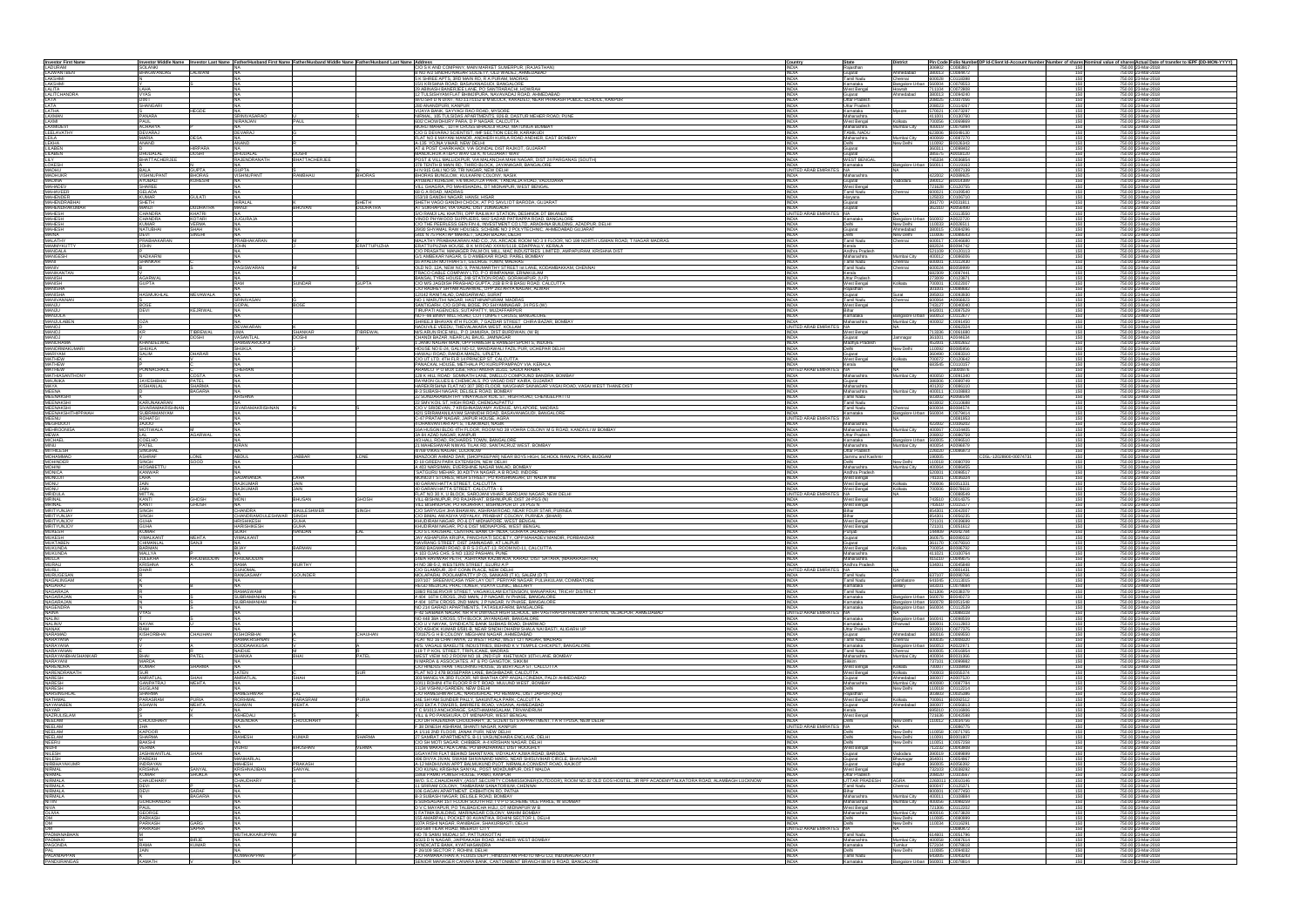| <b>Investor First Name</b>                                                                                                                                      | SOLANKI                                        |                                       |                                                     | Investor Middle Name Investor Last Name Father/Husband First Name Father/Husband Middle Name Father/Husband Last Name Address |                 | C/O S K AND COMPANY, MAIN MARKET SUMERPUR, (RAJASTHAN                                                                                                                                                                  | Country<br><b>INDIA</b>                                 | <b>State</b><br>Rajasthan                    | <b>District</b>                       | Pin Code Folio Number DP Id-Client Id-Account Number Number of shares Nominal value of shares Actual Date of transfer to IEPF (DD-MON-YYYY) |            | 750.00 23-Mar-2018                                             |
|-----------------------------------------------------------------------------------------------------------------------------------------------------------------|------------------------------------------------|---------------------------------------|-----------------------------------------------------|-------------------------------------------------------------------------------------------------------------------------------|-----------------|------------------------------------------------------------------------------------------------------------------------------------------------------------------------------------------------------------------------|---------------------------------------------------------|----------------------------------------------|---------------------------------------|---------------------------------------------------------------------------------------------------------------------------------------------|------------|----------------------------------------------------------------|
| LADURAM<br>LAJWANTBEN<br>LAKSHMI<br>LAKSHMI                                                                                                                     | <b>BHAGWANDAS</b>                              |                                       |                                                     |                                                                                                                               |                 | B NO A/2 SINDHU NAGAR SOCIETY, OLD WADEJ, AHMEDABAD<br>5 K SHREE APTS, 3RD MAIN RD, R A PURAM, MADRAS<br>15/1 KRISHNA ROAD, BASAVANAGUDI, BANGALORE                                                                    | <b>INDIA</b><br><b>INDIA</b><br><b>INDIA</b>            | Gujarat<br>Tamil Nadu                        | <b>\hmedabad</b>                      | 306902 C0083917<br>380013 C0084472<br>Chennai 600028 C0118398<br>Bangalore Urban 560004 C0078553                                            |            | 750.00 23-Mar-2018<br>750.00 23-Mar-2018<br>750.00 23-Mar-2018 |
| LALITA<br>LALITCHANDRA<br>LATA                                                                                                                                  | LAHA<br>/YAS                                   |                                       |                                                     |                                                                                                                               |                 | 29 ABINASH BANERJEE LANE, PO SANTRARACHI, HOWRAH<br>2 TULSISHYAM FLAT BHIMJIPURA, NAVAVADAJ ROAD, AHMEDAB                                                                                                              | <b>INDIA</b><br><b>INDIA</b>                            | Kamataka<br>West Bengal<br>Gujarat           | Howrah<br>hmedabad                    | 711104 C0072808<br>380013 C0094240<br>208025 C0107056                                                                                       |            | 750.00 23-Mar-2018<br>750.00 23-Mar-2018<br>750.00 23-Mar-2018 |
| LATA                                                                                                                                                            | SHANGARI                                       | HEGDE                                 | <b>NA</b>                                           |                                                                                                                               |                 | W/O.SRI D N DIXIT, NO.117/1152 B M BLOCK, KAKADEO, NEAR PRAKASH PUBLIC SCHOOL, KANPUR<br>280 ANANDPURI, KANPUR                                                                                                         | <b>INDIA</b><br><b>INDIA</b><br><b>INDIA</b>            | <b>Uttar Pradesh</b><br>Uttar Pradesh        |                                       | 208023 C0114267                                                                                                                             | 150<br>150 | 750.00 23-Mar-2018                                             |
| LATHA<br>LAXMAN<br>LAXMI                                                                                                                                        | PANARA<br>PAUL                                 |                                       | SRINIVASARAO<br>NIRANJAN                            |                                                                                                                               |                 | VIJAYA BANK, SAYYAGI RAO ROAD, MYSORE<br>IIRMAL, 105 TULSIDAS APARTMENTS, 826-B, DASTUR MEHER ROAD, PUNE<br>60/2 CHOWDHURY PARA, D P NAGAR, CALCUTTA                                                                   | <b>INDIA</b><br><b>INDIA</b>                            | Kamataka<br>Maharashtra<br>West Bengal       | (olkata                               | 570021 C0073297<br>411001 C0130760<br>700056 C0069869                                                                                       |            | 750.00 23-Mar-2018<br>750.00 23-Mar-2018<br>750.00 23-Mar-2018 |
| LAXMIDEVI<br>LEELAVATHY<br>LEILA                                                                                                                                | <b>ACHARYA</b><br>DEVARAJ<br>MARIA             |                                       | DEVARAJ                                             |                                                                                                                               |                 | MURLI MAHAL, 10TH CROSS BHADUJI ROAD, MATUNGA BOMBAY<br>C/O G DEVARAJ SCIENTIST, IMF SECTION CECRI, KARAIKUDI                                                                                                          | <b>INDIA</b><br><b>INDIA</b><br><b>INDIA</b>            | Maharashtra<br>TAMIL NADU                    | Mumbai City                           | 400019 C0076994<br>623006 B0049130                                                                                                          | 150        | 750.00 23-Mar-2018<br>750.00 23-Mar-2018                       |
| LEKHA<br><b>LILABEN</b>                                                                                                                                         | ANAND                                          | <b>DESA</b><br><b>HIRPARA</b>         | ANAND<br>NA                                         |                                                                                                                               |                 | FLAT NO 6 MAYANI MANOR, ANDHERI KURLA ROAD ANDHER, EAST BOMBAY<br>A-135 YOJNA VIHAR, NEW DELHI<br><u>AT &amp; POST CHARKHADI, VIA GONDAL DIST RAJKOT, GUJARAT</u>                                                      | <b>INDIA</b><br><b>INDIA</b>                            | Maharashtra<br>Delhi<br>Gujarat              | Mumbai City<br>New Delhi              | 400069 C0087270<br>110092 B0026343<br>360311 C0098402                                                                                       |            | 750.00 23-Mar-2018<br>750.00 23-Mar-2018<br>750.00 23-Mar-2018 |
| <b>LILABEN</b><br>LILY                                                                                                                                          | DHUDALAL<br><b>BHATTACHERJE</b>                | <b>DOSHI</b>                          | DHUDALAI<br>RAJENDRANATI                            | <b>BHATTACHERJEE</b>                                                                                                          |                 | MANDICHOK AT&PO WAV CB K, N GUJARAT WAV<br>POST & VILL MALLICKPUR, VIA MALANCHA MAHI NAGAR, DIST 24 PARGANAS (SOUTH)                                                                                                   | <b>INDIA</b><br><b>INDIA</b>                            | Gujarat<br><b>WEST BENGAL</b>                |                                       | 385575 A0018120<br>745334 C0036854                                                                                                          |            | 750.00 23-Mar-2018<br>750.00 23-Mar-2018                       |
| LICKESH<br>MADHU<br>MADHUKR<br>MAHADEV<br>MAHAVEER<br>MAHENDEP                                                                                                  | <b>VISHNUPANT</b>                              | <b>BHORAS</b>                         | VISHNUPANT                                          | RAMBHAU                                                                                                                       | <b>BHORAS</b>   | 378 TENTH B MAIN RD, THIRD BLOCK, JAYANAGAR, BANGALORE<br>H N 915 GALI NO 59, TRI NAGAR, NEW DELHI<br>BHORAS BUNGLOW, KULKARNI COLONY, NASIK                                                                           | INDIA Kam<br>UNITED ARAB EMIRATES NA<br><b>INDIA</b>    | Kamataka<br>Maharashtra                      |                                       | Bangalore Urban 560011 C0119163<br>20007139<br>422002 A0089925                                                                              | 150        | 750.00 23-Mar-2018<br>750.00 23-Mar-2018<br>750.00 23-Mar-2018 |
|                                                                                                                                                                 | AYUBAL<br>SHAREE                               | <b>KURESHI</b>                        |                                                     |                                                                                                                               |                 | AYUBALI KURESHI, F/6 MURUTZA PARK, TANDALJA ROAD, VADODARA<br>VILL GHAGRA, PO MAHISHADAL, DT MIDNAPUR, WEST BENGAL                                                                                                     | <b>INDIA</b><br><b>INDIA</b>                            | Gujarat<br>West Bengal                       | /adodara                              | 390012 B0014389<br>721628 C0120755                                                                                                          |            | 750.00 23-Mar-2018<br>750.00 23-Mar-2018                       |
|                                                                                                                                                                 | <b>GELADA</b><br><b>KUMAR</b><br>SHETH         | <b>GULATI</b>                         | NA<br>NA<br><b>HIRALA</b>                           |                                                                                                                               |                 | 68 G A ROAD, MADRAS<br>153/18 GANDHI NAGAR, HANSI, HISAR                                                                                                                                                               | <b>INDIA</b><br><b>INDIA</b><br><b>INDIA</b>            | Tamil Nadu<br>Haryana<br>Gujarat             | Chennai                               | 600021 C0109540<br>125033 C0106710                                                                                                          | 150<br>150 | 750.00 23-Mar-2018<br>750.00 23-Mar-2018                       |
| MAHENDER<br>MAHENDRABHAI<br>MAHENDRAKUMAR<br>MAHESH<br>MAHESH<br>MAHESH<br>MAHESH<br>MAHESH                                                                     | ILIANM<br><b>CHANDRA</b>                       | <b>DUDHATRA</b><br>KHATRI             | MANJI                                               | <b>BHOVAN</b>                                                                                                                 | <b>JUDHATRA</b> | SHETH VAGO GANDHI CHOCK, AT PO SAVLI DT BARODA, GUJARAT<br>AT SUKHAPUR, VIA VADAL, DIST JUNAGADH<br>S/O RAMJI LAL KHATRI, OPP RAILWAY STATION, DESHNOK DT BIKANER                                                      | <b>INDIA</b><br>UNITED ARAB EMIRA<br>ES NA              | Gujarat                                      |                                       | 391770 A0031811<br>362310 A0056490<br>NA C0113550<br>Bangalore Urban 560002 A0022720                                                        |            | 750.00 23-Mar-2018<br>750.00 23-Mar-2018<br>750.00 23-Mar-2018 |
|                                                                                                                                                                 | CHANDRA<br>KUMAR<br>NATUBHAI                   | KOTARI<br><b>VFRMA</b><br><b>SHAH</b> | <b>JUGURAJA</b>                                     |                                                                                                                               |                 | VINOD PHYWOOD SUPPLIERS, 94/2 SADAR PATRAPPA ROAD, BANGALORE<br>VO THE PEERLESS GEN FIN &, INVESTMENT CO LTD, ARADHNA BUILDING, AZADPUR, DELHI<br>29/30 SHYAMAL RAW HOUSES, SCHEME NO 2 POLYTECHNIC, AHMEDABAD GUJARAT | <b>INDIA</b><br><b>INDIA</b><br><b>INDIA</b>            | Kamataka<br>Delhi<br>Gujarat                 | New Delhi<br>Ahmedabad                | 110033 A0026511                                                                                                                             |            | 750.00 23-Mar-2018<br>750.00 23-Mar-2018<br>750.00 23-Mar-2018 |
| MAINA                                                                                                                                                           | DEVI<br>PRABHAKARAN                            | <b>SINGHI</b>                         | PRABHAKARAN                                         |                                                                                                                               |                 | 5401 N 75 PRATAP MARKET, SADAR BAZAR, DELHI<br>MALATHY PRABHAKARAN AND CO, JVL ARCADE ROOM NO 3 II FLOOR, NO 199 NORTH USMAN ROAD, T NAGAR MADRAS                                                                      | <b>INDIA</b><br><b>INDIA</b>                            | Delhi<br>Tamil Nadu                          | New Delhi<br>Chennai                  | 380015 C0084296<br>110006 C0088543<br>600017 C0046680                                                                                       | 150        | 750.00 23-Mar-2018<br>750.00 23-Mar-2018                       |
| MALATHY<br>MALATHY<br>MAMMYKUTTY<br>MANGESH<br>MANIK<br>MANIKH<br>MANISH<br>MANISH                                                                              |                                                |                                       | <b>JOHN</b>                                         |                                                                                                                               | ERATTUPUZHA     | ERATTUPUZHA HOUSE, B K M ROAD XXXIV/1118, EDAPPALLY, KERALA<br>%O PRASATH, MANAGER PALM OIL MILL, MAC INDUSTRIES LIMITED, AMPAPURAM, KRISHNA DIS                                                                       | <b>INDIA</b><br><b>INDIA</b>                            | Kerala<br>Andhra Pradesl                     |                                       | 682024 B0094742<br>521109 C0120113<br>400012 C0086006                                                                                       |            | 750.00 23-Mar-2018<br>750.00 23-Mar-2018                       |
|                                                                                                                                                                 | NADKARNI<br>SHANKAR                            |                                       | VAGISWARAN                                          |                                                                                                                               |                 | 1/1 AMBEKAR NAGAR, G D AMBEKAR ROAD, PAREL BOMBAY<br>16 AYALUR MUTHIAH ST, GEORGE TOWN, MADRAS<br>OLD NO. 12A, NEW NO. 9, PANUMARTHY STREET Ist LANE, KODAMBAKKAM, CHENNAI                                             | <b>INDIA</b><br><b>INDIA</b><br><b>INDIA</b>            | Maharashtra<br>Tamil Nadu<br>Tamil Nadu      | Aumbai City<br>Chennai<br>Chennai     | 600001 C0112430<br>600024 B0059999                                                                                                          |            | 750.00 23-Mar-2018<br>750.00 23-Mar-2018<br>750.00 23-Mar-2018 |
|                                                                                                                                                                 | AGARWAL                                        |                                       | NA                                                  |                                                                                                                               |                 | TRACO CABLE COMPANY LTD, P O IRIMPANAM, ERNAKULAM<br>BANSAL TYRE HOUSE, 249 STATION ROAD, GORAKHPUR, (U P)                                                                                                             | <b>INDIA</b><br>INDIA                                   | Kerala<br>Uttar Pradesh                      |                                       | 682309 C0097441<br>273009 C0123971                                                                                                          | 150        | 750.00 23-Mar-201<br>750.00 23-Mar-2018                        |
| MANISH<br>MANISHA<br>MANISHA                                                                                                                                    | GUPTA<br><b>HASMUKHLAL</b>                     | <b>MEVAWALA</b>                       | RAM                                                 | <b>SUNDAR</b>                                                                                                                 | <b>GUPTA</b>    | C/O M/S JAGDISH PRASHAD GUPTA, 21B B R B BASU ROAD, CALCUTTA<br>C/O RADHEY SHYAM AGARWAL, OPP 293 ARYA NAGAR, ALWAR<br>12/142 RANITALAD, DABGARWAD, SURAT                                                              | <b>INDIA</b><br><b>INDIA</b><br><b>INDIA</b>            | West Bengal<br>Rajasthan<br>Gujarat          | Kolkata<br>Surat                      | 700001 C0022007<br>301001 C0088682<br>395003 C0093930                                                                                       | 150        | 750.00 23-Mar-2018<br>750.00 23-Mar-2018<br>750.00 23-Mar-2018 |
| MANIVANNAN                                                                                                                                                      |                                                |                                       | SRINIVASAN<br><b>GOPAL</b>                          |                                                                                                                               |                 | NO 1 MARUTHI NAGAR, HASTHINAPURAM, MADRAS<br>SANTIGARH, C/O GOPAL BOSE, PO SHYAMNAGAR, 24 PGS (W)                                                                                                                      | <b>INDIA</b><br><b>INDIA</b>                            | Tamil Nadu<br>West Bengal                    | Chennai                               | 600064 A0066823<br>743127 C0040040<br>842001 C0087529                                                                                       |            | 750.00 23-Mar-2018<br>750.00 23-Mar-2018<br>750.00 23-Mar-2018 |
| MANJU<br>MANJU<br>MANJULA                                                                                                                                       | DEVI<br>OZA                                    | <b>KEJRIWAL</b>                       |                                                     |                                                                                                                               |                 | TIRUPATI AGENCIES, SUTAPATTY, MUZAFFARPUR<br>NO F-98 BINNY MILL ROAD, COTTONPET CROSS, BANGALORE                                                                                                                       | <b>INDIA</b><br><b>INDIA</b>                            | Bihar<br>Kamataka                            |                                       | Bangalore Urban 560053 C0112677                                                                                                             |            | 750.00 23-Mar-2018                                             |
| MANJULABEN                                                                                                                                                      |                                                | <b>IBREWAL</b>                        | DEVAKARAN                                           | <b>SHANKAR</b>                                                                                                                | TIBREWAL        | SHREEJI BHAVAN 4TH FLOOR, 7 GAZDAR STREET CHIRA BAZAR, BOMBAY<br>NADUVILE VEEDU, THEVALAKARA WEST, KOLLAM<br>M/S ARUN RICE MILL, P O JAMURIA, DIST BURDWAN, (W B                                                       | <b>INDIA</b><br>UNITED ARAB EMIRATES NA<br><b>INDIA</b> | Maharashtra<br>West Bengal                   |                                       | Mumbai City 400002 C0091450<br>C0062324<br>713336 C0061680                                                                                  |            | 750.00 23-Mar-2018<br>750.00 23-Mar-2018<br>750.00 23-Mar-2018 |
| MANJULABEN<br>MANOJ<br>MANOJ<br>MANOA<br>MANORMAKUMARI<br>MANORMAKUMARI<br>MANTHEW<br>MATHEW<br>MATHEW<br>MATHEW<br>MANOR<br>MANOR<br>MATHEW<br>MANDIKA<br>MANA | <b><handelwal< b=""></handelwal<></b>          | <b>DOSHI</b>                          | VASANTLAL<br><b>RAMSWAROOPJI</b>                    | <b>OSHI</b>                                                                                                                   |                 | CHANDI BAZAR, NEAR LAL BAUG, JAMNAGAR<br>JANKI NAGAR MAIN, OPP RAMESH & RAMESH SPORTS, INDORE                                                                                                                          | <b>INDIA</b><br><b>INDIA</b>                            | Gujarat<br>Madhya Pradesh                    | lamnagar                              | 361001 A0044634<br>452001 C0002652                                                                                                          | 150        | 750.00 23-Mar-2018<br>750.00 23-Mar-2018                       |
|                                                                                                                                                                 | SHUKLA<br>SALIM                                | <b>DHARAR</b>                         | SHUKLA                                              |                                                                                                                               |                 | HOUSE NO E-24, GALI NO-12, MANDAWALI FAZIL PUR, UCHEPAR DELHI<br>HAWALI ROAD, RANDA MANZIL, UPLETA<br>C/O UT LTD, 4TH FLR 14 PRINCEP ST, CALCUTTA                                                                      | <b>INDIA</b><br><b>INDIA</b><br><b>INDIA</b>            | Delhi<br>Gujarat<br>West Bengal              | lew Delhi<br>(olkata                  | 110092 B0085956                                                                                                                             |            | 750.00 23-Mar-2018<br>750.00 23-Mar-2018<br>750.00 23-Mar-2018 |
|                                                                                                                                                                 | PUNNACHALII                                    |                                       | NA.<br>CHERIAN                                      |                                                                                                                               |                 | PANACKAL HOUSE, METHALA PO KURUPPAMPADY VIA, KERALA<br>ARAMCO P O BOX 1356, RASTANURA 31311, SAUDI ARABIA                                                                                                              | <b>INDIA</b><br>UNITED ARAB EMIRATES NA                 | Kerala                                       |                                       | 683545 C0110157<br>Z0000876                                                                                                                 | 150        | 750.00 23-Mar-2018<br>750.00 23-Mar-2018                       |
|                                                                                                                                                                 | JAYESHBHAI<br>KISHANLAL                        | <b>SHARMA</b>                         |                                                     |                                                                                                                               |                 | 128 K HILL ROAD SOMNATH LANE, DMELLO COMPOUND BANDRA, BOMBAY<br>RAYMON GLUES & CHEMICALS, PO VASAD DIST KAIRA, GUJARAT<br>HAREKRISHNA FLAT NO 307 3RD FLOOR, NAVGHAR SAINAGAR VASAI ROAD, VASAI WEST THANE DIST        | <b>INDIA</b><br><b>INDIA</b><br><b>INDIA</b>            | Maharashtra<br>Gujarat<br>Maharashtra        | Mumbai City                           | 400050 C0091340<br>C0089749<br>388306<br>401202 C0086110                                                                                    | 150        | 750.00 23-Mar-2018<br>750.00 23-Mar-2018<br>750.00 23-Mar-2018 |
| MEENA<br>MEENAKSHI<br>MEENAKSHI                                                                                                                                 |                                                | BAGARIA                               | <b>KRISHN/</b>                                      |                                                                                                                               |                 | B-3 SUBASH NAGAR, DELISLE ROAD, BOMBAY<br>2 SUNDARAMURTHY VINAYAGER KOIL ST, HIGH ROAD, CHENGELPATTI                                                                                                                   | <b>INDIA</b><br><b>INDIA</b>                            | Maharashtra<br>Tamil Nadu                    | <u> Aumbai City</u>                   | 400011 C0108883<br>603002 A0066544                                                                                                          |            | 750.00 23-Mar-2018<br>750.00 23-Mar-2018                       |
| MEENAKSHI                                                                                                                                                       | KARUNAKARAN<br>SIVARAMAKRISHNAN<br>SUBRAMANYAM |                                       | SIVARAMAKRISHNAN                                    |                                                                                                                               |                 | 22 SMV KOIL ST, HIGH ROAD, CHENGALPATTU<br>C/O V SRIDEVAN, 7 KRISHNASWAMY AVENUE, MYLAPORE, MADRAS                                                                                                                     | <b>INDIA</b><br><b>INDIA</b><br><b>INDIA</b>            | Tamil Nadu<br>Tamil Nadu                     | <u>Chennai</u>                        | 603002 C0110688<br>600004 B0084574                                                                                                          | 150<br>150 | 750.00 23-Mar-2018<br>750.00 23-Mar-2018                       |
| MEENAKSHITHIPPAIAH<br>MEENU<br>MEGHDOOT<br>MEHROONISA                                                                                                           | <b>ROHATGI</b><br><b>OOLAL</b>                 |                                       |                                                     |                                                                                                                               |                 | 42/1 SRIRAMANILAYAM SANNIDHI ROAD, BASAVANAGUDI, BANGALORE<br>-47 PRATAP NAGAR, JAIPUR HOUSE, AGRA<br>4 DHANVANTARI APTS, TILAKWADI, NASIK                                                                             | UNITED ARAB EMIRATES NA<br><b>INDIA</b>                 | Kamataka<br>Maharashtra                      |                                       | Bangalore Urban 560004 C0079414<br>NA C0081953<br>422002 C0106202<br>400067 C0104405                                                        |            | 750.00 23-Mar-2018<br>750.00 23-Mar-2018                       |
| MEWA<br>MICHAEL                                                                                                                                                 | <b>MOTIWALA</b>                                | <b>AGARWAL</b>                        |                                                     |                                                                                                                               |                 | 16A HUSGNI BLDG 4TH FLOOR, ROOM NO 39 VOHRA COLONY M G ROAD, KANDIVLI W BOMBAY<br>3A 84 AZAD NAGAR, KANPUR                                                                                                             | <b>INDIA</b><br><b>INDIA</b>                            | Maharashtra<br>Uttar Pradesh                 | <u> Aumbai City</u>                   | 208002 C0086759                                                                                                                             |            | 750.00 23-Mar-2018<br>750.00 23-Mar-2018<br>750.00 23-Mar-2018 |
| <b>MITHILESH</b>                                                                                                                                                | COELHO<br>PATEL<br>SINGHAL                     |                                       | <b>KIRAN</b>                                        |                                                                                                                               |                 | 4/3 HALL ROAD, RICHARDS TOWN, BANGALORE<br>1 MAHESHWAR NIWAS TILAK RD, SANTACRUZ WEST, BOMBAY<br>4/769 VIKAS NAGAR, LUCKNOW                                                                                            | <b>INDIA</b><br><b>INDIA</b><br><b>INDIA</b>            | Kamataka<br>Maharashtra<br>Uttar Pradesh     |                                       | 3angalore Urban 560005 C0096510<br>Aumbai City 400054 A0096879<br>226020 C0086973                                                           | 150        | 750.00 23-Mar-2018<br>750.00 23-Mar-2018<br>750.00 23-Mar-2018 |
| MOHAMMAD<br><b>MOHINDER</b>                                                                                                                                     | <b>ASHRAF</b><br>SINGH                         | LONE<br>SOOD                          | <b>ABDUL</b>                                        | <b>JABBAR</b>                                                                                                                 | LONE            | MANZOOR AHMAD DAR, (SHOPKEEPAR) NEAR BOYS HIGH, SCHOOL RAWAL PORA, BUDGAM<br>D 18 GREEN PARK EXTENSION, NEW DELHI                                                                                                      | <b>INDIA</b><br><b>INDIA</b>                            | Jammu and Kashmir<br>Delhi                   | New Delhi                             | 190005<br>CDSL-12028900-00074731<br>110018 C0080709                                                                                         | 150        | 750.00 23-Mar-2018<br>750.00 23-Mar-2018                       |
| <b>MOHINI</b><br><b>MONICA</b><br><b>MONOJIT</b>                                                                                                                | <b>HOSABET</b><br>KANWAR<br>LAHA               |                                       | SADANANDA                                           | LAHA                                                                                                                          |                 | A 403 NARSIMAN, EVERSHINE NAGAR MALAD, BOMBAY<br>'SATGURU MEHAR, 30 ADITYA NAGAR, A B ROAD, INDORE<br>MONOJIT STORES, HIGH STREET, PO KRISHNAGAR, DT NADIA WB                                                          | <b>INDIA</b><br><b>INDIA</b><br><b>INDIA</b>            | Maharashtra<br>Andhra Pradesh<br>West Bengal | Aumbai City                           | 400064 C0086455<br>520001 C0098517<br>741101 C0036324                                                                                       |            | 750.00 23-Mar-2018<br>750.00 23-Mar-2018<br>750.00 23-Mar-201  |
| <b>MONU</b><br>MONU                                                                                                                                             | <b>JAIN</b><br>JAIN                            |                                       | RAJKUMAR<br><b>RAJKUMAR</b>                         | <b>JAIN</b>                                                                                                                   |                 | 40 GARAN HATTA STREET, CALCUTTA<br>40 GARAN HATTA STREET, CALCUTTA - 6                                                                                                                                                 | <b>INDIA</b><br><b>INDIA</b>                            | West Bengal<br>West Bengal                   | tolkata<br>Kolkata                    | 700006 B0051331<br>700006 B0078618                                                                                                          |            | 750.00 23-Mar-2018<br>750.00 23-Mar-2018                       |
|                                                                                                                                                                 | <b>MITTAL</b><br>KANTI<br>KANTI                | GHOSH<br><b>GHOSH</b>                 | NA.<br>MONI                                         | BHUSAN                                                                                                                        | GHOSH           | FLAT NO 30 X, U BLOCK, SAROJANI VIHAR, SAROJANI NAGAR, NEW DELHI<br>VILL-BISHNUPUR, PO RAJARHAT, BISHNUPUR, DIST 24-PGS (N)<br>VILL BISHNUPUR, PO RAJARHAT, BISHNUPUR DT 24 PGS N                                      | UNITED ARAB EMIRATES NA<br><b>INDIA</b><br><b>INDIA</b> | West Bengal<br>West Bengal                   |                                       | C0088549<br>743510 C0014375<br>743510 C0115177                                                                                              | 150        | 750.00 23-Mar-2018<br>750.00 23-Mar-2018<br>750.00 23-Mar-2018 |
| MOVOULA<br>MRIDULA<br>MRINAL<br>MRITYUNJAY<br>MRITYUNJAY<br>MRITYUNJOY<br>MUKESH<br>MUKESH                                                                      | SINGH<br>SINGH                                 |                                       | CHANDRA<br>CHANDRAMOULESHWAR                        | MAULESHWER<br>SINGH                                                                                                           | SINGH           | C/O SARYUGH JHA BHAWAN, ASHRAM ROAD, NEAR FOUR STAR, PURNEA<br>O BIMAL AWASIYA VIDYALAY, PRABHAT COLONY, PURNEA, (BIHAR                                                                                                | INDIA<br><b>INDIA</b>                                   | Bihar<br>Bihar                               |                                       | 854301 C0042007<br>854301 C0056235<br>721101 C0039699                                                                                       |            | 750.00 23-Mar-2018<br>750.00 23-Mar-2018<br>750.00 23-Mar-2018 |
|                                                                                                                                                                 | GUHA<br>GUHA<br>KUMAR                          |                                       | <b>HRISHIKESH</b><br><b>HARISHIKESH</b><br>SUKH     | <b>SUHA</b><br>3UHA.<br>NANDAN                                                                                                |                 | KHUDIRAM NAGAR, PO & DT MIDNAPORE, WEST BENGAL<br>KHUDIRAM NAGAR, PO & DIST MIDNAPORE, WEST BENGAL<br>C/O S L KAUSHAL, CENTRAL BANK OF INDIA, GORAYA JALANDHAR                                                         | <b>INDIA</b><br><b>INDIA</b><br><b>INDIA</b>            | West Benga<br>West Bengal                    |                                       | 721101 C0051612<br>144409 A0042784                                                                                                          |            | 750.00 23-Mar-2018<br>750.00 23-Mar-2018                       |
| <b>MUKESH</b><br><b>MUKTABEN</b>                                                                                                                                | VIMALKANT<br>CHIMANLAL                         | <b>MEHTA</b><br>SANJI                 | <b>VIMALKANT</b><br>NA                              |                                                                                                                               |                 | JAY ASHAPURA KRUPA, PANCHVATI SOCIETY, OPP MAHADEV MANDIR, PORBANDAR<br>NAVRANG STREET, DIST JAMNAGAR, AT LALPUR                                                                                                       | <b>INDIA</b><br><b>INDIA</b>                            | Punjab<br>Gujarat<br>Gujarat                 |                                       | 360575 B0090032<br>361170 C0079310                                                                                                          | 150<br>150 | 750.00 23-Mar-2018<br>750.00 23-Mar-2018                       |
| <b>ALIKLINDA</b><br><b>MUKUNDA</b>                                                                                                                              | MALLYA                                         |                                       |                                                     |                                                                                                                               |                 | 60 BAGMARI ROAD I BIRIS-3 FI AT-13 ROOM NO-11<br>A 103 OJAS CHS, S NO 132/2 PASHAN, PUNE<br>146/A RAVIWAR PETH, `ASHIYANA KAZIWADA, KARAD, DIST SATARA, (MAHARASHTRA)                                                  | <b>INDIA</b>                                            | Maharashtra                                  |                                       | 700054<br>411021 C0100764<br>415110 C0049075                                                                                                |            | 750.00 23-Mar-2018                                             |
| MULLA<br>MULLA<br>MURALI<br>MURUGESAN                                                                                                                           | JULEKHA<br><b>KRISHNA</b><br><b>HAR</b>        | <b>KHUDBUDDIN</b>                     | <b>KHUDBUDDIN</b><br><b>ILINOMAL</b>                | MURTHY                                                                                                                        |                 | H NO 3B-5-2, WESTERN STREET, ELURU A P<br>O GLAMDUR, 20-F CONN PLACE, NEW DELHI                                                                                                                                        | <b>INDIA</b><br><b>INDIA</b><br>UNITED ARAB EMIRATES    | Maharashtra<br>Andhra Pradesh                |                                       | 534001 C0045848<br>C0001431                                                                                                                 |            | 750.00 23-Mar-2018<br>750.00 23-Mar-2018<br>750.00 23-Mar-2018 |
| NAGALINGAM                                                                                                                                                      |                                                |                                       | RANGASAMY                                           | OUNDER                                                                                                                        |                 | MOLAPARAI, POOLAMPATTY (P O), SANKARI (T K), SALEM (D T)<br>197/107 SREENVICASA IYER LAY OUT, PERIYAR NAGAR, PULIAKULAM, COIMBATORE                                                                                    | <b>INDIA</b><br><b>INDIA</b>                            | <b>Tamil Nadu</b><br>Tamil Nadu              | Coimbatore                            | B0090766<br>641045 C0113015                                                                                                                 |            | 750.00 23-Mar-2018<br>750.00 23-Mar-2018                       |
| NAGARAJ<br>NAGARAJA<br>NAGARAJAN<br>NAGENDRA<br>NAGENDRA                                                                                                        |                                                |                                       | RAMASWAMI<br>SUBRAMANIAN                            |                                                                                                                               |                 | REGD MEDICAL PRACTIONER, VIJAYA CLINIC, BELLARY<br>188/2 RESERVOIR STREET, VAGAIKULAM EXTENSION, MANAPARAI, TRICHY DISTRICT<br>#404 16TH CROSS, 2ND MAIN, J P NAGAR, IV PHASE, BANGALORE                               | <b>INDIA</b><br><b>INDIA</b><br><b>INDIA</b>            | Kamataka<br>Tamil Nadu<br>Kamataka           | 3ellary                               | 583101 C0078684<br>621306 A0038379<br>3angalore Urban 560078 B0040273                                                                       | 150        | 750.00 23-Mar-2018<br>750.00 23-Mar-2018<br>750.00 23-Mar-2018 |
|                                                                                                                                                                 |                                                |                                       | UBRAMANIAM                                          |                                                                                                                               |                 | #404 16TH CROSS, 2ND MAIN, J P NAGAR, IV PHASE, BANGALORE<br>NO 214 GARADI APARTMENTS, TATASILKFARM, BANGALORE                                                                                                         | <b>INDIA</b><br><b>INDIA</b>                            | Kamataka<br>Kamataka                         |                                       | Bangalore Urban 560078 B0051548<br>3angalore Urban 560004 C0112539                                                                          |            | 750.00 23-Mar-2018<br>750.00 23-Mar-2018                       |
| NAINA<br>NALINI<br>NALINIV                                                                                                                                      | <b>VYAS</b><br><b>NAYAK</b>                    |                                       | <b>NA</b>                                           |                                                                                                                               |                 | F-42 SAIBABA NAGAR, NR R R DWIVEDI HIGH SCHOOL, B/H VASTRAPUR RAILWAY STATION, VEJALPUR, AHMEDABAD<br>NO 448 38A CROSS, 5TH BLOCK JAYANAGAR, BANGALORE<br>C/O U V NAYAK, SYNDICATE BANK SUBHAS ROAD, DHARWAD           | UNITED ARAB EMIRATES NA<br><b>INDIA</b><br><b>INDIA</b> | Kamataka<br>Kamataka                         | Dharwad                               | C0088118<br>3angalore Urban 560041 C0098559<br>580001 C0112803                                                                              | 150        | 750.00 23-Mar-2018<br>750.00 23-Mar-2018<br>750.00 23-Mar-2018 |
| NANAK<br>NARAMAD                                                                                                                                                | RAM<br>KISHORBHA                               | CHAUHAN                               | NA<br><b>KISHORBHA</b>                              |                                                                                                                               | CHAUHAN         | C/O ASHOK KUMAR 6/581-B. NEAR SINDHI DHARM SHALA NAI BASTI. ALIGARH UP<br>70/1675 G H B COLONY, MEGHANI NAGAR, AHMEDABAD                                                                                               | <b>INDIA</b><br><b>INDIA</b>                            | Uttar Pradesh<br>Gujarat                     | hmedabad                              | 202001 C0077375<br>380016 C0069550<br>600035 C0008320                                                                                       | 150        | 750.00 23-Mar-2018<br>750.00 23-Mar-2018<br>750.00 23-Mar-2018 |
| NARAYANA                                                                                                                                                        |                                                |                                       | <b>RAMAKRISHNAM</b><br><b>DODDAAKKUSA</b><br>NAIDUE |                                                                                                                               |                 | FLAT NO 16 CHAITANYA, 22 WEST ROAD, WEST CIT NAGAR, MADRAS<br>M/S. VAGALE BAKELITE INDUSTRIES, BEHIND K V TEMPLE CHICKPET, BANGALORE<br>119 T P KOIL STREET, TRIPLICANE, MADRAS                                        | <b>INDIA</b><br>INDIA<br><b>INDIA</b>                   | Tamil Nadu<br>Kamataka<br>Tamil Nadu         | Chennai<br>Chennai                    | 3angalore Urban 560053 A0022971<br>600005 C0016954                                                                                          |            | 750.00 23-Mar-2018                                             |
| NARAYANA<br>NARAYANAN<br>NARAYANBHAISHANKAR<br>NARAYANI                                                                                                         | MARDA                                          | PATEL                                 | SHANKA                                              |                                                                                                                               | PATEL           | WEST VIEW NO 2 ROOM NO 18, 2ND FLR KHETWADI 10TH LANE, BOMBAY<br>N MARDA & ASSOCIATES, AT & PO GANGTOK, SIKKIM                                                                                                         | <b>INDIA</b><br><b>INDIA</b>                            | Maharashtra<br>Sikkim                        | Aumbai City                           | 400004 B0031366<br>737101 C0099982                                                                                                          |            | 750.00 23-Mar-2018<br>750.00 23-Mar-2018<br>750.00 23-Mar-2018 |
| NARENDRA<br>NARENDRANATH                                                                                                                                        | <b>KUMAR</b><br><b>SUR</b><br>AMRATLA          | <b>SHARMA</b><br>SHAH                 | <b>NA</b><br><b>AMRATLAI</b>                        | HAH                                                                                                                           | <b>SUR</b>      | C/O HINDUSTHAN TAILORING HOUSE, 35 BURTALLA ST, CALCUTTA<br>-LAT NO 2 47B BOSEPARA LANE, BAGHBAZAR, CALCUTTA<br>03 MANGLYA 3RD FLOOR. NR BHATHA OPP ANJALI CINEMA, PALDI AHMEDABAD                                     | <b>INDIA</b><br><b>INDIA</b><br><b>INDIA</b>            | West Bengal<br>West Bengal<br>Gujarat        | (olkata<br>(olkata<br>Ahmedabad       | 700007 C0108460<br>700003 B0055374<br>380007 A0007520                                                                                       | 150        | 750.00 23-Mar-2018<br>750.00 23-Mar-2018<br>750.00 23-Mar-2018 |
|                                                                                                                                                                 | <b>GANPATRAJ</b><br><b>GUGLANI</b>             | <b>MEHTA</b>                          |                                                     |                                                                                                                               |                 | 10/11 ROHINI 4TH FLOOR R R T ROAD, MULUND WEST, BOMBAY<br>-134 VISHNU GARDEN, NEW DELHI                                                                                                                                | <b>INDIA</b><br><b>INDIA</b>                            | Maharashtra<br>Delhi                         | New Delhi                             | Mumbai City 400080 C0087784                                                                                                                 | 150        | 750.00 23-Mar-2018<br>750.00 23-Mar-2018                       |
| NARESH<br>NARESH<br>NARESH<br>NARSINGHLAL<br>NATHMAL<br>NAYANABEN                                                                                               | PARASRAM<br><b>ASHWIN</b>                      | PURIA<br><b>MFHTA</b>                 | <b>AMESHWAR</b><br><b>RORHMAL</b><br><b>ASHWIN</b>  | PARASRAM<br><b>MFHTA</b>                                                                                                      | <b>PURIA</b>    | /O RAMESHWAR LAL, NARSIGHLAL, PO RENWAL, DIST JAIPUR (RAJ)<br>24E SHYAM SUNDER PALLY, SAKUNTALA PARK, CALCUTTA<br>/22 EKTA TOWERS, BARREFE ROAD, VASANA, AHMEDABAD                                                     | <b>INDIA</b><br><b>INDIA</b><br><b>INDIA</b>            | Rajasthan<br>West Bengal<br>Gujarat          | Kolkata<br><b>\hmedabad</b>           | 303603 C0025386<br>700061 B0092512<br>380007 C0056813                                                                                       |            | 750.00 23-Mar-2018<br>750.00 23-Mar-2018<br>750.00 23-Mar-2018 |
| NAYAR<br>NAZRULISLAM                                                                                                                                            |                                                |                                       | NA<br>ASHEDALI                                      |                                                                                                                               |                 | T C 9/1013 ANCHORAGE, SASTHAMANGALAM, TRIVANDRUM<br>VILL & PO PANSKURA, DT MIDNAPUR, WEST BENGAL                                                                                                                       | <b>INDIA</b><br><b>INDIA</b>                            | Kerala<br>West Bengal                        |                                       | 695010 C0116906<br>721636 C0042598                                                                                                          | 150        | 750.00 23-Mar-2018<br>750.00 23-Mar-2018                       |
| NEELAM<br>NEELAM<br><b>NEELAM</b>                                                                                                                               | CHOUDHARY<br><b>KAPOOR</b>                     |                                       | RAJENDRA                                            | CHOUDHARY                                                                                                                     |                 | C/O DR RAJENDRA CHOUDHARY, 3C SCIENTISTS APPARTMENT, I A R I PUSA, NEW DELHI<br>F 38 DINESH ASHRAM, SHANTI NAGAR, KANPUR<br>A 1/116 2ND FLOOR, JANAK PURI, NEW DELHI                                                   | INDIA<br>UNITED ARAB EMIRATI<br>NA<br><b>INDIA</b>      | Delhi<br>Delhi                               | New Delhi<br>New Delhi                | 110012 C0034756<br>C0086775<br>110058 C0071765                                                                                              |            | 750.00 23-Mar-2018<br>750.00 23-Mar-2018<br>750.00 23-Mar-2018 |
| NEELAM<br>NEERU                                                                                                                                                 | <b>SHARMA</b><br><b>BAKSHI</b>                 |                                       | <b>RAMESH</b>                                       | KUMAR                                                                                                                         | SHARMA          | 7 SAMRAT APARTMENTS, B-11 VASUNDHARA ENCLAVE, DELHI<br>/O SH MOTI SAGAR, CHIBBER, A-4 KRISHAN NAGAR, DELHI                                                                                                             | <b>INDIA</b><br>INDIA                                   | Delhi<br>Delhi                               | New Delhi<br>New Delhi                | 110091 B0001807<br>110051 C0057258                                                                                                          |            | 750.00 23-Mar-2018<br>750.00 23-Mar-2018                       |
| NIDHI<br><b>NILESH</b>                                                                                                                                          | VERMA<br><b>JASHWANTLAL</b><br>PARFKH          | SHAH                                  | VIDHU<br>MANHARLAI                                  | BHUSHAN                                                                                                                       | <b>/ERMA</b>    | 115/96 MAKALTALA LANE, PO BHADRAKALI, DIST HOOGHLY<br>1/GAYATRI FLAT BEHIND SHANTIVAN, VIDYALAY AJWA ROAD, BARODA                                                                                                      | <b>INDIA</b><br><b>INDIA</b>                            | West Bengal<br>Gujarat                       | Vadodara                              | 712232 C0043908<br>390019 C0089899                                                                                                          | 150        | 750.00 23-Mar-2018<br>750.00 23-Mar-2018                       |
| NILESH<br>NIRBHAYAKUMR<br>NIRMAL<br>NIRMAL                                                                                                                      | <b>INDRAYAN</b><br><b>KRISHNA</b>              | SANYAI                                | MAHESH<br>KRISHNAJIBAN                              | PRAKASH<br>SANYAL                                                                                                             |                 | 496 DIVYA JIVAN, SWAMI SHIVANAND MARG, NEAR SHISUVIHAR CIRCLE, BHAVNAGAR<br>A-12 MADHUVAN APPT BALMUKUND PLOT, NIRMALA CONVENT ROAD, RAJKOT<br>C/O KUNAL KRISHNA SANYAL, POST MOKDUMPUR, DIST MALDA                    | <b>INDIA</b><br><b>INDIA</b><br><b>INDIA</b>            | Gujarat<br>Gujarat<br>West Bengal            | 3havnagar<br>≷ajkot                   | 364001 C0054967<br>360005 A0056392<br>732103 C0038292                                                                                       |            | 750.00 23-Mar-2018<br>750.00 23-Mar-2018                       |
| NIRMALA<br>NIRMALA                                                                                                                                              | KUMAR<br><b>CHAUDHAR</b>                       | <b>SHUKLA</b>                         | CHAUDHARY                                           |                                                                                                                               |                 | 18/68 PAMKI POWER HOUSE, PANKI, KANPUR<br>W/O. S.C.CHAUDHARY, (ASST.SECURITY COMMISSIONER(OUTDOOR), ROOM NO.02 OLD GOS HOSTEL, JR RPF ACADEMYTALKATORA ROAD, ALAMBAGH LUCKNOW                                          | <b>INDIA</b><br><b>INDIA</b>                            | Uttar Pradesł<br><b>TTAR PRADESH</b>         | AGRA                                  | 208020 C0103567<br>2260011 C0010146                                                                                                         |            | 750.00 23-Mar-2018<br>750.00 23-Mar-2018<br>750.00 23-Mar-2018 |
| NIRMALA<br>NIRMALA                                                                                                                                              | DEVI<br>DEVI                                   | SARAF<br><b>BAGARIA</b>               | NA                                                  |                                                                                                                               |                 | 11 SRIRAM COLONY, TAMBARAM SANATORIUM, CHENNAI<br>106 GAGAN APARTMENT, EXBIHITION RD, PATNA<br>B-3 SUBASH NAGAR, DELISLE ROAD, BOMBAY                                                                                  | <b>INDIA</b><br><b>INDIA</b><br><b>INDIA</b>            | Tamil Nadu<br>Bihar<br>Maharashtra           | Chennai                               | 600047 C0125371<br>800001 C0077450<br>Mumbai City 400011 C0108884                                                                           | 150        | 750.00 23-Mar-2018<br>750.00 23-Mar-2018<br>750.00 23-Mar-2018 |
| <b>NITIN</b><br><b>NIVA</b>                                                                                                                                     | GORDHANDAS<br>PAUL                             |                                       | <b>NA</b>                                           |                                                                                                                               |                 | 5 SURSAGAR 1ST FLOOR SOUTH RD, I V P D SCHEME VILE PARLE, W BOMBAY<br>D V C MAYAPUR, PO TALBAGICHA HIJLI, DT MIDNAPUR W B                                                                                              | <b>INDIA</b><br><b>INDIA</b>                            | Maharashtra<br>West Bengal                   | Mumbai City                           | 400056 C0098259<br>721306 C0112202                                                                                                          | 150        | 750.00 23-Mar-2018<br>750.00 23-Mar-2018                       |
| OLIVIA<br>nм                                                                                                                                                    | <b>GEORGI</b><br>PARKASH<br>PARKASH            |                                       |                                                     |                                                                                                                               |                 | FATIMA BUILDING, MARINAGAR COLONY, MAHIM BOMBAY<br>155 AMARPALI, POCKET 00 AVANTIKA, ROHINI SECTOR 1, DELH<br>107A RISHI NAGAR, RANIBAGH, SHAKURBASTI, DELHI                                                           | <b>INDIA</b><br><b>INDIA</b>                            | Maharashtra<br>Delhi<br>Delhi                | Mumbai City<br>New Delhi<br>New Delhi | 400016 C0073828<br>110085 C0080999<br>110034 C0116291                                                                                       |            | 750.00 23-Mar-2018<br>750.00 23-Mar-2018<br>750.00 23-Mar-2018 |
| PADMANABHAN                                                                                                                                                     | PARKASH                                        | GARG<br>SAPRA                         | MUTHUKKARUPPAN                                      |                                                                                                                               |                 | 583-584 TILAK ROAD, MEERUT CIT<br>NO 78 SAMU MUDALI ST, PATTUKKOTTAI                                                                                                                                                   | INDIA Del<br>UNITED ARAB EMIRATES NA<br><b>INDIA</b>    | Tamil Nadu                                   |                                       | C0080472<br>614601 C0051796                                                                                                                 |            | 750.00 23-Mar-2018<br>750.00 23-Mar-2018                       |
| PADMAXI<br>AGONDA                                                                                                                                               | RAMA<br>JAIN                                   | <b>BIRJE</b><br><b>KUMAR</b>          |                                                     |                                                                                                                               |                 | 9/323 D N NAGAR, JAIPRAKASH ROAD, ANDHERI WEST BOMBAY<br>SYNDICATE BANK, KYATHASANDRA<br>F 26/109 SECTOR 7, ROHINI, DELHI                                                                                              | <b>INDIA</b><br><b>INDIA</b><br><b>INDIA</b>            | Maharashtra<br>Kamataka<br>Delhi             | Aumbai City<br>umkur<br>New Delhi     | 400058 C0087614<br>572104 C0078618<br>110085 C0094032                                                                                       |            | 750.00 23-Mar-2018<br>750.00 23-Mar-2018<br>750.00 23-Mar-2018 |
| PAI ANIAPPAN<br>PANDURANGAS                                                                                                                                     | KAMATH                                         |                                       | <b>KUMARAPPAI</b><br><b>NA</b>                      |                                                                                                                               |                 | C/O RAMANATHAN A, FLUIDS DEPT, HINDUSTAN PHOTO MFG CO, INDUNAGAR OOTY<br>SENIOR MANAGER CANARA BANK, CANTONMENT BRANCH 88 M G ROAD, BANGALORE                                                                          | INDIA<br><b>INDIA</b>                                   | Tamil Nadu<br>Kamataka                       |                                       | 643005 C0043243<br>Bangalore Urban 560001 C0078814                                                                                          |            | 750.00 23-Mar-2018<br>750.00 23-Mar-2018                       |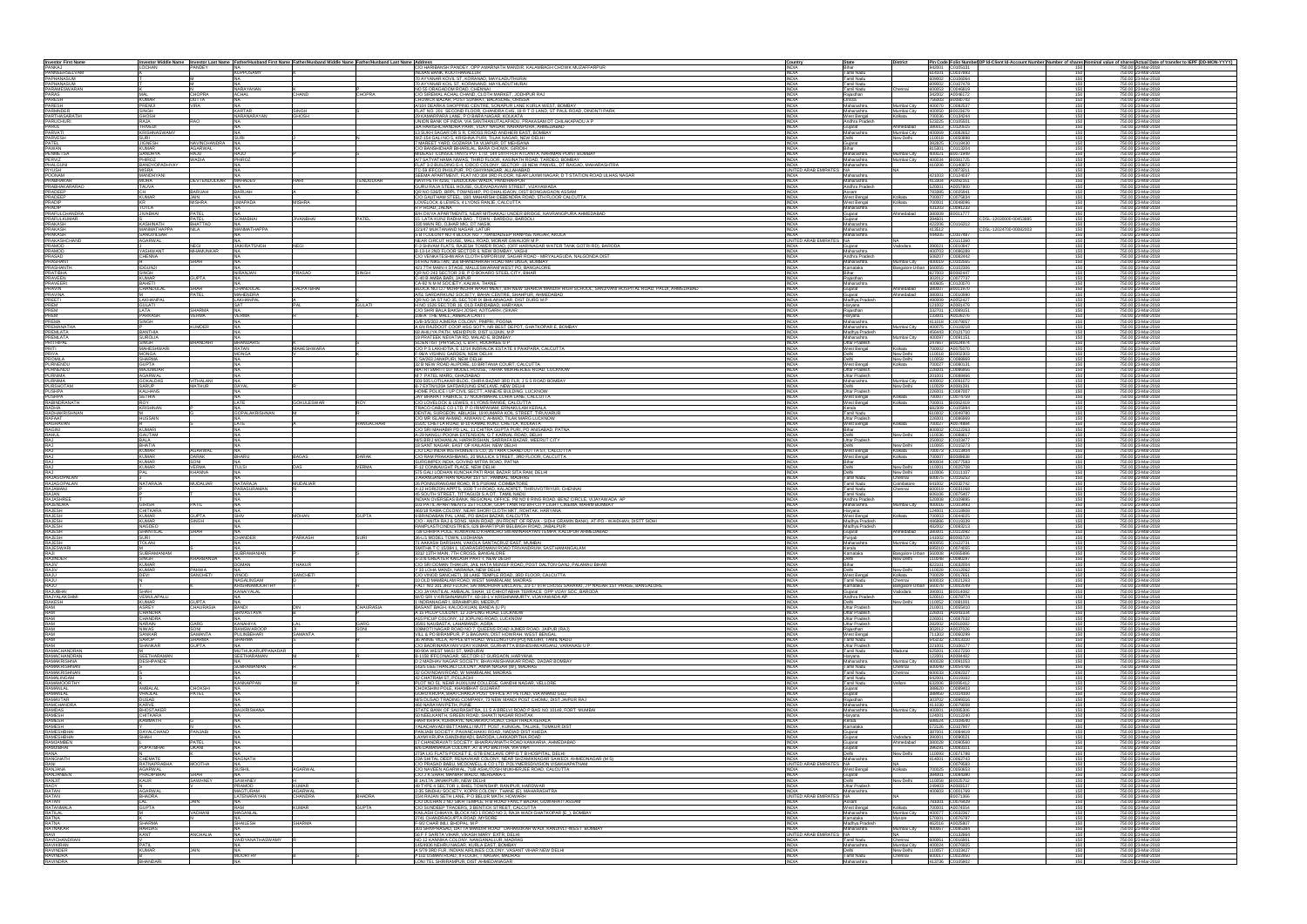| <b>Investor First Name</b><br>PANKA.I                    | OCHAN                                          | ANDEY                                 |                                             |                                 | Investor Middle Name Investor Last Name Father/Husband First Name Father/Husband Middle Name Father/Husband Last Name Address | % HARIBANSH PANDEY, OPP AMARNATH MANDIR, KALAMBAGH CHOWK MUZAFFARPU                                                                                                                                                                              | Country<br><b>INDIA</b>                                  | State                                          |                                     | Pin Code Folio Number DP Id-Client Id-Account Number Number of shares Nominal value of shares Actual Date of transfer to IEPF (DD-MON-YYYY)<br>842001 C0105131<br>614101 C0037893 |            | 750.00 23-Mar-2018<br>750.00 23-Mar-2018                                                                                                               |
|----------------------------------------------------------|------------------------------------------------|---------------------------------------|---------------------------------------------|---------------------------------|-------------------------------------------------------------------------------------------------------------------------------|--------------------------------------------------------------------------------------------------------------------------------------------------------------------------------------------------------------------------------------------------|----------------------------------------------------------|------------------------------------------------|-------------------------------------|-----------------------------------------------------------------------------------------------------------------------------------------------------------------------------------|------------|--------------------------------------------------------------------------------------------------------------------------------------------------------|
| PANNEERSELVAN<br>PAPHANASUM<br>PAPHANASUM                |                                                |                                       | <b>KUPPUSAMY</b>                            |                                 |                                                                                                                               | NDIAN BANK, KOOTHANALLUR<br>0 AYYANAR KOVIL ST, KORANAD, MAYILADUTHURAI<br>0 AYYANAR KOIL ST, KORANAND, MAYILADUTHURAI                                                                                                                           | <b>INDIA</b><br><b>INDIA</b><br><b>INDIA</b>             | Tamil Nadu<br>Tamil Nadu<br>Tamil Nadu         |                                     | 609002 C0106064<br>C0107478<br>609002                                                                                                                                             |            | 750.00 23-Mar-2018<br>750.00 23-Mar-2018<br>750.00 23-Mar-2018                                                                                         |
| <b>PARAMESWARAN</b><br>PARAS<br>PARESH                   |                                                | <b>HOPR</b>                           | NARAYANAN<br>ACHAL                          | CHAND                           | CHOPRA                                                                                                                        | NO 55 ORAGADOM ROAD, CHENNAI<br>CO SIREMAL ACHAL CHAND, CLOTH MARKET, JODHPUR RAJ<br>CHOWCK BAZAR, POST SUNHAT, BALASORE, ORISSA                                                                                                                 | <b>INDIA</b><br><b>INDIA</b><br><b>INDIA</b>             | Tamil Nadu<br>Rajasthan<br>Orissa              | Chennai                             | 600053 C0046819<br>342002 A0046172<br>756003 B0080743                                                                                                                             |            | 750.00 23-Mar-2018<br>750.00 23-Mar-2018                                                                                                               |
| PARESH<br>PARMNDER                                       | PREMJI<br>SINGH                                | VIRA                                  | <b>KARTAR</b>                               | SINGH                           |                                                                                                                               | A/104 DEARKA SHOPPING CENTRE, SONAPUR LANE KURLA WEST, BOMBAY<br>FLAT NO. 201 SECOND FLOOR, CHANDRA CHS, 18 R T O LAND, ST PAUL ROAD, DINONTI PARK                                                                                               | <b>INDIA</b><br><b>INDIA</b>                             | Maharashtra<br>Maharashtra                     | Mumbai City                         | Mumbai City 400070 C0082537<br>400050 B0023679                                                                                                                                    | 150<br>150 | 750.00 23-Mar-2018<br>750.00 23-Mar-2018                                                                                                               |
| PARTHASARATH<br><b>PARUCHURI</b><br>PARUL                | <b>GHOSH</b><br>RAJA<br><b>TRIVEDI</b>         |                                       | NARANARAYAN                                 | <b>GHOSH</b>                    |                                                                                                                               | 9 KAMARPARA LANE, P O BARA NAGAR, KOLKATA<br>JNION BANK OF INDIA, VIA SANTHANUTALAPADU, PRAKASAM DT CHILAKAPADU A P<br>3/A HARISHCHANDRA PARK, VIJAY NAGAR, NARANPURA, AHMEDABAD                                                                 | <b>INDIA</b><br><b>INDIA</b><br><b>INDIA</b>             | West Bengal<br>Andhra Pradesl<br>Gujarat       | (olkata                             | 700036 C0134244<br>523225 C0105501<br>Ahmedabad 380013 C0120515                                                                                                                   |            | 750.00 23-Mar-2018<br>750.00 23-Mar-2018<br>750.00 23-Mar-2018                                                                                         |
| PARVATI<br>PARVESH<br>PATEL                              | <b>KRISHNASWAMY</b><br><b>JIGNESH</b>          | NAVINCHANDRA<br><b>INA</b>            |                                             |                                 |                                                                                                                               | 3 SUKH SAGAR DR S R, CROSS ROAD ANDHERI EAST, BOMBAY<br>VZ-154 GALI NO 5, KRISHNA PURI, TILAK NAGAR, NEW DELHI<br>MAREET YARD, GOZARIA TA VIJAPUR, DT MEHSANA                                                                                    | <b>INDIA</b><br><b>INDIA</b><br><b>INDIA</b>             | Maharashtra<br>Delhi<br>Gujarat                | Mumbai City<br>New Delhi            | 400069 C0082652<br>382825 C0118430                                                                                                                                                |            | 750.00 23-Mar-2018<br>750.00 23-Mar-2018<br>750.00 23-Mar-2018                                                                                         |
| PAWAN<br>PENMETSA                                        | <b>KUMAR</b><br>SANDHYA                        | <b>AGARWAL</b><br>RAJU                | RAJU                                        |                                 |                                                                                                                               | C/O BANSHIDHAR BIHARILAL, BARA CHOWK, GIRIDIH<br>MIDEAST CONSULTANTS PVT LTD, 144 14TH FLR ATLANTA, NARIMAN POINT BOMBAY<br>A/7 SATYATHAMA NIWAS, THIRD FLOOR, KASINATH ROAD, TARDEO, BOMBAY                                                     | <b>INDIA</b><br><b>INDIA</b>                             | Bihar<br>Maharashtra                           | Aumbai City                         | 815301 C0113204<br>400021 B0071949                                                                                                                                                |            | 750.00 23-Mar-2018<br>750.00 23-Mar-2018<br>750.00 23-Mar-2018                                                                                         |
| PERVIZ<br>PHALGUNI<br>PIYUSH                             | PHIROZ<br><b>BANDYOPADHYAY</b><br><b>MISRA</b> | WADIA                                 | PHIROZ                                      |                                 |                                                                                                                               | FLAT 3-2 BUILDING E-4, CIDCO COLONY, SECTOR -18 NEW PANVEL, DT RAIGAD, MAHARASHTRA<br>C-59 IFFCO PHULPUR, PO GHIYANAGAR, ALLAHABAD                                                                                                               | <b>INDIA</b><br><b>INDIA</b><br>UNITED ARAB EMIRATES NA  | Maharashtra<br>Maharashtra                     | Aumbai City                         | 400034 B0081725<br>410206 C0140872<br>$\begin{array}{r c} \hline \text{CO073211} \\ \hline 421003 & \text{CO124037} \end{array}$                                                  |            | 750.00 23-Mar-2018                                                                                                                                     |
| <b>POONAM</b><br><b>PRABHAKAR</b><br><b>PRABHAKARARA</b> | MANDHYANI<br><b>MOHA</b><br>TAUVA              | <b>DEVTENDULKAR</b>                   | <b>MAHADE</b>                               | <b>HARI</b>                     | <b>TENDULKAR</b>                                                                                                              | SEEMA APARTMENT, FLAT NO 304 3RD FLOOR, NEAR LAXMI NAGAR, D T STATION ROAD ULHAS NAGAR<br>NAVI PETH 4256, TENDULKAR WADA, PANDHARPUR<br>SURU RAJA STEEL HOUSE, GUDIVADAVARI STREET, VIJAYAWADA                                                   | <b>INDIA</b><br><b>INDIA</b><br><b>INDIA</b>             | Maharashtra<br>Maharashtra<br>Andhra Pradesh   |                                     | 413304 A0092161<br>520001 A0057800                                                                                                                                                |            | 750.00 23-Mar-2018<br>750.00 23-Mar-2018<br>750.00 23-Mar-2018<br>750.00 23-Mar-2018                                                                   |
| PRADEEP<br>PRADEEP                                       | CH<br><b>KUMAR</b>                             | BARUAH<br><b>JAIN<br/>MISHRA</b>      | <b>BARUAH</b><br>NA.<br><b>UMAPADA</b>      | <b>MISHRA</b>                   |                                                                                                                               | QR NO 536/D, BRPL TOWNSHIP, PO DHALIGAON, DIST BONGAIGAON ASSAM<br>C/O GAUTHAM STEEL, 18/1 MAHARSHI DEBENDRA ROAD, 5TH FLOOR CALCUTTA<br>OVELOCK & LEWES, 4 LYONS RANJE, CALCUTTA                                                                | <b>INDIA</b><br><b>INDIA</b><br><b>INDIA</b>             | Assam<br>West Bengal                           | Kolkata<br>Kolkata                  | 783385 C0025941<br>700007 C0075834<br>700001 C0048096                                                                                                                             | 150<br>150 | 750.00 23-Mar-2018<br>750.00 23-Mar-2018<br>750.00 23-Mar-2018                                                                                         |
| PRADIP<br>PRADIP<br>PRAFULCHANDRA<br>PRAFULKUMAR         | <b>JIVABHAI</b>                                |                                       |                                             |                                 |                                                                                                                               | R P ROAD, JALNA<br>B/H DIVYA APARTMENTS, NEAR MITHAKALI UNDER BRIDGE, NAVRANGPURA AHMEDABAD                                                                                                                                                      | <b>INDIA</b><br><b>INDIA</b>                             | West Bengal<br>Maharashtra<br>Gujarat          | hmedabad                            | 431203 C0091232<br>380009 B0011777                                                                                                                                                |            |                                                                                                                                                        |
| <b>PRAKASH</b><br>PRAKASH                                | KASHINATH<br>MANMATHAPP.                       | <b>PATFI</b><br>BHATTAD               | SOMABHAL<br>MANMATHAPPA                     | <b>JIVANBHA</b>                 | PATEL                                                                                                                         | 15 LATA KUNJ RADHA BAG, TOWN - BARDOLI, BARDOLI<br>30 MAIN RD, OJHAR MIG, DT NASIK<br>21/47 MUKTANAND NAGAR, LATUR                                                                                                                               | <b>INDIA</b><br><b>INDIA</b><br><b>INDIA</b>             | Gujarat<br>Maharashtra<br>Maharashtra          |                                     | CDSL-12030000-00453885<br>394601  <br>422206 C0116312<br>CDSL-12024700-00082003<br>413512                                                                                         |            | 750.00 23-Mar-2018<br>750.00 23-Mar-2018<br>750.00 23-Mar-2018<br>750.00 23-Mar-2018<br>750.00 23-Mar-2018                                             |
| <b>PRAKASH</b><br>PRAKASHCHAND<br>PRAMOD                 | <b>SANGVILSAR</b><br>AGARWAI                   |                                       | <b>JAIKIRATSNGH</b>                         |                                 |                                                                                                                               | S B I COLONY NO 4 BLOCK NO 7, NANDADEEP RANPISE NAGAR, AKOLA<br>NEAR CIRCUT HOUSE, MALL ROAD, MORAR GWALIOR M P<br>-3 SHIVAM FLATS, RAJESH TOWER ROAD, (OFF HARINAGAR WATER TANK GOTRI RD), BARODA                                               | <b>INDIA</b><br>UNITED ARAB EMIRATES INA<br><b>INDIA</b> | Maharashtra<br>Gujarat                         | adodara                             | 444005 C0107487<br>C0111360                                                                                                                                                       | 150        | 750.00 23-Mar-2018<br>750.00 23-Mar-2018                                                                                                               |
| PRAMOD<br>PRASAD                                         | YASHWANT<br>CHENNA                             | <b>MHAMUNKAR</b>                      |                                             |                                 |                                                                                                                               | B-13-14 2ND FLOOR SECTOR 6, NEW BOMBAY, VASHI<br>C/O VENKATESHWARA CLOTH EMPORIUM, SAGAR ROAD - MIRYALAGUDA, NALGONDA DIST                                                                                                                       | <b>INDIA</b><br><b>INDIA</b>                             | Maharashtra<br>Andhra Prades                   |                                     | 390021 C0010947<br>400703 C0086289<br>508207 C0082442                                                                                                                             |            | 750.00 23-Mar-2018<br>750.00 23-Mar-2018<br>750.00 23-Mar-2018<br>750.00 23-Mar-2018<br>750.00 23-Mar-2018                                             |
| <b>PRASHAN</b><br>PRASHANTH<br><b>PRATIBHA</b>           | <b>IDGUNJI</b><br>SINGH                        |                                       | NIRANJAN                                    | PRASAD                          | SINGH                                                                                                                         | 14 RAJ NIKETAN, 356 BHANDARKAR ROAD MATUNGA, BOMBAY<br>421 7TH MAIN II STAGE, MALLESWARAM WEST PO, BANGALORE<br>QR NO 243 SECTOR 3 B, P O BOKARO STEEL CITY, BIHAR                                                                               | <b>INDIA</b><br><b>INDIA</b><br><b>INDIA</b>             | Maharashtra<br>Kamataka<br>Bihar               | Aumbai City                         | 400019<br>20102565<br>3angalore Urban 560055 C0102306<br>827003 B0082447                                                                                                          |            | 750.00 23-Mar-2018                                                                                                                                     |
| PRAVEEN<br>PRAVEERI<br>PRAVIN                            | <b>KUMAR</b><br><b>BAHETI</b><br>CHANDULAL     | <b>GUPTA</b>                          | CHANDULAI                                   | <b>DALPATBHAI</b>               |                                                                                                                               | C-40 B AMBA BARI, JAIPUR<br>CA-92 N M M SOCIETY, KALWA, THANE<br>SLOCK NO.C/7 MORPINCHH APARTMENT, B/H NEW SHARDA MANDIR HIGH SCHOOL, SANJIVANI HOSPITAL ROAD, PALDI, AHMEDABAD                                                                  | <b>INDIA</b><br><b>INDIA</b><br><b>INDIA</b>             | Rajasthan<br>Maharashtra<br>Gujarat            | <b>\hmedabad</b>                    | 302012 C0077737<br>400605 C0120070<br>380007 B0011970                                                                                                                             | 150        | 750.00 23-Mar-2018                                                                                                                                     |
| PRAVINA<br>PREETI<br>PREM                                | AKHANPA<br><b>GULATI</b>                       | PATEI                                 | <b>MAHENDRA</b><br>AKHANPAI                 |                                 | <b>SULATI</b>                                                                                                                 | A/51 SARDARKUNJ SOCIETY, BAHAI CENTRE, SHAHPUR, AHMEDABAD<br>QR NO 3A ST NO 35, SECTOR IX BHILAINAGAR, DIST DURG M P<br>H NO 1526 SECTOR 16, OLD FARIDABAD, HARYANA                                                                              | <b>INDIA</b><br><b>INDIA</b><br><b>INDIA</b>             | Gujarat<br>Madhya Pradesh                      | \hmedabad                           | 380001 C0010990<br>490009 A0052427<br>121002 A0081479                                                                                                                             |            | 750.00 23-Mar-2018<br>750.00 23-Mar-2018<br>750.00 23-Mar-2018<br>750.00 23-Mar-2018<br>750.00 23-Mar-2018                                             |
| PREM<br>PREM                                             | LATA<br>PARKASH                                | HARMA<br><b>ERMA</b>                  | VERMA                                       |                                 |                                                                                                                               | C/O SHRI BALA BAKSH JOSHI, AJITGARH, (SIKAR<br>08-A THE MALL, AMBALA CANT'                                                                                                                                                                       | <b>INDIA</b><br><b>INDIA</b>                             | Haryana<br>Rajasthan<br>Haryana                |                                     | 332701 C0089151<br>133001 A0026276                                                                                                                                                |            | 750.00 23-Mar-2018<br>750.00 23-Mar-2018                                                                                                               |
| PREMA<br>PREMANATHA<br>PREMLATA                          | <b>SINGH</b><br><b>BANTHIA</b>                 | KUMDER                                |                                             |                                 |                                                                                                                               | G/B-3/5/203 AJMERA COLONY, PIMPRI, POONA<br>A 6/4 RAJDOOT COOP HSG SOTY, NR BEST DEPOT, GHATKOPAR E, BOMBAY<br>68 AHILIYA PATH, MEHIDPUR, DIST UJJAIN, M P                                                                                       | <b>INDIA</b><br><b>INDIA</b><br><b>INDIA</b>             | Maharashtra<br>Maharashtra<br>Madhya Prades    | Aumbai City                         | 411018 C0079057<br>400075 C0118218                                                                                                                                                | 150        | 750.00 23-Mar-2018<br>750.00 23-Mar-2018                                                                                                               |
| PREMI ATA<br>PRITHIPAL<br><b>PRITI</b>                   | SUROLIA<br>SINGH<br>MAHESHWARI                 | <b>ANDARI</b>                         | <b>BHANDARI</b><br>RATAN                    | <b>MAHESHWARA</b>               |                                                                                                                               | 9 PRATEEK NEVATIA RD, MALAD E, BOMBAY<br>SCIENTIST (PHYSICS), C B R I, ROORKEE U P<br>CO P S LAKHOTIA, E 12/14 INDRALOK ESTATE II PAIKPARA, CALCUTTA                                                                                             | <b>INDIA</b><br><b>INDIA</b><br><b>INDIA</b>             | Maharashtra<br>Uttar Pradesh<br>West Bengal    | lumbai City<br>Kolkata              | 456443 C0121710<br>400097 C0091151<br>247667 B0024974<br>700002 A0075070                                                                                                          |            | 750.00 23-Mar-2018<br>750.00 23-Mar-2018<br>750.00 23-Mar-2018                                                                                         |
| PRIYA<br>PROMILA                                         | <b>MONGA</b><br><b>SHARMA</b>                  |                                       | MONGA                                       |                                 |                                                                                                                               | -99/A VISHNU GARDEN, NEW DELHI<br>C 5A/263 JANKPURI, NEW DELHI                                                                                                                                                                                   | <b>INDIA</b><br><b>INDIA</b>                             | Delhi<br>Delhi                                 | New Delhi<br>New Delhi              | 110018 B0002303<br>110058 C0088969                                                                                                                                                |            | 750.00 23-Mar-2018<br>750.00 23-Mar-2018<br>750.00 23-Mar-2018                                                                                         |
| PURNENDU<br>PURNENDU<br>PURNIMA                          | <b>GUPTA</b><br>MAJUMDAF<br>AGARWAI            |                                       |                                             |                                 |                                                                                                                               | 32 B NEW ROAD ALIPORE, 10 BRITANIA COURT, CALCUTTA<br>MATRI SMRITI 107 MODEL HOUSE, TARAK MUKHERJEE ROAD, LUCKNOW<br>17 PATEL MARG, GHAZIABAD                                                                                                    | <b>INDIA</b><br><b>INDIA</b><br><b>INDIA</b>             | West Bengal<br>Uttar Pradesh<br>Uttar Pradesh  | Kolkata                             | 700027 C0080131<br>226001 C0086956<br>201001 C0088466                                                                                                                             | 150        | 750.00 23-Mar-2018                                                                                                                                     |
| PURNIMA<br>PURSHOTAM<br>PUSHPA                           | <b>GOKALDAS</b><br>SARUP<br><b>KALHANS</b>     | THALANI<br><b>MATHUR</b>              | DAYAL                                       |                                 |                                                                                                                               | 503 505 LOTILAKAR BLDG, CHIRA BAZAR 3RD FLR, J S S ROAD BOMBAY<br>B-7 EXTN/120A SAFDARJUNG ENCLAVE, NEW DELHI<br>HOME POLICE I UP CIVIL SECTT, ANNEXE BULDING, LUCKNOW                                                                           | <b>INDIA</b><br><b>INDIA</b><br><b>INDIA</b>             | Maharashtra<br>Delhi<br>Uttar Pradesh          | Aumbai City<br>New Delhi            | 400002 C0091072<br>110029 A0081281<br>226001 C0087007                                                                                                                             |            | 750.00 23-Mar-2018<br>750.00 23-Mar-2018<br>750.00 23-Mar-2018<br>750.00 23-Mar-2018<br>750.00 23-Mar-2018                                             |
| PUSHPA<br>RABINDRANATH<br>RADHA                          | <b>SFTHIA</b>                                  |                                       | NA.<br>LATE                                 | <b>GOKULESWAR</b>               |                                                                                                                               | JAY BHARAT FABRICS, 17 NOORMAHAL LOHIA LANE, CALCUTTA<br>C/O LOVELOCK & LEWES, 4 LYONS RANGE, CALCUTTA<br>RACO CABLE CO LTD, P O IRIMPANAM, ERNAKULAM KERALA                                                                                     | <b>INDIA</b><br><b>INDIA</b>                             | West Bengal<br>West Bengal                     | Kolkata<br>Kolkata                  | 700007 C0074759<br>700001 B0062419                                                                                                                                                | 150        | 750.00 23-Mar-2018<br>750.00 23-Mar-2018                                                                                                               |
| RADHAKRISHNAN<br>RAFAAT                                  | <b>KRISHNAN</b><br><b>HUSSAIN</b>              |                                       | <b>GOPALAKRISHNAN</b>                       |                                 |                                                                                                                               | DENTAL SURGEON, ABILASH, 18 KUMARA KOIL STREET, TIRUVARUR<br>CO MR ISLAM AHMAD, AIWAAN C AHMAD, TILAK MARG LUCKNOW                                                                                                                               | INDIA<br><b>INDIA</b><br><b>INDIA</b>                    | Kerala<br>Tamil Nadu<br>Uttar Pradesh          |                                     | 682309 C0105994<br>610002 C0049780<br>226001 C0086969                                                                                                                             | 150<br>150 | 750.00 23-Mar-2018<br>750.00 23-Mar-2018<br>750.00 23-Mar-2018                                                                                         |
| RAGHAVAN<br>RAGINI<br><b>RAHUL</b>                       | <b>KUMAR</b><br>GAUTAM                         |                                       | LATE<br>NA.                                 |                                 | ANGACHARI                                                                                                                     | 5/2C CHETLA ROAD, B-10 KAMAL KUNJ, CHETLA, KOLKATA<br>% O SRI MAHABIR PD LAL, 11 CHITRA GUPTA PURI, PO ANISABAD, PATNA<br>A-29 NANGLI POONA EXTENSION, G T KARNAL ROAD, DELHI                                                                    | <b>INDIA</b><br><b>INDIA</b><br><b>INDIA</b>             | West Bengal<br>Bihar<br>Delhi                  | (olkata<br>New Delhi                | 700027 A0074884<br>800002 C0122263<br>110036 C0088617                                                                                                                             | 150        | 750.00 23-Mar-2018<br>750.00 23-Mar-2018<br>750.00 23-Mar-2018                                                                                         |
| RAJ<br><b>RAJ</b>                                        | BALA<br><b>BHATIA</b><br><b>KUMAR</b>          | <b>AGARWAL</b>                        |                                             |                                 |                                                                                                                               | MS BRIJ MOHANLAL HARIKRISHAN, SARRAFA BAZAR, MEERUT C<br>18 SANT NAGAR, EAST OF KAILASH, NEW DELHI<br>C/O LALI INDIA INSTRUMENTS CO, 26 TARA CHAND DUTTA ST, CALCUTTA                                                                            | <b>INDIA</b><br><b>INDIA</b><br><b>INDIA</b>             | Uttar Pradesh<br>Delhi<br>West Bengal          | New Delhi<br>Kolkata                | 250002 C0103477<br>110065 C0115273<br>700073 C0113404                                                                                                                             | 150        | 750.00 23-Mar-2018<br>750.00 23-Mar-2018<br>750.00 23-Mar-2018                                                                                         |
| <b>RAJ</b>                                               | <b>KUMAR</b><br><b>KUMAR</b>                   | DARAK<br>iONI                         | BHARU                                       | BAGAS                           | DARAK<br>/ERMA                                                                                                                | /O RAM PRAKASHBANG, 20 MULLICK STREET, 3RD FLOOR, CALCUTTA<br>URGIMPEX INDIA, GOVIND MITRA ROAD, PATNA                                                                                                                                           | <b>INDIA</b><br><b>INDIA</b>                             | West Bengal<br>Bihar                           | Kolkata                             | 700007 B0089838<br>800004 C0077583<br>110001 C0025708                                                                                                                             |            | 750.00 23-Mar-2018                                                                                                                                     |
| <b>RAJ</b><br>IRA.I                                      | <b>KUMAR</b>                                   | <b>ERMA</b><br>HANNA:<br>NΔ           | <b>TULSI</b>                                |                                 |                                                                                                                               | 12 CONNAUGHT PLACE, NEW DELHI<br>575 GALI LODHAN KUNCHA PATI RAM, BAZAR SITA RAM, DELHI                                                                                                                                                          | <b>INDIA</b><br><b>INDIA</b>                             | Delhi<br>Delhi                                 | New Delhi<br>New Delhi              | 110006 C0111107                                                                                                                                                                   |            |                                                                                                                                                        |
| <b>RAJAGOPALAM</b>                                       |                                                |                                       |                                             |                                 |                                                                                                                               | ARANGANATHAN NAGAR 1ST ST, PAMMAL, MADRAS                                                                                                                                                                                                        | <b>INDIA</b>                                             | Tamil Nadu                                     | hennai                              | 600075 C0116252                                                                                                                                                                   |            |                                                                                                                                                        |
| RAJAGOPALAN<br>RAJAMANI                                  | NATARAJA                                       | <b>MUDALIAR</b>                       | NATARAJA<br><b>PARASURAMAN</b>              | MUDALIAR                        |                                                                                                                               | 26 PONNURANGAM ROAD, R S PURAM, COIMBATORE<br>X-12 HORIZON APPTS, 1030 T H ROAD, KALADIPET, THIRUVOTRIYUR, CHENNAI                                                                                                                               | <b>INDIA</b><br><b>INDIA</b>                             | Tamil Nadu<br>Tamil Nadu                       | Coimbatore<br>hennai                | 641002 A0032742<br>600019 C0031068                                                                                                                                                |            | 750.00 23-Mar-2018<br>750.00 23-Mar-2018<br>750.00 23-Mar-2018<br>750.00 23-Mar-2018<br>750.00 23-Mar-2018<br>750.00 23-Mar-2018<br>750.00 23-Mar-2018 |
| RAJAN<br><b>RAJASHREE</b><br>RAJENDRA                    |                                                | PATIL                                 |                                             |                                 |                                                                                                                               | 45 SOUTH STREET, TITTAGUDI S A DT., TAMIL NADU<br>INDIAN OVERSEAS BANK, REGIONAL OFFICE, PB NO 8 RING ROAD, BENZ CIRCLE, VIJAYAWADA AP<br>103 PATIL APARTMENTS 1ST FLOOR, GOPI TANK RD B/H CITY LIGHT CINEMA, MAHIM BOMBAY                       | <b>INDIA</b><br><b>INDIA</b><br><b>INDIA</b>             | Tamil Nadu<br>Andhra Pradesh<br>Maharashtra    | lumbai City                         | 606106 C0075407<br>520008 C0109895<br>400016 C0103493                                                                                                                             |            | 750.00 23-Mar-2018<br>750.00 23-Mar-2018<br>750.00 23-Mar-2018                                                                                         |
| RAJESH<br>RAJESH<br>RAJESH                               | CHITKARA<br><b>KUMAR</b><br><b>KUMAR</b>       | SINGH                                 |                                             | MOHAN                           | <b>SUPTA</b>                                                                                                                  | 460/18 RAMA COLONY, NEAR SHORI CLOTH MKT, ROHTAK, HARYANA<br>BRINDABAN PAL LANE, PO BAGH BAZAR, CALCUTTA<br>% - ANITA RAJ & SONS, MAIN ROAD, (IN FRONT OF REWA - SIDHI GRAMIN BANK), AT-PO.- WAIDHAN, DISTT SIDHI                                | <b>INDIA</b><br><b>INDIA</b><br><b>INDIA</b>             | Haryana<br>West Bengal<br>Madhya Pradesh       | olkata                              | 124001 C0118908<br>700003 C0044025<br>486886 C0119339                                                                                                                             |            | 750.00 23-Mar-2018<br>750.00 23-Mar-2018<br>750.00 23-Mar-2018                                                                                         |
| <b>RAJESH</b><br><b>RAJESH</b><br><b>RAJESH</b>          | <b>NAGDEC</b><br>SHANTILAI<br><b>SURI</b>      |                                       | CHANDER                                     | PARKASH                         | SURI                                                                                                                          | AMPLASTICINDUSTRIES, 628 BHARTIPUR BELBAGH ROAD, JABALPUR<br>39 CHHIPA POLE, KUWAVALO KHANCHO SWAMINARAYAN TEMPA, KALUPUR AHMEDABAD<br>36-L/1 MODEL TOWN, LUDHIANA                                                                               | <b>INDIA</b><br>INDIA<br><b>INDIA</b>                    | Madhya Pradesh<br>Gujarat<br>Punjab            | Ahmedabad                           | 482002 C0083213<br>380001<br>C0112092<br>141002 B0093720                                                                                                                          | 150        | 750.00 23-Mar-2018<br>750.00 23-Mar-2018<br>750.00 23-Mar-2018                                                                                         |
| <b>RAJESH</b><br>RAJI                                    | <b>TOLANI</b><br><b>SUBRAMANIAM</b>            |                                       |                                             |                                 |                                                                                                                               | 71 AAKASH DARSHAN, VAKOLA SANTACRUZ EAST, MUMBAI<br><b>MTHA T C 15/384 1 LIDARA</b>                                                                                                                                                              | <b>INDIA</b>                                             | Maharashtra                                    | Mumbai City                         | 400055 C0122731                                                                                                                                                                   | 150        | 750.00 23-Mar-2018                                                                                                                                     |
| RAJINDER<br>RAJIV                                        | <b>SINGH</b><br><b>KUMAR</b>                   | <b>HARBANDA</b>                       | UBRAMANIAN<br><b>OMAN</b>                   | THAKUR                          |                                                                                                                               | 312 13TH MAIN, 7TH CROSS, BANGALORI<br>3-376 GREATER KAILASH PART-I, NEW DELHI<br>.<br>C/O SRI DOMAN THAKUR, JAIL HATA MUNSIF ROAD, POST DALTON GANJ, PALAMAU BIHAR                                                                              | <b>INDIA</b><br><b>INDIA</b><br><b>INDIA</b>             | Kamataka<br>Delhi<br>Bihar                     | New Delhi                           | Bangalore Urban 560008 A0065886<br>110048 C0080297                                                                                                                                |            |                                                                                                                                                        |
| RA.IIV<br>RAJU<br>RAJU                                   | (UMAR<br>DEVI                                  | AHW A<br><b>ANCHETI</b>               | VINOD<br>NAGALINGAM                         | SANCHETI                        |                                                                                                                               | <b>I LOHA MANDI, NARAINA, NEW DELHI</b><br>C/O VINOD SANCHETI, 38 LAKE TEMPLE ROAD, 3RD FLOOR, CALCUTTA<br>10 OLD MAMBALAM ROAD, WEST MAMBALAM, MADRAS                                                                                           | <b>INDIA</b><br><b>INDIA</b><br><b>INDIA</b>             | West Bengal<br><b>Tamil Nadu</b>               | lew Delhi<br>(olkata<br>Chennai     | 822101 C0032004<br>110028 C0112062<br>700029 C0017651<br>600033 C0021263                                                                                                          | 150        | 750.00 23-Mar-2018<br>750.00 23-Mar-2018<br>750.00 23-Mar-2018<br>750.00 23-Mar-2018<br>750.00 23-Mar-2018<br>750.00 23-Mar-2018                       |
| RAJU<br>RAJUBHA<br>RAJYALAKSHMI                          | VEMULAPALLI                                    |                                       | <b>KRISHNAMOORTHY</b><br>KANAIYALAL         |                                 |                                                                                                                               | FALT NO 301 3RD FLOOR, SAI MADHURA ENCLAVE, 2/3-17 9TH CROSS SARAKKI, J P NAGAR 1ST PHASE, BANGALORE<br>C/O JAYANTILAL AMBALAL SHAH, 10 CHHOTABHA TERRACE OPP VIJAY SOC, BARODA<br>W/O SRI V KRISHNAMURTY, 60-18-1 V KRISHNAMURTY, VIJAYAWADA AP | <b>INDIA</b><br><b>INDIA</b><br><b>INDIA</b>             | Kamataka<br>Gujarat<br>Andhra Pradesh          | adodara                             | Bangalore Urban 560078 C0002549<br>390001 B0014082<br>520010 C0078774                                                                                                             | 150        |                                                                                                                                                        |
| <b>RAKESH</b><br>RAM<br>RAM                              | <b>KUMAR</b><br>ASREY<br>CHANDRA               | <b>HAURASIA</b>                       | <b>BAND</b><br>SRIVASTAVA                   |                                 | CHAURASIA                                                                                                                     | INDRANAGAR I, BRAHMPURI, MEERUT<br>BASANT BAGH, KALOO KUAN, BANDA (U P)<br>A 15 PICUP COLONY, 12 JOPLING ROAD, LUCKNOW                                                                                                                           | <b>INDIA</b><br><b>INDIA</b><br><b>INDIA</b>             | Delhi<br>Uttar Pradesh<br><b>Uttar Pradesh</b> | lew Delhi                           | 110052 C0081001<br>210001<br>C0055410<br>226001 A0043334                                                                                                                          |            | 750.00 23-Mar-2018<br>750.00 23-Mar-2018<br>750.00 23-Mar-2018<br>750.00 23-Mar-2018<br>750.00 23-Mar-2018                                             |
| RAM<br><b>RAM</b>                                        | CHANDRA<br>NARAIN                              | GARG                                  | KANAHIYA                                    |                                 | GARG                                                                                                                          | 115 PICUP COLONY, 12 JOPLING ROAD, LUCKNOW<br>35/81 NAUBASTA, LAHAMANDI, AGRA                                                                                                                                                                    | <b>INDIA</b><br>INDIA                                    | Uttar Pradesh<br>Uttar Pradesh                 |                                     | 226001 C0087032<br>282002 A0010082                                                                                                                                                | 150        | 750.00 23-Mar-2018<br>750.00 23-Mar-2018<br>750.00 23-Mar-2018                                                                                         |
| RAM<br>RAM<br>RAM                                        | <b>NIWAS</b><br>SANKAR<br>SARUP                | SONI<br><b>AMANTA</b><br><b>HARMA</b> | <b>RAMSWAROOP</b><br>PULINBEHARI<br>SHARMA  |                                 | SONI                                                                                                                          | 109MOTI NAGAR ROAD NO 7, QUEENS ROAD AJMER ROAD, JAIPUR (RAJ)<br>VILL & PO BIRAMPUR, P S BAGNAN, DIST HOWRAH, WEST BENGAL<br>6 ANNIE VILLA, APPLE BY ROAD, WELLINGTON (PO) NILGIRI, TAMIL NADI                                                   | <b>INDIA</b><br><b>INDIA</b><br><b>INDIA</b>             | Rajasthan<br>West Bengal<br>Tamil Nadu         |                                     | 302012 A0037026<br>11303 C0060299                                                                                                                                                 | 150        | 750.00 23-Mar-2018                                                                                                                                     |
| <b>RAM</b><br>RAMACHANDRAN<br>RAMACHANDRAN               | SHANKAP<br>EETHARAMAN                          | <b>IPTA</b>                           | MUTHUKARUPPANADAR<br>EETHARAMAN             |                                 |                                                                                                                               | O BADRINARAYAN VIJAY KUMAR, GURHATTA BISHESHWARGANJ, VARANASI U P<br>90-90A WEST MASI ST, MADURAI<br>3-1158 IFFCONAGAR, SECTOR-17 GURGAON, HARYANA                                                                                               | <b>INDIA</b><br><b>INDIA</b><br><b>INDIA</b>             | Uttar Pradesh<br>Tamil Nadu<br>Haryana         | ladurai                             | 643232 C0013110<br>221001 C0106177<br>625001 C0027250<br>122001 A0084482                                                                                                          |            | 750.00 23-Mar-2018<br>750.00 23-Mar-2018<br>750.00 23-Mar-2018                                                                                         |
| RAMAKRISHNA<br><b>RAMAKRISHNAN</b><br>RAMAKRISHNAN       | <b>JESHPANDE</b>                               |                                       | SUBRAMANIAN                                 |                                 |                                                                                                                               | 2 MADHAV NAGAR SOCIETY, BHAVANISHANKAR ROAD, DADAR BOMBAY<br>143/5 GEETHANJALI COLONY, ANNA NAGAR (W), MADRAS                                                                                                                                    | <b>INDIA</b><br><b>INDIA</b>                             | Maharashtra<br>Tamil Nadu                      | Mumbai City<br>Chennai              | 400028 C0091053<br>600040 C0054766                                                                                                                                                | 150        | 750.00 23-Mar-2018<br>750.00 23-Mar-2018<br>750.00 23-Mar-2018<br>750.00 23-Mar-2018                                                                   |
| RAMALINGAM<br><b>RAMAMOORTHY</b>                         |                                                |                                       | KANNAPPAN                                   |                                 |                                                                                                                               | 32 GOVINDAN ROAD, W MAMBALAM, MADRAS<br><b>42 CHATRAM ST. POLLACHI</b><br>LOT NO 51, NEAR AUXILIUM COLLEGE, GANDHI NAGAR, VELLORE                                                                                                                | <b>INDIA</b><br><b>INDIA</b><br><b>INDIA</b>             | Tamil Nadu<br>Tamil Nadu<br>Tamil Nadu         | Chennai<br>/ellore                  | 600033 C0092327<br>642001 C0119162<br>632006 B0095412                                                                                                                             |            | 750.00 23-Mar-2018<br>750.00 23-Mar-2018<br>750.00 23-Mar-2018                                                                                         |
| RAMANLAL<br>RAMANLAL<br>RAMAVTAR                         | AMBALAI<br>VRAJLAI<br><b>DUSAD</b>             | <b>HOKSHI</b>                         |                                             |                                 |                                                                                                                               | CHOKSHINI POLE, KHAMBHAT GUJARAT<br>GURU KRUPA, BHAI CHAKLA POST OFFICE AT PETLAD, VIA ANAND GU.<br>M/S DUSAD TRADING COMPANY, 73 NEW MANDI POST CHOMU, DIST JAIPUR RAJ                                                                          | <b>INDIA</b><br><b>INDIA</b><br><b>INDIA</b>             | Gujarat<br>Gujarat<br>Rajasthan                |                                     | 388620 C0089403<br>888450 C0114100<br>303702 C0099316                                                                                                                             | 150        | 750.00 23-Mar-2018<br>750.00 23-Mar-2018<br>750.00 23-Mar-2018                                                                                         |
| <b>RAMCHANDRA</b><br><b>RAMDAS</b><br><b>RAMESH</b>      | <b>KARVE</b><br><b>BHOSTAKER</b><br>CHITKARA   |                                       | <b>BALKRISHANA</b>                          |                                 |                                                                                                                               | 460 NARAYAN PETH, PUNE<br>STATE BANK OF SAURASHTRA, 11 S A BRELVI ROAD P BAG NO 10149, FORT MUMBAL<br>50 NEELKANTH, GREEN ROAD, SHAKTI NAGAR ROHTAK                                                                                              | <b>INDIA</b><br><b>INDIA</b><br>INDIA                    | Maharashtra<br>Maharashtra<br>Haryana          | lumbai City                         | 411030 C0079008<br>400001 A0085306                                                                                                                                                | 150<br>150 | 750.00 23-Mar-2018<br>750.00 23-Mar-2018                                                                                                               |
| <b>RAMESH</b><br><b>RAMESH</b><br><b>RAMESHBHAI</b>      | <b>KAMMATH</b>                                 |                                       |                                             |                                 |                                                                                                                               | HARI KRIPA, KURIKAYIL NADAKAVU ROAD, CHERTHALA KERALA<br>YALACHAVADI BETTAMALLI MUTT POST, KUNIGAL TALUKE, TUMKUR DIS                                                                                                                            | <b>INDIA</b><br><b>INDIA</b>                             | Kerala<br>Kamataka                             |                                     | 124001 C0112240<br>688524<br>C0108540                                                                                                                                             |            | 750.00 23-Mar-2018<br>750.00 23-Mar-2018                                                                                                               |
| RAMESHBHAI<br>RAM.IAMBEN                                 | <b>JAYALCHAND</b><br>SHAH                      | PANJABI                               |                                             |                                 |                                                                                                                               | PANJABI SOCIETY, PAVANCHAKKI ROAD, NADIAD DIST KHEDA<br>LAXMI KRUPA GANDHIWADI, BARODA, LAKKADPITHA ROAD<br>17 CHANDRAVATI SOCIETY, BHAIRAVANATH ROAD KANKARIA, AHMEDABAD                                                                        | <b>INDIA</b><br><b>INDIA</b><br><b>INDIA</b>             | Gujarat<br>Gujarat<br>Gujarat                  | Vadodara<br>Ahmedabad               | 572126 C0107907<br>387001 C0084419<br>390001 C0090021<br>380028 C0090560                                                                                                          |            | 750.00 23-Mar-2018<br>750.00 23-Mar-2018<br>750.00 23-Mar-2018                                                                                         |
| RAMJIBHAI<br>RANA<br>RANGNATH                            | POPATBHAI<br>CHEMATE                           | JKAN                                  | <b>NAGNATH</b>                              |                                 |                                                                                                                               | 3/6 DAMANANGA COLONY, AT & PO BALITHA, VIA VAPI<br>273A LIG FLATS POCKET E. GTB ENCLAVE OPP G T B HOSPITAL. DELHI<br>23A SHITAL DEEP, RENAVIKAR COLONY, NEAR SHZAMIKNAGAR SAWEDI, AHMEDNAGAR (M S)                                               | <b>INDIA</b><br><b>INDIA</b><br><b>INDIA</b>             | Gujarat<br>Delhi<br>Maharashtra                | New Delhi                           | 396191 C0083111<br>110093 C0071788<br>414001 C0062743                                                                                                                             | 150<br>150 | 750.00 23-Mar-2018<br>750.00 23-Mar-2018<br>750.00 23-Mar-2018<br>750.00 23-Mar-2018                                                                   |
| RANI<br>RANJANA<br><b>RANJANBEN</b>                      | <b>RATNAPRABH</b><br>AGARWAL<br>PRADIPBHAI     | MOOTHA                                | <b>;USHIL</b>                               | <b>AGARWAL</b>                  |                                                                                                                               | %O PRASAD BABU, MCDOWELL & CO LTD, POLYMERSDIVISION VISAKHAPATNAM.<br>%O NAVEEN AGARWAL, 71/B ASHUTOSH MUKHERJEE ROAD, CALCUTTA<br>C/O J K SHAH, MANIAR WADO, MEHSANA-1                                                                          | UNITED ARAB EMIRATES NA<br><b>INDIA</b><br><b>INDIA</b>  | West Bengal<br>Gujarat                         | <b>Colkata</b>                      | C0079583<br>700025<br>C0050653<br>384001 C0084380                                                                                                                                 | 150        | 750.00 23-Mar-2018                                                                                                                                     |
| RANJIT<br>RAOY<br><b>RATAN</b>                           | <b>KAUR</b><br><b>AGARWA</b>                   | AWHNEY                                | <b>SAWHNEY</b><br>PRAMOD<br><b>MAGTURAM</b> | <b>KIJMAR</b><br><b>AGARWAL</b> |                                                                                                                               | B 1A/17A JANAKPURI, NEW DELHI<br>49 TYPE 4 SECTOR 1, BHEL TOWNSHIP, RANIPUR, HARDWAR                                                                                                                                                             | <b>INDIA</b><br><b>INDIA</b><br><b>INDIA</b>             | Delhi<br>Uttar Pradesh<br>Maharashtra          | Jew Delhi                           | 110058 B0025702<br>249403 A0083537                                                                                                                                                |            | 750.00 23-Mar-2018<br>750.00 23-Mar-2018<br>750.00 23-Mar-2018<br>750.00 23-Mar-2018                                                                   |
| RATAN<br>RATAN                                           | <b>BHADRA</b>                                  | <b>JAIN</b>                           | LATENARAYAN                                 | CHANDRA                         | BHADRA                                                                                                                        | 2-35 SINDHU SOCIETY, KOPRI COLONY, THANE (E), MAHARASHTRA<br>15/4 RAJAN SETH LANE, P O BELUR MATH, HOWARH<br>/O DULHAN 2 NO SIKH TEMPLE, H B ROAD FANCY BAZAR, GUWAHATI ASSAM                                                                    | UNITED ARAB EMIRATES NA<br><b>INDIA</b>                  | Assam                                          |                                     | 400603 C0001769<br>B0071366<br>781001                                                                                                                                             | 150        | 750.00 23-Mar-2018<br>750.00 23-Mar-2018                                                                                                               |
| <b>RATANMALA</b><br>RATILAL<br><b>RATNA</b>              | LAL<br>GUPTA                                   | VADHANI                               | MAGANLAI                                    | KUMAR                           | <b>GUPTA</b>                                                                                                                  | CO SUNDEEP TRADERS, 3 BENTICK STREET, CALCUTTA<br>KAILASH CHHAYA, BLOCK NO 1 ROAD NO 3, RAJA WADI GHATKOPAR (E_), BOMBAY<br>2741 CHANDRAGUPTA ROAD, MYSORE                                                                                       | <b>INDIA</b><br><b>INDIA</b><br><b>INDIA</b>             | West Bengal<br>Maharashtra<br>Kamataka         | (olkata<br>Mumbai City<br>Mysore    | C0076429<br>A0074554<br>700001<br>400077 C0032367                                                                                                                                 |            | 750.00 23-Mar-2018<br>750.00 23-Mar-2018<br>750.00 23-Mar-2018                                                                                         |
| <b>RATNA</b><br>RATNAKAR<br>RAVI                         | <b>SHARMA</b><br><b>HARDAS</b><br><b>KANT</b>  | ANCHALIA                              | SHAILESH                                    | SHARMA                          |                                                                                                                               | F-9/2 CHAR IMLI, BHOPAL, M P<br>301 SHIVPRASAD, DATTA MANDIR ROAD DAHANUKAR WADI, KANDIVLI -WEST BOMBAY<br>56 F F SARITA VIHAR, VIKASH MARY EXTR, DELHI                                                                                          | <b>INDIA</b><br><b>INDIA</b><br>UNITED ARAB EMIRAT       | Madhya Pradesh<br>Maharashtra                  | Mumbai City                         | 570001 C0076787<br>462016 A0025807<br>400067 C0085384<br>C0132864                                                                                                                 |            | 750.00 23-Mar-2018<br>750.00 23-Mar-2018<br>750.00 23-Mar-2018<br>750.00 23-Mar-2018                                                                   |
| RAVICHANDRAN<br><b>RAVIKIRAN</b><br><b>RAVINDER</b>      | PATIL<br><b>KUMAR</b>                          | JAIN                                  | VAIDYANATHASWAMY                            |                                 |                                                                                                                               | NO 12 KANNIKA COLONY, NANGANALLUR, MADRAS<br>145/4936 NEHRU NAGAR, KURLA EAST, BOMBAY<br>A 5/79 3RD FLR, INDIAN AIRLINES COLONY, VASANT VIHAR NEW DELHI                                                                                          | <b>INDIA</b><br><b>INDIA</b><br><b>INDIA</b>             | Tamil Nadu<br>Maharashtra<br>Delhi             | Chennai<br>Mumbai City<br>New Delhi | 600061 C0016901<br>400024 C0076925<br>110057 C0103427                                                                                                                             | 150<br>150 | 750.00 23-Mar-2018<br>750.00 23-Mar-2018<br>750.00 23-Mar-2018                                                                                         |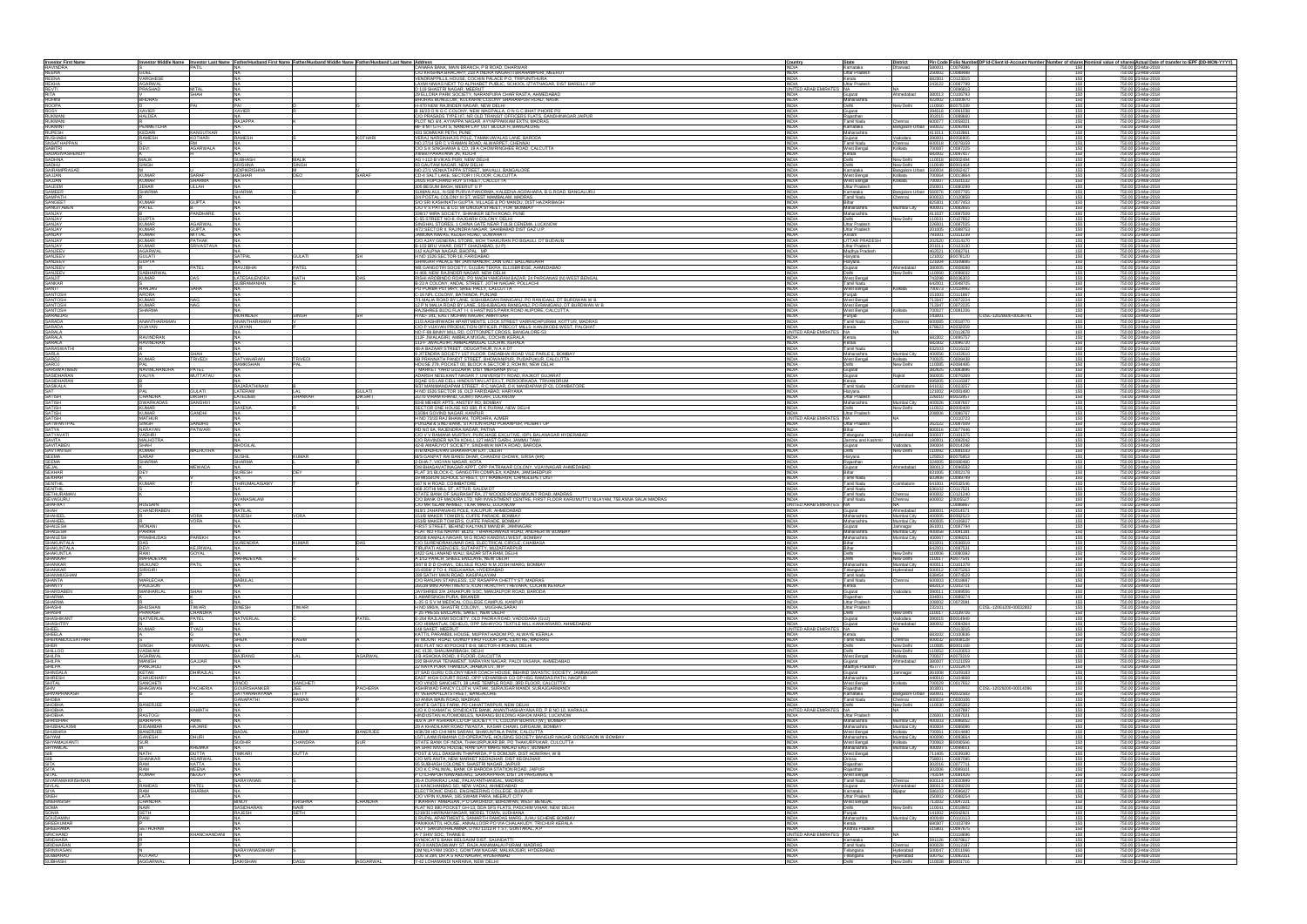| <b>Investor First Name</b><br>RAVINDRA               |                                               |                                |                                          | Investor Middle Name Investor Last Name Father/Husband First Name Father/Husband Middle Name Father/Husband Last Name Address |                                | CANARA BANK, MAIN BRANCH, P B ROAD, DHARWAR                                                                                                                                                  | Country<br>INDIA                                        | State<br>Kamataka                                       | <b>District</b><br>)harwad        | Pin Code Folio Number DP Id-Client Id-Account Number Number of shares Nominal value of shares Actual Date of transfer to IEPF (DD-MON-YYYY) |            | 750.00 23-Mar-2018                                             |
|------------------------------------------------------|-----------------------------------------------|--------------------------------|------------------------------------------|-------------------------------------------------------------------------------------------------------------------------------|--------------------------------|----------------------------------------------------------------------------------------------------------------------------------------------------------------------------------------------|---------------------------------------------------------|---------------------------------------------------------|-----------------------------------|---------------------------------------------------------------------------------------------------------------------------------------------|------------|----------------------------------------------------------------|
| REENA<br>EENA<br>REKHA                               | VARGHESE<br>AGARWAL                           |                                |                                          |                                                                                                                               |                                | O KRISHNA BRACARY, 218 A INDRA NAGAR II BRAHAMPURI, MEERL<br>/ENDRAPPILLIL HOUSE, COCHIN PALACE P O, TRIPUNITHURA                                                                            | <b>INDIA</b><br><b>INDIA</b><br><b>INDIA</b>            | Uttar Pradesh<br>Kerala<br><b>Uttar Pradesh</b>         |                                   | 580001 C0079396<br>250002 C0088488<br>682301 C0123315<br>243122 C0087799                                                                    |            | 750.00 23-Mar-201<br>750.00 23-Mar-2018<br>750.00 23-Mar-2018  |
| REVTI                                                | PRASHAD                                       | <b>MITAI</b><br>SHAH           |                                          |                                                                                                                               |                                | LAXMI NIWAS NEXT TO ALPHABET PUBLIC, SCHOOL IZTATNAGAR, DIST BAREILLY UP<br>D 119 SHASTRI NAGAR, MEERUT<br>29 ELLORA PARK SOCIETY, NARANPURA CHAR RASTA, AHMEDABAD                           | UNITED ARAB EMIRATES NA<br><b>INDIA</b>                 | Gujarat                                                 | hmedabad                          | C0096613<br>380013 C0106793                                                                                                                 |            | 750.00 23-Mar-2018                                             |
| <b>ROHIN</b><br><b>ROOPA</b>                         | BHORAS                                        |                                | PAI                                      |                                                                                                                               |                                | BHORAS BUNGLOW, KULKARNI COLONY SHARANPUR ROAD, NASIK<br>H-470 NEW RAJINDER NAGAR, NEW DELHI                                                                                                 | <b>INDIA</b><br><b>INDIA</b>                            | Maharashtra<br>Delhi                                    | New Delhi                         | 422002 C0100970<br>110060 B0075339                                                                                                          | 150        | 750.00 23-Mar-2018<br>750.00 23-Mar-2018<br>750.00 23-Mar-2018 |
| ROSY<br><b>RUKMAN</b><br><b>RUKMAN</b>               | <b>XAVIER</b><br>HALDEA                       |                                | <b>XAVIER</b><br><b>RAJAPPA</b>          |                                                                                                                               |                                | B 16/23 O N G C COLONY, NEW MAGPALLA, O N G C BHAT PHORE PO C/O PRASADS TYPE II/7, NR OLD TRANSIT OFFICERS FLATS, GANDHINAGAR JAIPUR<br>PLOT NO 4/4, AYYAPPA NAGAR, AYYAPPAKKAM EXTN, MADRAS | <b>INDIA</b><br><b>INDIA</b><br><b>INDIA</b>            | Gujarat<br>Rajasthan<br>Tamil Nadu                      | hennai                            | 394518 C0061038<br>302015 C0088660<br>600077 C0058321                                                                                       | 150        | 750.00 23-Mar-2018<br>750.00 23-Mar-2018<br>750.00 23-Mar-2018 |
| <b>RUKMINI</b><br><b>RUPESH</b>                      | PENMETCHA                                     | <b>KANGUTKAR</b>               |                                          |                                                                                                                               |                                | MF 8 M I G FLATS, NANDHI LAY OUT BLOCK H, BANGALORE<br>431 SOMWAR PETH, PUNE                                                                                                                 | <b>INDIA</b><br><b>INDIA</b>                            | Kamataka<br>Maharashtra                                 |                                   | angalore Urban 560022 C0092481<br>111011 C0102861                                                                                           |            | 750.00 23-Mar-2018<br>750.00 23-Mar-2018                       |
| RUSHABH<br>SNSATHAPPAN                               | RAMESH                                        | KOTHARI                        | RAMESH                                   |                                                                                                                               | <b>COTHARI</b>                 | VERAJ NARSINHAJIS POLE, TAMAKUWALAS LANE, BARODA<br>NO 27/14 SIR C V RAMAN ROAD, ALWARPET, CHENNAI                                                                                           | <b>INDIA</b><br><b>INDIA</b>                            | Gujarat<br>Tamil Nadu                                   | /adodara<br>Chennai               | 390001 B0056905<br>600018 C0078159                                                                                                          |            | 750.00 23-Mar-2018<br>750.00 23-Mar-2018                       |
| <b>SABITRI</b><br>SADASIVASHENOY<br>SADHNA           | DEVI<br><b>MALIK</b>                          | <b>AGARWALA</b>                | <b>SUBHASH</b>                           |                                                                                                                               |                                | C/O S K SINGHANIA & CO, 19 A CHOWRINGHEE ROAD, CALCUTTA<br>XII/660 PARAVANA JN, KOCHI<br>AG I-112-B VIKAS PURI, NEW DELHI                                                                    | <b>INDIA</b><br><b>INDIA</b><br><b>INDIA</b>            | West Bengal<br>Kerala<br>Delhi                          | Kolkata<br>New Delhi              | 700087 C0087225<br>682002 C0097417<br>110018 B0002494                                                                                       |            | 750.00 23-Mar-2018<br>750.00 23-Mar-2018<br>750.00 23-Mar-2018 |
| <b>SADHU</b><br>SAIRAMPRASAD                         | SINGH                                         |                                | <b>KRISHNA</b><br><b>JDIPIKRISHNA</b>    | <b>SINGH</b>                                                                                                                  |                                | 93 GAUTAM NAGAR, NEW DELHI<br>NO 27/1 VENKATAPPA STREET, MAVALLI, BANGALORE                                                                                                                  | <b>INDIA</b><br><b>INDIA</b>                            | Delhi<br>Kamataka                                       | New Delhi                         | 110049 B0001464<br>Bangalore Urban 560004 B0062427                                                                                          |            | 750.00 23-Mar-2018<br>750.00 23-Mar-2018                       |
| SAJJAN<br>SAJJAN<br>SALEEM                           | <b>KUMAR</b><br>KUMAR<br><b>JFHAR</b>         | SARAF<br>SHARMA<br>ULLAH       | <b>KESHAR</b>                            |                                                                                                                               | SARAF                          | CD-4 SALT LAKE, SECTOR I I FLOOR, CALCUTTA<br>24/25 RUPCHAND ROY STREET, CALCUTTA<br>305 BEGUM BAGH, MEERUT U P                                                                              | <b>INDIA</b><br><b>INDIA</b><br><b>INDIA</b>            | West Bengal<br>West Bengal<br>Uttar Pradesh             | Kolkata<br>(olkata                | 700064 C0013864<br>700007 C0101532<br>250001 C0080299                                                                                       |            | 750.00 23-Mar-2018<br>750.00 23-Mar-2018<br>750.00 23-Mar-2018 |
| SAMEER<br>SAMPATH                                    | SHARMA                                        |                                | <b>SHARMA</b><br>NA.                     |                                                                                                                               |                                | SUMAN AUL, N-508 PURVA PANORMA, KALEENA-AGRAHARA, B.G.ROAD, BANGALURU<br>2/4 POSTAL COLONY III ST, WEST MAMBALAM, MADRAS                                                                     | <b>INDIA</b><br><b>INDIA</b>                            | Kamataka<br>Tamil Nadu                                  | Chennai                           | Bangalore Urban 560076 C0007765<br>600033 C0120858                                                                                          | 150<br>150 | 750.00 23-Mar-2018<br>750.00 23-Mar-2018                       |
| SANGEET<br>SANGITABEN                                | <b>KUMAR</b><br>PATEL                         | <b>GUPTA</b>                   |                                          |                                                                                                                               |                                | S/O SRI KASHINATH GUPTA, VILLAGE & PO MANDU, DIST HAZARIBAGH C/O V S PATEL & CO, 84 GNOGA STREET, FOR :BOMBAY                                                                                | <b>INDIA</b><br><b>INDIA</b>                            | Bihar<br>Maharashtra                                    | lumbai City                       | 825301 C0077453<br>400001 C0082655                                                                                                          |            | 750.00 23-Mar-2018<br>750.00 23-Mar-2018                       |
| SANJAY<br>SANJAY<br>SANJAY                           | <b>GUPTA</b><br>KUMAR                         | PANDHARE<br><b>AGARWAI</b>     |                                          |                                                                                                                               |                                | 339/17 MIRA SOCIETY, SHANKER SETH ROAD, PUNE<br>-55 STREET NO-8, RAJGARH COLONY, DELHI<br>SINGHAL STORES, 1 CHINA GATE NEAR TULSI CENEMA, LUCKNOW                                            | <b>INDIA</b><br><b>INDIA</b><br><b>INDIA</b>            | Maharashtra<br>Delhi<br>Uttar Pradesh                   | lew Delhi                         | 411037 C0097509<br>110031 C0107852<br>226001 C0087025                                                                                       |            | 750.00 23-Mar-2018<br>750.00 23-Mar-2018<br>750.00 23-Mar-2018 |
| SANJAY<br>SANJAY                                     | KUMAR<br><b>KUMAR</b>                         | <b>GUPTA</b><br><b>MITTAL</b>  |                                          |                                                                                                                               |                                | 4/72 SECTOR II, RAJINDRA NAGAR, SAHIBABAD DIST GAZ U.P.<br>JAMUNA NIWAS, KEDER ROAD, GUWAHATI                                                                                                | <b>INDIA</b><br><b>INDIA</b>                            | Uttar Pradesh<br>Assam                                  |                                   | 201005 C0088753<br>781001 C0111239                                                                                                          |            | 750.00 23-Mar-2018<br>750.00 23-Mar-2018                       |
| SANJAY<br>SANJAY<br>SANJEEV<br>SANJEEV<br>SANJEEV    | <b>KUMAR</b><br>KUMAR<br>AGARWAL              | PATHAK<br>SRIVASTAVA           |                                          |                                                                                                                               |                                | C/O AJAY GENERAL STORE, MOH THAKURAN PO BISAULI, DT BUDAUN B-103 BRIJ VIHAR, DISTT GHAZIABAD, (U P)<br>142 KALPNA NAGAR, BHOPAL MP                                                           | <b>INDIA</b><br><b>INDIA</b><br><b>INDIA</b>            | <b>UTTAR PRADESH</b><br>Uttar Pradesh<br>Madhya Pradesh |                                   | 202520 C0114170<br>201011 C0123130                                                                                                          |            | 750.00 23-Mar-2018<br>750.00 23-Mar-2018                       |
|                                                      | <b>SULAT</b><br>GUPTA                         |                                | SATPAL                                   | GULATI                                                                                                                        |                                | H NO 1526 SECTOR-16, FARIDABAD<br>SHINGAR PALACE NR JAIN MANDIR, JAIN GALI, BALLABGARH                                                                                                       | <b>INDIA</b><br><b>INDIA</b>                            | Haryana<br>Haryana                                      |                                   | 462021 C0082761<br>121002 B0078120<br>121004 C0109695                                                                                       |            | 750.00 23-Mar-2018<br>750.00 23-Mar-2018<br>750.00 23-Mar-2018 |
| SANJEE\<br>SANJEEV                                   | SABHARWA                                      | PATEL                          | RAVJIBHAI                                | PATEL                                                                                                                         |                                | 9/B GANGOTRI SOCIETY, GULBAI TEKRA, ELLISBRIDGE, AHMEDABAD<br>H 469, NEW RAJINDER NAGAR, NEW DELHI                                                                                           | <b>INDIA</b><br><b>INDIA</b>                            | Gujarat<br><b>Delhi</b>                                 | hmedabad<br>lew Delhi             | 380005 C0008088<br>110060 C0098032                                                                                                          |            | 750.00 23-Mar-2018<br>750.00 23-Mar-201                        |
| SANJIT<br>SANKAR<br>SANTI                            | <b>KUMAR</b><br>RANJAN                        | DAS<br>SAHA                    | LATESAILENDRA<br>SUBRAMANIAN             | NATH                                                                                                                          | DAS                            | RISHI AROBINDO ROAD, PO MADHYAMGRAM BAZAR, 24 PARGANAS (N) WEST BENGAL<br>B-23 A COLONY, ANDAL STREET, JOTHI NAGAR, POLLACHI<br>PO PURBA PUTIARY, SREE PALLY, CALCUTTA                       | INDIA<br><b>INDIA</b><br><b>INDIA</b>                   | West Bengal<br><b>Tamil Nadu</b><br>West Bengal         | olkata                            | 743298 B0036303<br>642001 C0048705                                                                                                          | 150<br>150 | 750.00 23-Mar-2018<br>750.00 23-Mar-2018                       |
|                                                      | ARORA<br>KUMAR                                |                                |                                          |                                                                                                                               |                                | C-16 NFL COLONY, BATHINDA, PUNJAB<br>7/1 MALIA ROAD BY LANE, SISHUBAGAN RANIGANJ, PO RANIGANJ, DT BURDWAN W B                                                                                | <b>INDIA</b><br><b>INDIA</b>                            | Punjab<br>West Bengal                                   |                                   | 700073 C0118992<br>151003 C0111867<br>713347 C0072224                                                                                       |            | 750.00 23-Mar-2018<br>750.00 23-Mar-2018<br>750.00 23-Mar-2018 |
| SANTOSH<br>SANTOSH<br>SANTOSH<br>SANTOSH<br>SARABJAS | KUMAR<br><b>SHARMA</b>                        | NAG<br>NAG                     | <b>MOHINDER</b>                          |                                                                                                                               |                                | 12 P N MALIA ROAD BY LANE, SISHUBAGAN RANIGANJ, PO RANIGANJ, DT BURDWAN W B<br>RAJSHREE BLDG FLAT I-I, 6 HASTINGS PARK ROAD ALIPORE, CALCUTTA<br>H NO-341, EAST MOHAN NAGAR, AMRITSAR        | <b>INDIA</b><br><b>INDIA</b>                            | West Bengal<br>West Bengal                              | tolkata                           | 13347<br>C0072225<br>700027 C0081206                                                                                                        |            | 750.00 23-Mar-2018<br>750.00 23-Mar-2018                       |
| SARADA                                               | ANANTHARAMAN<br>VIJAYAN                       |                                | ANANTHARAMAI<br>VIJAYAN                  | SINGH                                                                                                                         |                                | 11/3 AASHIRWADH APARTMENTS, LOCK STREET VARRADAPURAM, KOTTUR, MADRAS                                                                                                                         | <b>INDIA</b><br><b>INDIA</b>                            | Punjab<br>Tamil Nadu<br>Kerala                          | Chennai                           | CDSL-12020600-00136741<br>143001<br>600085 C0018770<br>678623 A0032059                                                                      |            | 750.00 23-Mar-2018<br>750.00 23-Mar-2018<br>750.00 23-Mar-2018 |
| SARADA<br>SARADA<br>SARALA                           | <b>RAVINDRAN</b>                              |                                |                                          |                                                                                                                               |                                | C/O P VIJAYAN PRODUCTION OFFICER, PRECOT MILLS KANJIKODE WEST, PALGHAT NO F-98 BINNY MILL RD, COTTONPET CROSS, BANGALORE-53<br>112F JWALAGIRI, AMBALA MUGAL, COCHIN KERALA                   | INDIA Kera<br><b>INDIA</b>                              | Kerala                                                  |                                   | C0112678<br>682302 C0095757                                                                                                                 |            | 750.00 23-Mar-2018<br>750.00 23-Mar-2018                       |
| SARALA<br>SARASWATHI<br>SARLA                        | RAVINDRAN                                     |                                |                                          |                                                                                                                               |                                | 12-F JWALAGIRI, AMBALAMUGAL COCHIN, KERALA<br>48-A BAZAAR STREET, ODUGATHUR, N A A DT                                                                                                        | <b>INDIA</b><br><b>INDIA</b><br><b>INDIA</b>            | Kerala<br>Tamil Nadu<br>Maharashtra                     | <u> Aumbai City</u>               | 682302 C0096720<br>632103 C0116132<br>400056 C0102610<br>700025 C0008438                                                                    |            | 750.00 23-Mar-2018<br>750.00 23-Mar-2018<br>750.00 23-Mar-2018 |
| SARO.<br>SAROJ                                       | <b><i><u>I</u>UMAR</i></b>                    | TRIVED                         | SATYANARAIN<br>RAMKISHAN                 | TRIVEDI                                                                                                                       |                                | 9 JITENDRA SOCIETY 1ST FLOOR, DADABHAI ROAD VILE PARLE E, BOMBAY<br>6B PRANNATH PANDIT STREET, BHOWANIPUR, PUDAPUKUR, CALCUTTA<br>HOUSE 279, POCKET 00, BLOCK A SECTOR 2, ROHINI, NEW DELHI  | <b>INDIA</b><br><b>INDIA</b>                            | West Bengal<br>Delhi                                    | (olkata<br>New Delhi              | 110085 A0084485                                                                                                                             |            | 750.00 23-Mar-2018<br>750.00 23-Mar-2018                       |
| <b>SARSWATIBEN</b><br>SASIDHARAN                     | <b>NAVINCHANDRA</b><br>VALIYA                 | PATEL<br><b>MUTTATAU</b>       |                                          |                                                                                                                               |                                | 7 MARKET YARD GOZARIA, DIST MEHSANA (N G)<br>ADARSH NEELKANT NAGAR 7, UNIVERSITY ROAD, RAJKOT GUJARAT                                                                                        | <b>INDIA</b><br><b>INDIA</b>                            | Gujarat<br>Gujarat                                      | ≷ajkot                            | 382825 C0083896                                                                                                                             | 150        | 750.00 23-Mar-2018<br>750.00 23-Mar-2018                       |
| <b>SASIDHARAM</b><br>SASIKALA                        |                                               | GULA"                          | RAJARATHINAM<br>ATERAM                   |                                                                                                                               | <b>GULAT</b>                   | SQAE GS LAB CELL HINDUSTAN LATEX LT, PEROORKADA, TRIVANDRUM<br>9/37 MANIMANDAPAM STREET, R C NAGAR, O K MANDAPAM (P O), COIMBATORE<br>H NO 1526 SECTOR 16, OLD FARIDABAD, HARYANA            | <b>INDIA</b><br><b>INDIA</b><br><b>INDIA</b>            | Kerala<br>Tamil Nadu<br>Haryana                         | Coimbatore                        | 695005 C0116387<br>641032 C0023257<br>121002 A0081480                                                                                       |            | 750.00 23-Mar-2018<br>750.00 23-Mar-2018<br>750.00 23-Mar-2018 |
| <b>SATISH</b><br>SATISH                              | CHANDRA<br><b>DWARKADAS</b>                   | <b>DIKSHI</b><br>SANGHVI       | LATEDEBI                                 | SHANKAR                                                                                                                       | <b>DIKSHIT</b>                 | /270 VIRAM KHAND, GOMTI NAGAR, LUCKNOW<br>83-B MEHER APTS, ANSTEY RD, BOMBAY                                                                                                                 | <b>INDIA</b><br><b>INDIA</b>                            | Uttar Pradesh<br>Maharashtra                            | Aumbai City                       | 226010 B0023957<br>400026 C0087657                                                                                                          |            | 750.00 23-Mar-2018<br>750.00 23-Mar-2018                       |
| <b>SATISH</b><br>SATISH<br>SATISH                    | <b>KUMAR</b><br><b>KUMAR</b><br><b>MATHUR</b> | <b>GANDHI</b>                  | SAXENA                                   |                                                                                                                               |                                | SECTOR ONE HOUSE NO 838, R K PURAM, NEW DELHI<br>13/384 GOVIND NAGAR, KANPUR<br>H NO 73/33 RAJ BHAWAN, TOPDARA, AJMER                                                                        | <b>INDIA</b><br><b>INDIA</b>                            | Delhi<br>Uttar Pradesh                                  | New Delhi                         | 110022 B0000409                                                                                                                             |            | 750.00 23-Mar-2018<br>750.00 23-Mar-2018<br>750.00 23-Mar-2018 |
| <b>SATWANTPA</b><br>SATYA                            | SINGH<br>NARAYAN                              | SANDHU<br>PATWARI              |                                          |                                                                                                                               |                                | PUNJAB & SIND BANK, STATION ROAD PURANPUR, PILIBHIT UP<br>RD NO 6A, RAJENDRA NAGAR, PATNA                                                                                                    | UNITED ARAB EMIRATES NA<br><b>INDIA</b><br><b>INDIA</b> | Uttar Pradesh<br>Bihar                                  |                                   | 262122 C0087009                                                                                                                             |            | 750.00 23-Mar-2018<br>750.00 23-Mar-2018                       |
| <b>SATYAVATI</b><br>SAVITA                           | <b>VADHR</b><br>MALHOTRA                      |                                |                                          |                                                                                                                               |                                | C/O V V RAMANA MURTHY, PURCHASE EXCUTIVE, IDPL BALANAGAR HYDERABAD<br>C/O RAVINDER NATH KOHLI, 127 MAST GARH, JAMMU TAWI                                                                     | <b>INDIA</b><br><b>INDIA</b>                            | Telangana<br>Jammu and Kashr                            | lyderabad                         | 800016 C0077446<br>500037 C0101375<br>180001 C0082042<br>390004 B0014298                                                                    |            | 750.00 23-Mar-2018<br>750.00 23-Mar-2018<br>750.00 23-Mar-2018 |
| <b>SAVITABEN</b><br>SAVTANTER<br>SEEMA               | SHAH<br><b>KUMAR</b><br>SARAF                 | <b>MALHOTRA</b>                | <b>BHOGILAL</b><br>NA<br><b>SUSHIL</b>   | <b>KUMAR</b>                                                                                                                  |                                | 42-B AMARJYOT SOCIETY, SINDHWAI MATA ROAD, BARODA<br>47B MADHUVAN SHAKARPUR EXT, DELHI<br>M/S GANPAT RAI BANSI DHAR, CHANDNI CHOWK, SIRSA (HR)                                               | <b>INDIA</b><br><b>INDIA</b><br><b>INDIA</b>            | Gujarat<br>Delhi<br>Haryana                             | /adodara<br>New Delhi             | 110092 C0081033<br>125053 B0075853                                                                                                          | 150        | 750.00 23-Mar-2018<br>750.00 23-Mar-2018                       |
| SEEMA<br>SEJAL                                       | SHARMA                                        | MEWADA                         | SHARMA                                   |                                                                                                                               |                                | 2-DHA-7, VIGYAN NAGAR, KOTA<br>D/8 BHAGAVATINAGAR APPT, OPP PATRAKAR COLONY, VIJAYNAGAR AHMEDABAD                                                                                            | <b>INDIA</b><br><b>INDIA</b>                            | Rajasthan<br>Gujarat                                    | hmedabad                          | 324005 B0080480<br>380013 C0096582                                                                                                          |            | 750.00 23-Mar-2018<br>750.00 23-Mar-2018                       |
| <b>SFKHAR</b><br><b>SEKHAR</b><br><b>SENTHII</b>     | DFY<br><b>KUMAR</b>                           |                                | <b>SURESH</b><br><b>HIRUMALAISAMY</b>    | <b>DEY</b>                                                                                                                    |                                | FLAT 3/1 BLOCK-C, GANGOTRI COMPLEX, KADMA, JAMSHEDPUR<br>19 MISSION SCHOOL STREET, UTTIRAMERUR, CHINGLEPET DIST<br>167 N H ROAD, COIMBATORE                                                  | <b>INDIA</b><br><b>INDIA</b><br><b>INDIA</b>            | Bihar<br>Tamil Nadu<br><b>Tamil Nadu</b>                |                                   | 831005 C0002178<br>603406 C0099749<br>641001 A0032546                                                                                       |            | 750.00 23-Mar-2018<br>750.00 23-Mar-2018<br>750.00 23-Mar-2018 |
| <b>SENTHIL</b><br><b>SETHURAMAN</b>                  |                                               |                                |                                          |                                                                                                                               |                                | 468 JOTHI MILL ST, ATTUR, SALEM DT<br>STATE BANK OF SAURASHTRA, 27 WOODS ROAD MOUNT ROAD, MADRAS                                                                                             | <b>INDIA</b><br><b>INDIA</b>                            | Tamil Nadu<br>Tamil Nadu                                | oimbatore<br>Chennai              | 636102 C0117521<br>600002 C0121240                                                                                                          |            | 750.00 23-Mar-2018<br>750.00 23-Mar-2018                       |
| SEVAGURU<br>SHAFAAT                                  | HUSSAIN                                       |                                | AVANASALAM                               |                                                                                                                               |                                | <u>C/O BANK OF MADURA LTD, NRI INVESTMENT CENTRE, FIRST FLOOR KARUMUTTU NILAYAM, 758 ANNA SALAI MADRAS</u><br>/O MR ISLAM AHMED, TILAK MARG, LUCKNOW                                         | <b>INDIA</b><br>UNITED ARAB EMIRATES NA                 | Tamil Nadu                                              | Chennai                           | 600002 Z0005527<br>C0086967                                                                                                                 |            | 750.00 23-Mar-2018<br>750.00 23-Mar-2018                       |
| SHAH<br>SHAHEEI<br><b>SHAHEEL</b>                    | CHANDRABEN                                    | <b>VORA</b>                    | <b>RATILAI</b><br>RAJESH                 | 'ORA                                                                                                                          |                                | 919/1 JAHAPANAHS POLE, KALUPUR, AHMEDABAD<br>51/B MAKER TOWERS, CUFFE PARADE, BOMBAY<br>151/B MAKER TOWERS, CUFFE PARADE, BOMBAY                                                             | <b>INDIA</b><br><b>INDIA</b><br><b>INDIA</b>            | Gujarat<br>Maharashtra<br>Maharashtra                   | Aumbai City<br>Mumbai City        | Ahmedabad 380001 A0014571<br>400005 B0082523<br>400005 C0106927                                                                             |            | 750.00 23-Mar-2018<br>750.00 23-Mar-2018<br>750.00 23-Mar-2018 |
| SHAILESH<br><b>SHAILESH</b>                          | MONAN<br>PARIKH                               |                                |                                          |                                                                                                                               |                                | FIRST STREET, BEHIND KALYANJI MANDIR, JAMNAGAR<br>FLAT NO F/55 NAVNIT BLDG, 7 BHARDAWADI ROAD, ANDHERI W BOMBAY                                                                              | <b>INDIA</b><br><b>INDIA</b>                            | Gujarat<br>Maharashtra                                  | Jamnagar<br>Aumbai City           | 361001 C0087794<br>400058 C0091181                                                                                                          |            | 750.00 23-Mar-2018<br>750.00 23-Mar-2018                       |
| <b>SHAILESH</b><br><b>SHAKUNTALA</b><br>4ΔΚΙ ΙΝΤΔΙ Δ | PRABHUDAS<br>DAS                              | PAREKH                         | NA.<br><b>SURENDRA</b>                   | <b>KUMAR</b>                                                                                                                  | DAS                            | D/508 KAMALA NAGAR, M G ROAD KANDIVLI WEST, BOMBAY<br>C/O SURENDRAKUMAR DAS, ELECTRICAL CIRCLE, CHAIBASA<br><b>IPATI AGENCIES SUITAPATTY MUZAR</b>                                           | <b>INDIA</b><br><b>INDIA</b>                            | Maharashtra<br>Bihar                                    | Mumbai City                       | 400067 C0098251<br>833201 C0038319<br>842001                                                                                                | 150<br>150 | 750.00 23-Mar-2018<br>750.00 23-Mar-2018                       |
| SHAKUNTLA                                            | MAHADEVAN                                     | GOYAL                          | MAHADEVAN                                |                                                                                                                               |                                | 1422 GALI ANAND WALI, BAZAR SITA RAM, DELHI<br>A 1/12 PANCH, SHEEL ENCLAVE, NEW DELHI                                                                                                        | <b>INDIA</b><br><b>INDIA</b>                            | Delhi<br>Delhi                                          | New Delhi<br>New Delhi            | 110006 C0080392<br>110017 A0077541                                                                                                          |            | 750.00 23-Mar-2018<br>750.00 23-Mar-2018                       |
| SHANKAR<br>SHANKAR<br>SHANKAR<br>SHANMUGHAM          | <b>MUKUND</b><br>SIRIGIRI                     | PATIL                          |                                          |                                                                                                                               |                                | 3/47 B D D CHAWL, DELSILE ROAD N M JOSHI MARG, BOMBAY<br>15-8359/2 TO 4. FEELKHANA, HYDERABAD                                                                                                | <b>INDIA</b><br><b>INDIA</b>                            | Maharashtra<br>elangana                                 | Mumbai City<br>lyderabad          | 400011 C0101378<br>500012 C0075263                                                                                                          |            | 750.00 23-Mar-2018<br>750.00 23-Mar-2018                       |
| SHANTA                                               | MARLECHA<br>PAULSON                           |                                | <b>BABULAL</b>                           |                                                                                                                               |                                | 289 SATHY MAIN ROAD, KASIPALAYAM<br>C/O RANJAN STAINLESS, 137 RASAPPA CHETTY ST, MADRAS<br>26/239 MINI APARTMENTS, KONTHURUTHY THEVARA, COCHIN KERALA                                        | <b>INDIA</b><br><b>INDIA</b>                            | Tamil Nadu<br>Tamil Nadu<br>Kerala                      | Chennai                           | 638454 C0074529<br>600003 C0018687                                                                                                          | 150        | 750.00 23-Mar-2018<br>750.00 23-Mar-2018                       |
| SHANTY<br>SHARDABEN<br>SHARMA                        | MANHARLAL                                     |                                |                                          |                                                                                                                               |                                | JAYSHREE 2/A JANAKPURI SOC, MANJALPOR ROAD, BARODA<br><b>AMARSINGH PURA, BIKANER</b>                                                                                                         | <b>INDIA</b><br><b>INDIA</b><br><b>INDIA</b>            | Gujarat<br>Rajasthan                                    | adodara                           | 682013 C0102711<br>390011 C0089556<br>334001 C0089274                                                                                       |            | 750.00 23-Mar-2018<br>750.00 23-Mar-2018<br>750.00 23-Mar-2018 |
| SHARMA                                               | <b>BHUSHAN</b><br>PRAKASH                     | <b>TIWAR</b><br>CHANDRA        | <b>DINESH</b>                            | TIWARI                                                                                                                        |                                | L-25 G S V M MEDICAL COLLEGE CAMPUS, KANPUR<br>H NO 890/A, SHASTRI COLONY, ., MUGHALSARAI<br>F 25 PRESS ENCLAVE, SAKET, NEW DELHI                                                            | <b>INDIA</b><br><b>INDIA</b><br><b>INDIA</b>            | Uttar Pradesh<br>Uttar Pradesh                          | lew Delhi                         | 208002 C0072081<br>DSL-12061200-00032802<br>232101<br>110017 C0139716                                                                       |            | 750.00 23-Mar-2018<br>750.00 23-Mar-2018<br>750.00 23-Mar-2018 |
| SHASHI<br>SHASHI<br>SHASHIKANT<br>SHASHTRY           | NATVERLA                                      | PATEL                          | NATVERLA                                 |                                                                                                                               | PATEL                          | E-264 RAJLAXMI SOCIETY, OLD PADRA ROAD, VADODARA (GUJ)<br>C/O HIMMATLAL DEHELG, OPP SAHAYOG TEXTILE MILL KANKARIARD, AHMEDABAD                                                               | <b>INDIA</b><br><b>INDIA</b>                            | Delhi<br>Gujarat<br>Gujarat                             | Vadodara                          | 390015 B0014949<br>Ahmedabad 380002 C0084364                                                                                                | 150        | 750.00 23-Mar-2018<br>750.00 23-Mar-2018                       |
| <b>SHEEL</b><br>SHEELA<br>SHEIKABDULSATHAR           | <b>KUMAR</b>                                  | <b>TYAGI</b>                   | NA<br><b>SHEIK</b>                       | KASIM                                                                                                                         |                                | <b>148 SAKET MEERUT</b><br>KATTIL PARAMBIL HOUSE, MUPPATHADOM PO, ALWAYE KERALA<br>97 MOUNT ROAD, GUINDY IIIRD FLOOR SPIC CENTRE, MADRAS                                                     | UNITED ARAB EMIRATES NA<br><b>INDIA</b><br><b>INDIA</b> | Kerala                                                  | <b>NA</b>                         | C0113215<br>683102 C0100836<br>600032 B0008128                                                                                              | 150        | 750.00 23-Mar-2018<br>750.00 23-Mar-2018<br>750.00 23-Mar-2018 |
| <b>SHER</b><br><b>SHILLOO</b>                        | SINGH<br>VASWANI                              | NAINWA                         | NA.                                      |                                                                                                                               |                                | MIG FLAT NO 40 POCKET B-8, SECTOR-4 ROHINI, DELHI<br>AC I/130, SHALIMARBAGH, DELHI                                                                                                           | <b>INDIA</b><br><b>INDIA</b>                            | Tamil Nadu<br>Delhi<br>Delhi                            | Chennai<br>New Delhi<br>New Delhi | 110085 B0001168                                                                                                                             |            | 750.00 23-Mar-2018                                             |
| <b>SHILPA</b><br><b>SHILPA</b>                       | AGARWAL<br>MANISH                             | GAJJAR                         | <b>BAJRANG</b>                           |                                                                                                                               | <b>AGARWAL</b>                 | <b>B ASHOKA ROAD, II FLOOR, CALCUTTA</b><br>192 BHAVNA TENAMENT, NARAYAN NAGAR, PALDI VASANA, AHMEDABAD                                                                                      | <b>INDIA</b><br><b>INDIA</b>                            | West Bengal<br>Gujarat                                  | olkata<br><b>\hmedabad</b>        | 110052 C0120053<br>700027 A0073219<br>380007 C0121059                                                                                       |            | 750.00 23-Mar-2018<br>750.00 23-Mar-2018<br>750.00 23-Mar-2018 |
| SHILPA<br>SHINGALA                                   | PANCHOLI<br>KETAN<br>CHAUDHAR'                | DHIRAJLAL                      |                                          |                                                                                                                               |                                | 2 NAYA PURA THANDLA, JHABUA DT, M P<br>7 SAD GURU COLONY NEAR COACH HOUSE, BEHIND SWASTIC SOCIETY, JAMNAGAR<br>EAST HIGH COURT ROAD, OPP VIDHARBHA CO OP HSG RAMDAS PATH, NAGPUR             | <b>INDIA</b><br><b>INDIA</b><br><b>INDIA</b>            | Madhya Pradesh<br>Gujarat<br>Maharashtra                | lamnagar                          | 457777 C0112474<br>361008 C0109183<br>440010 C0104668                                                                                       | 150        | 750.00 23-Mar-2018<br>750.00 23-Mar-2018                       |
| SHIRESH<br>SHITAL                                    | SANCHETI<br><b>BHAGWAN</b>                    | PACHERIA                       | <b>VINOF</b><br><b>GOURISHANKER</b>      | SANCHETI                                                                                                                      | <b>PACHERIA</b>                | C/O VINOD SANCHETI, 38 LAKE TEMPLE ROAD, 3RD FLOOR, CALCUTTA<br>ASHIRWAD FANCY CLOTH, VATIAK, SURAJGAR MANDI, SURAJGARMANDI                                                                  | <b>INDIA</b><br><b>INDIA</b>                            | West Bengal<br>Rajasthan                                | (olkata                           | 700029 C0017652<br>CDSL-12029200-00014096<br>303001                                                                                         | 150        | 750.00 23-Mar-2018<br>750.00 23-Mar-2018<br>750.00 23-Mar-2018 |
| <b>SHIVAPRAKASH</b><br>SHOBA                         |                                               |                                | <b>SATYANARAYANA</b><br><b>GANAPATHI</b> | ETTY<br>RAMAN                                                                                                                 |                                | 17 VEERAPILLAI STREET, BANGALORE<br>10 ANNA MAIN ROAD, MADRAS                                                                                                                                | <b>INDIA</b><br><b>INDIA</b>                            | Kamataka<br>Tamil Nadu                                  | Chennai                           | 3angalore Urban 560001 A0022583<br>600024 C0020106<br>110030 C0095302                                                                       |            | 750.00 23-Mar-2018<br>750.00 23-Mar-2018                       |
| <b>SHOBHA</b><br>SHOBHA                              | BANERJEE<br>RASTOGI                           | KAMATH                         | NA.                                      |                                                                                                                               |                                | WHITE GATES FARM, PO CHHATTARPUR, NEW DELHI<br>C/O K D KAMATH, SYNDICATE BANK, ANANTHASHAYANA RD, P B NO 10, KARKALA<br>HINDUSTAN AUTOMOBILES, NARANG BUILDING ASHOK MARG, LUCKNOW           | <b>INDIA</b><br>UNITED ARAB EMIRATES NA<br><b>INDIA</b> | Delhi<br>Uttar Pradesh                                  | lew Delhi                         | C0107897<br>226001 C0087021                                                                                                                 | 150        | 750.00 23-Mar-2018<br>750.00 23-Mar-2018<br>750.00 23-Mar-2018 |
| SHOBHA<br>SHRIDHAR<br>SHUBHALAXMI<br>SHUBHRA         | <b>BAIRAPPA</b><br><b>DIGAMBAR</b>            | AMIN<br>HAJARE                 |                                          |                                                                                                                               |                                | 402 A JAY ASHIANA CO OP SOCIETY, I C COLONY BORIVLI (W), BOMBAY<br>29 A KHADILKAR ROAD TWASTA, KASAR CHAWL GIRGAUM, BOMBAY                                                                   | <b>INDIA</b><br><b>INDIA</b>                            | Maharashtra<br>Maharashtra                              | Aumbai City<br>lumbai City        | 400103 C0086052<br>400004 C0086086                                                                                                          |            | 750.00 23-Mar-2018<br>750.00 23-Mar-2018<br>750.00 23-Mar-2018 |
| <b>SHYAM</b>                                         | BANERJEE<br><b>GANESH</b>                     | <b>DHURI</b>                   | <b>BADA</b><br><b>SUDHIR</b>             | KUMAR                                                                                                                         | <b>BANERJEE</b><br><b>SLIR</b> | 4/3K/39 HO-CHI-MIN SARANI, SHAKUNTALA PARK, CALCUTTA<br>THE TRANS RAINING CO-OPERATIVE, HOUSING SOCIETY BANGUR NAGAR, GOREGAON W BOMBAY                                                      | <b>INDIA</b><br><b>INDIA</b>                            | West Bengal<br>Maharashtra                              | Kolkata<br>Mumbai City            | 700061 C0014480<br>400090 C0093664                                                                                                          |            | 750.00 23-Mar-2018<br>750.00 23-Mar-2018                       |
| SHYAMALKANT<br>SHYAMLAL<br><b>SIB</b>                | <b>NATH</b>                                   | <b>KHEMKA</b><br><b>DUTTA</b>  | TIMKARI                                  | <b>HANDRA</b><br><b>DUTTA</b>                                                                                                 |                                | 9A SHRI NIVAS HOUSE, RANI SATI MARG MALAD EAST, BOMBAY<br>POST & VILL DAKSHIN THAPARDA, P S DOMJUR, DIST HOWRAH, W B                                                                         | <b>INDIA</b><br><b>INDIA</b><br><b>INDIA</b>            | West Bengal<br>Maharashtra<br>West Bengal               | <u>(olkata</u><br>Aumbai City     | 700063 B0090566<br>400097 C0099011<br>711405 C0039190                                                                                       |            | 750.00 23-Mar-2018<br>750.00 23-Mar-2018                       |
|                                                      | <b>SHANKAF</b>                                | <b>AGARWAL</b><br><b>KATTA</b> |                                          |                                                                                                                               |                                | C/O M/S ANITA, NEW MARKET KEONJHAR, DIST KEONJHAR<br>85 SUBHASH COLONEY, SHASTRI NAGAR, JAIPUR.                                                                                              | <b>INDIA</b><br><b>INDIA</b>                            | Orissa<br>Rajasthan                                     |                                   |                                                                                                                                             | 150        | 750.00 23-Mar-2018<br>750.00 23-Mar-2018                       |
| ITA.<br><b>IVARAMAKRISHNAM</b>                       | RAM<br><b>KUMAR</b>                           | MEENA<br><b>NEOGY</b>          | NARAYANAN                                |                                                                                                                               |                                | C/O K C PALIWAL, BANK OF BARODA STATION ROAD, JAIPUR<br>PO ICHAPUR NAWABGANJ, SARKARPARA, DIST 24 PARGANAS N<br>26-A DURAIRAJ LANE, PALAVANTHANGAL, MADRAS                                   | <b>INDIA</b><br><b>INDIA</b><br><b>INDIA</b>            | Rajasthan<br>West Bengal<br>Tamil Nadu                  | hennai                            | 302006 C0089101<br>743144 C0081426<br>600114 C0020999                                                                                       |            | 750.00 23-Mar-2018<br>750.00 23-Mar-2018<br>750.00 23-Mar-2018 |
| <b>SIVLAL</b>                                        | RAMDAS<br>RAM                                 | <b>PATE</b><br><b>SHARMA</b>   |                                          |                                                                                                                               |                                | 11 KANCHANBAG SO, NEW VADAJ, AHMEDABAD<br>ELECTRONIC ENGG, ENGINEERING COLLEGE, BIJAPUR                                                                                                      | <b>INDIA</b><br><b>INDIA</b>                            | Gujarat<br>Kamataka                                     | hmedabad<br>3ijapur               | 380013 C0098228<br>586103 C0096427                                                                                                          |            | 750.00 23-Mar-2018<br>750.00 23-Mar-2018                       |
| SNEH<br>SNEHASISH                                    | LATA<br>CHANDRA                               |                                | NA<br><b>BINOY</b>                       | KRISHNA                                                                                                                       | CHANDRA                        | C/O VIPIN KUMAR, 185 SWAMI PARA, MEERUT CITY<br>TIKARHAT AMBAGAN, P O LAKURDOI, BURDWAN, WEST BENGAL                                                                                         | <b>INDIA</b><br><b>INDIA</b>                            | <b>Uttar Pradesh</b><br>West Bengal                     |                                   | 250002 C0088254<br>713102 C0047221                                                                                                          | 150<br>150 | 750.00 23-Mar-2018<br>750.00 23-Mar-2018                       |
| SOMA<br>SONIA                                        | PANI                                          |                                | SASIDHARAN<br>RAJESH                     |                                                                                                                               |                                | FLAT NO 890 POCKET GH-13, DDA SFS FLATS, PASCHIM VIHAR, NEW DELHI<br>1219/31 HARNAM NAGAR, MODEL TOWN, LUDHIANA<br>1 RUPAL APARTMENTS, SAMARTH RAMDAS MARG, JUHU SCHEME BOMBAY               | <b>INDIA</b><br><b>INDIA</b><br><b>INDIA</b>            | Delhi<br>Punjab<br>Maharashtra                          | lew Delhi<br>Aumbai City          | 110041 C0018902<br>141002 A0042821<br>400049 C0110113<br>680307 C0103789<br>545804 C0003785                                                 |            | 750.00 23-Mar-2018<br>750.00 23-Mar-2018<br>750.00 23-Mar-2018 |
| SOUDAMINI<br>SREEKUMAR<br>SREERAMA<br>SRICHAND       | SETHURAM                                      |                                |                                          |                                                                                                                               |                                | PANIKKATTIL HOUSE, ANNALLOOR PO VIA CHALAKUDY, TRICHUR KERALA<br>S/O T SAKUNTHALAMMA, D NO 11/13 R T ST, GUNTAKAL, A P                                                                       | <b>INDIA</b>                                            | Kerala<br>Andhra Pradesh                                |                                   | 515801 C0097675                                                                                                                             |            | 750.00 23-Mar-2018<br>750.00 23-Mar-2018                       |
| SRIDHARA<br>SRIDHARAN<br>SRINIVASAN                  |                                               | KHANCHANDANI                   |                                          |                                                                                                                               |                                | A-7 SHIV SOC, THANE E<br>SYNDICATE BANK BELGAUM DIST, SAUNDATTI<br>NO 9 KANDASWAMY ST, RAJA ANNAMALAI PURAM, MADRAS                                                                          | UNITED ARAB EMIRATES NA<br><b>INDIA</b><br><b>INDIA</b> | Kamataka<br><b>Tamil Nadu</b>                           |                                   | C0118696<br>591126 C0078617                                                                                                                 |            | 750.00 23-Mar-2018<br>750.00 23-Mar-2018                       |
| <b>SUBBARAO</b>                                      | KOTARU                                        |                                | NARAYANASWAMY                            |                                                                                                                               |                                | OM NILAYAM 19/30-1, GOWTAM NAGAR, MALKAJGIRI, HYDERABAD<br>LOG B 284, DR A S RAO NAGAR, HYDERABAD                                                                                            | <b>INDIA</b><br>INDIA                                   | <u>Felangana</u><br>Telangana                           | Chennai<br>Hyderabad<br>Hyderabad | 600028 C0112187<br>500047 C0011066<br>500762 C0082151                                                                                       |            | 750.00 23-Mar-2018<br>750.00 23-Mar-2018<br>750.00 23-Mar-2018 |
| SUBHASH                                              | AGGARWA                                       |                                | <b>JAIKISHAN</b>                         |                                                                                                                               | <b>AGGARWAL</b>                | Y-42 LOHAMANDI NARAINA, NEW DELHI                                                                                                                                                            | <b>INDIA</b>                                            | Delhi                                                   | New Delhi                         | 110028 B0001716                                                                                                                             |            | 750.00 23-Mar-2018                                             |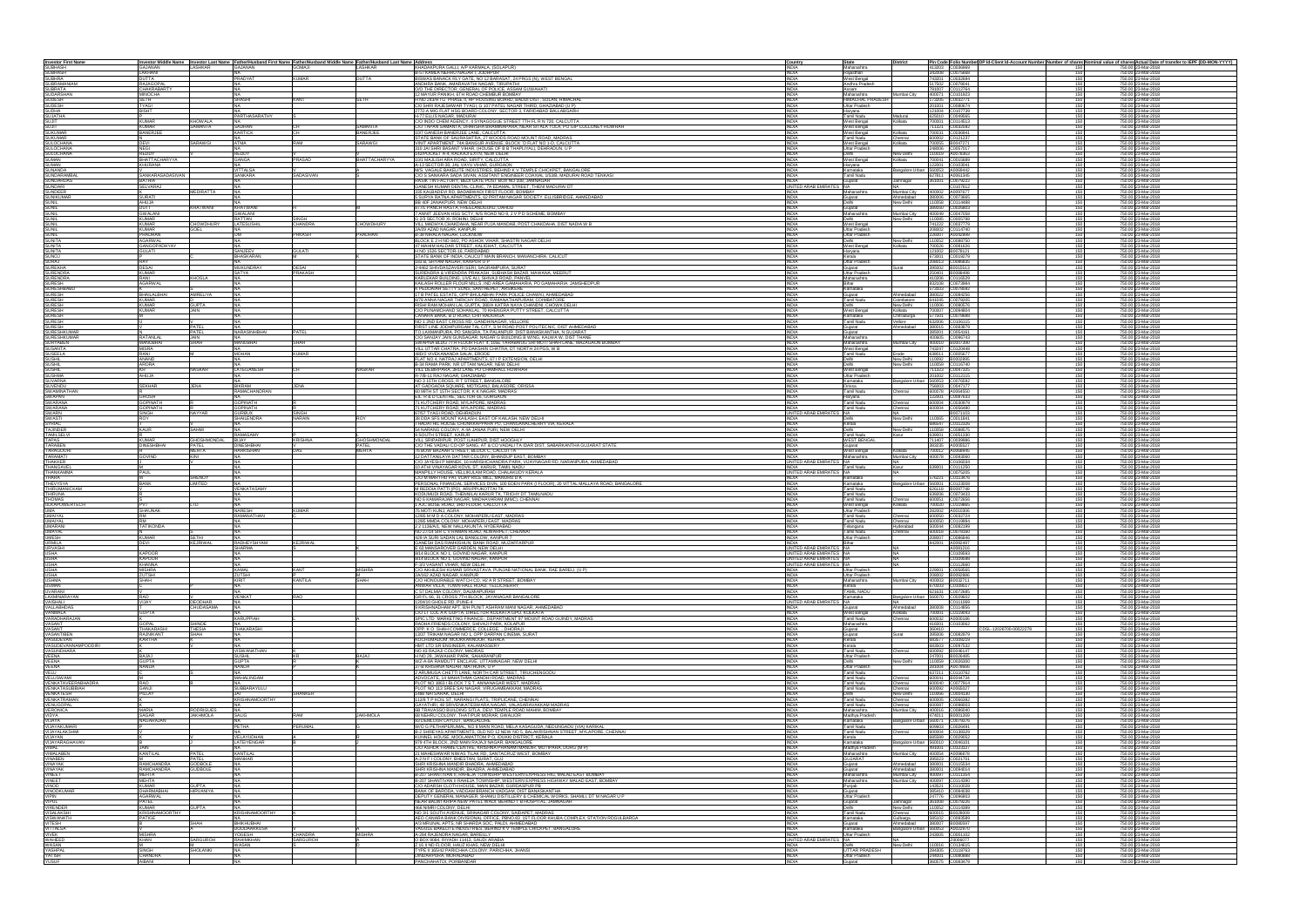| <b>ILIBHASH</b><br>UBHASH                         |                                          |                                    | Investor Middle Name Investor Last Name Father/Husband First Name Father/Husband Middle Name Father/Husband Last Name Address |                               |                     |                                                                                                                                              | Country                                                | <b>State</b>                                           | Pin Code Folio Number DP Id-Client Id-Account Number Number of shares Nominal value of shares Actual Date of transfer to IEPF (DD-MON-YYYY |                                                                       |
|---------------------------------------------------|------------------------------------------|------------------------------------|-------------------------------------------------------------------------------------------------------------------------------|-------------------------------|---------------------|----------------------------------------------------------------------------------------------------------------------------------------------|--------------------------------------------------------|--------------------------------------------------------|--------------------------------------------------------------------------------------------------------------------------------------------|-----------------------------------------------------------------------|
|                                                   | GAJANAN<br>LAKHANI                       | ASHKAR                             | AJANAN                                                                                                                        | 30MAJI                        | LASHKAR             | KHADAKPURA GALLI, A/P KARMALA, (SOLAPUR)<br>3-57 KAMLA NEHRU NAGAR I, JODHPUR                                                                | <b>INDIA</b><br>INDIA                                  | Maharashtra<br>Rajasthan                               | 413203 C0036969<br>342008 C0075668                                                                                                         | 750.00 23-Mar-2018<br>750.00 23-Mar-2018                              |
| <b>JBHRA</b>                                      | <b>DUTTA</b>                             |                                    | PRADYAT                                                                                                                       |                               | UTTA                | BISWAS BANACK RLY GATE, NO 12 BARASAT, 24 PRGS (N), WEST BENGAL                                                                              | <b>INDIA</b>                                           | West Bengal                                            | 743201 C0032694                                                                                                                            | 750.00 23-Mar-2018<br>150                                             |
| <b>JUBRAMANIA</b>                                 | RAJAGOP/                                 |                                    |                                                                                                                               |                               |                     | ANDHRA BANK, AMARAVATHI NAGAR, TIRUPATHI                                                                                                     | <b>INDIA</b>                                           | Andhra Pradesh                                         | 17502 C0078041                                                                                                                             | 150<br>750.00 23-Mar-2018<br>750.00 23-Mar-2018                       |
| <b>UBRATA</b><br><b>JUDARSHAN</b>                 | CHAKRABAR <sub>1</sub><br><b>MINOCHA</b> |                                    |                                                                                                                               |                               |                     | O/O THE DIRECTOR, GENERAL OF POLICE, ASSAM GUWAHATI<br>12 MAYUR PANIKH, 6TH ROAD CHEMBUR BOMBAY                                              | <b>INDIA</b><br><b>INDIA</b>                           | Assam<br>Maharashtra<br>umbai City                     | 781007 C<br>0112764<br>400071 C0101923                                                                                                     | 150                                                                   |
| UDESH                                             | SETH                                     |                                    | SHASHI                                                                                                                        | KANT                          | ETH                 | H NO 243/H I G PHASE II, HP HOUSING BOARD, BADDI DIST, SOLAN, HIMACHAL                                                                       | INDIA                                                  | HIMACHAL PRADESH                                       | 173205 C0032771                                                                                                                            | 750.00 23-Mar-2018<br>750.00 23-Mar-2018                              |
| <b>SUDESH</b>                                     | <b>TYAGI</b>                             |                                    |                                                                                                                               |                               |                     | C/0 SHRI RAJESHWAR TYAGI, G 107 PATEL NAGAR THIRD, GHAZIABAD (U P)                                                                           | <b>INDIA</b>                                           | Uttar Pradesh                                          | 201001 C0080674                                                                                                                            | 150<br>750.00 23-Mar-2018                                             |
| <b>SUDHA</b><br><b>NHTALU</b>                     | <b>BISHT</b>                             |                                    | PARTHASARATHY                                                                                                                 |                               |                     | 2772-A MIG FLAT HSG BOARD COLONY, SECTOR 3, FARIDABAD BALLABGARH<br>H-77 ELLIS NAGAR, MADURAI                                                | <b>INDIA</b><br><b>INDIA</b>                           | Haryana<br>Tamil Nadu<br>vladurai                      | 121004 C0107739<br>625010 C0049565                                                                                                         | 150<br>750.00 23-Mar-2018                                             |
|                                                   | <b>KUMAF</b>                             | <b>KHOWALA</b>                     |                                                                                                                               |                               |                     | C/O INDO CHEM AGENCY, 4 SYNAGOGUE STREET 7TH FL R N 720, CALCUTTA                                                                            | INDIA                                                  | West Bengal<br>Kolkata                                 | 700001 C0114513                                                                                                                            | 150<br>150<br>750.00 23-Mar-2018<br>750.00 23-Mar-2018                |
| <b>ILIKLIMAR</b>                                  | KUMAR<br>BANERJEE                        | SAMANTA                            | <b>SADHAN</b><br><b>KARTICK</b>                                                                                               |                               | SAMANTA<br>BANERJEE | C/O TAPAN SAMANTA, DHARSHA BRAMINAPARA, NEAR SITALA TOLA, PO GIP COLLONEY HOWRAH<br>10/7 GANESH BANERJEE LANE, CALCUTTA                      | <b>INDIA</b><br><b>INDIA</b>                           | West Bengal<br>West Bengal<br>.olkata                  | 711321 C0032592<br>700031 C0036941                                                                                                         | 150<br>750.00 23-Mar-2018<br>150<br>750.00 23-Mar-2018                |
| UKUMAR                                            |                                          |                                    |                                                                                                                               |                               |                     | STATE BANK OF SAURASHTRA, 27 WOODS ROAD MOUNT ROAD, MADRAS                                                                                   | <b>INDIA</b>                                           | Tamil Nadu<br>Chennai                                  | 600002 C0121237                                                                                                                            | $\frac{150}{150}$<br>750.00 23-Mar-2018                               |
| <b>SULOCHANA</b>                                  | DEVI                                     | <b>SARAWGI</b>                     | <b>ATMA</b>                                                                                                                   | RAM                           | <b>SARAWGI</b>      | VINIT APARTMENT, 74A BANGUR AVENUE, BLOCK 'D FLAT NO 1-D, CALCUTTA                                                                           | <b>INDIA</b>                                           | West Bengal<br>Kolkata                                 | 700055 B0047271                                                                                                                            | 750.00 23-Mar-2018                                                    |
| SULOCHANA<br>ULOCHANA                             | <b>NEGI</b>                              |                                    | REDDY                                                                                                                         |                               |                     | 310 JAI SHRI BASANT VIHAR, (HOUSE OF B B THAPLIYAL), DEHRADUN, U P<br>142/POCKET A-4, KALKAJI EXTN, NEW DELHI                                | <b>INDIA</b><br><b>INDIA</b>                           | <b>Uttar Pradesh</b><br>Vew Delhi<br>Delhi             | 248006 C0057017<br>110019 A0078363                                                                                                         | 150<br>750.00 23-Mar-2018                                             |
| <b>JMAN</b>                                       | BHATTACHARYYA                            |                                    | GANGA                                                                                                                         | PRASAD                        | BHATTACHARYYA       | 10/1 MAJLISH ARA ROAD, SIRITY, CALCUTTA                                                                                                      | <b>INDIA</b>                                           | West Bengal<br>Kolkata                                 | 700041 C0015689                                                                                                                            | $\frac{150}{150}$<br>750.00 23-Mar-2018<br>750.00 23-Mar-2018         |
| UMAN<br><b>JNANDA</b>                             | KHURANA                                  |                                    | <b>VITTALSA</b>                                                                                                               |                               |                     | A-13 SECTOR-30, JAL VAYU VIHAR, GURGAON<br>M/S. VAGALE BAKELITE INDUSTRIES, BEHIND K V TEMPLE CHICKPET, BANGALORE                            | INDIA<br>INDIA                                         | Haryana                                                | 122001 C0103041<br>Bangalore Urban 560053 A0069442                                                                                         | 750.00 23-Mar-2018<br>750.00 23-Mar-2018<br>$\frac{150}{150}$         |
| <b>UNDARAMB</b>                                   | SANKARASADASIVAN                         |                                    | SANKARA                                                                                                                       | SADASIVAN                     |                     | C/O S SANKARA SADA SIVAN, ASSITANT ENGINEER COAXIAL 1/53/B, MADURAI ROAD TENKASI                                                             | <b>INDIA</b>                                           | Kamataka<br>Tamil Nadu                                 | 627811 A0061345                                                                                                                            | 150<br>750.00 23-Mar-2018                                             |
| <b>SUNDARDAS</b>                                  | BATHIA                                   |                                    |                                                                                                                               |                               |                     | RASIK TIN FACTORY, BEDI GATE POST BOX NO 108, JAMNAGAR                                                                                       | <b>INDIA</b>                                           | lamnagar<br>Gujarat                                    | 361001 C0079222                                                                                                                            | 750.00 23-Mar-2018                                                    |
| SUNDARI<br><b>SUNDEER</b>                         | SELVARAJ                                 | <b>IEDIRATTA</b>                   |                                                                                                                               |                               |                     | GANESH KUMAR DENTAL CLINIC, 7A EDAMAL STREET, THENI MADURAI DT<br>335 KALBADEVI RD, BADABWADI FIRST FLOOR, BOMBAY                            | UNITED ARAB EMIRATES NA<br><b>INDIA</b>                | Mumbai City<br>Maharashtra                             | 20107612<br>400002 A0097677                                                                                                                | 150<br>750.00 23-Mar-2018<br>150<br>750.00 23-Mar-2018                |
| UNIKUMAF                                          | <b>SURATI</b>                            |                                    |                                                                                                                               |                               |                     | 5 SURYA RATNA APARTMENTS, 62 PRITAM NAGAR SOCIETY, ELLISBRIDGE, AHMEDABAD                                                                    | INDIA                                                  | Gujarat<br>Ahmedabad                                   | 380006 C0073665                                                                                                                            | 750.00 23-Mar-2018<br>750.00 23-Mar-2018<br>$\frac{150}{150}$         |
| UNIL<br><b>JNIL</b>                               | AHUJA<br>DUTT                            | <b>HATWANI</b>                     | <b>KHATWAN</b>                                                                                                                |                               |                     | BB 40F JANAKPURI. NEW DELHI<br>877/L PANCH RASTA, FREELANDGUNJ, DAHOD                                                                        | <b>INDIA</b><br>INDIA                                  | Delhi<br><b>New Delhi</b><br>Gujarat                   | 110058<br>0114488<br>389160 C0026803                                                                                                       | 150<br>750.00 23-Mar-2018                                             |
| UNIL                                              | <b>GWALANI</b>                           |                                    | <b>SWALANI</b>                                                                                                                |                               |                     | 7 ANNIT JEEVAN HSG SCTY, N/S ROAD NO 9, J V P D SCHEME, BOMBAY                                                                               | <b>INDIA</b>                                           | Maharashtra<br>Mumbai City                             | 400049 C0047058<br>110085 C0005798                                                                                                         | $\frac{150}{150}$<br>750.00 23-Mar-2018<br>750.00 23-Mar-2018         |
| UNIL                                              | <b>KUMAR</b>                             |                                    | RATTAN                                                                                                                        | SINGF                         |                     | 3 2/3 SECTOR XI, ROHINI, DELHI                                                                                                               | <b>INDIA</b>                                           | √ew Delhi                                              |                                                                                                                                            |                                                                       |
| <b>SUNIL</b><br><b>SUNIL</b>                      | <b>KUMAR</b><br><b>KUMAR</b>             | <b>HOWDHURY</b>                    | LATESUSHIL                                                                                                                    | <b>HANDRA</b>                 | <b>HOWDHURY</b>     | VILL MADHYA CHAKDAHA, NEAR PUJA MANDAB, POST CHAKDAHA, DIST NADIA W B<br>2A/29 AZAD NAGAR, KANPUR                                            | <b>INDIA</b><br>INDIA                                  | West Bengal<br><b>Uttar Prades</b>                     | 741222 C0037779<br>208002 C0114740                                                                                                         | $\frac{150}{150}$<br>750.00 23-Mar-2018<br>750.00 23-Mar-2018         |
| <b>SUNIL</b>                                      | <b>PRADHAN</b>                           |                                    | <b>IOM</b>                                                                                                                    | PRKASH                        | PRADHAN             | B-38 NIRALA NAGAR, LUCKNOW                                                                                                                   | <b>INDIA</b>                                           | <b>Uttar Pradesh</b>                                   | 226007 A0042899                                                                                                                            | 150<br>750.00 23-Mar-2018                                             |
| SUNITA<br>SUNITA                                  | AGARWAI<br><b>GANGOPADHYA</b>            |                                    |                                                                                                                               |                               |                     | BLOCK E 2 H NO 84/2, PO ASHOK VIHAR, SHASTRI NAGAR DELHI<br>47 MAHIM HALDAR STREET, KALIGHAT, CALCUTTA                                       | <b>INDIA</b><br><b>INDIA</b>                           | Delhi<br>New Delhi<br>West Bengal<br>Kolkata           | 110052 C0088750                                                                                                                            | 150<br>750.00 23-Mar-2018<br>150                                      |
| UNITA                                             | GULATI                                   |                                    | SANJEEV                                                                                                                       | <b>SULATI</b>                 |                     | H NO 1526 SECTOR-16, FARIDABAD                                                                                                               | INDIA                                                  | Haryana                                                | 700026 C0081626<br>121002 B0078121                                                                                                         | 750.00 23-Mar-2018<br>750.00 23-Mar-2018                              |
| <b>LONU</b><br><b>SURAJ</b>                       |                                          |                                    | <b>BHASKARAN</b>                                                                                                              |                               |                     | STATE BANK OF INDIA, CALICUT MAIN BRANCH, MANANCHIRA, CALICUT<br>183 B, SHYAM NAGAR, KANPUR U P                                              | <b>INDIA</b><br><b>INDIA</b>                           | Kerala<br><b>Uttar Pradesh</b>                         | 673001 C0019279                                                                                                                            | 750.00 23-Mar-2018<br>150                                             |
| <b>ILIREKHA</b>                                   |                                          |                                    | <b>MUKUNDRA</b> '                                                                                                             |                               |                     | 2-4462 SHIVDASZAVERI SERI, SAGRAMPURA, SURAT                                                                                                 | INDIA                                                  | Gujarat<br>Surat                                       | 208013 C0086835<br>395002 B0015513                                                                                                         | 150<br>150<br>750.00 23-Mar-2018<br>750.00 23-Mar-2018                |
| <b>SURENDRA</b>                                   | <b>KUMAR</b>                             |                                    | <b>SATYA</b>                                                                                                                  | PRAKASH                       |                     | SURENDRA & VIRENDRA PRAKASH, SUBHASH BAZAR, MAWANA, MEERUT                                                                                   | <b>INDIA</b>                                           | Uttar Pradesh                                          | 250401 B0088498                                                                                                                            | 150<br>750.00 23-Mar-2018                                             |
| <b>SURENDRA</b><br><b>SURESH</b>                  | RANI<br>AGARWAL                          | <b>KHOSLA</b>                      |                                                                                                                               |                               |                     | KARLEKAR BUILDING, LIVE ALI, SHIVAJI ROAD, PANVEL<br>KAILASH ROLLER FLOUR MILLS, IND AREA GAMAHARIA, PO GAMAHARIA, JAMSHEDPUR                | <b>INDIA</b><br><b>INDIA</b>                           | Maharashtra<br>Bihar                                   | 410206 C0116529<br>832108 C0073984                                                                                                         | 150<br>750.00 23-Mar-2018<br>750.00 23-Mar-2018                       |
| <b>SURESHBABU</b>                                 |                                          |                                    |                                                                                                                               |                               |                     | K PEDDAIAH SETTY SONS, SANTHEPET, ARSIKERE                                                                                                   | <b>INDIA</b>                                           | Kamataka                                               | 73103 C0078592                                                                                                                             | $\frac{150}{150}$<br>750.00 23-Mar-2018                               |
| <b>SURESH</b><br><b>ILIRESH</b>                   | BHAILALBHA<br>KUMAR                      | <b>MRELIYA</b>                     |                                                                                                                               |                               |                     | 17 B PATEL ESTATE, OPP BHULABHAI PARK POLICE CHAWKI, AHMEDABAD<br>6/78 ANNA NAGAR THRICHY ROAD, RAMANATHAPURAM, COIMBATORE                   | <b>INDIA</b><br><b>INDIA</b>                           | Gujarat<br>hmedabad<br><b>Tamil Nadu</b><br>coimbatore | 380022 C0084256<br>641045 C0078205                                                                                                         | 150<br>750.00 23-Mar-2018<br>750.00 23-Mar-2018                       |
| SURESH                                            | KUMAR                                    | <b>IUPTA</b>                       |                                                                                                                               |                               |                     | RISHI RAM MOHAN LAL GUPTA, 380/A KATRA NAYA CHANDNI, CHOWK DELHI                                                                             | <b>INDIA</b>                                           | vew Delhi                                              | 110006 C0080576                                                                                                                            | 150<br>750.00 23-Mar-2018                                             |
| <b>SURESH</b><br><b>SURESH</b>                    | KUMAR                                    |                                    |                                                                                                                               |                               |                     | C/O PUNAMCHAND SOHANLAL, 70 KHENGRA PUTTY STREET, CALCUTTA                                                                                   | INDIA                                                  | West Bengal<br>Kolkata                                 | 700007 C0094804                                                                                                                            | 750.00 23-Mar-2018<br>150<br>750.00 23-Mar-2018                       |
| <b>SURESH</b>                                     |                                          |                                    |                                                                                                                               |                               |                     | CANARA BANK, B D ROAD, CHITRADURGA<br>NO 1 2ND EAST CROSS RD, GANDHINAGAR, VELLORE                                                           | <b>INDIA</b><br><b>INDIA</b>                           | Kamataka<br>Chitradurga<br>Tamil Nadu<br>/ellore       | 577501 C0078688<br>632006 C0106115                                                                                                         | 150<br>750.00 23-Mar-2018                                             |
| SURESH                                            |                                          |                                    |                                                                                                                               |                               |                     | FIRST LINE JODHPURGAM TAL CITY, S M ROAD POST POLITECNIC, DIST AHMEDABAD                                                                     | INDIA                                                  | Gujarat<br>Ahmedabad                                   | 380015 C0083879                                                                                                                            | 150<br>750.00 23-Mar-2018<br>750.00 23-Mar-2018                       |
| <b>SURESHKUMAR</b><br>SURESHKUMAR                 | <b>RATANLAL</b>                          | .IAIN                              | NARASINHBHA                                                                                                                   | PATEL                         |                     | LAXMANPURA, PO SANGRA, TA PALANPUR DIST BANASKANTHA, N GUJARAT<br>C/O SANJAY JAIN GUNSAGAR, NAGAR G BUILDING B WING, KALWA W, DIST THANE     | INDIA<br><b>INDIA</b>                                  | Gujarat<br>Maharashtra                                 | 385001 C0054161<br>400605 C0096743                                                                                                         | 150<br>750.00 23-Mar-2018                                             |
| SURYABEN                                          | MANUBHAI                                 | ìHA⊦                               | MANUBHAI                                                                                                                      | SHAH                          |                     | SWAPNA BLDG 7TH FLOOR FLAT 4, 105E TARABAIUG SRI MOTI SHAH LANE, MAZAGAON BOMBAY                                                             | <b>INDIA</b>                                           | Maharashtra<br>fumbai City                             | 400010 B0007390                                                                                                                            | 750.00 23-Mar-2018                                                    |
| <b>JSANTA</b>                                     | <b>MISRA</b>                             |                                    |                                                                                                                               |                               |                     | VILL UTTAR CHATRA, PO DAKSHIN CHATRA, DT NORTH 24 PGS, W B                                                                                   | INDIA                                                  | West Bengal                                            | 743247 C0120448<br>638011 C0005677                                                                                                         | 150<br>150<br>750.00 23-Mar-2018                                      |
| SUSEELA<br>USHIL                                  | RANI<br>ANAND                            |                                    | <b>MOHAN</b>                                                                                                                  | <b>KUMAR</b>                  |                     | 48D/2 VIVEKANANDA SALAI, ERODE<br>FLAT NO 4, NATRAJ APARTMENTS, 67 I P EXTENSION, DELHI                                                      | <b>INDIA</b><br><b>INDIA</b>                           | Tamil Nadu<br>=rode<br><b>Vew Delhi</b>                | 110092 B0002895                                                                                                                            | 150<br>750.00 23-Mar-2018<br>750.00 23-Mar-2018                       |
| <b>SUSHIL</b>                                     | <b>ARORA</b>                             |                                    |                                                                                                                               |                               |                     | B-34 RAMA PARK, NR UTTAM NAGAR, NEW DELHI                                                                                                    | <b>INDIA</b>                                           | New Delhi<br>Delhi                                     | 110059 C0116740                                                                                                                            | 150<br>750.00 23-Mar-2018                                             |
| <b>SUSHIL</b><br><b>SUSHMA</b>                    | <b>KR</b><br>AHUJA                       | NASKAR                             | LATEGANESH                                                                                                                    |                               | NASKAR              | VILL DEBIRPARA, 3RD LANE PO CHAMRALL HOWRAH<br>R-7/B-11 RAJ NAGAR, GHAZIABAD                                                                 | <b>INDIA</b><br><b>INDIA</b>                           | West Bengal<br>Uttar Pradesh                           | 711323 C0047325                                                                                                                            | 150<br>750.00 23-Mar-2018                                             |
| <b>JVARNA</b>                                     |                                          |                                    |                                                                                                                               |                               |                     | NO 3 15TH CROSS, R T STREET, BANGALORE                                                                                                       | INDIA                                                  | Kamataka                                               | 201002 C0112115<br>angalore Urban 560053 C0076592                                                                                          | $\frac{150}{150}$<br>750.00 23-Mar-2018<br>750.00 23-Mar-2018         |
| <b>SUVENDU</b>                                    | <b>SEKHAR</b>                            | JENA                               |                                                                                                                               | <b>JENA</b>                   |                     | AT GADGADIA SQUARE, MOTIGANJ, BALASORE, ORISSA                                                                                               | <b>INDIA</b>                                           | Orissa                                                 | 756003 C0047177                                                                                                                            | 150<br>750.00 23-Mar-2018                                             |
| WAMINATHAM<br>WAPAN                               | <b>GHOSH</b>                             |                                    | <b>RAMACHANDRAM</b>                                                                                                           |                               |                     | 60 99TH ST 15TH SECTOR, K K NAGAR, MADRAS                                                                                                    | INDIA<br><b>INDIA</b>                                  | Tamil Nadu<br>hennai:<br>Haryana                       | 600078 A0064550<br>122001 C0087633                                                                                                         | 750.00 23-Mar-2018<br>750.00 23-Mar-2018<br>150                       |
| <b>SWARANA</b>                                    | <b>GOPINATH</b>                          |                                    | <b>GOPINATH</b>                                                                                                               |                               |                     | 71 KUTCHERY ROAD, MYLAPORE, MADRAS                                                                                                           | INDIA                                                  | <b>Tamil Nadu</b><br>Chennai                           | 600004 C0030979                                                                                                                            | 150<br>750.00 23-Mar-2018                                             |
| SWARANA<br>SWARN                                  | <b>GOPINATH</b>                          | NAYYAR                             | <b>GOPINATH</b><br><b>GURBUX</b>                                                                                              |                               |                     | 71 KUTCHERY ROAD, MYLAPORE, MADRAS                                                                                                           | <b>INDIA</b>                                           | <b>Tamil Nadu</b><br>Chennai<br><b>NA</b>              | 600004 C0056480<br>B0071103                                                                                                                | 150<br>750.00 23-Mar-2018                                             |
| <b>SWASTI</b>                                     | <b>SINGH</b>                             |                                    | SHAILENDRA                                                                                                                    | <b>SINGH</b><br><b>NARAIN</b> |                     | 67/57 TYAGI ROAD, DEHRADUN<br>38 DDA SFS MOUNT KAILASH, EAST OF KAILASH, NEW DELHI                                                           | UNITED ARAB EMIRATES<br><b>INDIA</b>                   | New Delhi                                              | 110065 C0011841                                                                                                                            | $\frac{150}{150}$<br>750.00 23-Mar-2018<br>750.00 23-Mar-2018         |
| <b>YRIAC</b>                                      |                                          |                                    |                                                                                                                               |                               |                     | THADATHIL HOUSE CHUNKKAPPARA PO, CHANGANACHERRY VIA, KERALA                                                                                  | INDIA                                                  | Kerala                                                 | 686547 C0112326<br>110058 C0088575                                                                                                         | 150<br>150<br>750.00 23-Mar-2018<br>750.00 23-Mar-2018                |
| <b>AJINDER</b><br>TAMILSELVI                      | <b>KAUR</b>                              | <b>SAHMI</b>                       | <b>RAMASAMY</b>                                                                                                               |                               |                     | 54 NARANG COLONY, A 4A JANAK PURI, NEW DELHI<br>9 SOUTH STREET, KARUR                                                                        | INDIA<br><b>INDIA</b>                                  | New Delhi<br>Delhi<br><b>Tamil Nadu</b>                | 639001 C0051330                                                                                                                            | 150<br>750.00 23-Mar-2018                                             |
| <b>APAS</b>                                       | <b>KIIMAF</b>                            | <u> HOSHMONDAL</u>                 |                                                                                                                               | <b>KRISHNA</b>                | <b>HOSHMONDAL</b>   | VILL SRIPARIPUR, POST ILAHIPUR, DIST HOOGHLY                                                                                                 | INDIA                                                  | <b>WEST BENGA</b>                                      | 711407<br>C0039986                                                                                                                         | 750.00 23-Mar-2018                                                    |
| ARABEN                                            | <b>DINESHBHA</b>                         |                                    | <b>DINESHBHA</b>                                                                                                              |                               |                     | C/O THE VADALI CO-OP SANG, AT & CO VADALI TA IDAR DIST, SABARKANTHA GUJARAT STATE                                                            | <b>INDIA</b>                                           | Gujarat                                                | 383235 A0005527                                                                                                                            | 150<br>750.00 23-Mar-2018                                             |
| TARAGOURI<br><b><i>TARAMATI</i></b>               | GOVIND                                   | <b>MEHTA</b>                       | <b>HARKISHAN</b>                                                                                                              |                               | <b>MEHTA</b>        | 76 BOW BAZAAR STREET, BLOCK C, CALCUTTA<br>12 DATTANILAYA DATTAR COLONY, BHANDUP EAST, BOMBAY                                                | <b>INDIA</b><br>INDIA                                  | West Bengal<br>Kolkata<br>Maharashtra<br>Mumbai City   | 700012 A0068945<br>400078 (<br>C0093060                                                                                                    | 150<br>750.00 23-Mar-2018<br>150<br>750.00 23-Mar-2018                |
| <b>HAKKER</b>                                     |                                          |                                    |                                                                                                                               |                               |                     | C/O JAYESH P MANEK, 16 HARISHCHANDRA PARK, VIJAYNAGAR RD, NARANPURA, AHMEDABAD                                                               | UNITED ARAB EMIRATES                                   |                                                        | 0106034                                                                                                                                    | 750.00 23-Mar-2018                                                    |
| <b><i>THANGAVE</i></b><br><b><i>THANKAMMA</i></b> | PAUL                                     |                                    |                                                                                                                               |                               |                     | 10 ATHI VINAYAGAR KOVIL ST, KARUR, TAMIL NADU<br>MANPILLY HOUSE, VELLIKULAM ROAD, CHALAKUDY KERALA                                           | <b>INDIA</b><br>UNITED ARAB EMIRATES NA                | Tamil Nadu<br>Karur                                    | 0111250<br>639001<br>075205                                                                                                                | 750.00 23-Mar-2018<br>150                                             |
| HARA                                              |                                          | <b>SHENOY</b>                      |                                                                                                                               |                               |                     | C/O M MARTHU PAI, VIJAY RICE MILL, MANURU D K                                                                                                | INDIA                                                  | Kamataka                                               | 576221 C0113476                                                                                                                            | 150<br>150<br>750.00 23-Mar-2018<br>750.00 23-Mar-2018                |
| <b>THEVYSYA</b><br><b>THIRUMANICKAN</b>           | <b>BANK</b>                              | IMITED                             | <b><i>VENKATASAMY</i></b>                                                                                                     |                               |                     | PERSONAL FINANCIAL SERVICES DIVN, 100 EDEN PARK (I FLOOR), 20 VITTAL MALLAYA ROAD, BANGALORE<br>M REDDIA PATTI (PO), ARUPPUKOTTAI TK         | <b>INDIA</b><br>INDIA                                  | Kamataka                                               | langalore Urban 560001 C0123008<br>626118 B0097748                                                                                         | 150<br>750.00 23-Mar-2018<br>750.00 23-Mar-2018<br>150                |
| <b>THIRUNA</b>                                    |                                          |                                    |                                                                                                                               |                               |                     | KODUMUDI ROAD, THENNILAI KARUR TK, TRICHY DT TAMILNADU                                                                                       | <b>INDIA</b>                                           | Tamil Nadu<br>Tamil Nadu                               | 639206 C0073433                                                                                                                            | 150<br>750.00 23-Mar-2018                                             |
| <b>HOMAS</b>                                      |                                          |                                    |                                                                                                                               |                               |                     | NO 6 KAMARAJAR NAGAR, MADHAVARAM (MMC), CHENNAI                                                                                              | <b>INDIA</b>                                           | Tamil Nadu<br>hennai                                   | 600051 C0072656                                                                                                                            | 150<br>750.00 23-Mar-2018                                             |
| <b>JLKAPOWERTECH</b>                              | SHAUNAK                                  |                                    | NARESH                                                                                                                        | <b>UMAR</b>                   |                     | 1 AJC BOSE ROAD, 3RD FLOOR, CALCUTTA<br>5 MOTI KUNJ, AGRA                                                                                    | <b>INDIA</b><br>INDIA                                  | West Bengal<br>Kolkata<br><b>Uttar Pradesh</b>         | 700020 C0119865<br>282002 A0010306                                                                                                         | 150<br>750.00 23-Mar-2018<br>750.00 23-Mar-2018                       |
|                                                   |                                          |                                    | RAMANATHAN                                                                                                                    |                               |                     | 12/85 M M D A COLONY, MOHAPERU EAST, MADRAS                                                                                                  | <b>INDIA</b>                                           | Tamil Nadu<br>hennai                                   | 600050 C0032724                                                                                                                            | 150<br>750.00 23-Mar-2018                                             |
| JMAIYAL                                           |                                          |                                    |                                                                                                                               |                               |                     | 12/85 MMDA COLONY, MOHAPERU EAST, MADRAS                                                                                                     | INDIA                                                  | Tamil Nadu<br>hennai                                   | 600050 C0119994                                                                                                                            | 750.00 23-Mar-2018                                                    |
| <b>JMAIYA</b>                                     |                                          |                                    |                                                                                                                               |                               |                     | 2 1136/A/1, NEW NALLAKUNTA, HYDERABAD                                                                                                        |                                                        |                                                        |                                                                                                                                            |                                                                       |
| <b>JMARANI</b><br><b>JMAYAL</b>                   | <b>TATIKONDA</b>                         |                                    |                                                                                                                               |                               |                     |                                                                                                                                              | <b>INDIA</b>                                           | Telangana<br>lyderabad                                 | 500044 C0082199                                                                                                                            | 750.00 23-Mar-2018<br>150                                             |
| <b>JMESH</b>                                      | <b>KUMAF</b>                             |                                    |                                                                                                                               |                               |                     | NO 27/14 SIR C V RAMAN ROAD, ALWARPET, CHENNA                                                                                                | <b>INDIA</b><br><b>INDIA</b>                           | Tamil Nadu<br>hennai<br><b>Uttar Pradesh</b>           | 600018 C0078160<br>208007 C0086846                                                                                                         | 150<br>750.00 23-Mar-2018<br>150<br>750.00 23-Mar-2018                |
| <b>JRMILA</b>                                     | DEVI                                     | <b>KEJRIWA</b>                     | RADHEYSHYAM                                                                                                                   | KEJRIWAI                      |                     | 429 / A SURI SADAN LAL BANGLOW, KANPUR 7<br>GANESH DAS RAMKISHUN, BANK ROAD, MUZAFFARPUR                                                     | INDIA                                                  | Bihar                                                  | 842001 A0092497                                                                                                                            | 750.00 23-Mar-2018<br>150                                             |
| <b>JRVASHI</b>                                    | KAPOO                                    |                                    |                                                                                                                               |                               |                     | E 63 MANSAROVER GARDEN, NEW DELHI<br>/14 BLOCK NO 1, GOVIND NAGAR, KANPU                                                                     | UNITED ARAB EMIRATES NA<br><b>JNITED ARAB EMIRATES</b> |                                                        | A0081216                                                                                                                                   | 750.00 23-Mar-2018<br>750.00 23-Mar-20                                |
| JSHA                                              | KAPOOR                                   |                                    |                                                                                                                               |                               |                     | 8/14 BLOCK NO 1, GOVIND NAGAR, KANPUR                                                                                                        | UNITED ARAB EMIRATES NA                                |                                                        | 109598                                                                                                                                     | 750.00 23-Mar-2018                                                    |
| JSHA<br><b>JSHA</b>                               | <b>KHANNA</b><br><b>MISHRA</b>           |                                    | <b>INA</b><br>KAMA                                                                                                            | KANT                          | MISHRA              | F-3/3 VASANT VIHAR, NEW DELHI<br>O AKHILESH KUMAR SRIVASTAVA, PUNJAB NATIONAL BANK, RAE BARELI, (U P)                                        | UNITED ARAB EMIRATES NA<br>INDIA                       | Uttar Pradesh                                          | C0112660<br>229001 C0058565                                                                                                                | 150<br>750.00 23-Mar-2018                                             |
| JSHA                                              | ZUTSHI                                   |                                    | ZUTSHI                                                                                                                        |                               |                     | 2A/162 AZAD NAGAR, KANPUR                                                                                                                    | <b>INDIA</b>                                           | Uttar Pradesh                                          | 208002 B0092886                                                                                                                            | 750.00 23-Mar-2018<br>$\frac{150}{150}$<br>750.00 23-Mar-2018         |
| <b>USHMA</b><br><b>USMAN</b>                      | <b>SHAH</b>                              |                                    | <b>KIRIT</b>                                                                                                                  | KANTILA                       | <b>SHAH</b>         | C/O HONOURABLE WATCH CO, H2 A R STREET, BOMBAY                                                                                               | <b>INDIA</b>                                           | Maharashtra<br>Mumbai City                             | 400003 B0032711                                                                                                                            | 150<br>750.00 23-Mar-2018                                             |
| <b>IVARAN</b>                                     |                                          |                                    |                                                                                                                               |                               |                     | ANWAR VILLA, TOWN HALL ROAD, TELLICHERRY<br>7 DALMIA COLONY, DALMIAPURAM                                                                     | INDIA<br>INDIA                                         | Kerala<br>TAMIL NADU                                   | 670103 C0108517<br>621631<br>C0072685                                                                                                      | 150<br>750.00 23-Mar-2018<br>750.00 23-Mar-2018                       |
| AXMINARAYAN                                       | RAC                                      |                                    | <b>VENKA</b>                                                                                                                  |                               |                     | GR FL 66, 31 CROSS 7TH BLOCK, JAYANAGAR BANGALORE                                                                                            | <b>INDIA</b>                                           | Kamataka                                               | langalore Urban 560070 C0029602                                                                                                            | 150<br>150<br>750.00 23-Mar-2018                                      |
| <b>/AISHALI</b><br><b>/ALLABHDAS</b>              | VIJAY                                    | <b>EODHAR</b><br><b>HUDASAMA</b>   |                                                                                                                               |                               |                     | 1204/10 GHOLE RD, PUNE-4<br>9 KRISHNADHAM APT, B/H PUNIT ASHRAM MANI NAGAR, AHMEDABAD                                                        | UNITED ARAB EMIRATES NA<br><b>INDIA</b>                | Ahmedabad                                              | 0111069<br>380008<br>20114856                                                                                                              | 150                                                                   |
| <b>/ANMALA</b>                                    | <b>GUPTA</b>                             |                                    |                                                                                                                               |                               |                     | C/O LT COL A K GUPTA, DIRECTOR KOLKATA GPO, KOLKATA                                                                                          | <b>INDIA</b>                                           | Gujarat<br>West Bengal<br>Kolkata                      | 700001 C0119043                                                                                                                            | 750.00 23-Mar-2018<br>750.00 23-Mar-2018<br>150<br>750.00 23-Mar-2018 |
| VARADHARAJAN<br>VASANT                            |                                          |                                    | KARUPPIAF                                                                                                                     |                               |                     | SPIC LTD MARKETING FINANCE-, DEPARTMENT 97 MOUNT ROAD GUINDY, MADRAS                                                                         | INDIA<br>INDIA                                         | Tamil Nadu<br>hennai                                   | 600032 A0000186                                                                                                                            | 750.00 23-Mar-2018<br>150                                             |
| VASANT                                            | GOPAL<br>THAKARASHI                      | <b>SHINDE</b><br><b>THESIA</b>     | THAKARASHI                                                                                                                    |                               |                     | RADHA FRIENDS COLONY, SHIVAJI PARK, KOLAPUR<br>OPP. K O SHAH COMMERCE, COLLEGE,  DHORAJI                                                     | <b>INDIA</b>                                           | Maharashtra<br>Gujarat                                 | 416001 C0103062<br>360410<br>CDSL-12026700-00022278                                                                                        | 750.00 23-Mar-2018<br>150<br>750.00 23-Mar-2018                       |
| VASANTIBEN                                        | RAJNIKAN'                                |                                    |                                                                                                                               |                               |                     | 13/37 TRIKAM NAGAR NO 1, OPP DARPAN CINEMA, SURAT                                                                                            | <b>INDIA</b>                                           | Gujarat<br>urat                                        | 395006 C0082979                                                                                                                            |                                                                       |
| VASUDEVAN<br>VASUDEVANNAMPOODIR                   | <b>KARTHA</b>                            |                                    |                                                                                                                               |                               |                     | KOCHUMADOM, MOOKKANNOOR, KERALA<br>HMT LTD SR ENGINEER, KALAMASSERY                                                                          | INDIA<br><b>INDIA</b>                                  | Kerala<br>Kerala                                       | 683577 C0108219<br>683503 C0097532                                                                                                         | 750.00 23-Mar-2018<br>750.00 23-Mar-2018<br>150<br>750.00 23-Mar-2018 |
| <b>VASUNDHARA</b>                                 |                                          |                                    | <b>SWANATHAM</b>                                                                                                              |                               |                     | NO 43 RAJAJI COLONY, MADRAS                                                                                                                  | <b>INDIA</b>                                           | Tamil Nadu<br>hennai:                                  | 600092 B0046147                                                                                                                            | 750.00 23-Mar-2018                                                    |
| <b>EENA</b><br><b>/EENA</b>                       | <b>BAJAJ</b><br><b>GUPTA</b>             |                                    | SUSHIL<br>GUPTA                                                                                                               |                               | BAJAJ               | H NO 29, JAWAHAR PARK, SAHARANPUI<br>WZ-A-8A RAMDUTT ENCLAVE, UTTAMNAGAR, NEW DELHI                                                          | INDIA<br><b>INDIA</b>                                  | Uttar Pradesh<br><b>Vew Delhi</b><br>Delhi             | 247001 B0026485<br>110059 C0026300                                                                                                         | 150<br>150<br>750.00 23-Mar-2018<br>150                               |
| /EENA                                             | NANDA                                    |                                    | NANDA                                                                                                                         |                               |                     | 37-B KRISHNA NAGAR, MATHURA, U P                                                                                                             | <b>INDIA</b>                                           | Uttar Pradesh                                          | 281004 A0078666                                                                                                                            | 750.00 23-Mar-2018<br>150<br>750.00 23-Mar-2018                       |
| <b>/ELUSWAMI</b>                                  |                                          |                                    | MAHALINGAM                                                                                                                    |                               |                     | 2 ARUMUGA CHETTI LANE, NORTH CAR STREET, TIRUCHENGODU<br>ADVOCATE, 14 MAHATHMA GANDHI ROAD, MADRAS                                           | INDIA<br><b>INDIA</b>                                  | Tamil Nadu<br><b>Tamil Nadu</b><br>`hennai             |                                                                                                                                            | 750.00 23-Mar-2018                                                    |
| VENKATAVEERABHADRA                                | <b>RAO</b>                               |                                    |                                                                                                                               |                               |                     | PLOT NO 1863 I BLOCK 7 S T, ANNANAGAR WEST, MADRA                                                                                            | <b>INDIA</b>                                           | <b>Tamil Nadu</b><br>Chennai                           | 637211 C0110762<br>600041 B0044734                                                                                                         | $\frac{150}{150}$<br>750.00 23-Mar-2018<br>150                        |
| <b>VENKATASUBBIAH</b>                             | GANJ                                     |                                    | <b>JUBBARAYULL</b>                                                                                                            |                               |                     | PLOT NO 113 SREE SAI NAGAR, VIRUGAMBAKKAM, MADRAS                                                                                            | INDIA                                                  | <b>Tamil Nadu</b><br>Chennai                           | 600040 C0077914<br>600092 A0065027                                                                                                         | 750.00 23-Mar-2018<br>750.00 23-Mar-2018                              |
| VENKATESH<br><b>/ENKATRAMAN</b>                   | PILLAY                                   |                                    | <b>KRISHNAMOORTHY</b>                                                                                                         | HANKER                        |                     | 1488 NAI SARAK, DELHI<br>112/8 T P KOIL ST, NARANGI FLATS, TRIPLICANE, CHENNAI                                                               | <b>INDIA</b><br><b>INDIA</b>                           | New Delhi<br>Delhi<br>Tamil Nadu<br>Chennai            | 110066 C0004130<br>600005 C0066392                                                                                                         | 150<br>750.00 23-Mar-2018<br>150<br>750.00 23-Mar-2018                |
| VENUGOPAL                                         |                                          |                                    |                                                                                                                               |                               |                     | GAYATHRI, 48 SRIVENKATESWARA NAGAR, VALASARAVAKKAM MADRAS                                                                                    | INDIA                                                  | Tamil Nadu<br>Chennai                                  | 600087 C0098003                                                                                                                            | 150<br>750.00 23-Mar-2018                                             |
| VERONICA<br>VIDYA                                 | MARIA<br>SAGAR                           | <b>RODRIGUES</b><br><b>AKHMOLA</b> | SALIG                                                                                                                         | RAM                           | <b>AKHMOLA</b>      | 6B TRAVASSO BUILDING SITLA, DEVI TEMPLE ROAD MAHIM, BOMBAY                                                                                   | <b>INDIA</b><br><b>INDIA</b>                           | Mumbai City<br>Maharashtra<br>Madhya Pradesh           | 400016 C0086040<br>474011 B0001269                                                                                                         | 150<br>750.00 23-Mar-2018<br>150                                      |
| /I.IAYA                                           | NAGARAJAN                                |                                    |                                                                                                                               |                               |                     | 68 NEHRU COLONY, THATIPUR MORAR, GWALIOR<br>3 DEMLOUR LAYOUT, BANGALORE                                                                      | <b>INDIA</b>                                           | Kamataka                                               | langalore Urban 560071 C0079376                                                                                                            | 750.00 23-Mar-2018<br>750.00 23-Mar-2018                              |
| VIJAYAKUMAR                                       |                                          |                                    | PETHA                                                                                                                         | <b>FRUMAL</b>                 |                     | W/O G PETHAPERUMAL, NO 8 MAIN ROAD, MELA KASAGUDA, NEDUNGADU (VIA) KARIKAI                                                                   | <b>INDIA</b>                                           | Tamil Nadu                                             | 609603 C0026491                                                                                                                            | $\frac{150}{150}$<br>750.00 23-Mar-2018                               |
| VIJAYALAKSHMI<br>VIJAYAN                          |                                          |                                    | VELAYUDHAN                                                                                                                    |                               |                     | B-2 SHREYAS APARTMENTS, OLD NO 12 NEW NO 5, BALAKRISHNAN STREET, MYLAPORE, CHENNAI<br>KUNNEL HOUSE, MOOLAMATTOM P O, IDUKKI DISTRICT, KERALA | INDIA<br>INDIA                                         | Tamil Nadu<br>hennai<br>Kerala                         | 600004 C0138329<br>685589 C0029052                                                                                                         | 150<br>750.00 23-Mar-2018<br>750.00 23-Mar-2018<br>150                |
| VIJAYARAGHAVAM                                    |                                          |                                    | LATEIYENGAR                                                                                                                   |                               |                     | 979 4TH BLOCK, 2ND MAIN RAJAJI NAGAR, BANGALORE                                                                                              | <b>INDIA</b>                                           | Kamataka                                               |                                                                                                                                            | 150<br>750.00 23-Mar-2018                                             |
| <b>VIMALABEN</b>                                  | <b>KANTILAL</b>                          | <b>PATE</b>                        | KANTILAI                                                                                                                      |                               |                     | C/O ASHOK FRAME CENTRE, KRISHNA PRANAMI MANDIR, MOTIPARA, DURG (M P)<br>21 MAHESHWAR NIWAS TILAK RD, SANTACRUZ WEST, BOMBAY                  | INDIA<br><b>INDIA</b>                                  | Madhya Prades<br>Maharashtra<br>Mumbai City            | 491001 C0123127<br>400054 A0096878                                                                                                         | 750.00 23-Mar-2018<br>150<br>750.00 23-Mar-2018                       |
| <b>VINABEN</b>                                    |                                          | PATFI                              | <b>MANHAR</b>                                                                                                                 |                               |                     | A-2 N F I COLONY, BHESTAN, SURAT, GUJ                                                                                                        | <b>INDIA</b>                                           | <b>GUJARAT</b>                                         | 395023 C0021701                                                                                                                            | 150<br>750.00 23-Mar-2018                                             |
| <b>/INAYAK</b><br><b>JINAYAK</b>                  | <b>RAMCHANDRA</b>                        | <b>SODBOLE</b>                     |                                                                                                                               |                               |                     | SHRI KRISHNA MANDIR BHADRA, AHMEDABAD                                                                                                        | INDIA                                                  | hmedabad<br>Gujarat                                    | 380001 C0115534                                                                                                                            | 150<br>750.00 23-Mar-2018                                             |
| VINEET                                            | RAMCHANDRA<br><b>MFHTA</b>               | <b>UDBOLE</b>                      |                                                                                                                               |                               |                     | SHRI KRISHNA MANDIR, BHADRA, AHMEDABAD<br>B-207 SHANTIVAN II, RAHEJA TOWNSHIP WESTERN EXPRESS HIG, MALAD EAST BOMBAY                         | INDIA<br><b>INDIA</b>                                  | hmedabad<br>Gujarat<br>Maharashtra                     | 380001 C0094014<br>Mumbai City 400097 C0111354                                                                                             | 750.00 23-Mar-2018<br>$\frac{150}{150}$<br>750.00 23-Mar-2018         |
| <b>/INEET</b>                                     | <b>MFHTA</b><br>KUMAR                    |                                    |                                                                                                                               |                               |                     | B-207 SHANTIVAN II RAHEJA TOWNSHIP, WESTERN EXPRESS HIGHWAY MALAD EAST, BOMBAY                                                               | <b>INDIA</b>                                           | Maharashtra<br>Mumbai City                             |                                                                                                                                            | 750.00 23-Mar-2018                                                    |
| <b>/INOD</b><br>VINODKUMAR                        | <b>DHARMABHA</b>                         | UPTA<br>HIRVANIYA                  |                                                                                                                               |                               |                     | C/O ADARSH CLOTH HOUSE, MAIN BAZAR, GURDASPUR PB<br>BANK OF BARODA, VADGAM BRANCH VADGAM, DIST BANASKANTH.                                   | <b>INDIA</b><br><b>INDIA</b>                           | Punjab<br>Gujarat                                      | 400097 C0114390<br>143521 C0110028<br>385410 C0084038                                                                                      | $\frac{150}{150}$<br>750.00 23-Mar-2018<br>150<br>750.00 23-Mar-2018  |
| <b>VIPIN</b>                                      | <b>AGARWA</b>                            |                                    |                                                                                                                               |                               |                     | DEPUTY GENERAL MANAGER, SHAMLI DISTILLERY & CHEMICAL WORKS, SHAMLI, DT M NAGAR U P                                                           | <b>INDIA</b>                                           | <b>Uttar Pradesh</b>                                   | 247776 C0096803                                                                                                                            | 150<br>750.00 23-Mar-2018                                             |
| <b>/IPUL</b><br><b>/IRENDER</b>                   | PATEL<br><b>KUMAR</b>                    | <b>SUPTA</b>                       |                                                                                                                               |                               |                     | NEAR BALWI KRIPA NEW PATEL WADI, BEHIND T B HOSPITAL, JAMNAGAR<br>466 NIMRI COLONY, DELHI                                                    | <b>INDIA</b><br><b>INDIA</b>                           | Gujarat<br>amnagar<br>New Delhi<br>Delhi               | 361008 C0079226<br>110052 C0114389                                                                                                         | $\frac{150}{150}$<br>750.00 23-Mar-2018<br>750.00 23-Mar-2018         |
| VISALAKSHI                                        | <b>KRISHNAMOORT</b>                      |                                    | <b>KRISHNAMOORTHY</b>                                                                                                         |                               |                     | NO 3/1 SOUTH AVENUE, SRINAGAR COLONY, SAIDAPET, MADRAS                                                                                       | <b>INDIA</b>                                           | Tamil Nadu<br>Chennai                                  | 600015 B0028009                                                                                                                            | 150                                                                   |
| <b>JISWANATH</b><br>/ITESH                        | <b>PATIGE</b>                            |                                    | <b>BHIKHUBH</b>                                                                                                               |                               |                     | AEO CANARA BANK DIVISIONAL OFFICE, PBNO.83 1ST FLOOR KHUBA COMPLEX, STATION RDGULBARGA<br>A/3 MRUNAL APTS, NR SHARDA SOC, PALDI, AHMEDABAD   | <b>INDIA</b><br><b>INDIA</b>                           | Kamataka<br>Sulbarga<br>hmedabad<br>Gujarat            | 585102 C0093589<br>380007 B0080597                                                                                                         | 750.00 23-Mar-2018<br>750.00 23-Mar-2018<br>150<br>750.00 23-Mar-2018 |
| <b>ITTALSA</b>                                    |                                          |                                    | <b>DODDAAKKUSA</b>                                                                                                            |                               |                     | VAGULE BAKELITE INDUSTRIES, BEHIND K V TEMPLE CHICKPET, BANGALORE                                                                            | INDIA                                                  | Kamataka                                               | Bangalore Urban 560053 A0022970                                                                                                            | 750.00 23-Mar-2018                                                    |
| VIVEK                                             | <b>MISHRA</b>                            |                                    | YOGESH                                                                                                                        | <b>CHANDRA</b>                | <b>MISHRA</b>       | A-284 RAJENDRA NAGAR, BAREILLY                                                                                                               | <b>INDIA</b>                                           | <b>Uttar Pradesh</b>                                   | 243005 C0001102                                                                                                                            | 150<br>150<br>750.00 23-Mar-2018                                      |
| WAHEED<br>WASAN                                   | KHAN                                     | <b>SARGUROH</b>                    | RAHIMKHAN<br>WASAN                                                                                                            | SARGUROH                      |                     | O BOX 9084, RIYADH 11413, SAUDI ARABIA<br>Z 16 II ND FLOOR, HAUZ KHAS, NEW DELHI                                                             | UNITED ARAB EMIRATES NA<br><b>INDIA</b>                | New Delhi                                              | Z0006077                                                                                                                                   | 150<br>750.00 23-Mar-2018<br>150<br>750.00 23-Mar-2018                |
| YASHPAL<br>YATISH                                 | <b>SINGH</b><br>CHANDRA                  | SHOLANKI                           |                                                                                                                               |                               |                     | TYPE II 165/42 PARICHHA COLONY, PARICHHA, JHANSI<br>DINDARPURA, MORADABAD                                                                    | <b>INDIA</b><br><b>INDIA</b>                           | UTTAR PRADESH<br>Uttar Pradesh                         | 244001 C0080888                                                                                                                            | 150<br>750.00 23-Mar-2018<br>150<br>750.00 23-Mar-2018                |

|                   |            |                  | Client Id-Account Number Number of shares Nominal value of shares Actual Date of transfer to IEPF (DD-MON-YYYY) |
|-------------------|------------|------------------|-----------------------------------------------------------------------------------------------------------------|
|                   | 150<br>150 |                  | 750.00 23-Mar-2018<br>750.00 23-Mar-2018                                                                        |
|                   | 150        | 750.00           | 23-Mar-2018                                                                                                     |
|                   | 150<br>150 | 750.00           | 750.00 23-Mar-2018<br>23-Mar-2018                                                                               |
|                   | 150        | 750.00           | 23-Mar-2018                                                                                                     |
|                   | 150<br>150 | 750.00           | 750.00 23-Mar-2018<br>23-Mar-2018                                                                               |
|                   | 150<br>150 |                  | 750.00 23-Mar-2018<br>750.00 23-Mar-2018                                                                        |
|                   | 150        | 750.00           | 23-Mar-2018                                                                                                     |
|                   | 150<br>150 |                  | 750.00 23-Mar-2018<br>750.00 23-Mar-2018                                                                        |
|                   | 150        | 750.00           | 23-Mar-2018                                                                                                     |
|                   | 150<br>150 |                  | 750.00 23-Mar-2018<br>750.00 23-Mar-2018                                                                        |
|                   | 150        | 750.00           | 23-Mar-2018                                                                                                     |
|                   | 150<br>150 | 750.00           | 750.00 23-Mar-2018<br>23-Mar-2018                                                                               |
|                   | 150<br>150 |                  | 750.00 23-Mar-2018<br>750.00 23-Mar-2018                                                                        |
|                   | 150        | 750.00           | 23-Mar-2018                                                                                                     |
|                   | 150<br>150 |                  | 750.00 23-Mar-2018<br>750.00 23-Mar-2018                                                                        |
|                   | 150<br>150 |                  | 750.00 23-Mar-2018<br>750.00 23-Mar-2018                                                                        |
|                   | 150        |                  | 750.00 23-Mar-2018                                                                                              |
|                   | 150<br>150 | 750.00           | 23-Mar-2018<br>750.00 23-Mar-2018                                                                               |
|                   | 150        | 750.00           | 23-Mar-2018                                                                                                     |
|                   | 150<br>150 |                  | 750.00 23-Mar-2018<br>750.00 23-Mar-2018                                                                        |
|                   | 150<br>150 | 750.00<br>750.00 | 23-Mar-2018<br>23-Mar-2018                                                                                      |
|                   | 150        |                  | 750.00 23-Mar-2018                                                                                              |
|                   | 150<br>150 | 750.00           | 23-Mar-2018<br>750.00 23-Mar-2018                                                                               |
|                   | 150        |                  | 750.00 23-Mar-2018                                                                                              |
|                   | 150<br>150 | 750.00           | 23-Mar-2018<br>750.00 23-Mar-2018                                                                               |
|                   | 150<br>150 | 750.00           | 750.00 23-Mar-2018<br>23-Mar-2018                                                                               |
|                   | 150        |                  | 750.00 23-Mar-2018                                                                                              |
|                   | 150<br>150 | 750.00<br>750.00 | 23-Mar-2018<br>23-Mar-2018                                                                                      |
|                   | 150<br>150 | 750.00           | 750.00 23-Mar-2018<br>23-Mar-2018                                                                               |
|                   | 150        |                  | 750.00 23-Mar-2018                                                                                              |
|                   | 150<br>150 | 750.00           | 750.00 23-Mar-2018<br>23-Mar-2018                                                                               |
|                   | 150        |                  | 750.00 23-Mar-2018                                                                                              |
|                   | 150<br>150 | 750.00           | 750.00 23-Mar-2018<br>23-Mar-2018                                                                               |
|                   | 150<br>150 |                  | 750.00 23-Mar-2018<br>750.00 23-Mar-2018                                                                        |
|                   | 150        | 750.00           | 23-Mar-2018                                                                                                     |
|                   | 150<br>150 | 750.00           | 750.00 23-Mar-2018<br>23-Mar-2018                                                                               |
|                   | 150<br>150 |                  | 750.00 23-Mar-2018<br>750.00 23-Mar-2018                                                                        |
|                   | 150        | 750.00           | 23-Mar-2018                                                                                                     |
|                   | 150<br>150 |                  | 750.00 23-Mar-2018<br>750.00 23-Mar-2018                                                                        |
|                   | 150<br>150 |                  | 750.00 23-Mar-2018<br>750.00 23-Mar-2018                                                                        |
|                   | 150<br>150 | 750.00           | 750.00 23-Mar-2018                                                                                              |
|                   | 150        |                  | 23-Mar-2018<br>750.00 23-Mar-2018                                                                               |
|                   | 150<br>150 | 750.00           | 23-Mar-2018<br>750.00 23-Mar-2018                                                                               |
|                   | 150<br>150 | 750.00           | 750.00 23-Mar-2018<br>23-Mar-2018                                                                               |
|                   | 150        |                  | 750.00 23-Mar-2018                                                                                              |
|                   | 150<br>150 | 750.00           | 750.00 23-Mar-2018<br>23-Mar-2018                                                                               |
|                   | 150<br>150 |                  | 750.00 23-Mar-2018<br>750.00 23-Mar-2018                                                                        |
|                   | 150<br>150 | 750.00           | 23-Mar-2018<br>750.00 23-Mar-2018                                                                               |
|                   | 150        |                  | 750.00 23-Mar-2018                                                                                              |
|                   | 150<br>150 | 750.00           | 23-Mar-2018<br>750.00 23-Mar-2018                                                                               |
|                   | 150<br>150 | 750.00<br>750.00 | 23-Mar-2018<br>23-Mar-2018                                                                                      |
|                   | 150        |                  | 750.00 23-Mar-2018                                                                                              |
|                   | 150<br>150 | 750.00           | 23-Mar-2018<br>750.00 23-Mar-2018                                                                               |
|                   | 150<br>150 |                  | 750.00 23-Mar-2018<br>750.00 23-Mar-2018                                                                        |
|                   | 150<br>150 |                  | 750.00 23-Mar-2018<br>750.00 23-Mar-2018                                                                        |
|                   | 150        | 750.00           | 23-Mar-2018                                                                                                     |
|                   | 150<br>150 | 750.00           | 750.00 23-Mar-2018<br>23-Mar-2018                                                                               |
|                   | 150<br>150 | 750.00           | 23-Mar-2018<br>750.00 23-Mar-2018                                                                               |
|                   | 150<br>150 | 750.00           | 23-Mar-2018<br>750.00 23-Mar-2018                                                                               |
|                   | 150        |                  | 750.00 23-Mar-2018                                                                                              |
|                   | 150<br>150 | 750.00           | 23-Mar-2018<br>750.00 23-Mar-2018                                                                               |
|                   | 150        |                  | 750.00 23-Mar-2018                                                                                              |
|                   | 150<br>150 | 750.00           | 23-Mar-2018<br>750.00 23-Mar-2018                                                                               |
| 12026700-00022278 | 150<br>150 | 750.00           | 750.00 23-Mar-2018<br>23-Mar-2018                                                                               |
|                   | 150<br>150 | 750.00           | 750.00 23-Mar-2018<br>23-Mar-2018                                                                               |
|                   | 150        | 750.00           | 23-Mar-2018                                                                                                     |
|                   | 150<br>150 | 750.00           | 750.00 23-Mar-2018<br>23-Mar-2018                                                                               |
|                   | 150<br>150 | 750.00           | 23-Mar-2018<br>750.00 23-Mar-2018                                                                               |
|                   | 150        | 750.00           | 23-Mar-2018                                                                                                     |
|                   | 150<br>150 |                  | 750.00 23-Mar-2018<br>750.00 23-Mar-2018                                                                        |
|                   | 150<br>150 | 750.00           | 23-Mar-2018<br>750.00 23-Mar-2018                                                                               |
|                   | 150        |                  | 750.00 23-Mar-2018                                                                                              |
|                   | 150<br>150 | 750.00           | 23-Mar-2018<br>750.00 23-Mar-2018                                                                               |
|                   | 150<br>150 | 750.00<br>750.00 | 23-Mar-2018<br>23-Mar-2018                                                                                      |
|                   | 150        |                  | 750.00 23-Mar-2018                                                                                              |
|                   | 150<br>150 | 750.00           | 23-Mar-2018<br>750.00 23-Mar-2018                                                                               |
|                   | 150<br>150 | 750.00           | 750.00 23-Mar-2018<br>23-Mar-2018                                                                               |
|                   | 150<br>150 |                  | 750.00 23-Mar-2018<br>750.00 23-Mar-2018                                                                        |
|                   | 150        | 750.00           | 23-Mar-2018                                                                                                     |
|                   | 150<br>150 | 750.00           | 750.00 23-Mar-2018<br>23-Mar-2018                                                                               |
|                   | 150<br>150 | 750.00           | 23-Mar-2018<br>750.00 23-Mar-2018                                                                               |
|                   | 150        | 750.00           | 23-Mar-2018                                                                                                     |
|                   | 150<br>150 |                  | 750.00 23-Mar-2018<br>750.00 23-Mar-2018                                                                        |
|                   | 150<br>150 | 750.00<br>750.00 | 23-Mar-2018<br>23-Mar-2018                                                                                      |
|                   | 150        |                  | 750.00 23-Mar-2018                                                                                              |
|                   | 150<br>150 | 750.00           | 23-Mar-2018<br>750.00 23-Mar-2018                                                                               |
|                   | 150<br>150 | 750.00           | 750.00 23-Mar-2018<br>23-Mar-2018                                                                               |
|                   | 150<br>150 | 750.00           | 750.00 23-Mar-2018<br>23-Mar-2018                                                                               |
|                   | 150        |                  | 750.00 23-Mar-2018                                                                                              |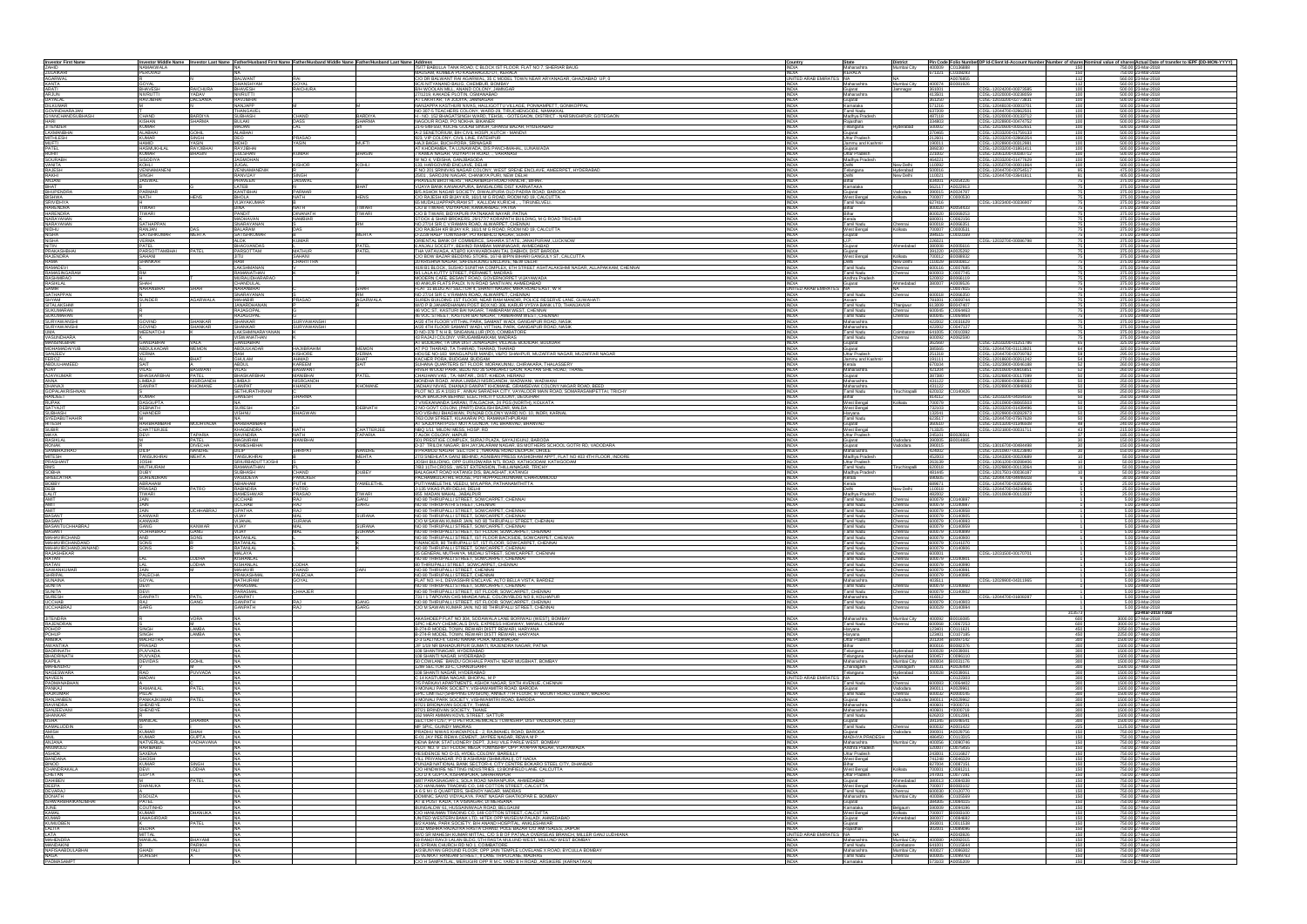| <b>Investor First Name</b>          |                                   |                               |                                       |                              | Investor Middle Name Investor Last Name Father/Husband First Name Father/Husband Middle Name Father/Husband Last Name Address |                                                                                                                                                                                      | Country                             | <b>State</b>                        | <b>District</b>                                           |                                                                   |                                                  |               | Pin Code Folio Number DP Id-Client Id-Account Number Number of shares Nominal value of shares Actual Date of transfer to IEPF (DD-MON-YYYY) |
|-------------------------------------|-----------------------------------|-------------------------------|---------------------------------------|------------------------------|-------------------------------------------------------------------------------------------------------------------------------|--------------------------------------------------------------------------------------------------------------------------------------------------------------------------------------|-------------------------------------|-------------------------------------|-----------------------------------------------------------|-------------------------------------------------------------------|--------------------------------------------------|---------------|---------------------------------------------------------------------------------------------------------------------------------------------|
| ZAHID<br><b>TUI AIKARI</b>          | NAMAKWALA<br>PERUVAD              |                               |                                       |                              |                                                                                                                               | 75/77 BABULLA TANK ROAD, C BLOCK IST FLOOR, FLAT NO 7, SHERIAR BAUG<br>MAUSAM, KUMBLA PO KASARAGOD DT, KERALA                                                                        | <b>INDIA</b><br><b>INDIA</b>        | Maharashtra<br>KERALA               | Mumbai City                                               | 400009 C0136888<br>671321 C0108293<br>A0076855                    |                                                  |               | 750.00 23-Mar-2018<br>750.00 23-Mar-2018                                                                                                    |
| <b><i>AGARWAL</i></b><br>KANTA      | GOYAL                             |                               | <b>BALWANT</b><br>GHANSHYAM           | GOYAL                        |                                                                                                                               | DR BALWANT RAI AGARWAL, 35 C MODEL TOWN NEAR ARYANAGAR, GHAZIABAD UP, 0<br><b>C/6 NITYANAND BAUG, CHEMBUR, BOMBAY</b>                                                                | UNITED ARAB EMIRATES<br>INDIA       | Maharashtra                         | Mumbai City                                               | 400074 B0081926                                                   |                                                  |               | 560.00 23-Mar-2018<br>560.00 23-Mar-2018                                                                                                    |
| ARATI<br>ARJUN                      | <b>BHAVESH</b><br>NIVRUTTI        | RAICHURA<br>YADAV             | <b>BHAVESH</b><br><b>NIVRUTTI</b>     | RAICHURA                     |                                                                                                                               | 3/H WOOLAN MILL, ANAND COLONY, JAMNGAR<br>27/1219, KAKADE PLOTIN, OSMANABAD                                                                                                          | <b>INDIA</b><br><b>INDIA</b>        | Gujarat                             | amnagar                                                   | 361001<br>413501                                                  | SL-12024200-00373585<br>SL-12020000-00238059     |               | 500.00 23-Mar-201                                                                                                                           |
| DAYALAL                             | RAVJIBHAI                         | DALSANIA                      | RAVJIBHAI                             |                              |                                                                                                                               | <b>IT LAKHTAR, TA JODIYA, JAMNAGAR</b>                                                                                                                                               | INDIA                               | Maharashtra<br>Gujarat              |                                                           | 361250                                                            | DSL-12033200-02773831                            |               | 500.00 23-Mar-2018<br>500.00 23-Mar-2018                                                                                                    |
| <b>DILKUMAR</b><br>GOVINDHARAJAN    |                                   |                               | NANJAPP<br>THANGAVEI                  |                              |                                                                                                                               | NANJAPPA KASTHURI NIVAS, HALLIGOTTU VILLAGE, PONNAMPETT, GONIKOPPAL<br>NO 307-5 TEACHERS COLONY, WARD-29, TIRUCHENGODE, NAMAKKA                                                      | INDIA<br><b>INDIA</b>               | Kamataka<br>Tamil Nadu              |                                                           | 571216<br>637209                                                  | CDSL-12048100-00003701<br>DSL-12044700-02962501  | 100           | 500.00 23-Mar-2018<br>500.00 23-Mar-2018                                                                                                    |
| <b>SYANCHANDSUBHAS</b>              | CHAND<br>KISHAN                   | <b>BARDIYA</b><br><b>HARM</b> | SUBHASH<br><b>BULAKI</b>              | CHAND<br><b>DASS</b>         | BARDIYA<br><b>HARMA</b>                                                                                                       | - NO. 152 BHAGATSINGH WARD, TEHSIL - GOTEGAON, DISTRICT - NARSINGHPUR, GOTEGAON<br>NAGOUR ROAD, PO NOKHA, BIKANER                                                                    | INDIA<br>INDIA                      | Madhya Pradesł<br>Rajasthan         |                                                           | 487118<br>334803                                                  | DSL-12020000-00133712<br>DSL-12028900-00474752   |               | 500.00 23-Mar-2018<br>500.00 23-Mar-2018                                                                                                    |
| <b>IITENDER</b><br><b>AXMANBHA</b>  | <b>KUMAF</b><br>ALABHAI           | <b>GOHIL</b>                  | MADAN<br>ALABHAI                      |                              |                                                                                                                               | 21-6-548-550, KUCHE GULAB SINGH, GHANSI BAZAR, HYDERABAD<br>4-2 SENETORIUM, B/H CIVIL HOSPI, KUTCH - MANDVI                                                                          | <b>INDIA</b><br><b>INDIA</b>        | <u>lelangana</u><br>Gujarat         | lyderabad                                                 | 500002<br>370465                                                  | 151-12020600-00162651<br>SL-12033200-01759133    |               | 500.00 23-Mar-2018<br>500.00 23-Mar-2018                                                                                                    |
| <b>MITHLESH</b>                     | KUMAR<br>HAMID                    | SINGH<br>YASIN                | <b>MOHD</b>                           | PRASAD<br>YASIN              | <b>MUFTI</b>                                                                                                                  | 923, VIP COLONY, CIVIL LINE, FATEHPUR<br>HAJI BAGH, BUCH-PORA, SRINAGAR                                                                                                              | <b>INDIA</b><br>INDIA               | Uttar Pradesh<br>Jammu and Kashmir  |                                                           | 212601<br>190011                                                  | DSL-12033200-02866354<br>DSL-12028900-00312981   |               | 500.00 23-Mar-201<br>500.00 23-Mar-2018                                                                                                     |
| PATEL                               | <b>HASMUKHLAL</b>                 | RAYJIBHAI                     | RAYJIBHAI                             |                              |                                                                                                                               | <u>AT KHODAMBA, TA LUNAWADA, DIS PANCHMAHAL, LUNAWADA</u>                                                                                                                            | <b>INDIA</b>                        | Gujarat                             |                                                           | 389230                                                            | CDSL-12033200-01861411                           | 100           | 500.00 23-Mar-2018                                                                                                                          |
| ROHIT<br>SOURABH                    | KUMAR<br>SISODIYA                 | BHASIN                        | GULSHAN<br><b>JAGMOHAN</b>            | <b>KUMAR</b>                 | <b>BHASIN</b>                                                                                                                 | 7 KAMLA NAGAR, VIDYAPITH ROAD, ., VARANASI<br>W NO 4, VIDISHA, GANJBASODA                                                                                                            | <b>INDIA</b><br><b>INDIA</b>        | Uttar Pradesh<br>Madhya Pradesh     |                                                           | 221002<br>464221                                                  | CDSL-12061200-00180712<br>DSL-12033200-01477629  | 100           | 500.00 23-Mar-2018<br>500.00 23-Mar-2018                                                                                                    |
| VANITA<br>RAJESH                    | KOHLI<br>VENNAMANEN               |                               | JUGAL<br>VENNAMANENIK                 | <b>ISHOR</b>                 | KOHLI                                                                                                                         | 33. HARGOVIND ENCLAVE, DELHI<br>F NO 201 SRINIVAS NAGAR COLONY, WEST SRENE ENCLAVE, AMEERPET, HYDERABAD                                                                              | INDIA<br><b>INDIA</b>               | <u>lelangana</u>                    | <b>New Delhi</b><br>Hyderabad                             | 110092<br>500016                                                  | SI-12050700-00001864<br>DSL-12044700-00754517    |               | 500.00 23-Mar-2018<br>475.00 23-Mar-2018                                                                                                    |
| RAKHI<br>IAALAA                     | SINGH<br>JAISWAL                  |                               | RANVIJAY<br>PRAVEEN                   | SINGH<br><b>JAISWAL</b>      |                                                                                                                               | 25/01, SAROJINI NAGAR, CHANKYA PURI, NEW DELHI<br>PRAVEEN BROTHERS, HAZARIBAGH ROAD RANCHI., BIHAF                                                                                   | <b>INDIA</b><br><b>INDIA</b>        | Bihar                               | Vew Delhi                                                 | 110021<br>834001 A0054226                                         | DSL-12044700-03641811                            |               | 405.00 23-Mar-201<br>375.00 23-Mar-2018                                                                                                     |
| BHAT                                |                                   |                               | LATEB                                 |                              | <b>BHAT</b>                                                                                                                   | VIJAYA BANK KANAKAPURA, BANGALORE DIST KARNATAKA                                                                                                                                     | <b>INDIA</b>                        | Kamataka                            |                                                           | 562117 A0022913                                                   |                                                  |               | 375.00 23-Mar-2018                                                                                                                          |
| <b>BHUPENDRA</b><br>BISHWA          | PARMAR<br>NATH                    | HENS                          | KANTIBHAI<br>BHOLA<br>VIJAYAKUMAR     | PARMAR<br>NATH               | <b>HENS</b>                                                                                                                   | B/5 ASHOK NAGAR SOCIETY, DIWALIPURA OLD PADRA ROAD, BARODA<br>/O RAJESH KR BIJAY KR, 161/1 M G ROAD, ROOM NO 19, CALCUTTA                                                            | <b>INDIA</b><br>INDIA               | Gujarat<br>West Bengal              | /adodara<br>Kolkata                                       | 390015 A0024787<br>700007 C0000530                                |                                                  |               | 375.00 23-Mar-2018<br>375.00 23-Mar-2018<br>375.00 23-Mar-2018                                                                              |
| SRIVIDHYA<br>HARENDRA               | <b><i>FIWARI</i></b>              |                               | DINA                                  | NATH                         | TIWARI                                                                                                                        | 5 MUDALLIAPPAPURAM ST, KALLIDAI KURICHI., ., TIRUNELVELI<br>O B TIWARI, VIDYAPURI, KANKARBAG, PATNA                                                                                  | <b>INDIA</b><br><b>INDIA</b>        | Tamil Nadu<br>Bihar                 |                                                           | 627416<br>800020 A0054433                                         | DSL-13023400-00336907                            |               | 375.00 23-Mar-2018                                                                                                                          |
| HARENDRA<br>NARAYANAN               | <b><i>FIWARI</i></b>              |                               | PANDIT<br>MADHAVAN                    | DINANATH<br><b>JAMBIAR</b>   | TIWARI                                                                                                                        | O B TIWARI, BIDYAPURI PATNAKAR NAYAR, PATN<br>FOCK & SHAR BROKERS, 29/177/7 KORAPATH BUILDING, M G ROAD TRICHUR                                                                      | <b>INDIA</b><br><b>INDIA</b>        | Bihar<br>Kerala                     |                                                           | 800020 B0069253<br>680001 C0062156                                |                                                  |               | 375.00 23-Mar-2018<br>375.00 23-Mar-2018                                                                                                    |
| NARAYANAN                           | <b>SATHAPPAN</b>                  |                               | SNARAYANAN<br><b>BALARAM</b>          |                              |                                                                                                                               | NO.27/14 SIR C V RAMAN ROAD, ALWARPET, CHENNAI                                                                                                                                       | <b>INDIA</b>                        | Tamil Nadu                          | Chennai                                                   | 600018 A0066351<br>700007 C0000531                                |                                                  |               | 375.00 23-Mar-2018                                                                                                                          |
| NIDHU<br>NISHA                      | RANJAN<br><b>SATISHKUMAR</b>      | <b>MEHTA</b>                  | <b>SATISHKUMAR</b>                    |                              | <b>MEHTA</b>                                                                                                                  | O RAJESH KR BIJAY KR, 161/1 M G ROAD, ROOM NO 19, CALCUTTA<br>0-2239 HAEP TOWNSHIP, PO KRIBHCO NAGAR, SURAT                                                                          | INDIA<br><b>INDIA</b>               | West Bengal<br>Gujarat              | Kolkata                                                   | 394515 C0010169                                                   |                                                  |               | 375.00 23-Mar-2018<br>375.00 23-Mar-2018                                                                                                    |
| NISHA<br>NITIN                      | <b>VERMA</b><br>PATFI             |                               | <b>ALOK</b><br><b>BHAGVANDAS</b>      | <b>UMAR</b>                  | PATFI                                                                                                                         | DRIENTAL BANK OF COMMERCE, SAHARA STATE, JANKIPURAM, LUCKNOW<br>6 ANJALI SOCEITY, BEHIND RAMBAK MANINAGAR, AHMEDABAI                                                                 | <b>INDIA</b><br><b>INDIA</b>        | U.P.<br>Gujarat                     | Ahmedabad                                                 | 226021<br>380008 A0005616                                         | CDSL-12032700-00086798                           |               | 375.00 23-Mar-2018<br>375.00 23-Mar-2018                                                                                                    |
| PRAKASHBHAI<br>RAJENDRA             | PARSOTTAMBHAI<br>SAHANI           | <b>PATE</b>                   | PARSOTTAM                             | MATHUR<br>AHAN               | PATEL                                                                                                                         | HA VATAVAGA, AT&PO KAYAVAROHAN TAL DABHOI, DIST BAROD.<br>O BOW BAZAR BEDDING STORE, 167-B BIPIN BIHARI GANGULY ST, CALCUTTA                                                         | <b>INDIA</b><br><b>INDIA</b>        | Gujarat<br>West Bengal              | Kolkata                                                   | 391220 A0025292<br>700012 B0088932                                |                                                  |               | 375.00 23-Mar-2018<br>375.00 23-Mar-2018                                                                                                    |
| RAMA<br>RAMADEVI                    | <b>SHANKAR</b>                    |                               | RAM<br>LAKSHMANAN                     | <b>HARITTRA</b>              |                                                                                                                               | 20 KRISHNA NAGAR, SAFDERJUNG ENCLAVE, NEW DELHI<br>11/8 B1 BLOCK, SUSHO SUNITHA COMPLEX, 6TH STREET ASHTALAKSHMI NAGAR, ALLAPAKKAM, CHENNAI                                          | <b>INDIA</b><br>INDIA               | <u> Tamil Nadu</u>                  | New Delhi<br>hennai                                       | 110029 B0000812                                                   |                                                  |               | 375.00 23-Mar-2018<br>375.00 23-Mar-2018                                                                                                    |
| RAMASINGARAM                        |                                   |                               | RAMANATHAN                            |                              |                                                                                                                               | 1/1 LALA KUTTY STREET, PERIAMET, MADRAS                                                                                                                                              | INDIA                               | <b>Tamil Nadu</b>                   | hennai                                                    | 600116 C0007685<br>600003 C0007745                                |                                                  |               | 375.00 23-Mar-2018                                                                                                                          |
| RASHMIRAO<br>RASIKLAL               | SHAH                              |                               | MURALIDHARARAC<br>CHANDULAL           |                              |                                                                                                                               | MODERN CAFE, BESANT ROAD, GOVERNORPET VIJAYAWADA<br>40 ANKUR FLATS PALDI, N N ROAD SANTIVAN, AHMEDABAD                                                                               | <b>INDIA</b><br><b>INDIA</b>        | Andhra Pradesh<br>Gujarat           | Ahmedabad                                                 | 520002 B0066119<br>380007 A0009526                                |                                                  |               | 375.00 23-Mar-2018<br>375.00 23-Mar-2018                                                                                                    |
| SATHAPPAN                           | NARANBHAI                         |                               | NARANBHA<br>SNARAYANAN                |                              | SHAH                                                                                                                          | LAT 11 BLDG A/7 SECTOR 4, SHANTI NAGAR, MIRA ROAD EAST, W R<br>VO 27/14 SIR C V RAMAN ROAD, ALWARPET, CHENNAI                                                                        | UNITED ARAB EMIRATE<br><b>INDIA</b> | Tamil Nadu                          | Chennai                                                   | C0007815<br>600018 A0066350                                       |                                                  |               | 375.00 23-Mar-2018<br>375.00 23-Mar-2018                                                                                                    |
| SHYAM<br><b>SITALAKSHMI</b>         | SUNDER                            | AGARWALA                      | <b>MAHABIR</b><br><b>JANARDHANAM</b>  | PRASAD                       | <b>AGARWALA</b>                                                                                                               | SUREN BUILDING 1ST FLOOR, NEAR RAM MANDIR, POLICE RESERVE LANE, GUWAHATI                                                                                                             | <b>INDIA</b><br><b>INDIA</b>        | Assam<br><u>Tamil Nadu</u>          | hanjavur                                                  | 781001 C0009744<br>613009 B0047407                                |                                                  |               | 375.00 23-Mar-2018<br>375.00 23-Mar-2018                                                                                                    |
| <b>SUKUMARAN</b>                    |                                   |                               | RAJAGOPA                              |                              |                                                                                                                               | W/O P B JANARDHANAN POST BOX NO 306, KARUR VYSYA BANK LTD, THANJAVUR 46 VOC ST, KASTURI BAI NAGAR, TAMBARAM WEST, CHENNAI<br>46 VOC STREET, KASTURI BAI NAGAR, TAMBARAM WEST, CHENNA | INDIA                               | Tamil Nadu                          | hennai                                                    | 600045 C0064463                                                   |                                                  |               | 375.00 23-Mar-2018                                                                                                                          |
| <b>SUKUMARAN</b><br>SURYAWANSHI     | <b>GOVIND</b>                     | SHANKAR                       | RAJAGOPAL<br>SHANKAR                  | SURYAWANSHI                  |                                                                                                                               | A/20 4TH FLOOR VITTHAL PARK, SAMANT WADI, GANGAPUR ROAD, NASIK                                                                                                                       | INDIA<br><b>INDIA</b>               | Tamil Nadu<br>Maharashtra           | hennai                                                    | 600045 C0064464<br>422002 C0031629                                |                                                  |               | 375.00 23-Mar-2018<br>375.00 23-Mar-2018                                                                                                    |
| <u>SURYAWANSHI</u>                  | GOVIND<br>MEENATCHI               | SHANKAR                       | SHANKAR<br><b>AKSHMINARAYANAM</b>     | <b>SURYAWANSHI</b>           |                                                                                                                               | A/20 4TH FLOOR SAMANT WADI, VITTHAL PARK, GANGAPUR ROAD, NASIK D NO-378 T N H B, SINGANALLUR (PO), COIMBATORE                                                                        | <b>INDIA</b><br><b>INDIA</b>        | Maharashtra<br>lamil Nadu           | coimbatore                                                | 422002 C0047127<br>641005 C0010392                                |                                                  |               | 375.00 23-Mar-2018<br>375.00 23-Mar-2018                                                                                                    |
| VASUNDHARA<br>MANSINGBHA            | <b>GANDABHAI</b>                  | VALA                          | <b>VISWANATHAN</b><br><b>GANDABHA</b> |                              |                                                                                                                               | 43 RAJAJI COLONY, VIRUGAMBAKKAM, MADRAS<br>T BODIDAR, TA UNA DIST JUNAGADH, VILLAGE BODIDAR, BODIDAR                                                                                 | <b>INDIA</b><br>INDIA               | Tamil Nadu                          | `hennai                                                   | 600092 A0062590<br>362560                                         | SL-12033200-01251786                             |               | 375.00 23-Mar-2018<br>325.00 23-Mar-2018                                                                                                    |
| MOHAMADAIYUE                        | ABDULKADAR                        | <b>MEMON</b>                  | ABDULKADAR                            | AJIIBRAHIM                   | <b>MEMON</b>                                                                                                                  | AT PO THARAD, TA THARAD, THARAD, THARAD                                                                                                                                              | <b>INDIA</b>                        | Gujarat<br>Gujarat                  |                                                           | 385565                                                            | SL-12044700-01113921                             |               | 320.00 23-Mar-2018                                                                                                                          |
| SANJEEV<br>FEROZ                    | VERMA                             | BHAT                          | GHULAM                                | KISHORE<br><b>AHMAD</b>      | <b>VERMA</b><br><b>BHAT</b>                                                                                                   | HOUSE NO-183 MANGLAPURI MANDI, V&PO SHAHPUR, MUZAFFAR NAGAR, MUZAFFAR NAGAR<br>KACHER PORA, BUDGAM, BUDGAM                                                                           | INDIA<br><b>NDIA</b>                | Uttar Pradesh<br>Jammu and Kashmir  |                                                           | 251318<br>191111                                                  | DSL-12044700-00709782<br>0SL-12018600-00261242   |               | 295.00 23-Mar-201<br>270.00 23-Mar-201                                                                                                      |
| ABDULHAMEED<br>AJAY                 | SAIT<br><b>VILAS</b>              | <b>BASWANT</b>                | ABDUL<br><b>VILAS</b>                 | KAREEM<br><b>BASWANT</b>     | SAIT                                                                                                                          | SUHANA QUARTERS IST FLOOR, MORAKUNNU, CHIRAKARA, THALASSERY<br>RIVER WOOD PARK, BLDG NO 35 SANGARLI GAON, KALYAN SHIL ROAD, THANE                                                    | <b>INDIA</b><br>INDIA               | Kerala<br>Maharashtra               |                                                           | 670104<br>421204                                                  | CDSL-12023900-00046188<br>CDSL-12010600-00916851 |               | 260.00 23-Mar-2018<br>260.00 23-Mar-2018                                                                                                    |
| AJAYKUMAR<br>ANNA                   | <b>BHASKARBH</b><br>IMBA.II       | NISRGANDH                     | <b>BHASKARBH</b><br><b>I IMBAJI</b>   | <b>AANIBHAI</b><br>NISRGANDH | PATEL                                                                                                                         | CHAUHAN VAS, TA.-MATAR., DIST.-KHEDA, HERANJ<br>MONDHA ROAD, ANNA LIMBAJI NISRGANDH, WADWANI, WADWANI                                                                                | <b>INDIA</b><br><b>INDIA</b>        | Gujarat<br>Maharashtra              |                                                           | 387380<br>431122                                                  | DSL-12026800-00117099<br>SL-12028900-00848132    |               | 250.00 23-Mar-2018<br>250.00 23-Mar-2018                                                                                                    |
| DHANAJI<br><b>GOPALAKRISHNAN</b>    | <b>GANPAT</b>                     | <b>KHOMANE</b>                | GANPAT<br><b>SETHURATHINA</b>         | (HANDU                       | <b>KHOMANE</b>                                                                                                                | ADHAV NIVAS, DHANAJI GANPAT KHOMANE, GRAMSEVAK COLONY NAGAR ROAD, BEED<br>LOT NO.15 A 1/181 F , ANNAI SARADHA CITY, VAYALOOR MAIN ROAD, SOMARASAMPETTAI, TRICHY                      | INDIA<br><b>INDIA</b>               | Maharashtra<br>lamil Nadu           |                                                           | 431122                                                            | SL-12028900-00848983                             |               | 250.00 23-Mar-2018                                                                                                                          |
| RANJEET                             | <b>KUMAF</b>                      |                               | GANESH                                | <b>HARMA</b>                 |                                                                                                                               | RAJA BAGICHA BEHIND, ELECTRICITY COLONY, DEOGHAR                                                                                                                                     | <b>INDIA</b>                        |                                     | ruchirapalli                                              | 620102 C0140426<br>814112                                         | OSL-12033200-04164556                            |               | 250.00 23-Mar-2018<br>250.00 23-Mar-201                                                                                                     |
| RUPAK<br>SATYAJIT                   | <b>DASGUPTA</b><br><b>DEBNATH</b> |                               | <b>SURESH</b>                         |                              | DEBNATH                                                                                                                       | VIVEKANANDA SARANI, ITALGACHA, 24 PGS (NORTH), KOLKATA<br>2 NO GOVT COLONI, (PART) ENGLISH BAZAR, MALDA                                                                              | INDIA<br><b>INDIA</b>               | West Bengal<br>West Bengal          | Kolkata                                                   | 700079<br>732103                                                  | DSL-12010900-08065503<br>CDSL-12033200-01439496  |               | 250.00 23-Mar-2018<br>250.00 23-Mar-2018                                                                                                    |
| SUBHASH<br>SYEDABUTHAHIR            | CHANDER                           |                               | <b>VISHNU</b>                         | <b>BHAGWAN</b>               |                                                                                                                               | S/O VISHNU BHAGWAN, PUNJAB COLONY WARD NO. 10, INDRI, KARNAI<br>/63 OJM STREET, KILAKARAI PO, RAMANATHPURAM                                                                          | <b>INDIA</b><br><b>INDIA</b>        | Haryana<br><b>Tamil Nadu</b>        |                                                           | 132041<br>623517                                                  | CDSL-12029900-00282973<br>SL-12044700-07567628   |               | 250.00 23-Mar-2018<br>250.00 23-Mar-2018                                                                                                    |
| <b>HITESH</b><br><b>SUBIR</b>       | HARBHAMBAH<br>CHATTERJEE          | ODHVADIA                      | <b>HARBHAMBAI</b><br>KHAGENDRA        |                              | CHATTERJEE                                                                                                                    | AT SAJDIYARI POST MOTA GUNDA, TAL BHANVAD, BHANVA<br>NBQ 1/11 MILONI MESS, HOSP. RD                                                                                                  | <b>INDIA</b><br>INDIA               | Gujarat                             |                                                           | 360510<br>713325                                                  | SL-12013200-01346508<br>DSL-12021800-00031711    |               | 240.00 23-Mar-2018<br>215.00 23-Mar-201                                                                                                     |
| MAYA                                |                                   | <b>APARIA</b>                 | <b>RAVINDRA</b>                       | NATH                         | TAPARIA                                                                                                                       | ALOK COLONY, HAPUR                                                                                                                                                                   | <b>INDIA</b>                        | West Bengal<br>Uttar Pradesh        |                                                           | 245101 B0026561                                                   |                                                  |               | 185.00 23-Mar-2018                                                                                                                          |
| RASIKLAL<br>RONAK                   |                                   | PATFI<br><b>DIVECHA</b>       | <b>MAGNIRAM</b><br>RAMESHBHAI         | MANIBHAI                     |                                                                                                                               | 501 PRESTIGE COMPLEX, SURAJ PLAZA, SAYAJIGUNJ, BARODA<br>)-37 TRILOK NAGAR, B/H JAYJALARAM NAGAR, BS MOTHERS SCHOOL GOTRI RD, VADODARA                                               | <b>INDIA</b><br>INDIA               | Gujarat<br>Gujarat                  | Vadodara<br>/adodara                                      | 390005 B0014885<br>390015                                         | DSL-13016700-00484498                            |               | 150.00 23-Mar-2018<br>150.00 23-Mar-2018                                                                                                    |
| SAMBHAJIRAC<br>MITESH               | <b>TANSUKHRAL</b>                 | NANDRE<br><b>MFHTA</b>        | <b>DILIP</b><br><b>TANSUKHRAI</b>     | SHRIPAT                      | <b>NANDRE</b><br><b>MFHTA</b>                                                                                                 | PRAMOD NAGAR SECTOR 1, NAKANE ROAD DEOPUR, DHULE<br>27/3 SNEHLATA GANJ BEHIND, AGNIBAN PRESS KASHIDHAM APPT, FLAT NO 403 4TH FLOOR, INDORE                                           | <b>INDIA</b><br><b>INDIA</b>        | Maharashtra<br>Madhya Pradesh       |                                                           | 424002<br>452003                                                  | CDSL-12010907-00123840<br>CDSL-12043300-00020689 |               | 150.00 23-Mar-2018<br>50.00 23-Mar-2018                                                                                                     |
| PRASHANT<br><b>RMS</b>              | <b>JOSHI</b><br>MUTHURAM          |                               | <b>SRIURBADUTTJOSH</b><br>RAMANATHAN  |                              |                                                                                                                               | IOSHI BULIDING, OPP GURUDWARA NTL ROAD, KATHGODAM, KATHGODAM<br>/B3 11TH CROSS, WEST EXTENSION, THILLAINAGAR, TRICHY                                                                 | <b>INDIA</b><br>INDIA               | Uttar Pradesh<br>lamil Nadu         | ruchirapalli                                              | 263139<br>620018                                                  | DSL-12061200-00288406<br>DSL-12029800-00113064   |               | 50.00 23-Mar-2018                                                                                                                           |
| SOBHA                               | <b>DUBY</b>                       |                               | SUBHASH                               | CHAND                        | <b>DUBEY</b>                                                                                                                  | BALAGHAT ROAD KATANGI DIS, BALAGHAT, KATANGI                                                                                                                                         | <b>INDIA</b>                        | Madhya Pradesh                      |                                                           | 481445<br>690505                                                  | OSL-12017501-00036187                            |               | 50.00 23-Mar-2018<br>50.00 23-Mar-2018                                                                                                      |
| SREELATHA<br>BOBBY                  | <b>SURENDRAN</b><br>ABRAHAM       |                               | VASUDEVA<br>ABHAHAM                   | <b>PANICKER</b>              | YAMELETHIL                                                                                                                    | PACHAMKULATHIL HOUSE, PUTHUPPALLIKUNNAM, CHARUMMOOD<br>PUTIYAMELETHIL VEEDU, MYLAPRA, PATHANAMTHITTA                                                                                 | INDIA<br><b>INDIA</b>               | Kerala<br>Kerala                    |                                                           | 689671                                                            | DSL-12044700-04449318<br>SL-12044700-00250955    |               | 30.00 23-Mar-2018<br>25.00 23-Mar-2018<br>25.00 23-Mar-2018                                                                                 |
| DEBI<br>LALIT                       | PRASAD<br><b>TIWARI</b>           | PATRO                         | <b>RABINDRA</b><br><b>RAMESHWAF</b>   | PATRO<br>PRASAD              | <b>TIWARI</b>                                                                                                                 | J-135 VIKAS PURI DELHI, DELHI<br>855 MADAN MAHAL, JABALPUR                                                                                                                           | INDIA<br><b>INDIA</b>               | Delhi<br>Madhya Pradesh             | vew Delhi                                                 | 110018<br>482002                                                  | DSL-12044700-04249846<br>CDSL-12010608-00113337  |               | 25.00 23-Mar-2018                                                                                                                           |
| AMIT<br>AMIT                        | JAIN<br>JAIN                      |                               | <b>UCCHAB</b><br>UCCHAB               | RAJ<br>RAJ                   | GANJ<br>GARG                                                                                                                  | NO 80 THIRUPALLI STREET, SOWCARPET, CHENNAI<br>NO 80 THIRUPATHI STREET, CHENNAI                                                                                                      | INDIA<br>INDIA                      | Tamil Nadu<br>lamil Nadu            | hennai<br>hennai                                          | 600079 C0140897                                                   |                                                  |               | 5.00 23-Mar-2018<br>5.00 23-Mar-2018                                                                                                        |
| <b>BASANT</b>                       | JAIN<br><b>KANWAR</b>             | JCHHABRA.                     | <b>GPATHA</b><br><b>VI.IAY</b>        |                              | <b>SURANA</b>                                                                                                                 | NO 80 THIRUPALLI STREET, SOWCARPET, CHENNAI<br>NO 80 THIRUPALLI STREET, SOWCARPET, CHENNAI                                                                                           | <b>INDIA</b><br><b>INDIA</b>        | Tamil Nadu                          | Chennai                                                   | 600079 C0140987<br>600079 C0140958<br>600079 C0140905             |                                                  |               | 5.00 23-Mar-201                                                                                                                             |
| RASANT                              | KANWAR                            |                               | VIJANAL                               | SURANA                       |                                                                                                                               | O M SAWAN KUMAR JAIN, NO 80 THIRUPALLI STREET, CHENNA                                                                                                                                | INDIA                               | Tamil Nadu<br><b>Tamil Nadı</b>     | Chennai<br>hennai                                         | 600079 C0140993<br>600079 C0140959                                |                                                  |               | 5.00 23-Mar-2018<br>5.00 23-Mar-201                                                                                                         |
| BASANTUCHHABRAJ<br><b>BASANT</b>    | GANG<br>VCHHABRA                  | <b>KANWAR</b><br>GANG         | VIJAY<br>VIJAY                        |                              | <b>SURANA</b><br><b>SURANA</b>                                                                                                | NO 80 THIRUPALLI STREET, SOWCARPET, CHENNA<br>NO 80 THIRUPALLI STREET, IST FLOOR, SOWCARPET, CHENNA                                                                                  | <b>INDIA</b><br><b>INDIA</b>        | <b>Tamil Nadu</b><br>Tamil Nadu     | Chennai<br>Chennai                                        | 600079 C0140899                                                   |                                                  |               | 5.00 23-Mar-2018<br>5.00 23-Mar-2018                                                                                                        |
| MAHAVIRCHAND<br>MAHAVIRCHANDAND     | AND<br>SONS                       | SONS                          | RATANLAL<br>RATANLAL                  |                              |                                                                                                                               | NO 80 THIRUPALLI STREET, IST FLOOR BACKSIDE, SOWCARPET, CHENNAI<br>FINANCIER, 80 THIRUPALLI ST, IST FLOOR, SOWCARPET, CHENNAINO 80 THIRUPALLI STREET, SOWCARPET, CHENNAI             | INDIA<br>INDIA                      | Tamil Nadu<br>Tamil Nadu            | Chennai<br>Chennai                                        | 600079 C0140900<br>600079 C0141070<br>600079 C0140906             |                                                  |               | 5.00 23-Mar-2018<br>5.00 23-Mar-2018                                                                                                        |
| MAHAVIRCHAND IAIN.<br>RAJASHEKAR    |                                   |                               | MAI AYA                               |                              |                                                                                                                               | 5 GENERAL MUTHAIYA, MUDALI STREET, SOWCARPET, CHENNAI                                                                                                                                | <b>INDIA</b>                        | amil Nadu<br>l'amil Nadı            | hennai<br>Chennai                                         | 600001                                                            | DSL-12031500-00170701                            |               | 5.00 23-Mar-2018                                                                                                                            |
| RATAN<br>RATAN                      |                                   | ODHA                          | KISHANLAL<br>KISHANLAL                | ODH/                         |                                                                                                                               | IO 80 THIRUPALLI STREET, SOWCARPET, CHENNAI<br>80 THIRUPALLI STREET, SOWCARPET, CHENNAI                                                                                              | <b>INDIA</b><br><b>INDIA</b>        | <b>Tamil Nadı</b><br>Tamil Nadu     | hennai                                                    | 600079 C0140901<br>600079 C0140990                                |                                                  |               | 5.00 23-Mar-2018<br>5.00 23-Mar-2018                                                                                                        |
| <b>SAW ANKUMAR</b>                  |                                   |                               |                                       | :HAND                        | JAIN                                                                                                                          | NO 80 THIRUPALLI STREET, CHENNAI                                                                                                                                                     | INDIA                               | l'amil Nadu                         | Chennai<br>Chennai                                        | 600079 C0140991<br>600079 C0140995                                |                                                  |               | 5.00 23-Mar-2018                                                                                                                            |
| SHRIPAL<br><b>SUNAINA</b>           | PALECHA<br>GOYAL                  |                               | PRAKASHMA<br>NATHURAM                 | ALECHA<br>GOYAL              |                                                                                                                               | NO 80 THIRUPALLI STREET, CHENNAI<br>FLAT NO. H-1, DEVASSHRI ENCLAVE, ALTO BELLA VISTA, BARDEZ                                                                                        | <b>INDIA</b><br><b>INDIA</b>        | <b>Tamil Nadu</b><br>Maharashtra    | hennai                                                    | 403511                                                            | CDSL-12029900-04311965                           |               | 5.00 23-Mar-2018<br>5.00 23-Mar-2018                                                                                                        |
| SUNITA<br>SUNITA                    | DEVI<br><b>DEVI</b>               |                               | PARASMAL<br>PARASMAI                  | CHHAJER                      |                                                                                                                               | NO 80 THIRUPALLI STREET, SOWCARPET, CHENNAI<br>NO 80 THIRUPALLI STREET, IST FLOOR, SOWCARPET, CHENNA                                                                                 | <b>INDIA</b><br><b>INDIA</b>        | Tamil Nadu<br>Tamil Nadu            | Chennai<br>Chennai                                        | 600079 C0140960                                                   |                                                  |               | 5.00 23-Mar-2018<br>5.00 23-Mar-2018                                                                                                        |
| <b>SURESH</b><br>UCCHAB             | GANPATI<br>RAJ                    | PATIL<br>GANG                 | GANPAT<br>GANPATH                     |                              |                                                                                                                               | 731 / 1 TAPOVAN CHS MHADA NALE, COLONYBLDG NO 8, KOLHAPUR<br>NO 80 THIRUPALLI STREET, IST FLOOR, SOWCARPET, CHENNAI                                                                  | INDIA<br><b>INDIA</b>               | Maharashtra<br>lamil Nadu           | Chennai                                                   | 600079 C0140902<br>416012<br>600079 C0140903                      | DSL-12044700-01608287                            |               | 5.00 23-Mar-2018<br>5.00 23-Mar-2018                                                                                                        |
| <u>UCCHABRAJ</u>                    | GARO                              |                               | <b>GANPATH</b>                        |                              | GANG<br>GARG                                                                                                                  | O M SAWAN KUMAR JAIN, NO 80 THIRUPALLI STREET, CHENNAI                                                                                                                               | <b>INDIA</b>                        | l'amil Nadu                         | hennai                                                    | 600029 C0140994                                                   |                                                  |               | 5.00 23-Mar-2018                                                                                                                            |
| <b>JITENDRA</b>                     |                                   | <b>VORA</b>                   |                                       |                              |                                                                                                                               | AKASHDEEP FLAT NO 304, SODAWALA LANE BORIWALI (WEST), BOMBAY                                                                                                                         | INDIA                               | Maharashtra                         | fumbai City                                               | 400092 B0016085                                                   |                                                  | 313573<br>600 | 23-Mar-2018 Total<br>3000.00 27-Mar-2018                                                                                                    |
| <b>RAJENDRAN</b><br>POHOP           | SINGH                             | AMBA                          |                                       |                              |                                                                                                                               | SPIC HEAVY CHEMICALS DIVS, EXPRESS HIGHWAY, MANALI, CHENNAI<br>3-274-R MODEL TOWN, REWARI DISTT REWARI, HARYANA                                                                      | <b>INDIA</b><br>INDIA               | Tamil Nadu<br>Haryana               | Chennai                                                   | 123401 C0111621<br>123401 C0107185                                |                                                  | 600<br>450    | 3000.00 27-Mar-2018<br>2250.00 27-Mar-2018                                                                                                  |
| POHUP<br>AMBIKA                     | SINGH<br>MALHOTRA                 | AMBA                          |                                       |                              |                                                                                                                               | -274-R MODEL TOWN, REWARI DISTT REWARI, HARYANA<br>2-3 GALI NO-4, GURU NANAK PURA, MODINAGAR                                                                                         | INDIA<br><b>INDIA</b>               | Haryana<br>Uttar Pradesh            |                                                           | 201204 B0097142                                                   |                                                  |               | 2250.00 27-Mar-2018<br>1500.00 27-Mar-2018                                                                                                  |
| <b>AWANTIKA</b><br><b>BADRINATH</b> | PRASAD<br><b>PUVVADA</b>          |                               |                                       |                              |                                                                                                                               | I/F 1/19 NR BAHADURPUR GUMATI, RAJENDRA NAGAR, PATNA<br>108 SHANTINAGAR, HYDFRABAD                                                                                                   | INDIA<br>INDIA                      | 3ihar                               | <del>I</del> yderabad                                     | 800016 B0082376<br>500028 A0039081                                |                                                  |               | 1500.00 27-Mar-2018<br>1500.00 27-Mar-2018                                                                                                  |
| <b>BHADRINATH</b>                   | PUVVADA                           |                               |                                       |                              |                                                                                                                               | 108 SHANTI NAGAR HYDERABAD                                                                                                                                                           | INDIA                               | elangana<br>lelangana               | lyderabad                                                 | 500457 C0096110                                                   |                                                  |               | 1500.00 27-Mar-2018                                                                                                                         |
| KAPILA<br>MAHENDRU                  | DEVIDAS                           | GOHIL                         |                                       |                              |                                                                                                                               | 0 COWLANE BANDU GOKHALE PANTH, NEAR MUGBHAT, BOMBAY<br>1299 SECTOR 33-C, CHANDIGARH                                                                                                  | INDIA<br><b>INDIA</b>               | Maharashtra<br>Chandigarh           | Mumbai City<br>Chandigarh                                 | 400004 B0031176<br>160031 A0026490                                |                                                  | 300           | 1500.00 27-Mar-2018<br>1500.00 27-Mar-2018                                                                                                  |
| NAGESWARA<br>NAVEEN                 | RAO<br><b>MADAN</b>               | <b>PUVVADA</b>                |                                       |                              |                                                                                                                               | 08 SHANTI NAGAR, HYDERABAD<br>14 KASTURBA NAGAR, BHOPAL, M P                                                                                                                         | UNITED ARAB EMIRATES                | lelangana                           | <b>Hyderabad</b>                                          | 160031 A0026490<br>500028 A0039061<br>C0122303<br>600083 C0064402 |                                                  |               | 1500.00 27-Mar-2018<br>1500.00 27-Mar-2018                                                                                                  |
| PADMANABHAN<br>PANKA.I              | RAMANLAL                          |                               |                                       |                              |                                                                                                                               | /5 PARKAVI APARTMENTS, ASHOK NAGAR, SIXTH AVENUE, CHENNAI<br>MONALI PARK SOCIETY, VISHAWAMITRI ROAD, BARODA                                                                          | INDIA<br><b>INDIA</b>               | Tamil Nadu<br>Gujarat               | Chennai<br>/adodara                                       | 390011 A0029961                                                   |                                                  |               | 1500.00 27-Mar-2018<br>1500.00 27-Mar-2018                                                                                                  |
| <b>RAJKUMAR</b><br>RANJANBEN        | PANKAJKUMAR                       | PATEL                         |                                       |                              |                                                                                                                               | SPIC LIMITED (SHIPPING DIVISION), ANNEX 7TH FLOOR, 97 MOUNT ROAD, GUINDY, MADRAS<br>MONALI PARK SOCIETY, VISHWAMITRI ROAD, BARODA                                                    | INDIA<br>INDIA                      | <b>Tamil Nadu</b>                   | Chennai<br>/adodara                                       | 600032 A0000145<br>390011 A0029962                                |                                                  |               | 1500.00 27-Mar-2018<br>1500.00 27-Mar-2018                                                                                                  |
| RAVINDRA                            | <b>SHENDYE</b>                    |                               |                                       |                              |                                                                                                                               | 87/21 BRIDNAVAN SOCIETY, THANE                                                                                                                                                       | <b>INDIA</b>                        | Gujarat<br>Maharashtra              |                                                           | 400601 Y0000721                                                   |                                                  | 300           | 1500.00 27-Mar-2018                                                                                                                         |
| SANJEEVANI<br>SHANKAR               | <b>SHENDYE</b>                    |                               |                                       |                              |                                                                                                                               | 87/21 BRINDVAN SOCIETY, THANE<br>62 MARI AMMAN KOVIL STREET, SATTUR                                                                                                                  | <b>INDIA</b><br><b>INDIA</b>        | Maharashtra<br>Tamil Nadu           |                                                           | 400601 Y0000719<br>626203 C0012391                                |                                                  | 300           | 1500.00 27-Mar-2018<br>1500.00 27-Mar-2018                                                                                                  |
| <b>KAMALUDDIN</b>                   | MANILA                            | }HARM∕                        |                                       |                              |                                                                                                                               | ECTOR-I C/57, P O PETROCHEMICALS TOWNSHIP, DIST VADODARA, (GUJ)<br><b>MF SPIC, GUINDY MADRAS</b>                                                                                     | INDIA<br>INDIA                      | <b>Bujarat</b><br><b>Tamil Nadu</b> | Chennai                                                   | 391345 B0046541<br>600032 A0001422                                |                                                  |               | 1500.00 27-Mar-2018<br>1125.00 27-Mar-2018                                                                                                  |
| AMISH<br>ANIL                       | <b>KUMAF</b><br><b>KUMAF</b>      |                               |                                       |                              |                                                                                                                               | PRADHU NIWAS KHADIAPOLE - 2, RAJMAHEL ROAD, BARODA<br>-01 JAY PEE REWA CEMENT, JAYPEE NAGAR, REWA M P                                                                                | INDIA<br>INDIA                      | Gujarat<br><b>MADHYA PRADESI</b>    | /adodara                                                  | 390001 A0029756<br>486450 C0113315                                |                                                  |               | 750.00 27-Mar-2018<br>750.00 27-Mar-2018                                                                                                    |
| ANJANA                              | <b>NATVERLAI</b>                  | VADHAVANA                     |                                       |                              |                                                                                                                               | DENA BANK STATLIONERY DEPT, JUHU VILE PARLE WEST, BOMBAY                                                                                                                             | <b>INDIA</b>                        | Maharashtra                         | Mumbai City 400056 C0090746                               |                                                                   |                                                  |               | 750.00 27-Mar-2018                                                                                                                          |
| ANUMOLU<br>ASHOK                    | <b>HARIBABL</b><br>SAXENA         |                               |                                       |                              |                                                                                                                               | PLOT NO. 9 1ST FLOOR, MEGA TOWNSHIP, OPP. AYAPPA NAGAR, VIJAYAWADA<br>RESIDENCE NO O-15, HYDEL COLONY, BAREILLY                                                                      | INDIA<br><b>INDIA</b>               | Andhra Pradesh<br>Uttar Pradesh     |                                                           | 520007 C0075455<br>243001 C0116827                                |                                                  |               | 750.00 27-Mar-2018<br>750.00 27-Mar-2018                                                                                                    |
| BANDANA<br><b>BINOD</b>             | <b>GHOSH</b><br><b>KUMAR</b>      | SINGH                         |                                       |                              |                                                                                                                               | VILL PRIYANAGAR, PO B ASHRAM (SHIMURALI), DT NADIA<br>PUNJAB NATIONAL BANK SECTOR-4, CITY CENTRE BOKARO STEEL CITY, DHANBAD                                                          | <b>INDIA</b><br>INDIA               | West Bengal                         |                                                           | 741248 C0046329<br>827004 C0087151                                |                                                  | 150           | 750.00 27-Mar-2018<br>750.00 27-Mar-2018                                                                                                    |
| CHANDRAKALA<br>CHETAN               | DEVI<br>GUPTA                     | LODHA                         |                                       |                              |                                                                                                                               | C/O HINDWIRE NETTING INDUSTRIES, 13 BONFIELD LANE, CALCUTTA<br>O D K GUPTA, KISHANPURA, SAHARANPUR                                                                                   | INDIA<br>INDIA                      | West Bengal<br>Uttar Pradesh        |                                                           | 700001 C0081211<br>247001 C0077281                                |                                                  |               | 750.00 27-Mar-2018<br>750.00 27-Mar-2018                                                                                                    |
| <b>DAHIBEN</b><br>DEEPA             | DHANUKA                           | PATEL                         |                                       |                              |                                                                                                                               | 8/87 PARASNAGAR-1, SOLA ROAD NARANPURA, AHMEDABAD                                                                                                                                    | <b>INDIA</b>                        | Gujarat                             | Ahmedabad   380013 C0084338                               |                                                                   |                                                  |               | 750.00 27-Mar-2018                                                                                                                          |
| DEVARAJ                             |                                   |                               |                                       |                              |                                                                                                                               | C/O HANUMAN TRADING CO, 149 COTTON STREET, CALCUTTA<br>A 6 S M I G QUARTERS, SHENOY NAGAR, MADRAS                                                                                    | <b>INDIA</b><br>INDIA               | West Bengal<br>Tamil Nadu           | Kolkata<br>Chennai                                        | 700007 B0083102<br>600030 C0120770                                |                                                  |               | 750.00 27-Mar-2018<br>750.00 27-Mar-2018                                                                                                    |
| DONATH<br><b>ISHWARBHAIKANJIBHA</b> | <b>DSOUZA</b><br>PATEL            |                               |                                       |                              |                                                                                                                               | DOMINIC SAVIO VIDYALAYA, PANT NAGAR GHATKOPAR E, BOMBAY<br>AT & POST KADA. TA VISNAGAR, DI MEHSANA                                                                                   | <b>INDIA</b><br><b>INDIA</b>        | Maharashtra<br>Gujarat              | Mumbai City                                               | 400086 C0105569<br>384305 C0084115                                |                                                  | 150           | 750.00 27-Mar-2018<br>750.00 27-Mar-2018                                                                                                    |
| <b>IUNF</b><br>KAMAI                | COUTINHO<br><b>KUMAF</b>          | <b>HANUKA</b>                 |                                       |                              |                                                                                                                               | BUNGALOW 61, HUSSAINIWALA ROAD, BELGAUM<br>O HANUMAN TRADING CO, 149 COTTON STREET, CALCUTTA                                                                                         | INDIA<br><b>INDIA</b>               | Kamataka<br>West Bengal             | lelgaum<br>Kolkata                                        | 590009 C0094196<br>700007 B0083100                                |                                                  |               | 750.00 27-Mar-2018<br>750.00 27-Mar-2018                                                                                                    |
| <b>KUMUDBEN</b>                     | <b>JAHAGIRDAR</b>                 | <b>PATE</b>                   |                                       |                              |                                                                                                                               | UNITED WESTERN BANK LTD, HITEK OPP MUSEUM PALADI, AHMEDABAD<br>3/2 KAMAL PARK SOCIETY. B/H ANAND HOSPITAL, ANKLESHWAR                                                                | <b>INDIA</b><br><b>INDIA</b>        | Gujarat                             | Ahmedabad                                                 | 380007 C0084682                                                   |                                                  |               | 750.00 27-Mar-2018                                                                                                                          |
| LALITA                              | <b>DEORA</b>                      |                               |                                       |                              |                                                                                                                               | 112 MISHRA RAJAJI KA RASTA CHAND, POLE BAZAR C/O AMITSALES, JAIPUR                                                                                                                   |                                     | Gujarat<br>Rajasthan                |                                                           | 393001 C0011538<br>302001 C0089096                                |                                                  |               | 750.00 27-Mar-2018<br>750.00 27-Mar-2018                                                                                                    |
| LATA<br><b>MAHENDRA</b>             | MITTAL<br>MANILAI                 | BHAYAMI                       |                                       |                              |                                                                                                                               | W/O SR MAHESH KUMAR MITTAL, C/O S B OF PATIALA OVERSEAS BRANCH, MILLER GANJ LUDHIANA<br>59 RAMJI RAVJI LALAN BLDG, 5TH RASTA MULUND WEST, MULUND WEST BOMBAY                         | UNITED ARAB EMIRA<br>INDIA          | Maharashtra                         | Mumbai City                                               | 400080 A0092015                                                   | A0043926                                         |               | 750.00 27-Mar-2018<br>750.00 27-Mar-2018                                                                                                    |
| MANDAKINI<br>NAFISAABDULABHA        | <b>GHADI</b>                      | <b>ARIKH</b><br>YALI          |                                       |                              |                                                                                                                               | 61 SYRIAN CHURCH RD NO 1, COIMBATORE<br>V3 BUNYAN GROUND FLOOR, OPP JAIN TEMPLE LOVELANE X ROAD, BYCULLA BOMBAY                                                                      | <b>INDIA</b><br><b>INDIA</b>        | Tamil Nadu<br>Maharashtra           | Coimbatore 641001 C0115644<br>Mumbai City 400027 C0086302 |                                                                   |                                                  |               | 750.00 27-Mar-2018<br>750.00 27-Mar-2018                                                                                                    |
| NAGA<br>PADMASAMPT                  | <b>SURESH</b>                     |                               |                                       |                              |                                                                                                                               | 15 VENKAT RANGAM STREET, II LANE TRIPLICANE, MADRAS<br>C/O H SAMPATLAL, MERUGIRI OPP R M C YARD B H ROAD, ARSIKERE (KARNATAKA)                                                       | INDIA<br><b>INDIA</b>               | Tamil Nadu<br>Kamataka              | Chennai                                                   | 600005 C0099763<br>573103 A0055209                                |                                                  |               | 750.00 27-Mar-2018<br>750.00 27-Mar-2018                                                                                                    |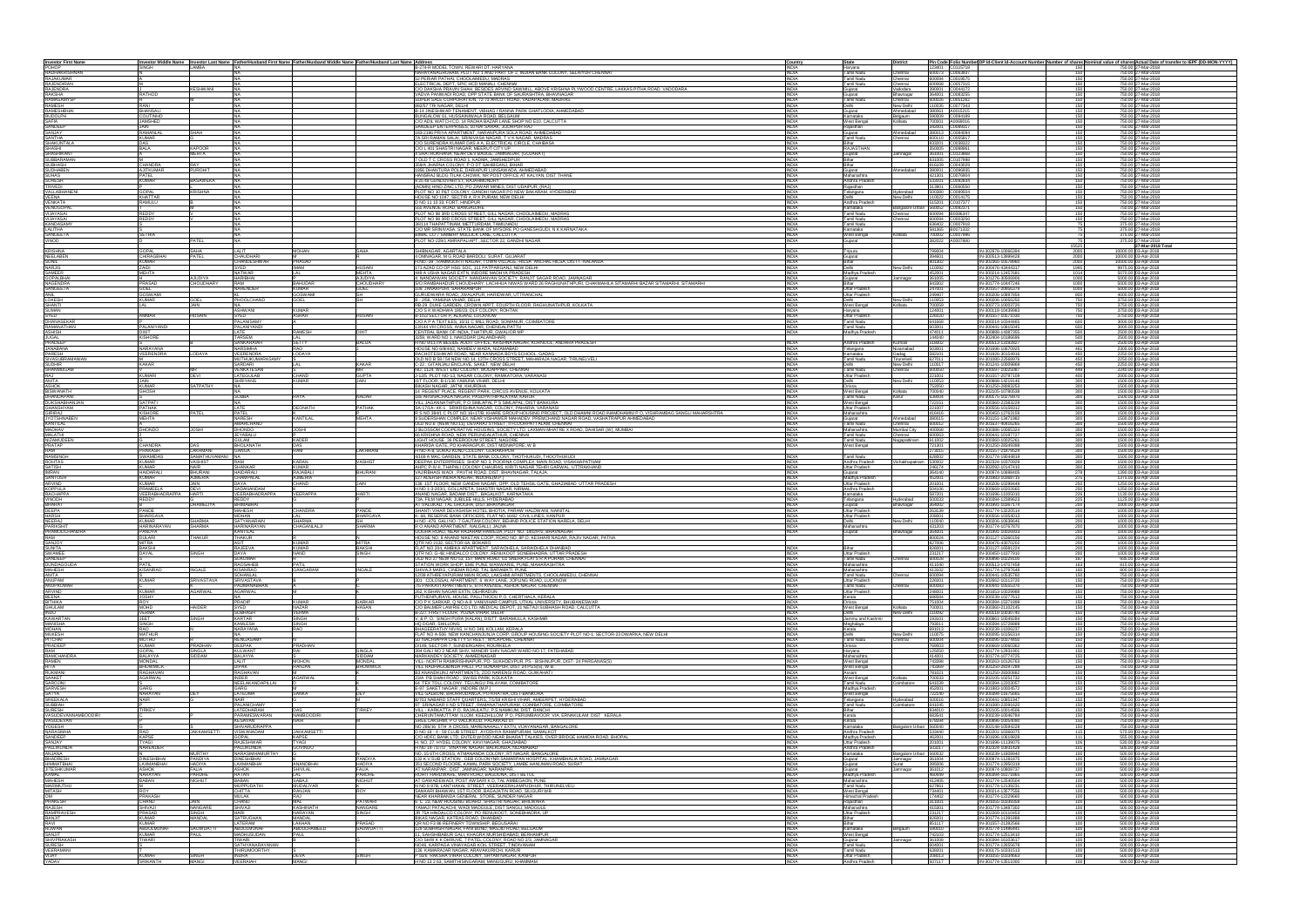| <b>Investor First Name</b><br>POHOP                   | SINGH                                                 |                                      |                                             |                                                   | <u>Investor Middle Name Muvestor Last Name Father/Husband First Name Father/Husband Middle Name Father/Husband Last Name Address [</u> | B-274-R MODEL TOWN, REWARI DT, HARYANA                                                                                                                                                                                                                | Country<br><b>INDIA</b>                      | State<br>Haryana                                  | <b>District</b>                         |                                                                                                                   | Pin Code Folio Number DP Id-Client Id-Account Number Number of shares Nominal value of shares Actual Date of transfer to IEPF (DD-MON-YYYY) |
|-------------------------------------------------------|-------------------------------------------------------|--------------------------------------|---------------------------------------------|---------------------------------------------------|----------------------------------------------------------------------------------------------------------------------------------------|-------------------------------------------------------------------------------------------------------------------------------------------------------------------------------------------------------------------------------------------------------|----------------------------------------------|---------------------------------------------------|-----------------------------------------|-------------------------------------------------------------------------------------------------------------------|---------------------------------------------------------------------------------------------------------------------------------------------|
| <b>RADHAKRISHNAN</b><br>RAJAKUMAR                     |                                                       |                                      |                                             |                                                   |                                                                                                                                        | VARAYANAGRUHAM, PLOT NO 1 AND PART OF 2, INDIAN BANK COLONY, SELAIYUR CHENNA<br>52 PERIAR PATHAI, CHOOLAIMEDU, MADRAS                                                                                                                                 | <b>INDIA</b><br><b>INDIA</b>                 | Tamil Nadu<br>Tamil Nadu                          | :hennai<br>Chennai                      | 123401 C0115718<br>600073 C0063937<br>600094 C0019575                                                             | 750.00 27-Mar-2018<br>750.00 27-Mar-2018<br>750.00 27-Mar-2018<br>750.00 27-Mar-2018                                                        |
| <b>RAJENDIRAN</b><br>RAJFNDRA<br><b>RAKSHA</b>        | RATHOD                                                | KESHWANI                             |                                             |                                                   |                                                                                                                                        | LECTRICAL DEPT, SPIC HCD MANALI, CHENNAI<br><u>%O DAKSHA PRAVIN SHAH, BESIDES ARVIND SAWMILL, ABOVE KRISHNA PLYWOOD CENTRE, LAKKAS PITHA ROAD VADODARA</u><br>VADVA PANWADI ROAD, OPP STATE BANK OF SAURASHTRA, BHAVNAGAR                             | <b>INDIA</b><br><b>INDIA</b><br><b>INDIA</b> | Tamil Nadu<br>Gujarat<br><b>Bujarat</b>           | Chennai<br>Vadodara<br><b>Bhavnagar</b> | 600068 C0057315<br>390001 C0044172<br>364001 C0083255                                                             | 750.00 27-Mar-2018                                                                                                                          |
| RAMASAMYSP<br>RAMESH                                  | RANI                                                  |                                      |                                             |                                                   |                                                                                                                                        | SUPER SALE CORPORATION, 72-73 ARCOT ROAD, VADAPALANI, MADRAS<br>882/57 TRI NAGAR, DELHI                                                                                                                                                               | <b>INDIA</b><br><b>INDIA</b>                 | Tamil Nadu<br>Delhi                               | Chennai<br>New Delhi                    | 600026 C0051262<br>110035 C0077343<br>150                                                                         | 750.00 27-Mar-2018<br>750.00 27-Mar-2018<br>750.00 27-Mar-2018                                                                              |
| RAMESHBHAI<br><b>RUDOLPH</b>                          | <b>BHANSALI</b><br>COUTINHO                           |                                      | NΔ                                          |                                                   |                                                                                                                                        | B-14 JINESHWAR TENAMENT, VIBHAG I RANNA PARK GHATLODIA, AHMEDABAD<br>BUNGALOW 61, HUSSAINIWALA ROAD, BELGAUM<br>CO ADIL WATCH CO, 14 RADHA BAZAR LANE SHOP NO E10, CALCUTTA                                                                           | <b>INDIA</b><br><b>INDIA</b>                 | Gujarat<br>Kamataka                               | Ahmedabad<br>Belgaum                    | 380061 A0015215<br>150<br>590009 C0094189                                                                         | 750.00 27-Mar-2018<br>750.00 27-Mar-2018                                                                                                    |
| SAFIA<br>SANDEEP<br>SANJAY                            | <b>JAMSHED</b><br>JAIN<br>RAMANLAL                    | HAH                                  |                                             |                                                   |                                                                                                                                        | SANDEEP ENTERPRISES, 10 NAI SARAK, JODHPUR RAJ<br>183-2196 PRIYA APARTMENT, NARANPURA SOLA ROAD, AHMEDABAD                                                                                                                                            | <b>INDIA</b><br><b>INDIA</b><br><b>INDIA</b> | West Bengal<br>Rajasthan<br>Gujarat               | Kolkata<br>Ahmedabad                    | 700001 A0069016<br>342001 C0089317<br>150<br>380013 C0084094                                                      | 750.00 27-Mar-2018<br>750.00 27-Mar-2018<br>750.00 27-Mar-2018                                                                              |
| SANTHA<br>SHAKUNTALA                                  | <b>KUMAR</b><br>DAS                                   |                                      |                                             |                                                   |                                                                                                                                        | 'A SRI RAMAN SALAI, SRINIVASA NAGAR, T V K NAGAR, MADRAS<br>C/O SURENDRA KUMAR DAS A A, ELECTRICAL CIRCLE, CHAIBASA                                                                                                                                   | <b>INDIA</b><br><b>INDIA</b>                 | Tamil Nadu<br>Bihar                               | hennai                                  | 600110 C0055817<br>833201 C0038322<br>150                                                                         | 750.00 27-Mar-2018<br>750.00 27-Mar-2018                                                                                                    |
| SHASHI<br>SHASHIKAN<br>SUBBARAMAN                     | <b>BALA</b>                                           | <b>KAPOOR</b><br>MEHTA               |                                             |                                                   |                                                                                                                                        | C/O L 401 SHASTRI NAGAR, MEERUT CITY UP<br>4 SHATRUKHANA, NEAR DEV BAUGE, JAMNAGAR, (GUJARAT)<br>7 OLD T C CROSS ROAD 1, KADMA, JAMSHEDPUR                                                                                                            | <b>INDIA</b><br><b>INDIA</b><br><b>INDIA</b> | RAJASTHAN<br>Gujarat                              | Jamnagar                                | 350005 C0088961<br>150<br>361001 C0123868<br>831005 C0107998                                                      | 750.00 27-Mar-2018<br>750.00 27-Mar-2018<br>750.00 27-Mar-2018                                                                              |
| <b>SUBHASH</b><br><b>JUDHABEN</b>                     | <b>HANDRA</b><br>AJITKUMAR                            | PUROHIT                              |                                             |                                                   |                                                                                                                                        | 359/A JHARNA COLONY, P O DT SAHIBGANJ, BIHAR<br>1856 DHANTURA POLE, DARIAPUR LUNSAWADA, AHMEDABAD                                                                                                                                                     | <b>INDIA</b><br><b>INDIA</b>                 | Bihar<br>Bihar<br>Gujarat                         | hmedabad                                | 816109 C0043029<br>150                                                                                            | 750.00 27-Mar-2018                                                                                                                          |
| <b>SUHAS</b><br><b>SURESH</b>                         | <b>KUMAR</b>                                          | 3ASAWEKA                             |                                             |                                                   |                                                                                                                                        | HANSRAJ BLDG TILAK CHOWK, NR POST OFFICE AT KALYAN, DIST THANE<br>9 25 49 GUNDUVARI ST, RAJAHMUNDRY                                                                                                                                                   | <b>INDIA</b><br><b>INDIA</b>                 | Maharashtra<br>Andhra Prades                      |                                         | 380001 C0096935<br>421301 C0076904<br>533101 C0092834                                                             | 750.00 27-Mar-2018<br>750.00 27-Mar-2018<br>750.00 27-Mar-2018                                                                              |
| <b><i>FRIVEDI</i></b><br>VALLABHANENI<br><b>VEENA</b> | <b>GOPAL</b><br><b>KHATTAR</b>                        | <b>KRISHNA</b>                       |                                             |                                                   |                                                                                                                                        | (ADMN) HIND ZINC LTD, PO ZAWAR MINES, DIST UDAIPUR, (RAJ)<br>PLOT NO 10 P&T COLONY, GANDHI NAGAR PO NEW BAKARAM, HYDERABAD<br>HOUSE NO 1047, SECTIR 4, R K PURAM, NEW DELHI                                                                           | <b>INDIA</b><br><b>INDIA</b><br><b>INDIA</b> | Rajasthan<br>Telangana<br>Delhi                   | Hyderabad<br>New Delhi                  | 313901 C0060550<br>500380 C0099504<br>150<br>110022 C0014175<br>150                                               | 750.00 27-Mar-2018<br>750.00 27-Mar-2018<br>750.00 27-Mar-2018                                                                              |
| VENKATA<br><b><i>VENUGOPAL</i></b>                    | RAMULU                                                |                                      |                                             |                                                   |                                                                                                                                        | D NO 11 10 33, FORT, HINDPUR<br>555 AVENUE ROAD, BANGALORE                                                                                                                                                                                            | <b>INDIA</b><br><b>INDIA</b>                 | Andhra Pradesl<br>Kamataka                        |                                         | 515201 C0107377<br>langalore Urban 560052 C0092371                                                                | 750.00 27-Mar-2018<br>750.00 27-Mar-2018                                                                                                    |
| VIJAYASAI<br>VIJAYASAI<br><b>KANDASAM</b>             | REDDY<br><b>REDDY</b>                                 |                                      |                                             |                                                   |                                                                                                                                        | LOT NO 98 3RD CROSS STREET, GILL NAGAR, CHOOLAIMEDU, MADRAS<br>PLOT NO 98 3RD CROSS STREET, GILL NAGAR, CHOOLAIMEDU, MADRAS<br>36/114 THAPATTINAM, METTURDAM, TAMILNADL                                                                               | <b>INDIA</b><br><b>INDIA</b>                 | Tamil Nadu<br>Tamil Nadu                          | hennai<br>Chennai                       | 600094 B0086347<br>600094 C0003256<br>150                                                                         | 750.00 27-Mar-2018<br>750.00 27-Mar-2018                                                                                                    |
| LALITHA<br>SANGEETA                                   | <b>SETHIA</b>                                         |                                      | NA.                                         |                                                   |                                                                                                                                        | C/O MR SRINIVASA, STATE BANK OF MYSORE PO GANESHGUDI, N K KARNATAKA<br>BIMAL CO 7 SAMBHY MULLICK LANE, CALCUTTA                                                                                                                                       | <b>INDIA</b><br><b>INDIA</b><br><b>INDIA</b> | Tamil Nadu<br>Kamataka<br>West Bengal             | Kolkata                                 | 636402 C0007918<br>581365 B0071332<br>700002 C0007996                                                             | 375.00 27-Mar-2018<br>375.00 27-Mar-2018<br>375.00 27-Mar-2018                                                                              |
| <b>VINOD</b>                                          |                                                       | PATF                                 |                                             |                                                   |                                                                                                                                        | PLOT NO-229/1 AMRAPALIAPT, SECTOR 22, GANDHI NAGAR                                                                                                                                                                                                    | <b>INDIA</b>                                 | Gujarat                                           |                                         | 382022 A0007880<br>15525                                                                                          | 375.00 27-Mar-2018<br>27-Mar-2018 Tota                                                                                                      |
| <b>NEELABEN</b><br>SUNIL                              | CHIRAGBHA<br>KUMAR                                    |                                      | CHAUDHAR<br><b>HANDESHWAR</b>               | MOHAN<br>PRASAD                                   | SAHA                                                                                                                                   | HIBNAGAR, AGARTALA<br>4 OMNAGAR, M G ROAD BARDOLI, SURAT, GUJARAT<br>1.NO.-39 , RAMMOORTI NAGAR, TOWN-VILLAGE.-HILSA ANCHAL HILSA, DISTT.-NALANDA                                                                                                     | <b>INDIA</b><br><b>INDIA</b><br><b>INDIA</b> | Tripura<br>Gujarat                                |                                         | IN-302978-10066394<br>2000<br>394601<br>IN-300513-13999428<br>2000<br>801302<br>IN-302365-10578960<br>2000        | 0000.00 03-Apr-2018<br>10000.00 03-Apr-2018<br>10000.00 03-Apr-2018                                                                         |
| NAR.IIS<br><b>SAMEER</b>                              | ZAIDI<br><b>MEHTA</b>                                 |                                      | <b>NATWAR</b>                               |                                                   | HUSAIN<br><b>MEHTA</b>                                                                                                                 | 171 AZAD CO OP HSG SOC, 111 PATPARGANJ, NEW DELHI<br>449 A USHA NAGAR EXTN, INDORE MADHYA PRADESH                                                                                                                                                     | <b>INDIA</b><br><b>INDIA</b>                 | Madhya Pradesh                                    | New Delh                                | 110092<br>IN-300476-43444317<br>1995<br>452001<br>IN-300214-12457681<br>1014                                      | 9975.00 03-Apr-2018<br>5070.00 03-Apr-2018                                                                                                  |
| <b>GOPALBHAI</b><br>NAGENDRA                          | PRASAD                                                | <b>AJUDIYA</b><br><b>CHOUDHARY</b>   | <b>HARIBHAI</b><br><b>RAM</b>               | BAHUDAR                                           | <b>AJUDIYA</b><br>CHOUDHARY                                                                                                            | 4 NANDANVAN SOCIETY, NANDANVAN SOCIETY, RANJIT SAGAR ROAD, JAMNAGAR<br>S/O RAMBAHADUR CHOUDHARY, LACHHUA NIWAS WARD 26 RAGHUNATHPURI, CHAKMAHILA SITAMARHI BAZAR SITAMARHI, SITAMARHI                                                                 | <b>INDIA</b><br><b>INDIA</b>                 | Gujarat<br>Bihar                                  | Jamnagar                                | 361005<br>IN-301276-30506906<br>1000<br>IN-301774-10447246<br>1000<br>843302                                      | 5000.00 03-Apr-2018<br>5000.00 03-Apr-2018<br>5000.00 03-Apr-2018                                                                           |
| SANGEETA<br>ANII<br><b>OKESH</b>                      | <b>GOSWAMI</b><br><b>KUMAR</b>                        | <b>OE</b>                            | NARENDER<br><b>PHOOLCHAND</b>               | <b>KUMAR</b><br><b>GOSWAMI</b><br>OEL.            |                                                                                                                                        | 09, JANAKPURI, SAHARANPUF<br>GURUDWARA ROAD, JWALAPUR, HARIDWAR, UTTRANCHAL<br>- 2/56, YAMUNA VIHAR, DELHI                                                                                                                                            | <b>INDIA</b><br><b>INDIA</b><br><b>INDIA</b> | Uttar Pradesh<br>Uttar Pradesh<br>Jelhi           | New Delhi                               | 247001<br>IN-301557-20956379<br>1000<br>249407<br>IN-300206-10897856<br>800<br>110053<br>IN-300206-1005625        | 4000.00 03-Apr-2018<br>3750.00 03-Apr-2018                                                                                                  |
| <b>SHANTI</b><br>SUMAN                                | LAL                                                   |                                      | <b>ASHWANI</b>                              | <b>KUMAR</b>                                      |                                                                                                                                        | RB-29 DUKE GARDEN, CROWN APPT. FOURTH FLOOR, RAGHUNATHPUR, KOLKATA<br>C/O S K WADHWA 195/23, DLF COLONY, ROHTAK                                                                                                                                       | <b>INDIA</b><br><b>INDIA</b>                 | West Bengal<br>Haryana                            | Kolkata                                 | 700059<br>IN-300773-1000372<br>124001<br>IN-300118-10439983                                                       | 3750.00 03-Apr-2018<br>3750.00 03-Apr-2018                                                                                                  |
| SYFD.<br>DHANASEKAR                                   | AMMAR                                                 | <b>IUSAIN</b>                        | PALANISAMY                                  | ASRAR                                             | HUSAIN                                                                                                                                 | 3-1/53 SECTOR P, ALIGANJ, LUCKNOW<br>C/O A P A TEXTILES, 10/11 C MILL ROAD, SOMANUR, COIMBATORE                                                                                                                                                       | <b>INDIA</b><br><b>INDIA</b>                 | Uttar Pradesh<br>Tamil Nadu                       |                                         | 226020<br>IN-301557-10571030<br>641668<br>600<br>IN-300214-10344465                                               | 3750.00 03-Apr-2018<br>3000.00 03-Apr-2018                                                                                                  |
| RAMANATHAN<br>ASHISH                                  | PALANIYANDI<br>KISHORE                                |                                      | PALANIYANDI<br><b>TARSEM</b>                | RAMESH                                            |                                                                                                                                        | 13/144 VIII CROSS, ANNA NAGAR, CHENGALPATTU<br>CENTRAL BANK OF INDIA, THATIPUR, GWALIOR MF<br>3259, WARD NO 1, NAKODAR (JALANDHAR)                                                                                                                    | <b>INDIA</b><br><b>INDIA</b>                 | Tamil Nadu<br>Madhya Pradesh                      |                                         | 603001<br>IN-300441-10815045<br>600<br>474011<br>IN-300888-14387355<br>500<br>144040<br>N-302404-10186696         | 3000.00 03-Apr-2018<br>2500.00 03-Apr-2018<br>2500.00 03-Apr-2018                                                                           |
| PRADEEP<br>JANABANA                                   | NARAYANA                                              |                                      | SANKARAIAH<br>NARSIMHA                      | SETTY                                             | BALIJA                                                                                                                                 | H NO 9/117/A BESIDE AUDIT OFFICE, KRISHNA NAGAR, KURNOOL, ANDHRA PRADESH<br>HOUSE NO 6/8/44/2, NAMDEV WADA, NIZAMABAD                                                                                                                                 | <b>INDIA</b><br><b>INDIA</b>                 | Andhra Pradesl<br>Telangana                       | Kurnool<br>Nizamabad                    | 518002<br>IN-300513-13192827<br>500<br>503001<br>N-301696-10670925<br>461                                         | 2500.00 03-Apr-2018<br>2305.00 03-Apr-2018<br>2250.00 03-Apr-2018                                                                           |
| PARESH<br>SIVASUBRAMANIAI                             | VEERENDRA                                             | ODAYA                                | VEERENDRA<br>MUTHUKUMARAS                   | LODAYA                                            |                                                                                                                                        | RACHOTESHWAR ROAD, NEAR KANNADA BOYS SCHOOL, GADAG<br>OLD NO B 58 / 54 NEW NO 14, 13TH CROSS STREET, MAHARAJA NAGAR, TIRUNELVELI                                                                                                                      | <b>INDIA</b><br><b>INDIA</b>                 | Kamataka<br>Tamil Nadu                            | Gadag<br>Tirunelveli                    | IN-301926-30154916<br>582101<br>627011<br>IN-301080-22568976<br>450                                               | 2250.00 03-Apr-2018                                                                                                                         |
| <b>SUDHIR</b><br>SHANMUGAM<br>RA.I                    | KAKAR<br><b>KUMAR</b>                                 |                                      | SARDARI<br>VENKATESAN<br>ATEGULAB           | CHAND                                             | KAKAR<br><b>GUPTA</b>                                                                                                                  | C-22, GITANJALI ENCLAVE, SAKET, NEW DELHI<br>NO. 1124, WEST END COLONY, MUGAPPAIR, CHENNAI<br>J-12/5 PLOT NO-13, NAGAR COLONY, RAMKATORA, VARANASI                                                                                                    | <b>INDIA</b><br><b>INDIA</b><br><b>INDIA</b> | Delhi<br>Tamil Nadu<br>Uttar Pradesh              | New Delhi<br>Chennai                    | 110017<br>IN-301241-10009869<br>450<br>448<br>600050<br>IN-300597-10025087<br>21001<br>IN-301557-20797109<br>400  | 2250.00 03-Apr-2018<br>2240.00 03-Apr-2018<br>2000.00 03-Apr-2018                                                                           |
| ANITA<br><b>ASHOK</b>                                 | <b>JAIN</b><br><b>KUMAR</b>                           | SATPATHY                             | <b>SHRIYANS</b>                             | <b>KUMAR</b>                                      | <b>JAIN</b>                                                                                                                            | IST FLOOR, B-1/136 YAMUNA VIHAR, DELHI<br>BIKASH NAGAR, JATNI, KHURDHA                                                                                                                                                                                | <b>INDIA</b><br><b>INDIA</b>                 | Delhi<br>Orissa                                   | New Delh                                | 110053<br>IN-300888-14219146<br>300<br>52050<br>N-301250-28083253                                                 | 1500.00 03-Apr-2018<br>1500.00 03-Apr-2018                                                                                                  |
| <b>BISWANATH</b><br>DHANDAPANI                        | <b>GHOSH</b>                                          |                                      | <b>SUBBA</b>                                | RAYA                                              | NADAR                                                                                                                                  | 14 REGENT PLACE, REGENT PARK, CIRCUS AVENUE, KOLKATA<br>185 ARUNACHALA NAGAR, PASUPATHIPALAYAM KARLIR                                                                                                                                                 | <b>INDIA</b><br><b>INDIA</b>                 | West Bengal<br><b>Tamil Nadu</b>                  | Kolkata<br>Karur                        | 700040<br>IN-302105-10780538<br>300<br>639004<br>IN-300175-10276970                                               | 1500.00 03-Apr-2018<br>1500.00 03-Apr-2018                                                                                                  |
| DUKSHABHANJAN<br>GHANSHYAM<br><b>GIRIRAJ</b>          | <b>SATPATI</b><br>PATHAK<br><b>KISHORE</b>            | PATEI                                | LATE<br>PATFI                               | <b>DEONATH</b>                                    | <b>PATHAK</b>                                                                                                                          | VILL JAGANNATHPUR, P O SIMLAPAL P S SIMLAPAL, DIST BANKURA<br>SA-17/1A--4K-1 SRIKRISHNA NAGAR, COLONY, PAHARIA, VARANASI<br>R S NO 384/1 C PLOT NO 16+17/B, KHARE GROUP HOUSING PROJECT, OLD DHAMNI ROAD INAMDHAMNI P O, VISHRAMBAG SANGLI MAHARSHTRA | <b>INDIA</b><br><b>INDIA</b><br><b>INDIA</b> | West Bengal<br>Uttar Pradesh<br>Maharashtra       |                                         | IN-300360-22383229<br>722151<br>300<br>IN-300556-10159312<br>221007<br>300<br>416416<br>IN-300450-12763159<br>300 | 1500.00 03-Apr-2018<br>1500.00 03-Apr-2018<br>1500.00 03-Apr-2018                                                                           |
| <b>JYOTSHNABEN</b><br>KANTILAL                        | <b>MEHTA</b>                                          |                                      | NARESH<br>AMARCHAND                         | KANTILAL                                          | <b>MEHTA</b>                                                                                                                           | 3 SUDERSHAN COMPLEX, NEAR VISHAWER MAHADEV, PREMCHAND NAGAR ROAD, VASHATRAPUR AHMEDABAD<br>OLD NO.6 (NEW NO.11), DEVARAJ STREET, II FLOORPATTALAM, CHENNA                                                                                             | <b>INDIA</b><br><b>INDIA</b>                 | Gujarat<br>lamil Nadu                             | Ahmedabad<br>hennai:                    | 380015<br>IN-301151-13471982<br>300<br>600012<br>N-301637-40416265                                                | 1500.00 03-Apr-2018<br>1500.00 03-Apr-2018                                                                                                  |
| MADHAV<br>MALATHI                                     | <b>DHONDO</b>                                         | <b>JOSHI</b>                         | <b>DHONDO</b><br>JEYABALU                   | <b>JOSHI</b>                                      |                                                                                                                                        | 2 BLOSSOM COOPERATIVE HOUSING, SOCIETY LTD. LAXMAN MHATRE X ROAD, DAHISAR (W), MUMBA<br>66 KRISHNA ROAD, NEW PERUNGALATHUR, CHENNAI                                                                                                                   | <b>INDIA</b><br><b>INDIA</b>                 | Maharashtra<br>Tamil Nadu                         | Mumbai City<br>Chennai                  | IN-300386-10065324<br>400068<br>600063<br>IN-300441-1019772<br>300                                                | 1500.00 03-Apr-2018<br>1500.00 03-Apr-2018                                                                                                  |
| NIZAMUDEEN<br>PRATAP<br>RAM                           | CHANDRA<br><b>PRAKASH</b>                             | LAKHMANI                             | <b>JULAM</b><br>BHOLANATH<br>GANGA          | <b>KADER</b><br>DAS<br>RAM                        | LAKHMANI                                                                                                                               | LIGHT HOUSE, 36 PEERODUM STREET, NAGORE<br>KHARIDA GATE, PO KHARAGPUR, DIST MIDNAPORE, W B<br>H NO-A-8, SURAJ KUND COLONY, GORAKHPUR                                                                                                                  | <b>INDIA</b><br><b>INDIA</b>                 | <b>Tamil Nadu</b><br>West Bengal                  | Vagapattinam                            | IN-300360-10025261<br>11002<br>IN-301250-28349398<br>721301<br>273015<br>IN-301557-21879524<br>300                | 1500.00 03-Apr-2018<br>1500.00 03-Apr-2018<br>1500.00 03-Apr-2018                                                                           |
| RAMSINGH<br><b>ROHTAS</b>                             | SWAMIDAS<br><b>KUMAR</b>                              | SAMATHUVAMA<br>/ASHIST               | <b>NA</b><br><b>RAM</b>                     | KARAN                                             | VASHIST                                                                                                                                | 4/169 A MAC GARDEN, STATE BANK COLONY, THOTHUKUDI, THOOTHUKUDI<br>DEEPAK ENTERPRISES SHOP NO 3, POORNA COMPLEX, MAIN ROAD, VISAKHAPATNAM                                                                                                              | <b>INDIA</b><br><b>INDIA</b>                 | Tamil Nadu<br>Andhra Pradesh                      | shakhapatnam 530002                     | IN-301774-19044819<br>300<br>628002<br>IN-302324-10370929                                                         | 1500.00 03-Apr-2018<br>1500.00 03-Apr-2018                                                                                                  |
| SATISH<br><b>IMRAN</b>                                | <b>KUMAR</b><br>HAIDARALI                             | <b>BHURANI</b>                       | SHANKAR<br><b>HAIDARALL</b>                 | <b>KUMAR</b><br><b>RAJABAL</b>                    | <b>BHURANI</b>                                                                                                                         | AHPC P-IV-II, THAPALI COLONY CHAURAS, KIRITI NAGAR TEHRI GARWAL, UTTRAKHAND<br>VAJIRBHAIS WADI, PAVTHI ROAD, DIST. BHAVNAGAR, TALAJA.                                                                                                                 | <b>INDIA</b><br><b>INDIA</b>                 | Uttar Pradesh<br>Gujarat                          |                                         | 246174<br>IN-302092-10147410<br>278<br>364140<br>IN-300974-10698405                                               | 1500.00 03-Apr-2018<br>1390.00 03-Apr-2018                                                                                                  |
| SANTOSH<br>ARVIND<br><b>KOPPULA</b>                   | <b>KUMAR</b><br>KUMAR<br>PRAMEELA                     | AJMERIA<br>JAIN                      | CHAMPALAL<br>SADANANDAM                     | AJMERIA<br>CHAND                                  | <b>AIN</b>                                                                                                                             | 27 ADERSH INDRA NAGAR, INDORE(M.P.)<br>136 1ST FLOOR, NEW GANDHI NAGAR, OPP. OLD TEHSIL GATE, GHAZIABAD UTTAR PRADESH<br>H NO 1-3-203/1, GOLLAPETA, SHASTRI NAGAR, NIRMAL                                                                             | <b>INDIA</b><br><b>INDIA</b><br><b>INDIA</b> | Madhya Pradesh<br>Uttar Pradesh<br>Andhra Pradesl |                                         | IN-301983-10368715<br>452001<br>IN-300206-10299449<br>201001<br>504106<br>IN-300669-10202665<br>250               | 1375.00 03-Apr-2018<br>1250.00 03-Apr-2018<br>1250.00 03-Apr-2018                                                                           |
| RACHAPPA<br><b>VINODH</b>                             | VEERABHADRAPPA<br>REDDY                               | <b>HART</b>                          | <b>VEERABHADRAPPA</b><br>REDDY              | <b>VEERAPPA</b>                                   | <b>HARTI</b>                                                                                                                           | ANAND NAGAR, BADAMI DIST., BAGALKOT, KARNATAKA<br>73A, FILM NAGAR, JUBILEE HILLS, HYDERABAD                                                                                                                                                           | <b>INDIA</b><br><b>INDIA</b>                 | Kamataka<br>Telangana                             | Hyderabad                               | 587201<br>IN-301696-11005010<br>226<br>500033<br>IN-300394-12389623<br>225                                        | 1130.00 03-Apr-2018<br>1125.00 03-Apr-2018                                                                                                  |
| <b>BHARAT</b><br><b>DEEPA</b>                         | PANDE                                                 | DHAMELIYA                            | <b>BHIMABHA</b><br>MAHFSH                   | CHANDRA                                           | PANDE                                                                                                                                  | AT.VALUKAD, TAL.GHOGHA, DIST.BHAVNAGAR<br>SHANTI VIHAR DEVASHISH HOTEL BHOTIA, PARAW HALDWANI, NAINITAL                                                                                                                                               | <b>INDIA</b><br><b>INDIA</b>                 | Guiarat<br>Uttar Pradesh                          | Bhavnagar                               | 364002<br>IN-301991-10367174<br>263139<br>IN-301774-13220514<br>200                                               | 1000.00 03-Apr-2018<br>1000.00 03-Apr-2018                                                                                                  |
| <b>HARSH</b><br>NEERAJ<br><b>PARIKSHI</b>             | <b>BHARGAVA</b><br><b>KUMAR</b><br><b>HARINARAYAN</b> | <b>HARMA</b>                         | MOHAN<br>SATYANARAI<br>HARINARAYAN          | <b>SHARMA</b><br>CHAGANLALJ                       | BHARGAVA<br>SHARMA                                                                                                                     | K- 68, RESERVE BANK OFFICERS, FLAT NO.16/82 CIVIL LINES, KANPUR<br>H NO -479, GALI NO -7 GAUTAM COLONY, BEHIND POLICE STATION NARELA, DELHI<br>O ANAND APARTMENT, NALGALLI, JALNA                                                                     | <b>INDIA</b><br><b>INDIA</b><br><b>INDIA</b> | Uttar Pradesh<br>Delhi<br>Maharashtra             | New Delhi                               | IN-300556-10354013<br>108001<br>110040<br>IN-300206-10638646<br>IN-301774-1076787<br>431203                       | 1000.00 03-Apr-2018<br>1000.00 03-Apr-2018<br>1000.00 03-Apr-2018                                                                           |
| <b>PRAMODCHANDRA</b><br><b>RAM</b>                    | PANDYA<br><b>DULARI</b>                               | <b>HAKUR</b>                         | KANTILAL<br>THAKUR                          |                                                   |                                                                                                                                        | GOGHA ROAD, NEAR RAJARAM HAWEDA, PLOT NO. 1402/P/2, BHAVNAGAR<br>HOUSE NO. 8 ANAND NIKETAN COOP, ROAD NO. 8P.O. KESHARI NAGAR, RAJIV NAGAR, PATNA                                                                                                     | INDIA                                        | Sujarat                                           | <u>Bhavnagar</u>                        | 364001<br>IN-301991-10026933<br>IN-301127-15360156<br>800024<br>200                                               | 1000.00 03-Apr-2018<br>1000.00 03-Apr-2018                                                                                                  |
| SANJOY<br><b>ATIMII</b>                               | <b>MITRA</b><br>RAKSHI                                |                                      | ASIT                                        | <b>KUMAR</b>                                      | <b>MITRA</b><br>AKSHI                                                                                                                  | QTR NO 2132, SECTOR 6A, BOKARO<br>ΙΤ ΝΩ 204 ΔΜΒΙΚΔ ΔΡΔRΤΜΕΝΤ                                                                                                                                                                                          |                                              |                                                   |                                         | 827006<br>IN-300476-43070202<br>200<br>ንፍሰበ1                                                                      | 1000.00 03-Apr-2018<br>1000 OO H                                                                                                            |
| SWAMEE<br>SANDEEP<br><b>DUNDAGOUDA</b>                | DAYAL                                                 | SINGH                                | DAYA<br><b>SUKUMAR</b><br>RAOSAHEB          | NAND                                              | SINGH                                                                                                                                  | TR NO. G-48, HINDALCO COLONY, RENUKOOT SONEBHADRA, UTTAR PRADESH<br>OLD NO 27 NEW NO 53, 1ST MAIN ROAD, G1 SNEHA FLATS R A PURAM, CHENNAI<br>STATION WORK SHOP, EME PUNE WANWARIE, PUNE, MAHARASHTRA                                                  | <b>INDI</b><br><b>INDIA</b><br><b>INDIA</b>  | Uttar Pradesh<br>Tamil Nadu<br>Maharashtra        | henna;                                  | 231217<br>IN-300450-11077910<br>IN-300896-10229100<br>600028<br>411040<br>N-300513-14707458                       | 1000.00 03-Apr-2018<br>935.00 03-Apr-2018<br>815.00 03-Apr-2018                                                                             |
| <b>MAHESH</b><br>ANITA                                | KISANRAO                                              | √GALE                                | <b>(ISANRAO)</b><br>SOHANLAL                | <b>GANGARAM</b>                                   | <b>INGALE</b>                                                                                                                          | SHIVAJI MARG, CINEMA ROAD, TAL BARAMATI, PUNE<br>12/39 ATHREYAPURAM MAIN ROAD, LAKSHMI APARTMENTS, CHOOLAIMEDU, CHENNAI                                                                                                                               | <b>INDIA</b><br><b>INDIA</b>                 | <b>Maharashtra</b><br>Tamil Nadu                  |                                         | N-301774-12797648<br>600094<br>IN-300441-10535760<br>150                                                          | 800.00 03-Apr-2018<br>750.00 03-Apr-2018                                                                                                    |
| <b>ANUPAM</b><br><b>ANUPKUMAR</b>                     | <b>KUMAR</b>                                          | <b>SRIVASTAVA</b>                    | SRIVASTAVA<br><b>PADMANABHAM</b>            |                                                   |                                                                                                                                        | 301 COLOSSAL APARTMENT, 6 WAY LANE, JOPLING ROAD, LUCKNOW.<br>7/5 PARKAVI APARTMENTS, 6TH AVENUE, ASHOK NAGAR, CHENNAI                                                                                                                                | <b>INDIA</b><br><b>INDIA</b>                 | Uttar Pradesh<br>Tamil Nadu                       | hennai:                                 | IN-302662-10113720<br>226001<br>150<br>600083<br>IN-300441-10555370<br>150                                        | 750.00 03-Apr-2018<br>750.00 03-Apr-2018<br>750.00 03-Apr-2018                                                                              |
| ARVIND<br><b>BEENA</b><br><b>BITHIKA</b>              | <b>CUMAR</b><br><b>JOSHY</b>                          | GARWAL                               | AGARWAL<br>PRADIP                           | KUMAF                                             | SARKAR                                                                                                                                 | 62, KISHAN NAGAR EXTN, DEHRADUN<br>PUTHENPURAYIL HOUSE, PALLITHODU P.O, CHERTHALA, KERALA<br>CO P K SARKAR, Q NO-A-8 VANIVIHAR CAMPUS, UTKAL UNIVERSITY, BHUBANESWAR                                                                                  | <b>INDIA</b><br><b>INDIA</b><br><b>INDIA</b> | Uttar Pradesh<br>Kerala<br>Orissa                 |                                         | 248001<br>IN-301653-10029988<br>688584<br>IN-300239-10277612<br>51004<br>IN-300394-15371899                       | 750.00 03-Apr-2018                                                                                                                          |
| <b>GHULAM</b><br>INDU                                 | ROY<br>MOHD<br><b>VERMA</b>                           | HAIDER                               | SUBHASH                                     | NAZAR<br><b>VERMA</b>                             | <b>HASAN</b>                                                                                                                           | /O BALMER LAWRIE CO LTD, MEDICAL DEPOT, 21 NETAJI SUBHASH ROAD, CALCUTTA<br>B-227, FIRST FLOOR, YOJNA VIHAR, DELHI                                                                                                                                    | <b>INDIA</b><br><b>INDIA</b>                 | West Bengal<br>Delhi                              | Kolkata                                 | 100001<br>IN-300360-21102145<br>IN-300118-10030740<br>110092<br>150                                               | 750.00 03-Apr-2018<br>750.00 03-Apr-2018<br>750.00 03-Apr-2018                                                                              |
| <b>KAWARTAN</b><br>MANISHA<br><b>MOHAN</b>            | <b>JEET</b><br><b>SINGH</b><br>RAO                    | INGH                                 | <b>KARTAR</b><br><b>KAMLESH</b><br>NARAYANA | SINGH<br>SINGH<br>RAO                             |                                                                                                                                        | /. & P. O. SINGH PURA (KALAN), DISTT. BARAMULLA, KASHMIR<br>HQ DGAR, SHILLONG<br>BHAGEERATHY NIVAS, H NO 349, KOLLAM, KERALA                                                                                                                          | <b>INDIA</b><br><b>INDIA</b><br><b>INDIA</b> | Jammu and Kashmir<br>Meghalaya                    |                                         | IN-300861-10049284<br>93101<br>793011<br>IN-300394-15728889<br>150<br>IN-300239-11006237<br>150<br>691013         | 750.00 03-Apr-2018<br>750.00 03-Apr-2018<br>750.00 03-Apr-2018                                                                              |
| <b>MUKESH</b><br>ITCHAI                               | <b>MATHUR</b><br>MUTHU<br>KUMAR                       |                                      | <b>RENGASAM</b>                             |                                                   |                                                                                                                                        | FLAT NO A-506 NEW KANCHANJUNJA CORP, GROUP HOUSING SOCIETY PLOT NO-1, SECTOR-23 DWARKA, NEW DELHI<br>50 NACHIAPPA CHETTY STREET, MYLAPORE, CHENNAI                                                                                                    | <b>INDIA</b><br><b>INDIA</b>                 | Kerala<br>Delhi<br>Tamil Nadu                     | New Delhi<br>:hennai                    | 110075<br>IN-300095-10156314<br>600004<br>IN-300095-10374450                                                      | 750.00 03-Apr-2018                                                                                                                          |
| PRADEEP<br>RAM                                        | GOPAL                                                 | <b>RADHAN</b><br>SINGLA              | <b>DEEPAK</b><br><b>KULWANT</b>             | PRADHAN                                           | SINGLA                                                                                                                                 | 1/149. SECTOR-7, SUNDERGARH, ROURKELA<br>394 GALI NO 3 NEAR SHIV, MANDIR SHIV NAGAR WARD NO 17, FATEHABAD                                                                                                                                             | <b>INDIA</b><br><b>INDIA</b>                 | Orissa<br>Haryana                                 |                                         | 269003<br>IN-300669-10060362<br>125050<br>IN-301774-12931901<br>150                                               | 750.00 03-Apr-2018<br>750.00 03-Apr-2018<br>750.00 03-Apr-2018                                                                              |
| RAMCHANDRA<br><b>RAMEN</b><br><b>RITA</b>             | BALAYYA<br><b>MONDAL</b><br><b>BHOWMICK</b>           | <b>IDDAM</b>                         | BALAYYA<br><b>DIPAK</b>                     | <b>MOHON</b><br>RANJAN                            | <b>IDDAM</b><br>MONDAL<br><b>BHOWMICK</b>                                                                                              | <b>MARKANDEY SOCIETY, AHMEDNAGAR</b><br>VILL- NORTH RAMKRISHNAPUR, PO- SUKHDEVPUR, PS - BISHNUPUR, DIST- 24 PARGANAS(S)                                                                                                                               | <b>INDIA</b><br><b>INDIA</b><br><b>INDIA</b> | Maharashtra<br>West Bengal                        |                                         | 414001<br>IN-301774-10774725<br>743398<br>IN-300263-10126763<br>743369<br>IN-301250-28197289<br>150               | 750.00 03-Apr-2018<br>750.00 03-Apr-2018                                                                                                    |
| SAAKET                                                | RAGHAVAN<br>AGARWAI                                   |                                      | RAGHAVAN<br><b>INDER</b>                    | <b>AGARWAL</b>                                    |                                                                                                                                        | VILL RADHAGOBINDA PALLI, PO SONARPUR, DIST 24 PGS(S), W B<br>33 ANANDKUNJ APARTMENTS, ZOO NARENGI ROAD, GUWAHATI<br>23/A PB SHAH ROAD , SWISS PARK, KOLKATA<br>64 TEX TOLL COLONY, TELUNGU PALAYAM, COIMBATORE                                        | <b>INDIA</b><br><b>INDIA</b>                 | West Bengal<br>Assam<br>West Bengal               | Kolkata                                 | IN-301250-28300882<br>781021<br>700033<br>IN-302105-102517                                                        | 750.00 03-Apr-2018<br>750.00 03-Apr-2018                                                                                                    |
| SARO.IINI<br>SARVESH                                  |                                                       |                                      | NEELAKANDAPILLAI                            |                                                   |                                                                                                                                        | E-97 SAKET NAGAR, INDORE (M.P.)                                                                                                                                                                                                                       | <b>INDIA</b><br><b>INDIA</b>                 | Tamil Nadu<br>Madhya Pradesi                      | coimbatore                              | 641039<br>IN-300394-1220305<br>IN-301983-10004572<br>452001<br>150                                                | 750.00 03-Apr-2018<br>750.00 03-Apr-2018<br>750.00 03-Apr-2018                                                                              |
| <b>SREEKALA</b><br>SUBBIAH                            | NARAYAN<br><b>NAIR</b>                                |                                      | LATEUMA<br>PALANICHAMY                      | SANKA                                             |                                                                                                                                        | /ILL-SALBONI, BHURRUDANGA, PO-KHATRA, DIST-BANKURA<br>B/703 NABARD STAFF QUARTERS, 7/1/58 KRISHI VIHAR, AMEERPET, HYDERABAD<br>97 SRINAGAR II ND STREET, RAMANATHAPURAM, COIMBATORE, COIMBATORE                                                       | <b>INDIA</b><br><b>INDIA</b><br><b>INDIA</b> | West Bengal<br>Telangana<br>Tamil Nadu            | Hyderabad<br>coimbatore                 | N-300394-11675665<br>22140<br>IN-300441-10851947<br>150<br>500016<br>641045<br>IN-301080-22091620                 | 750.00 03-Apr-2018<br>750.00 03-Apr-2018<br>750.00 03-Apr-2018                                                                              |
| <b>SURESH</b><br>VASUDEVANNAMBOODIRI                  | <b>TIRKEY</b>                                         |                                      | LATEDHARAM<br>PARAMESWARAN                  | DAS<br><b>NAMBOODIRI</b>                          | <b>TIRKEY</b>                                                                                                                          | VILL - KARKATTA, P.O. RAJAULATU, P.S.NAMKUM, DIST. RANCHI<br>CHERUNTAMUTTAM ILLOM, KEEZHILLOM P O, PERUMBAVOOR VIA, ERNAKULAM DIST KERALA                                                                                                             | <b>INDIA</b><br><b>INDIA</b>                 | Bihar<br>Kerala                                   |                                         | 150<br>IN-302105-10014506<br>834010<br>150<br>150<br>683541<br>IN-300239-10046784                                 | 750.00 03-Apr-2018<br>750.00 03-Apr-2018                                                                                                    |
| VASUDEVAN<br>YOGESH                                   |                                                       |                                      | KESAVAN<br><b>SHIVARUDRAPP</b>              |                                                   |                                                                                                                                        | SREE LAKSHMI, P O VALLIKKOD, PALAKKAD DT<br>NO 286/16 5TH A CROSS, MARENAHALLY EXTN, VIJAYANAGAR, BANGALORE                                                                                                                                           | <b>INDIA</b><br><b>INDIA</b>                 | Kerala<br>Kamataka                                | ngalore Urban 560040                    | 678594<br>IN-300896-10054090<br>IN-302148-10594228<br>150                                                         | 750.00 03-Apr-2018<br>750.00 03-Apr-2018                                                                                                    |
| <b>NARASIMHA</b><br>SANDEEP<br>SANJAY                 | <b>KAPSE</b><br><b>TYAG</b>                           | <b>JAKKAMSETT</b>                    | <b>VISWANADAM</b><br>GOPAL<br>RAJFSHWAR     | <b>JAKKAMSETT</b><br><b>KAPSE</b><br><b>TYAGI</b> |                                                                                                                                        | NO 18 - 4 - 59 CLUB STREET, AYODHYA RAMAPURAM, SAMALKOT<br>C/O HDFC BANK LTD, ENTER WOOD NEAR BHARAT TALKIES, OVER BRIDGE HAMIDIA ROAD, BHOPAL<br>H. NO. 27, HYDEL COLONY, KAVI NAGAR, GHAZIABAD                                                      | <b>INDIA</b><br><b>INDIA</b><br><b>INDIA</b> | Andhra Pradesh<br>Madhya Pradesh<br>Uttar Pradesh |                                         | N-302201-10366075<br>533440<br>462001<br>IN-301696-10619828<br>111<br>106<br>201001<br>IN-301696-11139075         | 575.00 03-Apr-2018<br>555.00 03-Apr-2018<br>530.00 03-Apr-2018                                                                              |
| PALLIKONDA<br>ANJANA                                  | NARENDER                                              | <b>MURTHY</b>                        | PALLIKONDA<br>NARASIMHAMURT                 | <b>UQNIVO</b>                                     |                                                                                                                                        | H NO 14-7 <u>1/7/3 , VINAYAK NAGAR, BALKONDA, NIZA</u> MABAD<br>NO. 15 6TH CROSS, ATMANANDA COLONY, RT NAGAR, BANGALORE                                                                                                                               | <b>INDIA</b><br><b>INDIA</b>                 | Andhra Pradesh<br>Kamataka                        | Bangalore Urban 560032                  | IN-302324-10931428<br>IN-300239-11808940<br>100                                                                   | 505.00 03-Apr-2018<br>500.00 03-Apr-2018                                                                                                    |
| <b>BHADRESH</b><br><b>HIMMATBHAI</b>                  | <b>DINESHBHAI</b><br>AXMANBHAI                        | PANDIYA<br><b>HADIYA</b>             | <b>DINESHBHAI</b><br>LAXMANBHAI             | ANANDBHA                                          | PANDIYA<br>HADIYA                                                                                                                      | 132 K.V.SUB STATION, GEB COLONYNR.SAMARPAN HOSPITAL, KHAMBHALIA ROAD, JAMNAGAR.<br>351 SECOND FLOORE, KAMAL PARK SOCIETY, LAMBE HANUMAN ROAD, SURAT                                                                                                   | <b>INDIA</b><br><b>INDIA</b>                 | Gujarat<br>Gujarat                                | Jamnagar<br>Surat                       | 100<br>361004<br>IN-300974-11281875<br>IN-301774-12950319<br>395006<br>100                                        | 500.00 03-Apr-2018<br>500.00 03-Apr-2018                                                                                                    |
| <b>JITESHKUMAR</b><br>KAMAL<br><b>MAHFSH</b>          | ASHOK<br><b>NARAYAN</b><br>BABAN                      | ALIA<br>PARDHE<br>NIGHU <sup>-</sup> | <b>ASHOK</b><br>RATAN<br><b>BABAN</b>       | SHIVLAL<br>SABAJI                                 | FALIA<br>PARDHE<br><b>NIGHUT</b>                                                                                                       | T NARANPAR, DIST. JAMNAGAR, NARANPAR.<br>ROHIT HARDWARE, MAIN ROAD, BAGDONA, DIST BETUI                                                                                                                                                               | <b>INDIA</b><br><b>INDIA</b><br><b>INDIA</b> | Gujarat<br>Madhya Pradesh<br>Maharashtra          | Jamnagar                                | N-300974-10808737<br>361012<br>IN-300394-16171865<br>100<br>460449<br>412405<br>IN-301774-12540504<br>100         | 500.00 03-Apr-2018<br>500.00 03-Apr-2018<br>500.00 03-Apr-2018                                                                              |
| <b>MARIMUTHL</b><br><b>MITASH</b>                     | <b>ROY</b>                                            |                                      | MUPPUDATH<br>CHITTA                         | MUDALIYAR<br>RANJAN                               |                                                                                                                                        | AT GAWADEWADI, POST AWSARI K D, TAL AMBEGAON, PUNE<br>N NO 8 87B, LANTHAKAL STREET, VEERAKERALAMPUDHUR, THIRUNELVEL<br>SANKARI BHAWAN, 1ST FLOOR, BAGAJATIN ROAD, SILIGURI WB                                                                         | <b>INDIA</b><br><b>INDIA</b>                 | Tamil Nadu<br>West Bengal                         |                                         | 27861<br>IN-301774-12139231<br>734401<br>IN-300214-13577556<br>100                                                | 500.00 03-Apr-2018<br>500.00 03-Apr-2018                                                                                                    |
| OM<br>PRAKESH                                         | PRAKASH<br>CHAND                                      |                                      | <b>MULAK</b><br>CHAND                       | RAJ                                               | PATWARI                                                                                                                                | NEAR KHARBANDA GENERAL STORE, SUNDER NAGAR<br>6 C 23, NEW HOUSING BOARD, SHASTRI NAGAR, BHILWARA                                                                                                                                                      | <b>INDIA</b><br><b>INDIA</b>                 | <b>Himachal Pradesh</b><br>Rajasthan              |                                         | 174402<br>IN-301774-12229660<br>100<br>311001<br>IN-301055-10339358<br>100                                        | 500.00 03-Apr-2018<br>500.00 03-Apr-2018                                                                                                    |
| <b>RAJESH</b><br><b>RAMPRAVESH</b><br>RANJIT          | SHIVAJI<br>PRASAD<br>KUMAR                            | NANGARE<br>SINGH<br><b>MANDAL</b>    | SHIVAJI<br><b>SATRUGHAN</b>                 | KASHINATH<br>NARAYAN<br>MANDAL                    | NANGARE<br>SINGH                                                                                                                       | AMAJI PATALACHI, WADI MADGULE, DIST SANGLI, MADGULE<br>JR 75A HINDALCO COLONY, PO RENUKOOT, SONEBHADRA, UP<br>BIKAS NAGAR, KATRAS ROAD, DHANBAD                                                                                                       | <b>INDIA</b><br><b>INDIA</b><br><b>INDIA</b> | Maharashtra<br>Uttar Pradesh<br>Bihar             |                                         | 415301<br>IN-301774-13487302<br>IN-302269-10110453<br>231217<br>100<br>826001<br>IN-301774-11391888               | 500.00 03-Apr-2018<br>500.00 03-Apr-2018                                                                                                    |
| <b>RIJWAN</b>                                         | KIIMAR<br>ABDULMUNAI                                  | <b>AUWDATTI</b>                      | <b>ATFRAM</b><br>ABDULMUNAF                 | LAKHAN<br>ABDULHAMEE                              | PRASAD<br>SAUWDATTI                                                                                                                    | QR NO F3 86 REFINERY TOWNSHIP, BEGUSARAI<br>129 SUBHASH NAGAR, FANI BUND, MASJID ROAD, BELGAUM                                                                                                                                                        | <b>INDIA</b><br><b>INDIA</b>                 | Bihar<br>Kamataka                                 | ieldaur                                 | IN-301557-21392566<br>590010<br>IN-301774-11486441                                                                | 500.00 03-Apr-2018<br>500.00 03-Apr-2018<br>500.00 03-Apr-2018<br>500.00 03-Apr-2018                                                        |
| SANJIT<br><b>SHIVPRAKASH</b><br>SURESH                | <b>KUMAR</b><br><b>TIWARI</b>                         |                                      | MADHUSUDAN<br>TIWARI<br>SATHYANARAYANAN     |                                                   |                                                                                                                                        | 1, SAHSHIBABUR GALI, KHAGRA MURSHIDABAD, BERHAMPUR<br>C/O SHRI K K DHRUVE, 7 PATEL COLONY, ROAD NO 2/3, JAMNAGAR<br>NO46, KARPAGA VINAYAGAR KOIL STREET, TINDIVANAM                                                                                   | <b>INDIA</b><br><b>INDIA</b><br><b>INDIA</b> | West Bengal<br>Gujarat<br>Tamil Nadu              | amnagar                                 | IN-301774-12513410<br>'42103<br>IN-300394-16103617<br>361008<br>100<br>604001<br>IN-301774-12655678<br>100        | 500.00 03-Apr-2018<br>500.00 03-Apr-2018                                                                                                    |
| VEERAMANI<br>YALIV                                    | KUMAR                                                 | INGH                                 | THIRUMOORTHY<br><b>INDRA</b>                | DEVA                                              | SINGH                                                                                                                                  | 136 KAMARAJAR NAGAR, ARAVAKURICHI, KARUR<br>P 50/6 RAKSHA VIHAR COLONY, SHYAM NAGAR, KANPUR                                                                                                                                                           | <b>INDIA</b><br><b>INDIA</b>                 | Tamil Nadu<br>Uttar Pradesh                       |                                         | 100<br>IN-300175-10331513<br>639201<br>208013<br>IN-301055-10334663                                               | 500.00 03-Apr-2018<br>500.00 03-Apr-2018                                                                                                    |
| YADAV                                                 | SRIKANTH                                              |                                      | VEERAIAH                                    |                                                   |                                                                                                                                        | H NO 13 2 63, SAMITHISINGARAM, MANUGURU, KHAMMAM                                                                                                                                                                                                      |                                              |                                                   |                                         | N-301774-13511000                                                                                                 | 500.00 03-Apr-201                                                                                                                           |